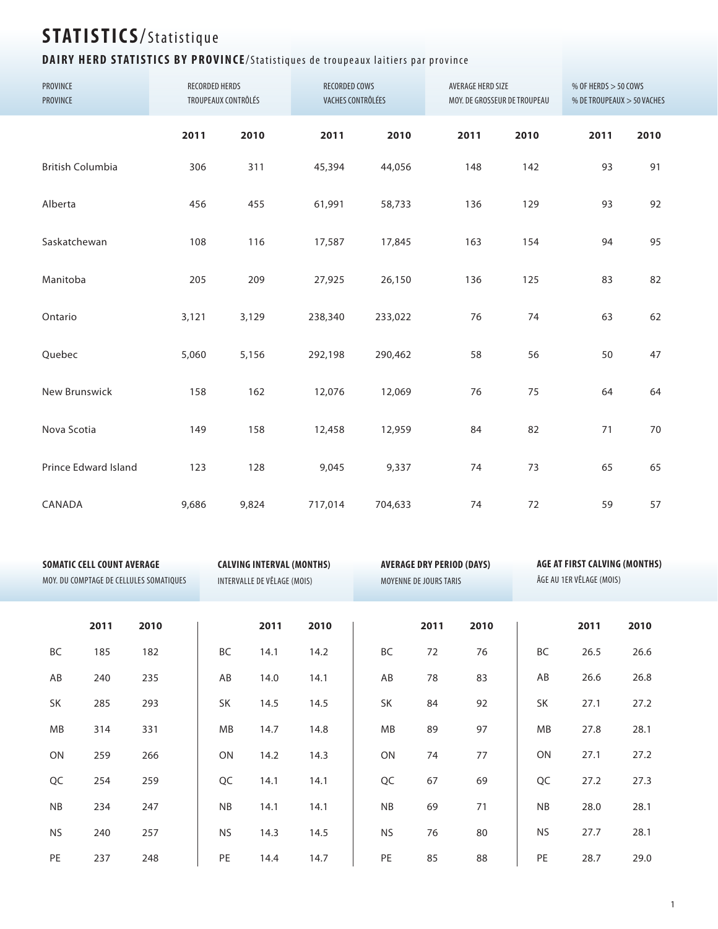#### **DAIRY HERD STATISTICS BY PROVINCE/Statistiques de troupeaux laitiers par province**

| PROVINCE<br>PROVINCE    | RECORDED HERDS<br>TROUPEAUX CONTRÔLÉS |       |         | RECORDED COWS<br>VACHES CONTRÔLÉES |      | AVERAGE HERD SIZE<br>MOY. DE GROSSEUR DE TROUPEAU |        | % OF HERDS > 50 COWS<br>% DE TROUPEAUX > 50 VACHES |  |
|-------------------------|---------------------------------------|-------|---------|------------------------------------|------|---------------------------------------------------|--------|----------------------------------------------------|--|
|                         | 2011                                  | 2010  | 2011    | 2010                               | 2011 | 2010                                              | 2011   | 2010                                               |  |
| <b>British Columbia</b> | 306                                   | 311   | 45,394  | 44,056                             | 148  | 142                                               | 93     | 91                                                 |  |
| Alberta                 | 456                                   | 455   | 61,991  | 58,733                             | 136  | 129                                               | 93     | 92                                                 |  |
| Saskatchewan            | 108                                   | 116   | 17,587  | 17,845                             | 163  | 154                                               | 94     | 95                                                 |  |
| Manitoba                | 205                                   | 209   | 27,925  | 26,150                             | 136  | 125                                               | 83     | 82                                                 |  |
| Ontario                 | 3,121                                 | 3,129 | 238,340 | 233,022                            | 76   | 74                                                | 63     | 62                                                 |  |
| Quebec                  | 5,060                                 | 5,156 | 292,198 | 290,462                            | 58   | 56                                                | 50     | 47                                                 |  |
| New Brunswick           | 158                                   | 162   | 12,076  | 12,069                             | 76   | 75                                                | 64     | 64                                                 |  |
| Nova Scotia             | 149                                   | 158   | 12,458  | 12,959                             | 84   | 82                                                | $71\,$ | $70\,$                                             |  |
| Prince Edward Island    | 123                                   | 128   | 9,045   | 9,337                              | 74   | 73                                                | 65     | 65                                                 |  |
| CANADA                  | 9,686                                 | 9,824 | 717,014 | 704,633                            | 74   | 72                                                | 59     | 57                                                 |  |

| <b>SOMATIC CELL COUNT AVERAGE</b><br>MOY. DU COMPTAGE DE CELLULES SOMATIQUES |      |      | <b>CALVING INTERVAL (MONTHS)</b><br>INTERVALLE DE VÊLAGE (MOIS) |      |      | <b>AVERAGE DRY PERIOD (DAYS)</b><br>MOYENNE DE JOURS TARIS |      |      | AGE AT FIRST CALVING (MONTHS)<br>ÂGE AU 1ER VÊLAGE (MOIS) |      |      |  |
|------------------------------------------------------------------------------|------|------|-----------------------------------------------------------------|------|------|------------------------------------------------------------|------|------|-----------------------------------------------------------|------|------|--|
|                                                                              | 2011 | 2010 |                                                                 | 2011 | 2010 |                                                            | 2011 | 2010 |                                                           | 2011 | 2010 |  |
| BC                                                                           | 185  | 182  | BC                                                              | 14.1 | 14.2 | BC                                                         | 72   | 76   | <b>BC</b>                                                 | 26.5 | 26.6 |  |
| AB                                                                           | 240  | 235  | AB                                                              | 14.0 | 14.1 | AB                                                         | 78   | 83   | AB                                                        | 26.6 | 26.8 |  |
| SK                                                                           | 285  | 293  | <b>SK</b>                                                       | 14.5 | 14.5 | <b>SK</b>                                                  | 84   | 92   | SK                                                        | 27.1 | 27.2 |  |
| MB                                                                           | 314  | 331  | MВ                                                              | 14.7 | 14.8 | MB                                                         | 89   | 97   | <b>MB</b>                                                 | 27.8 | 28.1 |  |
| ON                                                                           | 259  | 266  | ON                                                              | 14.2 | 14.3 | ON                                                         | 74   | 77   | ON                                                        | 27.1 | 27.2 |  |
| QC                                                                           | 254  | 259  | QC                                                              | 14.1 | 14.1 | QC                                                         | 67   | 69   | QC                                                        | 27.2 | 27.3 |  |
| <b>NB</b>                                                                    | 234  | 247  | <b>NB</b>                                                       | 14.1 | 14.1 | <b>NB</b>                                                  | 69   | 71   | <b>NB</b>                                                 | 28.0 | 28.1 |  |
| <b>NS</b>                                                                    | 240  | 257  | <b>NS</b>                                                       | 14.3 | 14.5 | <b>NS</b>                                                  | 76   | 80   | <b>NS</b>                                                 | 27.7 | 28.1 |  |
| PE                                                                           | 237  | 248  | PE                                                              | 14.4 | 14.7 | PE                                                         | 85   | 88   | PE                                                        | 28.7 | 29.0 |  |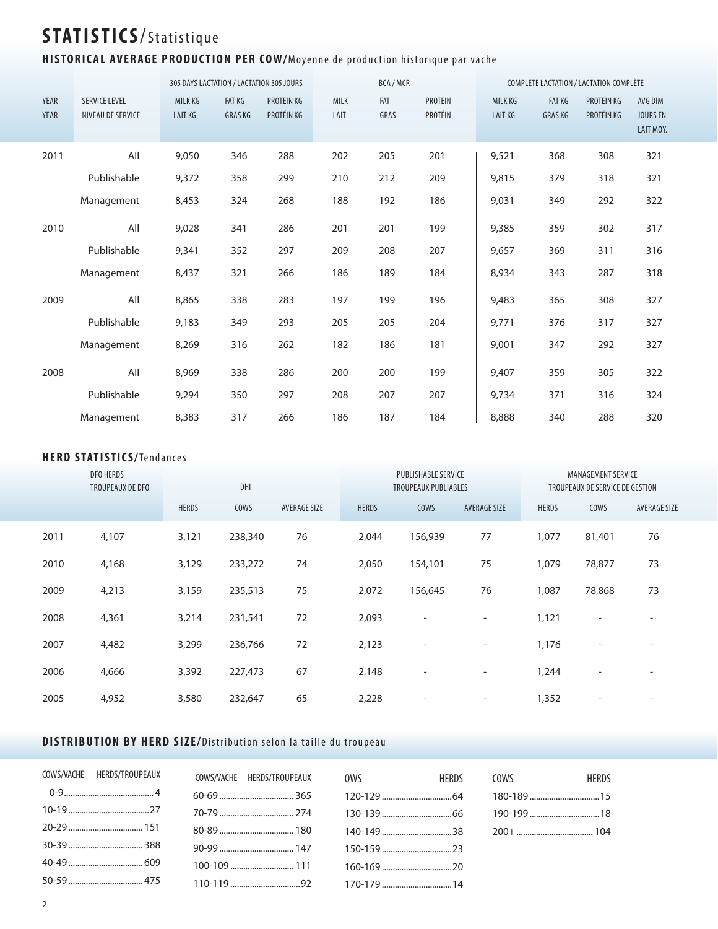#### STATISTICS/Statistique **HISTORICAL AVERAGE PRODUCTION PER COW/Moyenne de production historique par vache**

|                            |                                           |                                  | 305 DAYS LACTATION / LACTATION 305 JOURS |                                 |                     | <b>BCA/MCR</b> |                           |                                  | COMPLETE LACTATION / LACTATION COMPLÈTE |                                 |                                         |  |
|----------------------------|-------------------------------------------|----------------------------------|------------------------------------------|---------------------------------|---------------------|----------------|---------------------------|----------------------------------|-----------------------------------------|---------------------------------|-----------------------------------------|--|
| <b>YEAR</b><br><b>YEAR</b> | <b>SERVICE LEVEL</b><br>NIVEAU DE SERVICE | <b>MILK KG</b><br><b>LAIT KG</b> | <b>FAT KG</b><br><b>GRASKG</b>           | <b>PROTEIN KG</b><br>PROTÉIN KG | <b>MILK</b><br>LAIT | FAT<br>GRAS    | <b>PROTEIN</b><br>PROTÉIN | <b>MILK KG</b><br><b>LAIT KG</b> | <b>FAT KG</b><br><b>GRASKG</b>          | <b>PROTEIN KG</b><br>PROTÉIN KG | AVG DIM<br><b>JOURS EN</b><br>LAIT MOY. |  |
| 2011                       | All                                       | 9,050                            | 346                                      | 288                             | 202                 | 205            | 201                       | 9,521                            | 368                                     | 308                             | 321                                     |  |
|                            | Publishable                               | 9,372                            | 358                                      | 299                             | 210                 | 212            | 209                       | 9,815                            | 379                                     | 318                             | 321                                     |  |
|                            | Management                                | 8,453                            | 324                                      | 268                             | 188                 | 192            | 186                       | 9,031                            | 349                                     | 292                             | 322                                     |  |
| 2010                       | All                                       | 9,028                            | 341                                      | 286                             | 201                 | 201            | 199                       | 9,385                            | 359                                     | 302                             | 317                                     |  |
|                            | Publishable                               | 9,341                            | 352                                      | 297                             | 209                 | 208            | 207                       | 9,657                            | 369                                     | 311                             | 316                                     |  |
|                            | Management                                | 8,437                            | 321                                      | 266                             | 186                 | 189            | 184                       | 8,934                            | 343                                     | 287                             | 318                                     |  |
| 2009                       | All                                       | 8,865                            | 338                                      | 283                             | 197                 | 199            | 196                       | 9,483                            | 365                                     | 308                             | 327                                     |  |
|                            | Publishable                               | 9,183                            | 349                                      | 293                             | 205                 | 205            | 204                       | 9,771                            | 376                                     | 317                             | 327                                     |  |
|                            | Management                                | 8,269                            | 316                                      | 262                             | 182                 | 186            | 181                       | 9,001                            | 347                                     | 292                             | 327                                     |  |
| 2008                       | All                                       | 8,969                            | 338                                      | 286                             | 200                 | 200            | 199                       | 9,407                            | 359                                     | 305                             | 322                                     |  |
|                            | Publishable                               | 9,294                            | 350                                      | 297                             | 208                 | 207            | 207                       | 9,734                            | 371                                     | 316                             | 324                                     |  |
|                            | Management                                | 8,383                            | 317                                      | 266                             | 186                 | 187            | 184                       | 8,888                            | 340                                     | 288                             | 320                                     |  |

#### **HERD STATISTICS/Tendances**

|      | DFO HERDS<br>TROUPEAUX DE DFO |              | DHI     |              |              | <b>PUBLISHABLE SERVICE</b><br><b>TROUPEAUX PUBLIABLES</b> |                          | MANAGEMENT SERVICE<br>TROUPEAUX DE SERVICE DE GESTION |                          |                          |
|------|-------------------------------|--------------|---------|--------------|--------------|-----------------------------------------------------------|--------------------------|-------------------------------------------------------|--------------------------|--------------------------|
|      |                               | <b>HERDS</b> | COWS    | AVERAGE SIZE | <b>HERDS</b> | COWS                                                      | AVERAGE SIZE             | <b>HERDS</b>                                          | COWS                     | AVERAGE SIZE             |
| 2011 | 4,107                         | 3,121        | 238,340 | 76           | 2,044        | 156,939                                                   | 77                       | 1,077                                                 | 81,401                   | 76                       |
| 2010 | 4,168                         | 3,129        | 233,272 | 74           | 2,050        | 154,101                                                   | 75                       | 1,079                                                 | 78,877                   | 73                       |
| 2009 | 4,213                         | 3,159        | 235,513 | 75           | 2,072        | 156,645                                                   | 76                       | 1,087                                                 | 78,868                   | 73                       |
| 2008 | 4,361                         | 3,214        | 231,541 | 72           | 2,093        | $\overline{\phantom{a}}$                                  | $\overline{\phantom{a}}$ | 1,121                                                 | $\overline{\phantom{a}}$ | $\overline{\phantom{a}}$ |
| 2007 | 4,482                         | 3,299        | 236,766 | 72           | 2,123        | $\qquad \qquad -$                                         | $\overline{\phantom{a}}$ | 1,176                                                 | $\overline{\phantom{a}}$ | $\overline{\phantom{a}}$ |
| 2006 | 4,666                         | 3,392        | 227,473 | 67           | 2,148        | $\overline{\phantom{0}}$                                  | $\overline{\phantom{a}}$ | 1,244                                                 | $\overline{\phantom{a}}$ | $\overline{\phantom{a}}$ |
| 2005 | 4,952                         | 3,580        | 232,647 | 65           | 2,228        | $\overline{\phantom{a}}$                                  | $\overline{\phantom{a}}$ | 1,352                                                 | $\overline{\phantom{a}}$ | $\overline{\phantom{a}}$ |

#### **DISTRIBUTION BY HERD SIZE/Distribution selon la taille du troupeau**

| COWS/VACHE HERDS/TROUPEAUX |
|----------------------------|
|                            |
|                            |
|                            |
|                            |
|                            |
|                            |

| COWS/VACHE HERDS/TROUPEAUX |
|----------------------------|
|                            |
|                            |
|                            |
|                            |
|                            |
|                            |

| OWS          | HFRDS |
|--------------|-------|
|              |       |
|              |       |
| $140-149$ 38 |       |
|              |       |
|              |       |
|              |       |

| <b>COWS</b> | <b>HFRDS</b> |
|-------------|--------------|
|             |              |
|             |              |
|             |              |
|             |              |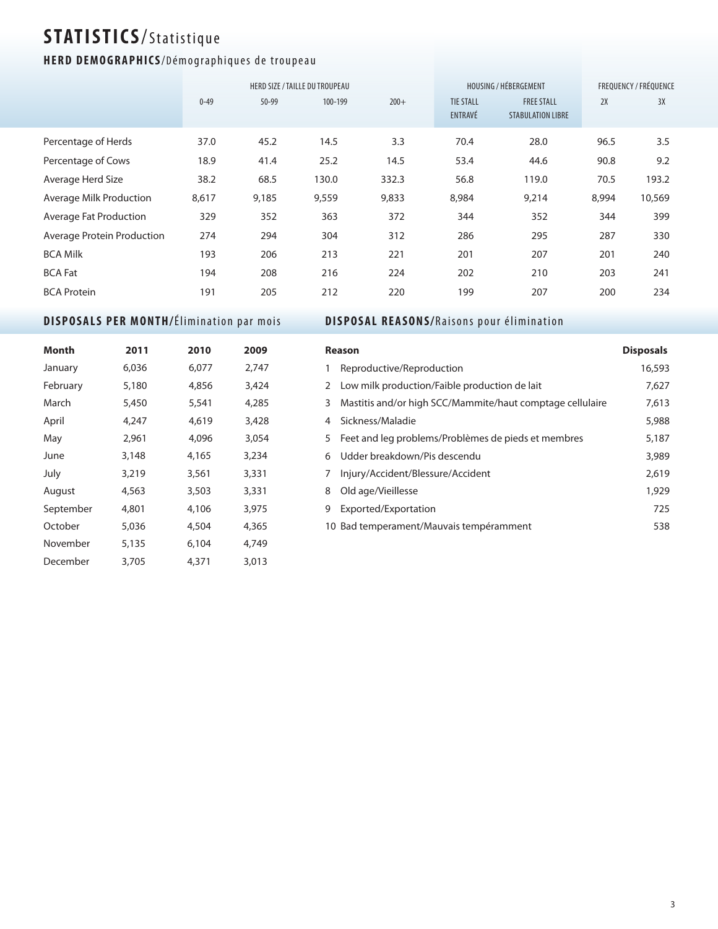#### **HERD DEMOGRAPHICS/Démographiques de troupeau**

|          |           |         |                                       |                             | HOUSING / HÉBERGEMENT<br><b>FREOUENCY / FRÉOUENCE</b> |       |        |
|----------|-----------|---------|---------------------------------------|-----------------------------|-------------------------------------------------------|-------|--------|
| $0 - 49$ | $50 - 99$ | 100-199 | $200+$                                | <b>TIE STALL</b><br>ENTRAVÉ | <b>FREE STALL</b><br>STABULATION LIBRE                | 2X    | 3X     |
| 37.0     | 45.2      | 14.5    | 3.3                                   | 70.4                        | 28.0                                                  | 96.5  | 3.5    |
| 18.9     | 41.4      | 25.2    | 14.5                                  | 53.4                        | 44.6                                                  | 90.8  | 9.2    |
| 38.2     | 68.5      | 130.0   | 332.3                                 | 56.8                        | 119.0                                                 | 70.5  | 193.2  |
| 8,617    | 9,185     | 9,559   | 9,833                                 | 8,984                       | 9,214                                                 | 8,994 | 10,569 |
| 329      | 352       | 363     | 372                                   | 344                         | 352                                                   | 344   | 399    |
| 274      | 294       | 304     | 312                                   | 286                         | 295                                                   | 287   | 330    |
| 193      | 206       | 213     | 221                                   | 201                         | 207                                                   | 201   | 240    |
| 194      | 208       | 216     | 224                                   | 202                         | 210                                                   | 203   | 241    |
| 191      | 205       | 212     | 220                                   | 199                         | 207                                                   | 200   | 234    |
|          |           |         | <b>HERD SIZE / TAILLE DU TROUPEAU</b> |                             |                                                       |       |        |

#### **DISPOSALS PER MONTH/Élimination par mois**

**DISPOSAL REASONS/Raisons pour élimination** 

| Month     | 2011  | 2010  | 2009  | <b>Reason</b>                                                          | <b>Disposals</b> |
|-----------|-------|-------|-------|------------------------------------------------------------------------|------------------|
| January   | 6,036 | 6,077 | 2,747 | Reproductive/Reproduction                                              | 16,593           |
| February  | 5,180 | 4,856 | 3,424 | Low milk production/Faible production de lait<br>$\mathbf{2}^{\prime}$ | 7,627            |
| March     | 5,450 | 5,541 | 4,285 | Mastitis and/or high SCC/Mammite/haut comptage cellulaire<br>3         | 7,613            |
| April     | 4,247 | 4,619 | 3,428 | Sickness/Maladie<br>4                                                  | 5,988            |
| May       | 2,961 | 4,096 | 3,054 | 5 Feet and leg problems/Problèmes de pieds et membres                  | 5,187            |
| June      | 3,148 | 4,165 | 3,234 | Udder breakdown/Pis descendu<br>6                                      | 3,989            |
| July      | 3,219 | 3,561 | 3,331 | Injury/Accident/Blessure/Accident                                      | 2,619            |
| August    | 4,563 | 3,503 | 3,331 | Old age/Vieillesse<br>8                                                | 1,929            |
| September | 4,801 | 4,106 | 3,975 | Exported/Exportation<br>9                                              | 725              |
| October   | 5,036 | 4,504 | 4,365 | 10 Bad temperament/Mauvais tempéramment                                | 538              |
| November  | 5,135 | 6,104 | 4,749 |                                                                        |                  |
| December  | 3,705 | 4,371 | 3,013 |                                                                        |                  |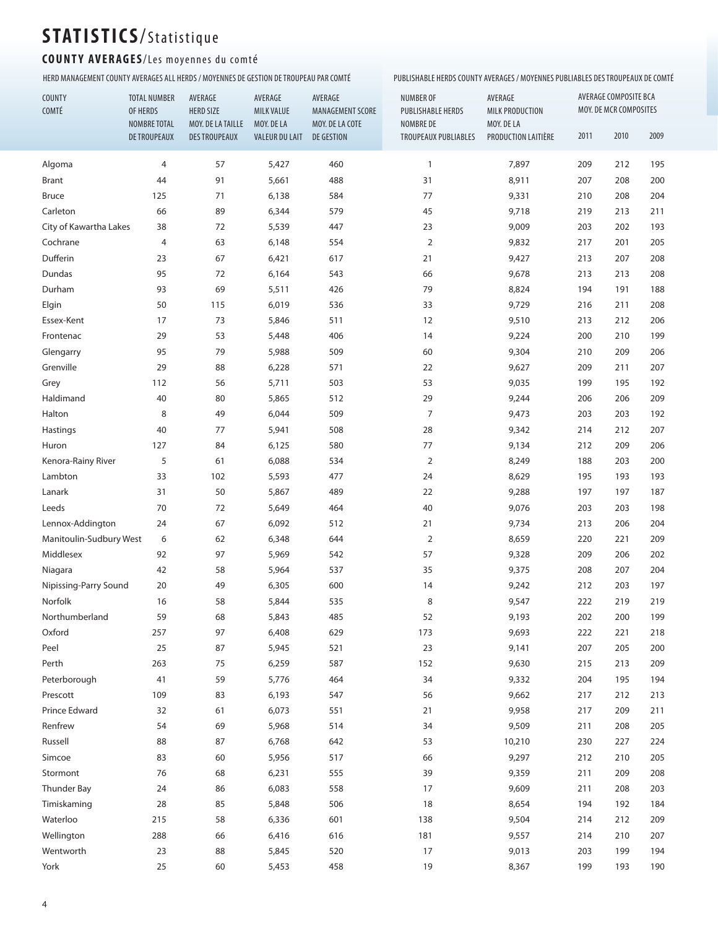#### **COUNTY AVERAGES/Les moyennes du comté**

HERD MANAGEMENT COUNTY AVERAGES ALL HERDS / MOYENNES DE GESTION DE TROUPEAU PAR COMTÉ PUBLISHABLE HERDS COUNTY AVERAGES / MOYENNES PUBLIABLES DES TROUPEAUX DE COMTÉ

| <b>COUNTY</b><br>COMTÉ  | <b>TOTAL NUMBER</b><br>OF HERDS | AVERAGE<br><b>HERD SIZE</b>               | AVERAGE<br><b>MILK VALUE</b> | AVERAGE<br>MANAGEMENT SCORE   | <b>NUMBER OF</b><br><b>PUBLISHABLE HERDS</b> | AVERAGE<br><b>MILK PRODUCTION</b> |      | AVERAGE COMPOSITE BCA<br>MOY. DE MCR COMPOSITES |      |
|-------------------------|---------------------------------|-------------------------------------------|------------------------------|-------------------------------|----------------------------------------------|-----------------------------------|------|-------------------------------------------------|------|
|                         | NOMBRE TOTAL<br>DE TROUPEAUX    | MOY. DE LA TAILLE<br><b>DES TROUPEAUX</b> | MOY. DE LA<br>VALEUR DU LAIT | MOY. DE LA COTE<br>DE GESTION | NOMBRE DE<br>TROUPEAUX PUBLIABLES            | MOY. DE LA<br>PRODUCTION LAITIÈRE | 2011 | 2010                                            | 2009 |
| Algoma                  | $\overline{4}$                  | 57                                        | 5,427                        | 460                           | $\mathbf{1}$                                 | 7,897                             | 209  | 212                                             | 195  |
| <b>Brant</b>            | 44                              | 91                                        | 5,661                        | 488                           | 31                                           | 8,911                             | 207  | 208                                             | 200  |
| <b>Bruce</b>            | 125                             | 71                                        | 6,138                        | 584                           | 77                                           | 9,331                             | 210  | 208                                             | 204  |
| Carleton                | 66                              | 89                                        | 6,344                        | 579                           | 45                                           | 9,718                             | 219  | 213                                             | 211  |
| City of Kawartha Lakes  | 38                              | 72                                        | 5,539                        | 447                           | 23                                           | 9,009                             | 203  | 202                                             | 193  |
| Cochrane                | $\overline{4}$                  | 63                                        | 6,148                        | 554                           | $\mathbf 2$                                  | 9,832                             | 217  | 201                                             | 205  |
| Dufferin                | 23                              | 67                                        | 6,421                        | 617                           | 21                                           | 9,427                             | 213  | 207                                             | 208  |
| Dundas                  | 95                              | 72                                        | 6,164                        | 543                           | 66                                           | 9,678                             | 213  | 213                                             | 208  |
| Durham                  | 93                              | 69                                        | 5,511                        | 426                           | 79                                           | 8,824                             | 194  | 191                                             | 188  |
| Elgin                   | 50                              | 115                                       | 6,019                        | 536                           | 33                                           | 9,729                             | 216  | 211                                             | 208  |
| Essex-Kent              | 17                              | 73                                        | 5,846                        | 511                           | 12                                           | 9,510                             | 213  | 212                                             | 206  |
| Frontenac               | 29                              | 53                                        | 5,448                        | 406                           | 14                                           | 9,224                             | 200  | 210                                             | 199  |
| Glengarry               | 95                              | 79                                        | 5,988                        | 509                           | 60                                           | 9,304                             | 210  | 209                                             | 206  |
| Grenville               | 29                              | 88                                        | 6,228                        | 571                           | 22                                           | 9,627                             | 209  | 211                                             | 207  |
| Grey                    | 112                             | 56                                        | 5,711                        | 503                           | 53                                           | 9,035                             | 199  | 195                                             | 192  |
| Haldimand               | 40                              | 80                                        | 5,865                        | 512                           | 29                                           | 9,244                             | 206  | 206                                             | 209  |
| Halton                  | 8                               | 49                                        | 6,044                        | 509                           | 7                                            | 9,473                             | 203  | 203                                             | 192  |
| Hastings                | 40                              | 77                                        | 5,941                        | 508                           | 28                                           | 9,342                             | 214  | 212                                             | 207  |
| Huron                   | 127                             | 84                                        | 6,125                        | 580                           | 77                                           | 9,134                             | 212  | 209                                             | 206  |
| Kenora-Rainy River      | 5                               | 61                                        | 6,088                        | 534                           | $\overline{2}$                               | 8,249                             | 188  | 203                                             | 200  |
| Lambton                 | 33                              | 102                                       | 5,593                        | 477                           | 24                                           | 8,629                             | 195  | 193                                             | 193  |
| Lanark                  | 31                              | 50                                        | 5,867                        | 489                           | 22                                           | 9,288                             | 197  | 197                                             | 187  |
| Leeds                   | 70                              | 72                                        | 5,649                        | 464                           | 40                                           | 9,076                             | 203  | 203                                             | 198  |
| Lennox-Addington        | 24                              | 67                                        | 6,092                        | 512                           | 21                                           | 9,734                             | 213  | 206                                             | 204  |
| Manitoulin-Sudbury West | 6                               | 62                                        | 6,348                        | 644                           | $\overline{2}$                               | 8,659                             | 220  | 221                                             | 209  |
| Middlesex               | 92                              | 97                                        | 5,969                        | 542                           | 57                                           | 9,328                             | 209  | 206                                             | 202  |
| Niagara                 | 42                              | 58                                        | 5,964                        | 537                           | 35                                           | 9,375                             | 208  | 207                                             | 204  |
| Nipissing-Parry Sound   | 20                              | 49                                        | 6,305                        | 600                           | 14                                           | 9,242                             | 212  | 203                                             | 197  |
| Norfolk                 | 16                              | 58                                        | 5,844                        | 535                           | 8                                            | 9,547                             | 222  | 219                                             | 219  |
| Northumberland          | 59                              | 68                                        | 5,843                        | 485                           | 52                                           | 9,193                             | 202  | 200                                             | 199  |
| Oxford                  | 257                             | 97                                        | 6,408                        | 629                           | 173                                          | 9,693                             | 222  | 221                                             | 218  |
| Peel                    | 25                              | 87                                        | 5,945                        | 521                           | 23                                           | 9,141                             | 207  | 205                                             | 200  |
| Perth                   | 263                             | 75                                        | 6,259                        | 587                           | 152                                          | 9,630                             | 215  | 213                                             | 209  |
| Peterborough            | 41                              | 59                                        | 5,776                        | 464                           | 34                                           | 9,332                             | 204  | 195                                             | 194  |
| Prescott                | 109                             | 83                                        | 6,193                        | 547                           | 56                                           | 9,662                             | 217  | 212                                             | 213  |
| Prince Edward           | 32                              | 61                                        | 6,073                        | 551                           | 21                                           | 9,958                             | 217  | 209                                             | 211  |
| Renfrew                 | 54                              | 69                                        | 5,968                        | 514                           | 34                                           | 9,509                             | 211  | 208                                             | 205  |
| Russell                 | 88                              | 87                                        | 6,768                        | 642                           | 53                                           | 10,210                            | 230  | 227                                             | 224  |
| Simcoe                  | 83                              | 60                                        | 5,956                        | 517                           | 66                                           | 9,297                             | 212  | 210                                             | 205  |
| Stormont                | 76                              | 68                                        | 6,231                        | 555                           | 39                                           | 9,359                             | 211  | 209                                             | 208  |
| Thunder Bay             | 24                              | 86                                        | 6,083                        | 558                           | 17                                           | 9,609                             | 211  | 208                                             | 203  |
| Timiskaming             | 28                              | 85                                        | 5,848                        | 506                           | 18                                           | 8,654                             | 194  | 192                                             | 184  |
| Waterloo                | 215                             | 58                                        | 6,336                        | 601                           | 138                                          | 9,504                             | 214  | 212                                             | 209  |
| Wellington              | 288                             | 66                                        | 6,416                        | 616                           | 181                                          | 9,557                             | 214  | 210                                             | 207  |
| Wentworth               | 23                              | 88                                        | 5,845                        | 520                           | 17                                           | 9,013                             | 203  | 199                                             | 194  |
| York                    | 25                              | 60                                        | 5,453                        | 458                           | 19                                           | 8,367                             | 199  | 193                                             | 190  |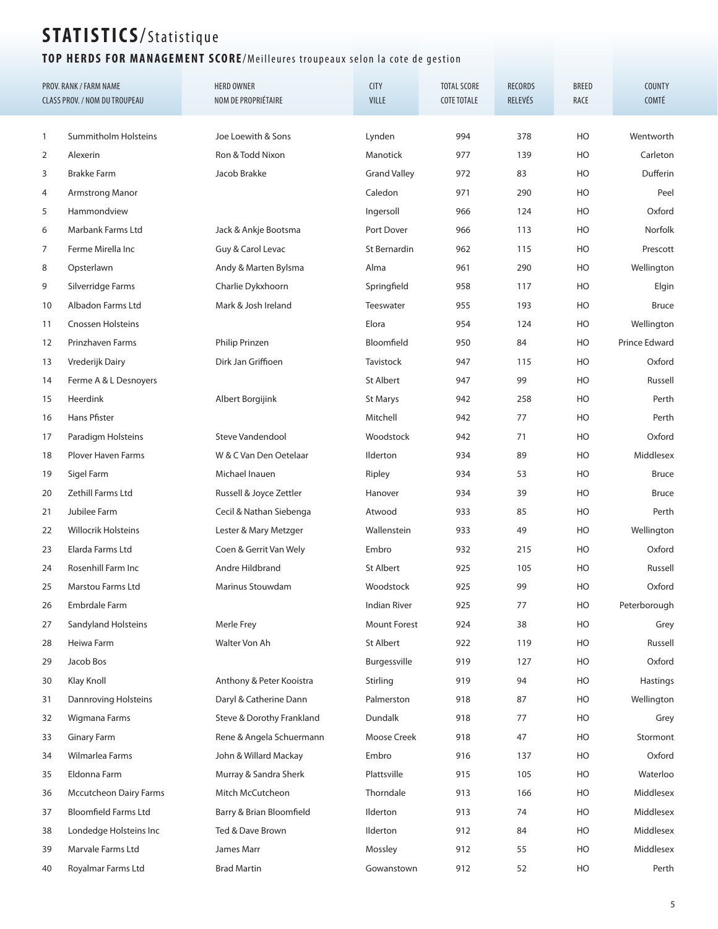#### TOP HERDS FOR MANAGEMENT SCORE/Meilleures troupeaux selon la cote de gestion

|              | <b>PROV. RANK / FARM NAME</b><br><b>CLASS PROV. / NOM DU TROUPEAU</b> | <b>HERD OWNER</b><br>NOM DE PROPRIÉTAIRE | <b>CITY</b><br>VILLE | <b>TOTAL SCORE</b><br><b>COTE TOTALE</b> | <b>RECORDS</b><br>RELEVÉS | <b>BREED</b><br>RACE | COUNTY<br>COMTÉ      |
|--------------|-----------------------------------------------------------------------|------------------------------------------|----------------------|------------------------------------------|---------------------------|----------------------|----------------------|
|              |                                                                       |                                          |                      |                                          |                           |                      |                      |
| $\mathbf{1}$ | Summitholm Holsteins                                                  | Joe Loewith & Sons                       | Lynden               | 994                                      | 378                       | HO                   | Wentworth            |
| 2            | Alexerin                                                              | Ron & Todd Nixon                         | Manotick             | 977                                      | 139                       | HO                   | Carleton             |
| 3            | <b>Brakke Farm</b>                                                    | Jacob Brakke                             | <b>Grand Valley</b>  | 972                                      | 83                        | HO                   | Dufferin             |
| 4            | Armstrong Manor                                                       |                                          | Caledon              | 971                                      | 290                       | HO                   | Peel                 |
| 5            | Hammondview                                                           |                                          | Ingersoll            | 966                                      | 124                       | HO                   | Oxford               |
| 6            | <b>Marbank Farms Ltd</b>                                              | Jack & Ankje Bootsma                     | Port Dover           | 966                                      | 113                       | HO                   | Norfolk              |
| 7            | Ferme Mirella Inc                                                     | Guy & Carol Levac                        | St Bernardin         | 962                                      | 115                       | HO                   | Prescott             |
| 8            | Opsterlawn                                                            | Andy & Marten Bylsma                     | Alma                 | 961                                      | 290                       | HO                   | Wellington           |
| 9            | Silverridge Farms                                                     | Charlie Dykxhoorn                        | Springfield          | 958                                      | 117                       | HO                   | Elgin                |
| 10           | Albadon Farms Ltd                                                     | Mark & Josh Ireland                      | Teeswater            | 955                                      | 193                       | HO                   | <b>Bruce</b>         |
| 11           | <b>Cnossen Holsteins</b>                                              |                                          | Elora                | 954                                      | 124                       | HO                   | Wellington           |
| 12           | Prinzhaven Farms                                                      | Philip Prinzen                           | Bloomfield           | 950                                      | 84                        | HO                   | <b>Prince Edward</b> |
| 13           | Vrederijk Dairy                                                       | Dirk Jan Griffioen                       | Tavistock            | 947                                      | 115                       | HO                   | Oxford               |
| 14           | Ferme A & L Desnoyers                                                 |                                          | <b>St Albert</b>     | 947                                      | 99                        | HO                   | Russell              |
| 15           | Heerdink                                                              | Albert Borgijink                         | <b>St Marys</b>      | 942                                      | 258                       | HO                   | Perth                |
| 16           | Hans Pfister                                                          |                                          | Mitchell             | 942                                      | 77                        | HO                   | Perth                |
| 17           | Paradigm Holsteins                                                    | Steve Vandendool                         | Woodstock            | 942                                      | 71                        | HO                   | Oxford               |
| 18           | <b>Plover Haven Farms</b>                                             | W & C Van Den Oetelaar                   | Ilderton             | 934                                      | 89                        | HO                   | Middlesex            |
| 19           | Sigel Farm                                                            | Michael Inauen                           | Ripley               | 934                                      | 53                        | HO                   | <b>Bruce</b>         |
| 20           | Zethill Farms Ltd                                                     | Russell & Joyce Zettler                  | Hanover              | 934                                      | 39                        | HO                   | <b>Bruce</b>         |
| 21           | Jubilee Farm                                                          | Cecil & Nathan Siebenga                  | Atwood               | 933                                      | 85                        | HO                   | Perth                |
| 22           | <b>Willocrik Holsteins</b>                                            | Lester & Mary Metzger                    | Wallenstein          | 933                                      | 49                        | HO                   | Wellington           |
| 23           | Elarda Farms Ltd                                                      | Coen & Gerrit Van Wely                   | Embro                | 932                                      | 215                       | HO                   | Oxford               |
| 24           | Rosenhill Farm Inc                                                    | Andre Hildbrand                          | <b>St Albert</b>     | 925                                      | 105                       | HO                   | Russell              |
| 25           | <b>Marstou Farms Ltd</b>                                              | Marinus Stouwdam                         | Woodstock            | 925                                      | 99                        | HO                   | Oxford               |
| 26           | Embrdale Farm                                                         |                                          | <b>Indian River</b>  | 925                                      | 77                        | HO                   | Peterborough         |
| 27           | <b>Sandyland Holsteins</b>                                            | Merle Frey                               | <b>Mount Forest</b>  | 924                                      | 38                        | HO                   | Grey                 |
| 28           | Heiwa Farm                                                            | Walter Von Ah                            | <b>St Albert</b>     | 922                                      | 119                       | HO                   | Russell              |
| 29           | Jacob Bos                                                             |                                          | Burgessville         | 919                                      | 127                       | HO                   | Oxford               |
| 30           | Klay Knoll                                                            | Anthony & Peter Kooistra                 | Stirling             | 919                                      | 94                        | HO                   | Hastings             |
| 31           | <b>Dannroving Holsteins</b>                                           | Daryl & Catherine Dann                   | Palmerston           | 918                                      | 87                        | HO                   | Wellington           |
| 32           | Wigmana Farms                                                         | Steve & Dorothy Frankland                | Dundalk              | 918                                      | 77                        | HO                   | Grey                 |
| 33           | Ginary Farm                                                           | Rene & Angela Schuermann                 | Moose Creek          | 918                                      | 47                        | HO                   | Stormont             |
| 34           | Wilmarlea Farms                                                       | John & Willard Mackay                    | Embro                | 916                                      | 137                       | HO                   | Oxford               |
| 35           | Eldonna Farm                                                          | Murray & Sandra Sherk                    | Plattsville          | 915                                      | 105                       | HO                   | Waterloo             |
| 36           | <b>Mccutcheon Dairy Farms</b>                                         | Mitch McCutcheon                         | Thorndale            | 913                                      | 166                       | HO                   | Middlesex            |
| 37           | <b>Bloomfield Farms Ltd</b>                                           | Barry & Brian Bloomfield                 | Ilderton             | 913                                      | 74                        | HO                   | Middlesex            |
| 38           | Londedge Holsteins Inc                                                | Ted & Dave Brown                         | Ilderton             | 912                                      | 84                        | HO                   | Middlesex            |
| 39           | Marvale Farms Ltd                                                     | James Marr                               | Mossley              | 912                                      | 55                        | HO                   | Middlesex            |
| 40           | Royalmar Farms Ltd                                                    | <b>Brad Martin</b>                       | Gowanstown           | 912                                      | 52                        | HO                   | Perth                |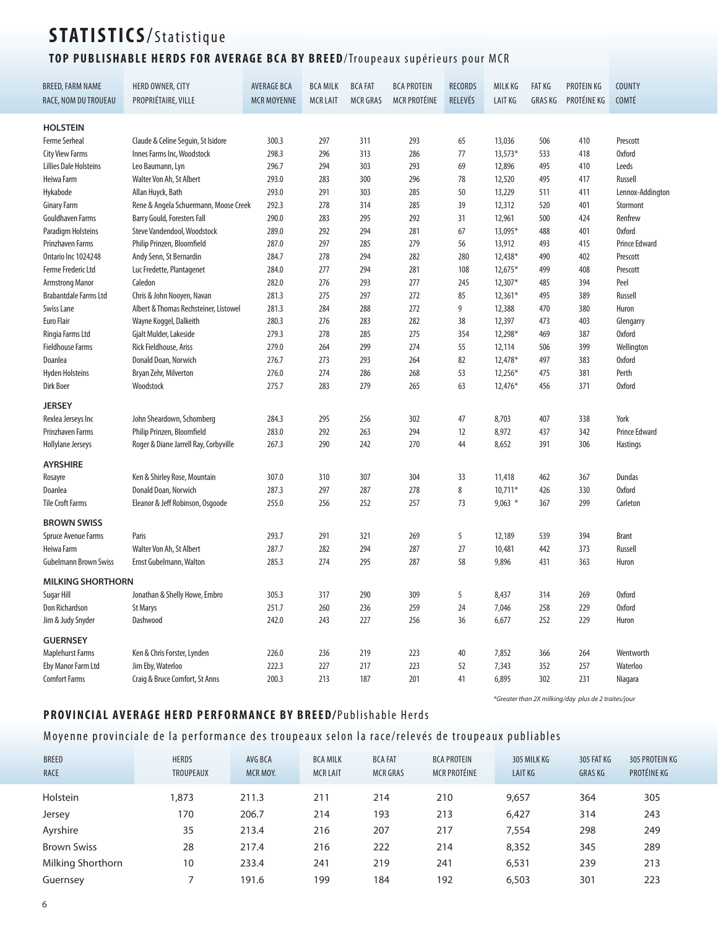#### STATISTICS/Statistique TOP PUBLISHABLE HERDS FOR AVERAGE BCA BY BREED/Troupeaux supérieurs pour MCR

| <b>BREED, FARM NAME</b><br>RACE, NOM DU TROUEAU                                                                                                                                                                                         | HERD OWNER, CITY<br>PROPRIÉTAIRE, VILLE                                                                                                                                                                                                                                            | <b>AVERAGE BCA</b><br><b>MCR MOYENNE</b>                                                        | <b>BCA MILK</b><br><b>MCR LAIT</b>                                        | <b>BCA FAT</b><br><b>MCR GRAS</b>                                         | <b>BCA PROTEIN</b><br><b>MCR PROTÉINE</b>                                 | <b>RECORDS</b><br>RELEVÉS                                         | MILK KG<br><b>LAIT KG</b>                                                                                            | <b>FAT KG</b><br><b>GRASKG</b>                                            | PROTEIN KG<br>PROTÉINE KG                                                 | <b>COUNTY</b><br><b>COMTÉ</b>                                                                                                           |
|-----------------------------------------------------------------------------------------------------------------------------------------------------------------------------------------------------------------------------------------|------------------------------------------------------------------------------------------------------------------------------------------------------------------------------------------------------------------------------------------------------------------------------------|-------------------------------------------------------------------------------------------------|---------------------------------------------------------------------------|---------------------------------------------------------------------------|---------------------------------------------------------------------------|-------------------------------------------------------------------|----------------------------------------------------------------------------------------------------------------------|---------------------------------------------------------------------------|---------------------------------------------------------------------------|-----------------------------------------------------------------------------------------------------------------------------------------|
| <b>HOLSTEIN</b><br>Ferme Serheal<br><b>City View Farms</b><br>Lillies Dale Holsteins<br>Heiwa Farm<br>Hykabode<br><b>Ginary Farm</b><br><b>Gouldhaven Farms</b><br>Paradigm Holsteins<br>Prinzhaven Farms                               | Claude & Celine Sequin, St Isidore<br>Innes Farms Inc, Woodstock<br>Leo Baumann, Lyn<br>Walter Von Ah, St Albert<br>Allan Huyck, Bath<br>Rene & Angela Schuermann, Moose Creek<br>Barry Gould, Foresters Fall<br>Steve Vandendool, Woodstock<br>Philip Prinzen, Bloomfield         | 300.3<br>298.3<br>296.7<br>293.0<br>293.0<br>292.3<br>290.0<br>289.0<br>287.0                   | 297<br>296<br>294<br>283<br>291<br>278<br>283<br>292<br>297               | 311<br>313<br>303<br>300<br>303<br>314<br>295<br>294<br>285               | 293<br>286<br>293<br>296<br>285<br>285<br>292<br>281<br>279               | 65<br>77<br>69<br>78<br>50<br>39<br>31<br>67<br>56                | 13,036<br>13,573*<br>12,896<br>12,520<br>13,229<br>12,312<br>12,961<br>13,095*<br>13,912                             | 506<br>533<br>495<br>495<br>511<br>520<br>500<br>488<br>493               | 410<br>418<br>410<br>417<br>411<br>401<br>424<br>401<br>415               | Prescott<br><b>Oxford</b><br>Leeds<br>Russell<br>Lennox-Addington<br>Stormont<br>Renfrew<br><b>Oxford</b><br><b>Prince Edward</b>       |
| Ontario Inc 1024248<br>Ferme Frederic Ltd<br><b>Armstrong Manor</b><br><b>Brabantdale Farms Ltd</b><br>Swiss Lane<br><b>Euro Flair</b><br>Ringia Farms Ltd<br><b>Fieldhouse Farms</b><br>Doanlea<br><b>Hyden Holsteins</b><br>Dirk Boer | Andy Senn, St Bernardin<br>Luc Fredette, Plantagenet<br>Caledon<br>Chris & John Nooyen, Navan<br>Albert & Thomas Rechsteiner, Listowel<br>Wayne Koggel, Dalkeith<br>Gjalt Mulder, Lakeside<br>Rick Fieldhouse, Ariss<br>Donald Doan, Norwich<br>Bryan Zehr, Milverton<br>Woodstock | 284.7<br>284.0<br>282.0<br>281.3<br>281.3<br>280.3<br>279.3<br>279.0<br>276.7<br>276.0<br>275.7 | 278<br>277<br>276<br>275<br>284<br>276<br>278<br>264<br>273<br>274<br>283 | 294<br>294<br>293<br>297<br>288<br>283<br>285<br>299<br>293<br>286<br>279 | 282<br>281<br>277<br>272<br>272<br>282<br>275<br>274<br>264<br>268<br>265 | 280<br>108<br>245<br>85<br>9<br>38<br>354<br>55<br>82<br>53<br>63 | 12,438*<br>12,675*<br>12,307*<br>$12,361*$<br>12,388<br>12,397<br>12,298*<br>12,114<br>12,478*<br>12,256*<br>12,476* | 490<br>499<br>485<br>495<br>470<br>473<br>469<br>506<br>497<br>475<br>456 | 402<br>408<br>394<br>389<br>380<br>403<br>387<br>399<br>383<br>381<br>371 | Prescott<br>Prescott<br>Peel<br>Russell<br>Huron<br>Glengarry<br><b>Oxford</b><br>Wellington<br><b>Oxford</b><br>Perth<br><b>Oxford</b> |
| <b>JERSEY</b><br>Rexlea Jerseys Inc<br>Prinzhaven Farms<br>Hollylane Jerseys                                                                                                                                                            | John Sheardown, Schomberg<br>Philip Prinzen, Bloomfield<br>Roger & Diane Jarrell Ray, Corbyville                                                                                                                                                                                   | 284.3<br>283.0<br>267.3                                                                         | 295<br>292<br>290                                                         | 256<br>263<br>242                                                         | 302<br>294<br>270                                                         | 47<br>12<br>44                                                    | 8,703<br>8,972<br>8,652                                                                                              | 407<br>437<br>391                                                         | 338<br>342<br>306                                                         | York<br><b>Prince Edward</b><br><b>Hastings</b>                                                                                         |
| <b>AYRSHIRE</b><br>Rosayre<br>Doanlea<br><b>Tile Croft Farms</b><br><b>BROWN SWISS</b><br>Spruce Avenue Farms<br>Heiwa Farm                                                                                                             | Ken & Shirley Rose, Mountain<br>Donald Doan, Norwich<br>Eleanor & Jeff Robinson, Osgoode<br>Paris<br>Walter Von Ah, St Albert                                                                                                                                                      | 307.0<br>287.3<br>255.0<br>293.7<br>287.7                                                       | 310<br>297<br>256<br>291<br>282                                           | 307<br>287<br>252<br>321<br>294                                           | 304<br>278<br>257<br>269<br>287                                           | 33<br>8<br>73<br>5<br>27                                          | 11,418<br>$10,711*$<br>$9,063$ *<br>12,189<br>10,481                                                                 | 462<br>426<br>367<br>539<br>442                                           | 367<br>330<br>299<br>394<br>373                                           | Dundas<br><b>Oxford</b><br>Carleton<br><b>Brant</b><br>Russell                                                                          |
| <b>Gubelmann Brown Swiss</b><br><b>MILKING SHORTHORN</b><br>Sugar Hill<br>Don Richardson<br>Jim & Judy Snyder                                                                                                                           | Ernst Gubelmann, Walton<br>Jonathan & Shelly Howe, Embro<br><b>St Marys</b><br>Dashwood                                                                                                                                                                                            | 285.3<br>305.3<br>251.7<br>242.0                                                                | 274<br>317<br>260<br>243                                                  | 295<br>290<br>236<br>227                                                  | 287<br>309<br>259<br>256                                                  | 58<br>5<br>24<br>36                                               | 9,896<br>8,437<br>7,046<br>6,677                                                                                     | 431<br>314<br>258<br>252                                                  | 363<br>269<br>229<br>229                                                  | Huron<br><b>Oxford</b><br><b>Oxford</b><br>Huron                                                                                        |
| <b>GUERNSEY</b><br>Maplehurst Farms<br>Eby Manor Farm Ltd<br><b>Comfort Farms</b>                                                                                                                                                       | Ken & Chris Forster, Lynden<br>Jim Eby, Waterloo<br>Craig & Bruce Comfort, St Anns                                                                                                                                                                                                 | 226.0<br>222.3<br>200.3                                                                         | 236<br>227<br>213                                                         | 219<br>217<br>187                                                         | 223<br>223<br>201                                                         | 40<br>52<br>41                                                    | 7,852<br>7,343<br>6,895                                                                                              | 366<br>352<br>302                                                         | 264<br>257<br>231                                                         | Wentworth<br>Waterloo<br>Niagara                                                                                                        |

#### *\*Greater than 2X milking/day plus de 2 traites/jour*

#### PROVINCIAL AVERAGE HERD PERFORMANCE BY BREED/Publishable Herds

#### Moyenne provinciale de la performance des troupeaux selon la race/relevés de troupeaux publiables

| <b>BREED</b><br>RACE | <b>HERDS</b><br><b>TROUPEAUX</b> | AVG BCA<br>MCR MOY. | <b>BCA MILK</b><br><b>MCR LAIT</b> | <b>BCA FAT</b><br><b>MCR GRAS</b> | <b>BCA PROTEIN</b><br><b>MCR PROTÉINE</b> | 305 MILK KG<br><b>LAIT KG</b> | 305 FAT KG<br><b>GRAS KG</b> | 305 PROTEIN KG<br>PROTÉINE KG |
|----------------------|----------------------------------|---------------------|------------------------------------|-----------------------------------|-------------------------------------------|-------------------------------|------------------------------|-------------------------------|
| Holstein             | 1.873                            | 211.3               | 211                                | 214                               | 210                                       | 9,657                         | 364                          | 305                           |
| Jersey               | 170                              | 206.7               | 214                                | 193                               | 213                                       | 6,427                         | 314                          | 243                           |
| Ayrshire             | 35                               | 213.4               | 216                                | 207                               | 217                                       | 7.554                         | 298                          | 249                           |
| <b>Brown Swiss</b>   | 28                               | 217.4               | 216                                | 222                               | 214                                       | 8,352                         | 345                          | 289                           |
| Milking Shorthorn    | 10                               | 233.4               | 241                                | 219                               | 241                                       | 6,531                         | 239                          | 213                           |
| Guernsey             |                                  | 191.6               | 199                                | 184                               | 192                                       | 6,503                         | 301                          | 223                           |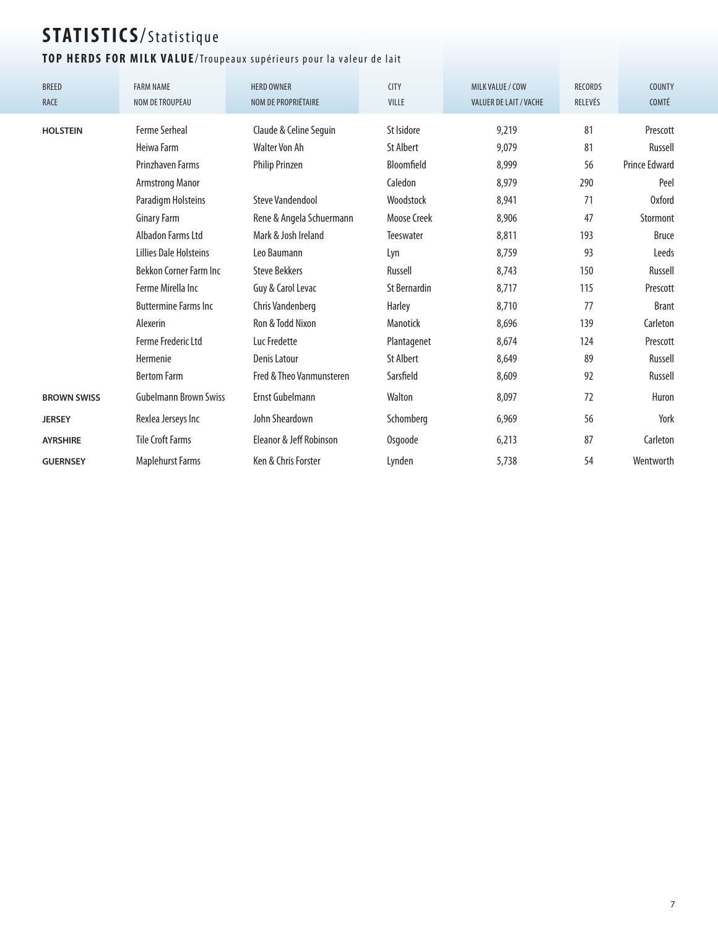#### TOP HERDS FOR MILK VALUE/Troupeaux supérieurs pour la valeur de lait

| <b>BREED</b>       | <b>FARM NAME</b>              | <b>HERD OWNER</b>        | <b>CITY</b>         | MILK VALUE / COW       | <b>RECORDS</b> | <b>COUNTY</b>        |
|--------------------|-------------------------------|--------------------------|---------------------|------------------------|----------------|----------------------|
| RACE               | NOM DE TROUPEAU               | NOM DE PROPRIÉTAIRE      | <b>VILLE</b>        | VALUER DE LAIT / VACHE | RELEVÉS        | COMTÉ                |
| <b>HOLSTEIN</b>    | <b>Ferme Serheal</b>          | Claude & Celine Seguin   | St Isidore          | 9,219                  | 81             | Prescott             |
|                    | Heiwa Farm                    | <b>Walter Von Ah</b>     | <b>St Albert</b>    | 9,079                  | 81             | Russell              |
|                    | Prinzhaven Farms              | <b>Philip Prinzen</b>    | Bloomfield          | 8,999                  | 56             | <b>Prince Edward</b> |
|                    | <b>Armstrong Manor</b>        |                          | Caledon             | 8,979                  | 290            | Peel                 |
|                    | Paradigm Holsteins            | <b>Steve Vandendool</b>  | Woodstock           | 8,941                  | 71             | <b>Oxford</b>        |
|                    | <b>Ginary Farm</b>            | Rene & Angela Schuermann | <b>Moose Creek</b>  | 8,906                  | 47             | Stormont             |
|                    | Albadon Farms Ltd             | Mark & Josh Ireland      | Teeswater           | 8,811                  | 193            | <b>Bruce</b>         |
|                    | <b>Lillies Dale Holsteins</b> | Leo Baumann              | Lyn                 | 8,759                  | 93             | Leeds                |
|                    | <b>Bekkon Corner Farm Inc</b> | <b>Steve Bekkers</b>     | Russell             | 8,743                  | 150            | Russell              |
|                    | Ferme Mirella Inc             | Guy & Carol Levac        | <b>St Bernardin</b> | 8,717                  | 115            | Prescott             |
|                    | <b>Buttermine Farms Inc</b>   | Chris Vandenberg         | Harley              | 8,710                  | 77             | <b>Brant</b>         |
|                    | Alexerin                      | Ron & Todd Nixon         | <b>Manotick</b>     | 8,696                  | 139            | Carleton             |
|                    | <b>Ferme Frederic Ltd</b>     | Luc Fredette             | Plantagenet         | 8,674                  | 124            | Prescott             |
|                    | Hermenie                      | <b>Denis Latour</b>      | <b>St Albert</b>    | 8,649                  | 89             | Russell              |
|                    | <b>Bertom Farm</b>            | Fred & Theo Vanmunsteren | Sarsfield           | 8,609                  | 92             | Russell              |
| <b>BROWN SWISS</b> | <b>Gubelmann Brown Swiss</b>  | Ernst Gubelmann          | Walton              | 8,097                  | 72             | Huron                |
| <b>JERSEY</b>      | Rexlea Jerseys Inc            | John Sheardown           | Schomberg           | 6,969                  | 56             | York                 |
| <b>AYRSHIRE</b>    | <b>Tile Croft Farms</b>       | Eleanor & Jeff Robinson  | Osgoode             | 6,213                  | 87             | Carleton             |
| <b>GUERNSEY</b>    | <b>Maplehurst Farms</b>       | Ken & Chris Forster      | Lynden              | 5,738                  | 54             | Wentworth            |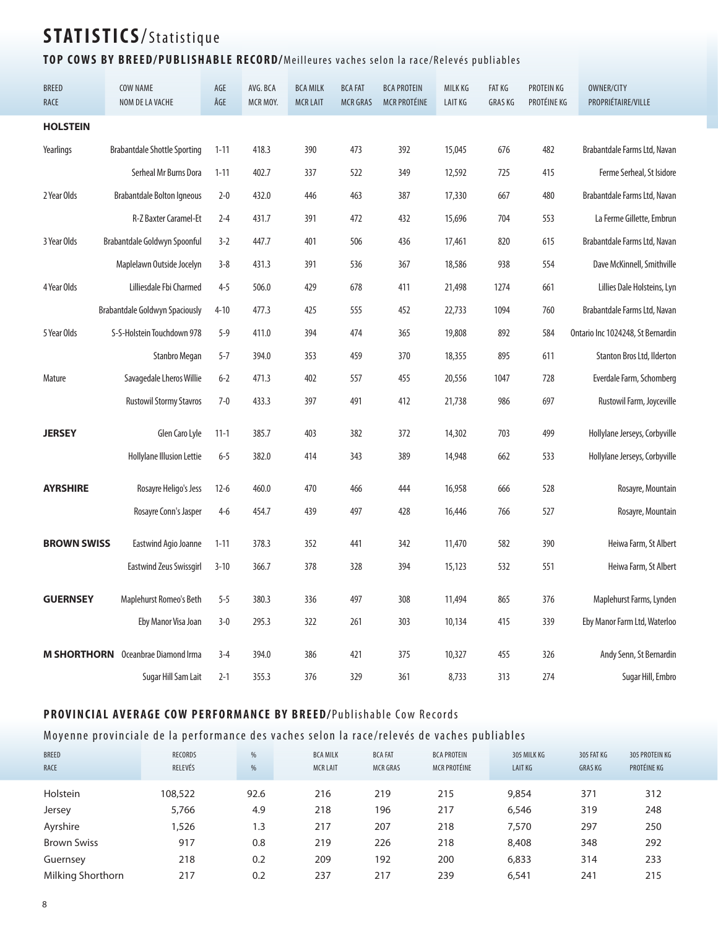#### TOP COWS BY BREED/PUBLISHABLE RECORD/Meilleures vaches selon la race/Relevés publiables

| <b>BREED</b><br><b>RACE</b> | <b>COW NAME</b><br>NOM DE LA VACHE    | AGE<br>ÂGE | AVG. BCA<br>MCR MOY. | <b>BCA MILK</b><br><b>MCRLAIT</b> | <b>BCA FAT</b><br><b>MCR GRAS</b> | <b>BCA PROTEIN</b><br><b>MCR PROTÉINE</b> | MILK KG<br><b>LAIT KG</b> | <b>FAT KG</b><br><b>GRASKG</b> | PROTEIN KG<br>PROTÉINE KG | OWNER/CITY<br>PROPRIÉTAIRE/VILLE  |
|-----------------------------|---------------------------------------|------------|----------------------|-----------------------------------|-----------------------------------|-------------------------------------------|---------------------------|--------------------------------|---------------------------|-----------------------------------|
| <b>HOLSTEIN</b>             |                                       |            |                      |                                   |                                   |                                           |                           |                                |                           |                                   |
| Yearlings                   | <b>Brabantdale Shottle Sporting</b>   | $1 - 11$   | 418.3                | 390                               | 473                               | 392                                       | 15,045                    | 676                            | 482                       | Brabantdale Farms Ltd, Navan      |
|                             | Serheal Mr Burns Dora                 | $1 - 11$   | 402.7                | 337                               | 522                               | 349                                       | 12,592                    | 725                            | 415                       | Ferme Serheal, St Isidore         |
| 2 Year Olds                 | <b>Brabantdale Bolton Igneous</b>     | $2 - 0$    | 432.0                | 446                               | 463                               | 387                                       | 17,330                    | 667                            | 480                       | Brabantdale Farms Ltd, Navan      |
|                             | R-Z Baxter Caramel-Et                 | $2 - 4$    | 431.7                | 391                               | 472                               | 432                                       | 15,696                    | 704                            | 553                       | La Ferme Gillette, Embrun         |
| 3 Year Olds                 | Brabantdale Goldwyn Spoonful          | $3-2$      | 447.7                | 401                               | 506                               | 436                                       | 17,461                    | 820                            | 615                       | Brabantdale Farms Ltd, Navan      |
|                             | Maplelawn Outside Jocelyn             | $3 - 8$    | 431.3                | 391                               | 536                               | 367                                       | 18,586                    | 938                            | 554                       | Dave McKinnell, Smithville        |
| 4 Year Olds                 | Lilliesdale Fbi Charmed               | $4 - 5$    | 506.0                | 429                               | 678                               | 411                                       | 21,498                    | 1274                           | 661                       | Lillies Dale Holsteins, Lyn       |
|                             | <b>Brabantdale Goldwyn Spaciously</b> | $4 - 10$   | 477.3                | 425                               | 555                               | 452                                       | 22,733                    | 1094                           | 760                       | Brabantdale Farms Ltd, Navan      |
| 5 Year Olds                 | S-S-Holstein Touchdown 978            | $5 - 9$    | 411.0                | 394                               | 474                               | 365                                       | 19,808                    | 892                            | 584                       | Ontario Inc 1024248, St Bernardin |
|                             | <b>Stanbro Megan</b>                  | $5 - 7$    | 394.0                | 353                               | 459                               | 370                                       | 18,355                    | 895                            | 611                       | Stanton Bros Ltd, Ilderton        |
| Mature                      | Savagedale Lheros Willie              | $6 - 2$    | 471.3                | 402                               | 557                               | 455                                       | 20,556                    | 1047                           | 728                       | Everdale Farm, Schomberg          |
|                             | <b>Rustowil Stormy Stavros</b>        | $7-0$      | 433.3                | 397                               | 491                               | 412                                       | 21,738                    | 986                            | 697                       | Rustowil Farm, Joyceville         |
| <b>JERSEY</b>               | Glen Caro Lyle                        | $11-1$     | 385.7                | 403                               | 382                               | 372                                       | 14,302                    | 703                            | 499                       | Hollylane Jerseys, Corbyville     |
|                             | Hollylane Illusion Lettie             | $6 - 5$    | 382.0                | 414                               | 343                               | 389                                       | 14,948                    | 662                            | 533                       | Hollylane Jerseys, Corbyville     |
|                             |                                       |            |                      |                                   |                                   |                                           |                           |                                |                           |                                   |
| <b>AYRSHIRE</b>             | Rosayre Heligo's Jess                 | $12 - 6$   | 460.0                | 470                               | 466                               | 444                                       | 16,958                    | 666                            | 528                       | Rosayre, Mountain                 |
|                             | Rosayre Conn's Jasper                 | $4 - 6$    | 454.7                | 439                               | 497                               | 428                                       | 16,446                    | 766                            | 527                       | Rosayre, Mountain                 |
| <b>BROWN SWISS</b>          | Eastwind Agio Joanne                  | $1 - 11$   | 378.3                | 352                               | 441                               | 342                                       | 11,470                    | 582                            | 390                       | Heiwa Farm, St Albert             |
|                             | Eastwind Zeus Swissgirl               | $3 - 10$   | 366.7                | 378                               | 328                               | 394                                       | 15,123                    | 532                            | 551                       | Heiwa Farm, St Albert             |
|                             |                                       |            |                      |                                   |                                   |                                           |                           |                                |                           |                                   |
| <b>GUERNSEY</b>             | Maplehurst Romeo's Beth               | $5 - 5$    | 380.3                | 336                               | 497                               | 308                                       | 11,494                    | 865                            | 376                       | Maplehurst Farms, Lynden          |
|                             | Eby Manor Visa Joan                   | $3 - 0$    | 295.3                | 322                               | 261                               | 303                                       | 10,134                    | 415                            | 339                       | Eby Manor Farm Ltd, Waterloo      |
| <b>M SHORTHORN</b>          | Oceanbrae Diamond Irma                | $3 - 4$    | 394.0                | 386                               | 421                               | 375                                       | 10,327                    | 455                            | 326                       | Andy Senn, St Bernardin           |
|                             | Sugar Hill Sam Lait                   | $2 - 1$    | 355.3                | 376                               | 329                               | 361                                       | 8,733                     | 313                            | 274                       | Sugar Hill, Embro                 |

#### **PROVINCIAL AVERAGE COW PERFORMANCE BY BREED/Publishable Cow Records**

#### Moyenne provinciale de la performance des vaches selon la race/relevés de vaches publiables

| <b>BREED</b><br><b>RACE</b> | <b>RECORDS</b><br>RELEVÉS | %<br>% | <b>BCA MILK</b><br><b>MCR LAIT</b> | <b>BCA FAT</b><br><b>MCR GRAS</b> | <b>BCA PROTEIN</b><br><b>MCR PROTÉINE</b> | 305 MILK KG<br><b>LAIT KG</b> | 305 FAT KG<br><b>GRASKG</b> | 305 PROTEIN KG<br>PROTÉINE KG |
|-----------------------------|---------------------------|--------|------------------------------------|-----------------------------------|-------------------------------------------|-------------------------------|-----------------------------|-------------------------------|
| Holstein                    | 108,522                   | 92.6   | 216                                | 219                               | 215                                       | 9,854                         | 371                         | 312                           |
| Jersey                      | 5,766                     | 4.9    | 218                                | 196                               | 217                                       | 6,546                         | 319                         | 248                           |
| Ayrshire                    | 1,526                     | 1.3    | 217                                | 207                               | 218                                       | 7,570                         | 297                         | 250                           |
| <b>Brown Swiss</b>          | 917                       | 0.8    | 219                                | 226                               | 218                                       | 8,408                         | 348                         | 292                           |
| Guernsey                    | 218                       | 0.2    | 209                                | 192                               | 200                                       | 6,833                         | 314                         | 233                           |
| Milking Shorthorn           | 217                       | 0.2    | 237                                | 217                               | 239                                       | 6,541                         | 241                         | 215                           |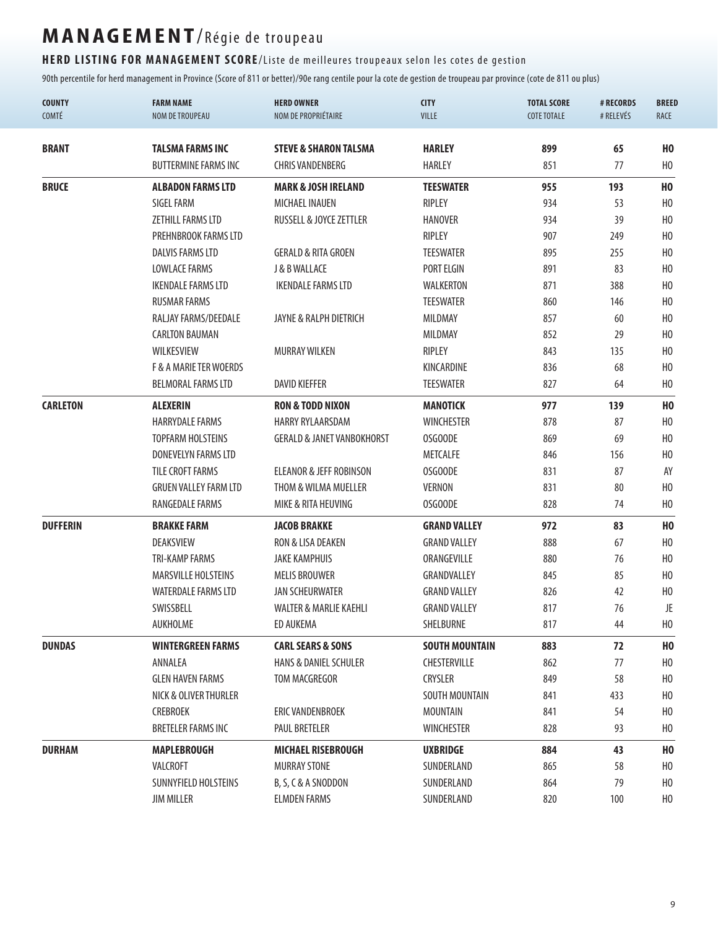#### HERD LISTING FOR MANAGEMENT SCORE/Liste de meilleures troupeaux selon les cotes de gestion

| <b>COUNTY</b>   | <b>FARM NAME</b>                  | <b>HERD OWNER</b>                     | <b>CITY</b>           | <b>TOTAL SCORE</b> | # RECORDS | <b>BREED</b>   |
|-----------------|-----------------------------------|---------------------------------------|-----------------------|--------------------|-----------|----------------|
| COMTÉ           | <b>NOM DE TROUPEAU</b>            | NOM DE PROPRIÉTAIRE                   | VILLE                 | <b>COTE TOTALE</b> | # RELEVÉS | RACE           |
| <b>BRANT</b>    | <b>TALSMA FARMS INC</b>           | <b>STEVE &amp; SHARON TALSMA</b>      | <b>HARLEY</b>         | 899                | 65        | H <sub>0</sub> |
|                 | <b>BUTTERMINE FARMS INC</b>       | <b>CHRIS VANDENBERG</b>               | HARLEY                | 851                | 77        | H <sub>0</sub> |
| <b>BRUCE</b>    | <b>ALBADON FARMS LTD</b>          | <b>MARK &amp; JOSH IRELAND</b>        | <b>TEESWATER</b>      | 955                | 193       | H <sub>0</sub> |
|                 | SIGEL FARM                        | <b>MICHAEL INAUEN</b>                 | RIPLEY                | 934                | 53        | H <sub>0</sub> |
|                 | ZETHILL FARMS LTD                 | RUSSELL & JOYCE ZETTLER               | <b>HANOVER</b>        | 934                | 39        | H <sub>0</sub> |
|                 | PREHNBROOK FARMS LTD              |                                       | RIPLEY                | 907                | 249       | H <sub>0</sub> |
|                 | <b>DALVIS FARMS LTD</b>           | <b>GERALD &amp; RITA GROEN</b>        | <b>TEESWATER</b>      | 895                | 255       | H <sub>0</sub> |
|                 | <b>LOWLACE FARMS</b>              | <b>J &amp; B WALLACE</b>              | PORT ELGIN            | 891                | 83        | H <sub>0</sub> |
|                 | <b>IKENDALE FARMS LTD</b>         | <b>IKENDALE FARMS LTD</b>             | <b>WALKERTON</b>      | 871                | 388       | H <sub>0</sub> |
|                 | <b>RUSMAR FARMS</b>               |                                       | <b>TEESWATER</b>      | 860                | 146       | H <sub>0</sub> |
|                 | RALJAY FARMS/DEEDALE              | JAYNE & RALPH DIETRICH                | MILDMAY               | 857                | 60        | H <sub>0</sub> |
|                 | <b>CARLTON BAUMAN</b>             |                                       | MILDMAY               | 852                | 29        | H <sub>0</sub> |
|                 | WILKESVIEW                        | <b>MURRAY WILKEN</b>                  | RIPLEY                | 843                | 135       | H <sub>0</sub> |
|                 | <b>F &amp; A MARIE TER WOERDS</b> |                                       | KINCARDINE            | 836                | 68        | H <sub>0</sub> |
|                 | <b>BELMORAL FARMS LTD</b>         | <b>DAVID KIEFFER</b>                  | <b>TEESWATER</b>      | 827                | 64        | H <sub>0</sub> |
| <b>CARLETON</b> | <b>ALEXERIN</b>                   | <b>RON &amp; TODD NIXON</b>           | <b>MANOTICK</b>       | 977                | 139       | HO             |
|                 | <b>HARRYDALE FARMS</b>            | <b>HARRY RYLAARSDAM</b>               | <b>WINCHESTER</b>     | 878                | 87        | H <sub>0</sub> |
|                 | <b>TOPFARM HOLSTEINS</b>          | <b>GERALD &amp; JANET VANBOKHORST</b> | 0SG00DE               | 869                | 69        | H <sub>0</sub> |
|                 | DONEVELYN FARMS LTD               |                                       | <b>METCALFE</b>       | 846                | 156       | H <sub>0</sub> |
|                 | <b>TILE CROFT FARMS</b>           | ELEANOR & JEFF ROBINSON               | 0SG00DE               | 831                | 87        | AY             |
|                 | <b>GRUEN VALLEY FARM LTD</b>      | THOM & WILMA MUELLER                  | <b>VERNON</b>         | 831                | 80        | H <sub>0</sub> |
|                 | RANGEDALE FARMS                   | MIKE & RITA HEUVING                   | 0SG00DE               | 828                | 74        | H <sub>0</sub> |
| <b>DUFFERIN</b> | <b>BRAKKE FARM</b>                | <b>JACOB BRAKKE</b>                   | <b>GRAND VALLEY</b>   | 972                | 83        | HO             |
|                 | <b>DEAKSVIEW</b>                  | RON & LISA DEAKEN                     | <b>GRAND VALLEY</b>   | 888                | 67        | H <sub>0</sub> |
|                 | <b>TRI-KAMP FARMS</b>             | <b>JAKE KAMPHUIS</b>                  | ORANGEVILLE           | 880                | 76        | H <sub>0</sub> |
|                 | MARSVILLE HOLSTEINS               | <b>MELIS BROUWER</b>                  | GRANDVALLEY           | 845                | 85        | H <sub>0</sub> |
|                 | <b>WATERDALE FARMS LTD</b>        | <b>JAN SCHEURWATER</b>                | <b>GRAND VALLEY</b>   | 826                | 42        | H <sub>0</sub> |
|                 | SWISSBELL                         | <b>WALTER &amp; MARLIE KAEHLI</b>     | <b>GRAND VALLEY</b>   | 817                | 76        | JE             |
|                 | AUKHOLME                          | ED AUKEMA                             | SHELBURNE             | 817                | 44        | H <sub>0</sub> |
| <b>DUNDAS</b>   | <b>WINTERGREEN FARMS</b>          | <b>CARL SEARS &amp; SONS</b>          | <b>SOUTH MOUNTAIN</b> | 883                | 72        | HO             |
|                 | ANNALEA                           | <b>HANS &amp; DANIEL SCHULER</b>      | <b>CHESTERVILLE</b>   | 862                | 77        | H <sub>0</sub> |
|                 | <b>GLEN HAVEN FARMS</b>           | TOM MACGREGOR                         | CRYSLER               | 849                | 58        | H <sub>0</sub> |
|                 | NICK & OLIVER THURLER             |                                       | SOUTH MOUNTAIN        | 841                | 433       | H <sub>0</sub> |
|                 | <b>CREBROEK</b>                   | ERIC VANDENBROEK                      | <b>MOUNTAIN</b>       | 841                | 54        | H <sub>0</sub> |
|                 | <b>BRETELER FARMS INC</b>         | PAUL BRETELER                         | WINCHESTER            | 828                | 93        | H <sub>0</sub> |
| <b>DURHAM</b>   | <b>MAPLEBROUGH</b>                | <b>MICHAEL RISEBROUGH</b>             | <b>UXBRIDGE</b>       | 884                | 43        | HO             |
|                 | VALCROFT                          | <b>MURRAY STONE</b>                   | SUNDERLAND            | 865                | 58        | H <sub>0</sub> |
|                 | SUNNYFIELD HOLSTEINS              | B, S, C & A SNODDON                   | SUNDERLAND            | 864                | 79        | HO             |
|                 | <b>JIM MILLER</b>                 | <b>ELMDEN FARMS</b>                   | SUNDERLAND            | 820                | 100       | H <sub>0</sub> |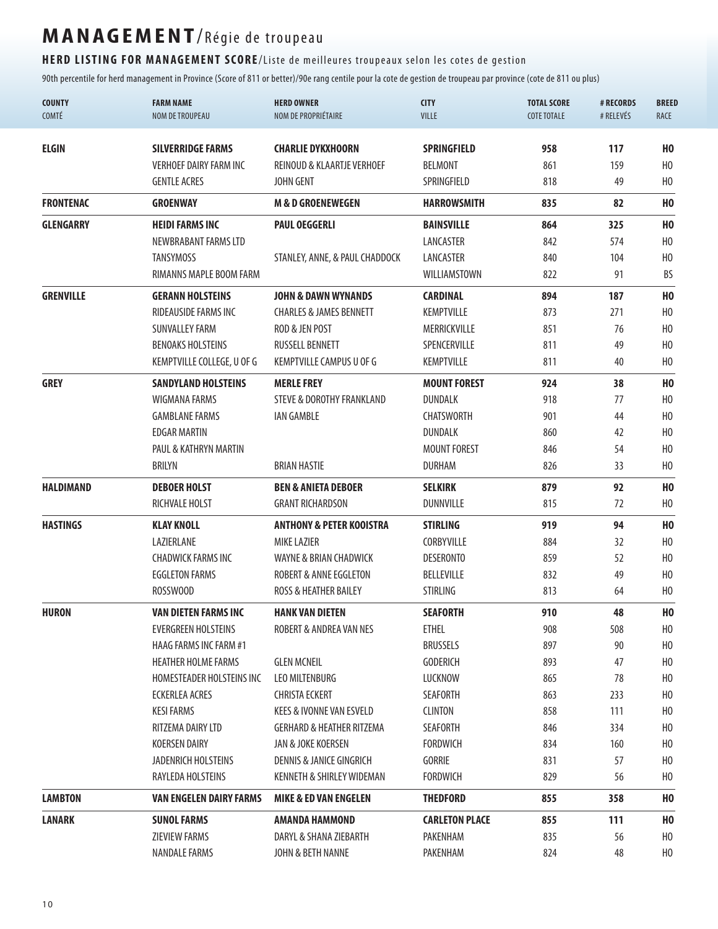#### HERD LISTING FOR MANAGEMENT SCORE/Liste de meilleures troupeaux selon les cotes de gestion

| <b>COUNTY</b><br><b>COMTÉ</b> | <b>FARM NAME</b><br><b>NOM DE TROUPEAU</b> | <b>HERD OWNER</b><br>NOM DE PROPRIÉTAIRE | <b>CITY</b><br><b>VILLE</b> | <b>TOTAL SCORE</b><br><b>COTE TOTALE</b> | # RECORDS<br># RELEVÉS | <b>BREED</b><br>RACE |
|-------------------------------|--------------------------------------------|------------------------------------------|-----------------------------|------------------------------------------|------------------------|----------------------|
|                               |                                            |                                          |                             |                                          |                        |                      |
| ELGIN                         | <b>SILVERRIDGE FARMS</b>                   | <b>CHARLIE DYKXHOORN</b>                 | <b>SPRINGFIELD</b>          | 958                                      | 117                    | H <sub>0</sub>       |
|                               | <b>VERHOEF DAIRY FARM INC</b>              | REINOUD & KLAARTJE VERHOEF               | <b>BELMONT</b>              | 861                                      | 159                    | H <sub>0</sub>       |
|                               | <b>GENTLE ACRES</b>                        | <b>JOHN GENT</b>                         | SPRINGFIELD                 | 818                                      | 49                     | H <sub>0</sub>       |
| <b>FRONTENAC</b>              | <b>GROENWAY</b>                            | <b>M &amp; D GROENEWEGEN</b>             | <b>HARROWSMITH</b>          | 835                                      | 82                     | H <sub>0</sub>       |
| <b>GLENGARRY</b>              | <b>HEIDI FARMS INC</b>                     | <b>PAUL OEGGERLI</b>                     | <b>BAINSVILLE</b>           | 864                                      | 325                    | H <sub>0</sub>       |
|                               | NEWBRABANT FARMS LTD                       |                                          | LANCASTER                   | 842                                      | 574                    | H <sub>0</sub>       |
|                               | <b>TANSYMOSS</b>                           | STANLEY, ANNE, & PAUL CHADDOCK           | LANCASTER                   | 840                                      | 104                    | H <sub>0</sub>       |
|                               | RIMANNS MAPLE BOOM FARM                    |                                          | WILLIAMSTOWN                | 822                                      | 91                     | BS                   |
| <b>GRENVILLE</b>              | <b>GERANN HOLSTEINS</b>                    | <b>JOHN &amp; DAWN WYNANDS</b>           | <b>CARDINAL</b>             | 894                                      | 187                    | H <sub>0</sub>       |
|                               | RIDEAUSIDE FARMS INC                       | <b>CHARLES &amp; JAMES BENNETT</b>       | <b>KEMPTVILLE</b>           | 873                                      | 271                    | H <sub>0</sub>       |
|                               | <b>SUNVALLEY FARM</b>                      | ROD & JEN POST                           | MERRICKVILLE                | 851                                      | 76                     | H <sub>0</sub>       |
|                               | <b>BENOAKS HOLSTEINS</b>                   | RUSSELL BENNETT                          | SPENCERVILLE                | 811                                      | 49                     | H <sub>0</sub>       |
|                               | KEMPTVILLE COLLEGE, U OF G                 | <b>KEMPTVILLE CAMPUS U OF G</b>          | <b>KEMPTVILLE</b>           | 811                                      | 40                     | H <sub>0</sub>       |
| <b>GREY</b>                   | <b>SANDYLAND HOLSTEINS</b>                 | <b>MERLE FREY</b>                        | <b>MOUNT FOREST</b>         | 924                                      | 38                     | H <sub>0</sub>       |
|                               | WIGMANA FARMS                              | STEVE & DOROTHY FRANKLAND                | DUNDALK                     | 918                                      | 77                     | H <sub>0</sub>       |
|                               | <b>GAMBLANE FARMS</b>                      | <b>IAN GAMBLE</b>                        | <b>CHATSWORTH</b>           | 901                                      | 44                     | H <sub>0</sub>       |
|                               | <b>EDGAR MARTIN</b>                        |                                          | DUNDALK                     | 860                                      | 42                     | H <sub>0</sub>       |
|                               | PAUL & KATHRYN MARTIN                      |                                          | <b>MOUNT FOREST</b>         | 846                                      | 54                     | H <sub>0</sub>       |
|                               | <b>BRILYN</b>                              | <b>BRIAN HASTIE</b>                      | <b>DURHAM</b>               | 826                                      | 33                     | H <sub>0</sub>       |
| <b>HALDIMAND</b>              | <b>DEBOER HOLST</b>                        | <b>BEN &amp; ANIETA DEBOER</b>           | <b>SELKIRK</b>              | 879                                      | 92                     | H <sub>0</sub>       |
|                               | RICHVALE HOLST                             | <b>GRANT RICHARDSON</b>                  | DUNNVILLE                   | 815                                      | 72                     | H <sub>0</sub>       |
| <b>HASTINGS</b>               | <b>KLAY KNOLL</b>                          | <b>ANTHONY &amp; PETER KOOISTRA</b>      | <b>STIRLING</b>             | 919                                      | 94                     | H <sub>0</sub>       |
|                               | LAZIERLANE                                 | <b>MIKE LAZIER</b>                       | CORBYVILLE                  | 884                                      | 32                     | H <sub>0</sub>       |
|                               | <b>CHADWICK FARMS INC</b>                  | WAYNE & BRIAN CHADWICK                   | <b>DESERONTO</b>            | 859                                      | 52                     | H <sub>0</sub>       |
|                               | <b>EGGLETON FARMS</b>                      | <b>ROBERT &amp; ANNE EGGLETON</b>        | BELLEVILLE                  | 832                                      | 49                     | H <sub>0</sub>       |
|                               | ROSSWOOD                                   | <b>ROSS &amp; HEATHER BAILEY</b>         | <b>STIRLING</b>             | 813                                      | 64                     | H <sub>0</sub>       |
| <b>HURON</b>                  | <b>VAN DIETEN FARMS INC</b>                | <b>HANK VAN DIETEN</b>                   | <b>SEAFORTH</b>             | 910                                      | 48                     | H <sub>0</sub>       |
|                               | <b>EVERGREEN HOLSTEINS</b>                 | ROBERT & ANDREA VAN NES                  | <b>ETHEL</b>                | 908                                      | 508                    | H <sub>0</sub>       |
|                               | <b>HAAG FARMS INC FARM #1</b>              |                                          | <b>BRUSSELS</b>             | 897                                      | 90                     | H <sub>0</sub>       |
|                               | <b>HEATHER HOLME FARMS</b>                 | <b>GLEN MCNEIL</b>                       | <b>GODERICH</b>             | 893                                      | 47                     | H <sub>0</sub>       |
|                               | HOMESTEADER HOLSTEINS INC                  | LEO MILTENBURG                           | LUCKNOW                     | 865                                      | 78                     | H <sub>0</sub>       |
|                               | <b>ECKERLEA ACRES</b>                      | <b>CHRISTA ECKERT</b>                    | <b>SEAFORTH</b>             | 863                                      | 233                    | H <sub>0</sub>       |
|                               | <b>KESI FARMS</b>                          | <b>KEES &amp; IVONNE VAN ESVELD</b>      | <b>CLINTON</b>              | 858                                      | 111                    | H <sub>0</sub>       |
|                               | RITZEMA DAIRY LTD                          | <b>GERHARD &amp; HEATHER RITZEMA</b>     | SEAFORTH                    | 846                                      | 334                    | H <sub>0</sub>       |
|                               | <b>KOERSEN DAIRY</b>                       | JAN & JOKE KOERSEN                       | <b>FORDWICH</b>             | 834                                      | 160                    | H <sub>0</sub>       |
|                               | JADENRICH HOLSTEINS                        | <b>DENNIS &amp; JANICE GINGRICH</b>      | <b>GORRIE</b>               | 831                                      | 57                     | H <sub>0</sub>       |
|                               | RAYLEDA HOLSTEINS                          | KENNETH & SHIRLEY WIDEMAN                | <b>FORDWICH</b>             | 829                                      | 56                     | H <sub>0</sub>       |
| <b>LAMBTON</b>                | <b>VAN ENGELEN DAIRY FARMS</b>             | <b>MIKE &amp; ED VAN ENGELEN</b>         | <b>THEDFORD</b>             | 855                                      | 358                    | H <sub>0</sub>       |
| <b>LANARK</b>                 | <b>SUNOL FARMS</b>                         | <b>AMANDA HAMMOND</b>                    | <b>CARLETON PLACE</b>       | 855                                      | 111                    | H <sub>0</sub>       |
|                               | <b>ZIEVIEW FARMS</b>                       | DARYL & SHANA ZIEBARTH                   | PAKENHAM                    | 835                                      | 56                     | H <sub>0</sub>       |
|                               | NANDALE FARMS                              | JOHN & BETH NANNE                        | PAKENHAM                    | 824                                      | 48                     | H <sub>0</sub>       |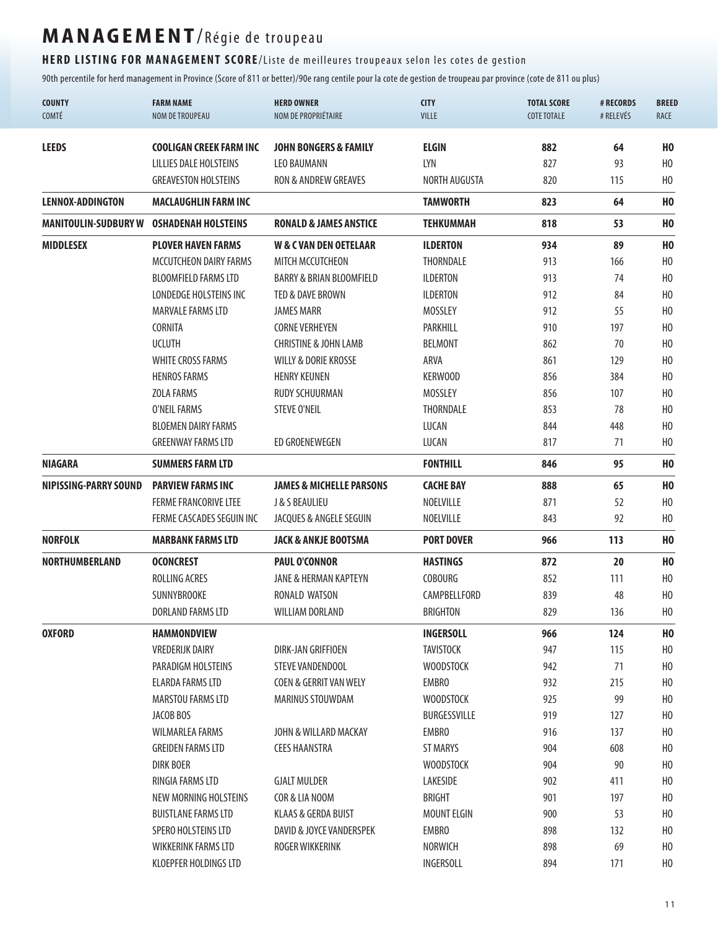#### HERD LISTING FOR MANAGEMENT SCORE/Liste de meilleures troupeaux selon les cotes de gestion

| <b>COUNTY</b>                | <b>FARM NAME</b>               | <b>HERD OWNER</b>                   | <b>CITY</b>          | <b>TOTAL SCORE</b> | # RECORDS | <b>BREED</b>   |
|------------------------------|--------------------------------|-------------------------------------|----------------------|--------------------|-----------|----------------|
| COMTÉ                        | <b>NOM DE TROUPEAU</b>         | NOM DE PROPRIÉTAIRE                 | VILLE                | <b>COTE TOTALE</b> | # RELEVÉS | RACE           |
| <b>LEEDS</b>                 | <b>COOLIGAN CREEK FARM INC</b> | <b>JOHN BONGERS &amp; FAMILY</b>    | <b>ELGIN</b>         | 882                | 64        | H <sub>0</sub> |
|                              | LILLIES DALE HOLSTEINS         | <b>LEO BAUMANN</b>                  | LYN                  | 827                | 93        | H <sub>0</sub> |
|                              | <b>GREAVESTON HOLSTEINS</b>    | <b>RON &amp; ANDREW GREAVES</b>     | <b>NORTH AUGUSTA</b> | 820                | 115       | H <sub>0</sub> |
| <b>LENNOX-ADDINGTON</b>      | <b>MACLAUGHLIN FARM INC</b>    |                                     | <b>TAMWORTH</b>      | 823                | 64        | H <sub>0</sub> |
| <b>MANITOULIN-SUDBURY W</b>  | <b>OSHADENAH HOLSTEINS</b>     | <b>RONALD &amp; JAMES ANSTICE</b>   | <b>TEHKUMMAH</b>     | 818                | 53        | H <sub>0</sub> |
| <b>MIDDLESEX</b>             | <b>PLOVER HAVEN FARMS</b>      | <b>W&amp; CVAN DEN OETELAAR</b>     | <b>ILDERTON</b>      | 934                | 89        | H <sub>0</sub> |
|                              | <b>MCCUTCHEON DAIRY FARMS</b>  | MITCH MCCUTCHEON                    | THORNDALE            | 913                | 166       | H <sub>0</sub> |
|                              | <b>BLOOMFIELD FARMS LTD</b>    | <b>BARRY &amp; BRIAN BLOOMFIELD</b> | <b>ILDERTON</b>      | 913                | 74        | H <sub>0</sub> |
|                              | LONDEDGE HOLSTEINS INC         | <b>TED &amp; DAVE BROWN</b>         | <b>ILDERTON</b>      | 912                | 84        | H <sub>0</sub> |
|                              | <b>MARVALE FARMS LTD</b>       | <b>JAMES MARR</b>                   | <b>MOSSLEY</b>       | 912                | 55        | H <sub>0</sub> |
|                              | CORNITA                        | <b>CORNE VERHEYEN</b>               | PARKHILL             | 910                | 197       | H <sub>0</sub> |
|                              | <b>UCLUTH</b>                  | <b>CHRISTINE &amp; JOHN LAMB</b>    | <b>BELMONT</b>       | 862                | 70        | H <sub>0</sub> |
|                              | <b>WHITE CROSS FARMS</b>       | <b>WILLY &amp; DORIE KROSSE</b>     | ARVA                 | 861                | 129       | H <sub>0</sub> |
|                              | <b>HENROS FARMS</b>            | <b>HENRY KEUNEN</b>                 | <b>KERWOOD</b>       | 856                | 384       | H <sub>0</sub> |
|                              | <b>ZOLA FARMS</b>              | RUDY SCHUURMAN                      | <b>MOSSLEY</b>       | 856                | 107       | H <sub>0</sub> |
|                              | <b>O'NEIL FARMS</b>            | <b>STEVE O'NEIL</b>                 | THORNDALE            | 853                | 78        | H <sub>0</sub> |
|                              | <b>BLOEMEN DAIRY FARMS</b>     |                                     | LUCAN                | 844                | 448       | H <sub>0</sub> |
|                              | <b>GREENWAY FARMS LTD</b>      | ED GROENEWEGEN                      | LUCAN                | 817                | 71        | H <sub>0</sub> |
| <b>NIAGARA</b>               | <b>SUMMERS FARM LTD</b>        |                                     | <b>FONTHILL</b>      | 846                | 95        | H <sub>0</sub> |
| <b>NIPISSING-PARRY SOUND</b> | <b>PARVIEW FARMS INC</b>       | <b>JAMES &amp; MICHELLE PARSONS</b> | <b>CACHE BAY</b>     | 888                | 65        | H <sub>0</sub> |
|                              | <b>FERME FRANCORIVE LTEE</b>   | <b>J &amp; S BEAULIEU</b>           | NOELVILLE            | 871                | 52        | H <sub>0</sub> |
|                              | FERME CASCADES SEGUIN INC      | JACQUES & ANGELE SEGUIN             | NOELVILLE            | 843                | 92        | H <sub>0</sub> |
| <b>NORFOLK</b>               | <b>MARBANK FARMS LTD</b>       | <b>JACK &amp; ANKJE BOOTSMA</b>     | <b>PORT DOVER</b>    | 966                | 113       | H <sub>0</sub> |
| <b>NORTHUMBERLAND</b>        | <b>OCONCREST</b>               | <b>PAUL O'CONNOR</b>                | <b>HASTINGS</b>      | 872                | 20        | H <sub>0</sub> |
|                              | ROLLING ACRES                  | <b>JANE &amp; HERMAN KAPTEYN</b>    | <b>COBOURG</b>       | 852                | 111       | H <sub>0</sub> |
|                              | SUNNYBROOKE                    | RONALD WATSON                       | CAMPBELLFORD         | 839                | 48        | H <sub>0</sub> |
|                              | <b>DORLAND FARMS LTD</b>       | <b>WILLIAM DORLAND</b>              | <b>BRIGHTON</b>      | 829                | 136       | H <sub>0</sub> |
| <b>OXFORD</b>                | <b>HAMMONDVIEW</b>             |                                     | <b>INGERSOLL</b>     | 966                | 124       | H <sub>0</sub> |
|                              | <b>VREDERIJK DAIRY</b>         | DIRK-JAN GRIFFIOEN                  | <b>TAVISTOCK</b>     | 947                | 115       | H <sub>0</sub> |
|                              | PARADIGM HOLSTEINS             | STEVE VANDENDOOL                    | <b>WOODSTOCK</b>     | 942                | 71        | H <sub>0</sub> |
|                              | <b>ELARDA FARMS LTD</b>        | <b>COEN &amp; GERRIT VAN WELY</b>   | <b>EMBRO</b>         | 932                | 215       | H <sub>0</sub> |
|                              | MARSTOU FARMS LTD              | MARINUS STOUWDAM                    | <b>WOODSTOCK</b>     | 925                | 99        | H <sub>0</sub> |
|                              | JACOB BOS                      |                                     | <b>BURGESSVILLE</b>  | 919                | 127       | H <sub>0</sub> |
|                              | WILMARLEA FARMS                | JOHN & WILLARD MACKAY               | <b>EMBRO</b>         | 916                | 137       | H <sub>0</sub> |
|                              | <b>GREIDEN FARMS LTD</b>       | <b>CEES HAANSTRA</b>                | <b>ST MARYS</b>      | 904                | 608       | H <sub>0</sub> |
|                              | <b>DIRK BOER</b>               |                                     | <b>WOODSTOCK</b>     | 904                | 90        | H <sub>0</sub> |
|                              | RINGIA FARMS LTD               | <b>GJALT MULDER</b>                 | LAKESIDE             | 902                | 411       | H <sub>0</sub> |
|                              | NEW MORNING HOLSTEINS          | COR & LIA NOOM                      | <b>BRIGHT</b>        | 901                | 197       | H <sub>0</sub> |
|                              | <b>BUISTLANE FARMS LTD</b>     | KLAAS & GERDA BUIST                 | <b>MOUNT ELGIN</b>   | 900                | 53        | H <sub>0</sub> |
|                              | SPERO HOLSTEINS LTD            | DAVID & JOYCE VANDERSPEK            | <b>EMBRO</b>         | 898                | 132       | H <sub>0</sub> |
|                              | WIKKERINK FARMS LTD            | ROGER WIKKERINK                     | NORWICH              | 898                | 69        | H <sub>0</sub> |
|                              | KLOEPFER HOLDINGS LTD          |                                     | INGERSOLL            | 894                | 171       | H <sub>0</sub> |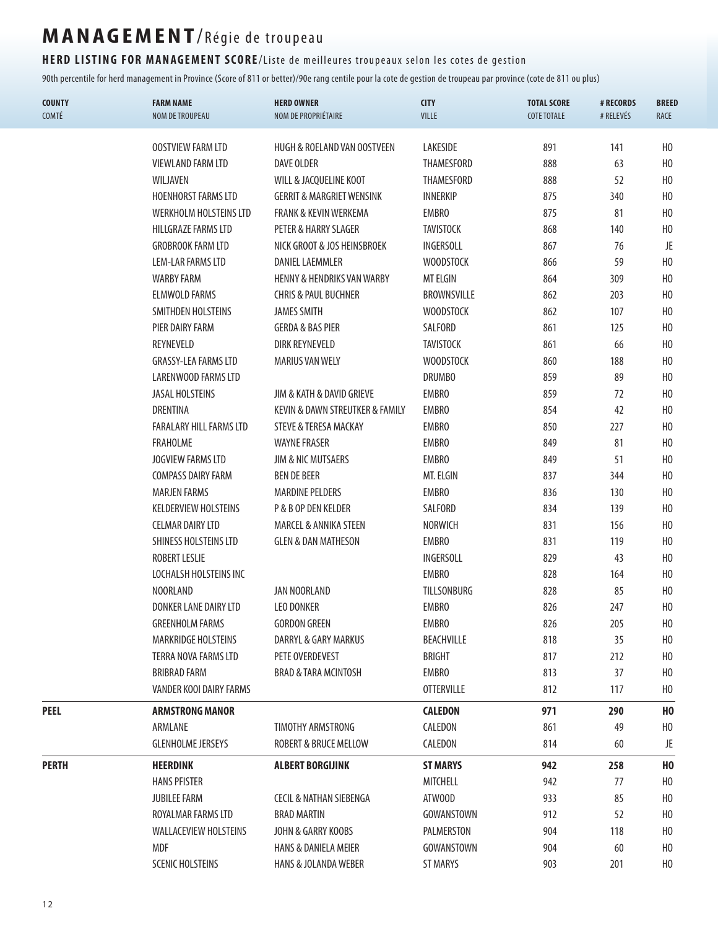#### HERD LISTING FOR MANAGEMENT SCORE/Liste de meilleures troupeaux selon les cotes de gestion

| <b>COUNTY</b><br>COMTÉ | <b>FARM NAME</b><br><b>NOM DE TROUPEAU</b> | <b>HERD OWNER</b><br>NOM DE PROPRIÉTAIRE                         | <b>CITY</b><br>VILLE      | <b>TOTAL SCORE</b><br><b>COTE TOTALE</b> | # RECORDS<br># RELEVÉS | <b>BREED</b><br>RACE             |
|------------------------|--------------------------------------------|------------------------------------------------------------------|---------------------------|------------------------------------------|------------------------|----------------------------------|
|                        | <b>OOSTVIEW FARM LTD</b>                   | HUGH & ROELAND VAN OOSTVEEN                                      | LAKESIDE                  | 891                                      | 141                    | H <sub>0</sub>                   |
|                        | <b>VIEWLAND FARM LTD</b>                   | DAVE OLDER                                                       | THAMESFORD                | 888                                      | 63                     | H <sub>0</sub>                   |
|                        | WILJAVEN                                   | WILL & JACQUELINE KOOT                                           | THAMESFORD                | 888                                      | 52                     | H <sub>0</sub>                   |
|                        | <b>HOENHORST FARMS LTD</b>                 | <b>GERRIT &amp; MARGRIET WENSINK</b>                             | <b>INNERKIP</b>           | 875                                      | 340                    | H <sub>0</sub>                   |
|                        | <b>WERKHOLM HOLSTEINS LTD</b>              | <b>FRANK &amp; KEVIN WERKEMA</b>                                 | <b>EMBRO</b>              | 875                                      | 81                     | H <sub>0</sub>                   |
|                        | <b>HILLGRAZE FARMS LTD</b>                 | <b>PETER &amp; HARRY SLAGER</b>                                  | <b>TAVISTOCK</b>          | 868                                      | 140                    | H <sub>0</sub>                   |
|                        | <b>GROBROOK FARM LTD</b>                   | NICK GROOT & JOS HEINSBROEK                                      | INGERSOLL                 | 867                                      | 76                     | JE                               |
|                        | <b>LEM-LAR FARMS LTD</b>                   | <b>DANIEL LAEMMLER</b>                                           | <b>WOODSTOCK</b>          | 866                                      | 59                     | H <sub>0</sub>                   |
|                        | <b>WARBY FARM</b>                          | <b>HENNY &amp; HENDRIKS VAN WARBY</b>                            | <b>MT ELGIN</b>           | 864                                      | 309                    | H <sub>0</sub>                   |
|                        | <b>ELMWOLD FARMS</b>                       | <b>CHRIS &amp; PAUL BUCHNER</b>                                  | <b>BROWNSVILLE</b>        | 862                                      | 203                    | H <sub>0</sub>                   |
|                        | SMITHDEN HOLSTEINS                         | <b>JAMES SMITH</b>                                               | <b>WOODSTOCK</b>          | 862                                      | 107                    | H <sub>0</sub>                   |
|                        | PIER DAIRY FARM                            | <b>GERDA &amp; BAS PIER</b>                                      | SALFORD                   | 861                                      | 125                    | H <sub>0</sub>                   |
|                        | REYNEVELD                                  | DIRK REYNEVELD                                                   | <b>TAVISTOCK</b>          | 861                                      | 66                     | H <sub>0</sub>                   |
|                        | <b>GRASSY-LEA FARMS LTD</b>                | <b>MARIUS VAN WELY</b>                                           | <b>WOODSTOCK</b>          | 860                                      | 188                    | H <sub>0</sub>                   |
|                        | <b>LARENWOOD FARMS LTD</b>                 |                                                                  | <b>DRUMBO</b>             | 859                                      | 89                     | H <sub>0</sub>                   |
|                        | <b>JASAL HOLSTEINS</b>                     | JIM & KATH & DAVID GRIEVE                                        | <b>EMBRO</b>              | 859                                      | 72                     | H <sub>0</sub>                   |
|                        | <b>DRENTINA</b>                            | KEVIN & DAWN STREUTKER & FAMILY                                  | <b>EMBRO</b>              | 854                                      | 42                     | H <sub>0</sub>                   |
|                        | <b>FARALARY HILL FARMS LTD</b>             | <b>STEVE &amp; TERESA MACKAY</b>                                 | <b>EMBRO</b>              | 850                                      | 227                    | H <sub>0</sub>                   |
|                        | <b>FRAHOLME</b>                            | <b>WAYNE FRASER</b>                                              | <b>EMBRO</b>              | 849                                      | 81                     | H <sub>0</sub>                   |
|                        | <b>JOGVIEW FARMS LTD</b>                   | JIM & NIC MUTSAERS                                               | <b>EMBRO</b>              | 849                                      | 51                     | H <sub>0</sub>                   |
|                        | <b>COMPASS DAIRY FARM</b>                  | <b>BEN DE BEER</b>                                               | MT. ELGIN                 | 837                                      | 344                    | H <sub>0</sub>                   |
|                        | <b>MARJEN FARMS</b>                        | <b>MARDINE PELDERS</b>                                           | <b>EMBRO</b>              | 836                                      | 130                    | H <sub>0</sub>                   |
|                        | <b>KELDERVIEW HOLSTEINS</b>                | <b>P &amp; B OP DEN KELDER</b>                                   | SALFORD                   | 834                                      | 139                    | H <sub>0</sub>                   |
|                        | <b>CELMAR DAIRY LTD</b>                    | <b>MARCEL &amp; ANNIKA STEEN</b>                                 | <b>NORWICH</b>            | 831                                      | 156                    | H <sub>0</sub>                   |
|                        | SHINESS HOLSTEINS LTD                      | <b>GLEN &amp; DAN MATHESON</b>                                   | <b>EMBRO</b>              | 831                                      | 119                    | H <sub>0</sub>                   |
|                        | <b>ROBERT LESLIE</b>                       |                                                                  | INGERSOLL                 | 829                                      | 43                     | H <sub>0</sub>                   |
|                        | LOCHALSH HOLSTEINS INC                     |                                                                  | <b>EMBRO</b>              | 828                                      | 164                    | H <sub>0</sub>                   |
|                        | <b>NOORLAND</b>                            | JAN NOORLAND                                                     | TILLSONBURG               | 828                                      | 85                     | H <sub>0</sub>                   |
|                        | DONKER LANE DAIRY LTD                      | <b>LEO DONKER</b>                                                | <b>EMBRO</b>              | 826                                      | 247                    | H <sub>0</sub>                   |
|                        | <b>GREENHOLM FARMS</b>                     | <b>GORDON GREEN</b>                                              | <b>EMBRO</b>              | 826                                      | 205                    | H <sub>0</sub>                   |
|                        | <b>MARKRIDGE HOLSTEINS</b>                 | <b>DARRYL &amp; GARY MARKUS</b>                                  | BEACHVILLE                | 818                                      | 35                     | H <sub>0</sub>                   |
|                        | <b>TERRA NOVA FARMS LTD</b>                | PETE OVERDEVEST                                                  | <b>BRIGHT</b>             | 817                                      | 212                    | H <sub>0</sub>                   |
|                        | <b>BRIBRAD FARM</b>                        | <b>BRAD &amp; TARA MCINTOSH</b>                                  | <b>EMBRO</b>              | 813                                      | 37                     | H <sub>0</sub>                   |
|                        | VANDER KOOI DAIRY FARMS                    |                                                                  | <b>OTTERVILLE</b>         | 812                                      | 117                    | H <sub>0</sub>                   |
| <b>PEEL</b>            | <b>ARMSTRONG MANOR</b>                     |                                                                  | <b>CALEDON</b>            | 971                                      | 290                    | H <sub>0</sub>                   |
|                        | ARMLANE                                    | TIMOTHY ARMSTRONG                                                | CALEDON                   | 861                                      | 49                     | H <sub>0</sub>                   |
|                        | <b>GLENHOLME JERSEYS</b>                   | <b>ROBERT &amp; BRUCE MELLOW</b>                                 | CALEDON                   | 814                                      | 60                     | JE                               |
| <b>PERTH</b>           | <b>HEERDINK</b>                            | <b>ALBERT BORGIJINK</b>                                          | <b>ST MARYS</b>           | 942                                      | 258                    | H <sub>0</sub>                   |
|                        |                                            |                                                                  |                           |                                          |                        |                                  |
|                        | <b>HANS PFISTER</b><br><b>JUBILEE FARM</b> | <b>CECIL &amp; NATHAN SIEBENGA</b>                               | <b>MITCHELL</b><br>ATWOOD | 942<br>933                               | 77<br>85               | H <sub>0</sub><br>H <sub>0</sub> |
|                        | ROYALMAR FARMS LTD                         | <b>BRAD MARTIN</b>                                               | GOWANSTOWN                | 912                                      | 52                     | H <sub>0</sub>                   |
|                        | <b>WALLACEVIEW HOLSTEINS</b>               |                                                                  |                           |                                          |                        |                                  |
|                        | MDF                                        | <b>JOHN &amp; GARRY KOOBS</b><br><b>HANS &amp; DANIELA MEIER</b> | PALMERSTON<br>GOWANSTOWN  | 904<br>904                               | 118<br>60              | H <sub>0</sub><br>H <sub>0</sub> |
|                        | <b>SCENIC HOLSTEINS</b>                    | HANS & JOLANDA WEBER                                             |                           |                                          |                        | H <sub>0</sub>                   |
|                        |                                            |                                                                  | <b>ST MARYS</b>           | 903                                      | 201                    |                                  |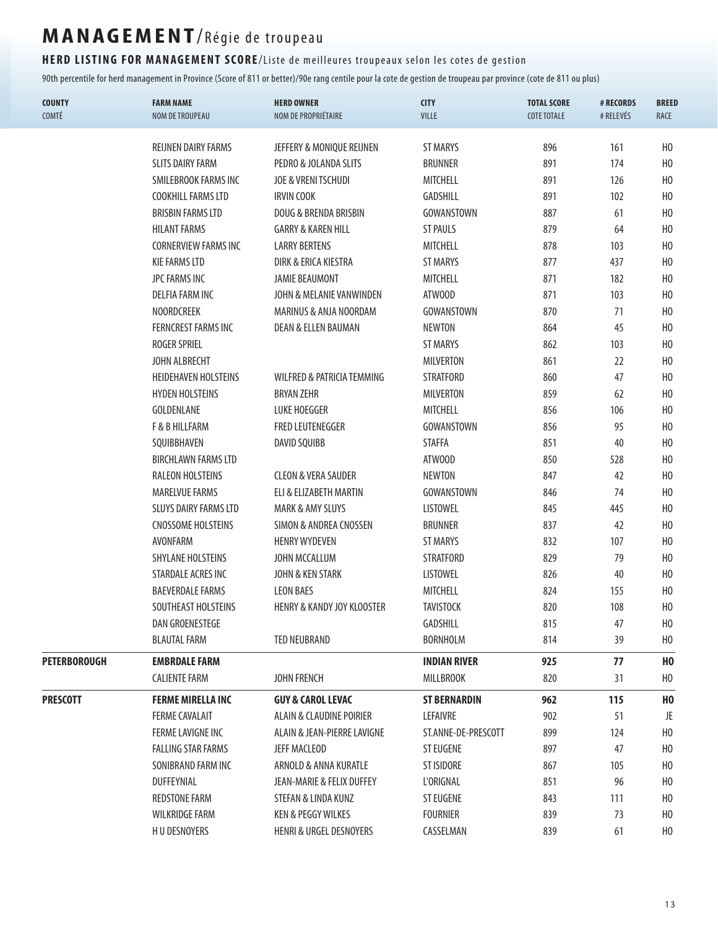#### HERD LISTING FOR MANAGEMENT SCORE/Liste de meilleures troupeaux selon les cotes de gestion

| <b>COUNTY</b><br>COMTÉ | <b>FARM NAME</b><br><b>NOM DE TROUPEAU</b> | <b>HERD OWNER</b><br><b>NOM DE PROPRIÉTAIRE</b> | <b>CITY</b><br>VILLE | <b>TOTAL SCORE</b><br><b>COTE TOTALE</b> | # RECORDS<br># RELEVÉS | <b>BREED</b><br>RACE |
|------------------------|--------------------------------------------|-------------------------------------------------|----------------------|------------------------------------------|------------------------|----------------------|
|                        | <b>REIJNEN DAIRY FARMS</b>                 | JEFFERY & MONIQUE REIJNEN                       | <b>ST MARYS</b>      | 896                                      | 161                    | H <sub>0</sub>       |
|                        | <b>SLITS DAIRY FARM</b>                    | PEDRO & JOLANDA SLITS                           | <b>BRUNNER</b>       | 891                                      | 174                    | H <sub>0</sub>       |
|                        | SMILEBROOK FARMS INC                       | <b>JOE &amp; VRENI TSCHUDI</b>                  | <b>MITCHELL</b>      | 891                                      | 126                    | H <sub>0</sub>       |
|                        | COOKHILL FARMS LTD                         | <b>IRVIN COOK</b>                               | GADSHILL             | 891                                      | 102                    | H <sub>0</sub>       |
|                        | <b>BRISBIN FARMS LTD</b>                   | DOUG & BRENDA BRISBIN                           | GOWANSTOWN           | 887                                      | 61                     | H <sub>0</sub>       |
|                        | <b>HILANT FARMS</b>                        | <b>GARRY &amp; KAREN HILL</b>                   |                      |                                          |                        |                      |
|                        | <b>CORNERVIEW FARMS INC</b>                | <b>LARRY BERTENS</b>                            | <b>ST PAULS</b>      | 879                                      | 64                     | H <sub>0</sub>       |
|                        |                                            |                                                 | <b>MITCHELL</b>      | 878                                      | 103                    | H <sub>0</sub>       |
|                        | <b>KIE FARMS LTD</b>                       | DIRK & ERICA KIESTRA                            | <b>ST MARYS</b>      | 877                                      | 437                    | H <sub>0</sub>       |
|                        | <b>JPC FARMS INC</b>                       | <b>JAMIE BEAUMONT</b>                           | <b>MITCHELL</b>      | 871                                      | 182                    | H <sub>0</sub>       |
|                        | DELFIA FARM INC                            | JOHN & MELANIE VANWINDEN                        | ATWOOD               | 871                                      | 103                    | H <sub>0</sub>       |
|                        | <b>NOORDCREEK</b>                          | MARINUS & ANJA NOORDAM                          | GOWANSTOWN           | 870                                      | 71                     | H <sub>0</sub>       |
|                        | <b>FERNCREST FARMS INC</b>                 | <b>DEAN &amp; ELLEN BAUMAN</b>                  | NEWTON               | 864                                      | 45                     | H <sub>0</sub>       |
|                        | <b>ROGER SPRIEL</b>                        |                                                 | <b>ST MARYS</b>      | 862                                      | 103                    | H <sub>0</sub>       |
|                        | JOHN ALBRECHT                              |                                                 | <b>MILVERTON</b>     | 861                                      | 22                     | H <sub>0</sub>       |
|                        | <b>HEIDEHAVEN HOLSTEINS</b>                | WILFRED & PATRICIA TEMMING                      | <b>STRATFORD</b>     | 860                                      | 47                     | H <sub>0</sub>       |
|                        | <b>HYDEN HOLSTEINS</b>                     | <b>BRYAN ZEHR</b>                               | <b>MILVERTON</b>     | 859                                      | 62                     | H <sub>0</sub>       |
|                        | <b>GOLDENLANE</b>                          | <b>LUKE HOEGGER</b>                             | <b>MITCHELL</b>      | 856                                      | 106                    | H <sub>0</sub>       |
|                        | <b>F &amp; B HILLFARM</b>                  | <b>FRED LEUTENEGGER</b>                         | GOWANSTOWN           | 856                                      | 95                     | H <sub>0</sub>       |
|                        | SQUIBBHAVEN                                | DAVID SQUIBB                                    | STAFFA               | 851                                      | 40                     | H <sub>0</sub>       |
|                        | <b>BIRCHLAWN FARMS LTD</b>                 |                                                 | ATWOOD               | 850                                      | 528                    | H <sub>0</sub>       |
|                        | <b>RALEON HOLSTEINS</b>                    | <b>CLEON &amp; VERA SAUDER</b>                  | <b>NEWTON</b>        | 847                                      | 42                     | H <sub>0</sub>       |
|                        | <b>MARELVUE FARMS</b>                      | ELI & ELIZABETH MARTIN                          | GOWANSTOWN           | 846                                      | 74                     | H <sub>0</sub>       |
|                        | <b>SLUYS DAIRY FARMS LTD</b>               | <b>MARK &amp; AMY SLUYS</b>                     | <b>LISTOWEL</b>      | 845                                      | 445                    | H <sub>0</sub>       |
|                        | <b>CNOSSOME HOLSTEINS</b>                  | SIMON & ANDREA CNOSSEN                          | <b>BRUNNER</b>       | 837                                      | 42                     | H <sub>0</sub>       |
|                        | AVONFARM                                   | <b>HENRY WYDEVEN</b>                            | <b>ST MARYS</b>      | 832                                      | 107                    | H <sub>0</sub>       |
|                        | SHYLANE HOLSTEINS                          | JOHN MCCALLUM                                   | <b>STRATFORD</b>     | 829                                      | 79                     | H <sub>0</sub>       |
|                        | STARDALE ACRES INC                         | <b>JOHN &amp; KEN STARK</b>                     | <b>LISTOWEL</b>      | 826                                      | 40                     | H <sub>0</sub>       |
|                        | <b>BAEVERDALE FARMS</b>                    | <b>LEON BAES</b>                                | <b>MITCHELL</b>      | 824                                      | 155                    | H <sub>0</sub>       |
|                        | SOUTHEAST HOLSTEINS                        | <b>HENRY &amp; KANDY JOY KLOOSTER</b>           | <b>TAVISTOCK</b>     | 820                                      | 108                    | H <sub>0</sub>       |
|                        | DAN GROENESTEGE                            |                                                 | GADSHILL             | 815                                      | 47                     | H <sub>0</sub>       |
|                        | <b>BLAUTAL FARM</b>                        | TED NEUBRAND                                    | <b>BORNHOLM</b>      | 814                                      | 39                     | HO                   |
| <b>PETERBOROUGH</b>    | <b>EMBRDALE FARM</b>                       |                                                 | <b>INDIAN RIVER</b>  | 925                                      | 77                     | H <sub>0</sub>       |
|                        | <b>CALIENTE FARM</b>                       | <b>JOHN FRENCH</b>                              | <b>MILLBROOK</b>     | 820                                      | 31                     | HO                   |
| <b>PRESCOTT</b>        | <b>FERME MIRELLA INC</b>                   | <b>GUY &amp; CAROL LEVAC</b>                    | <b>ST BERNARDIN</b>  | 962                                      | 115                    | H <sub>0</sub>       |
|                        | <b>FERME CAVALAIT</b>                      | ALAIN & CLAUDINE POIRIER                        | LEFAIVRE             | 902                                      | 51                     | JE                   |
|                        | <b>FERME LAVIGNE INC</b>                   | ALAIN & JEAN-PIERRE LAVIGNE                     | ST.ANNE-DE-PRESCOTT  | 899                                      | 124                    | H <sub>0</sub>       |
|                        | <b>FALLING STAR FARMS</b>                  | <b>JEFF MACLEOD</b>                             | <b>ST EUGENE</b>     | 897                                      | 47                     | H <sub>0</sub>       |
|                        | SONIBRAND FARM INC                         | ARNOLD & ANNA KURATLE                           | ST ISIDORE           | 867                                      | 105                    | H <sub>0</sub>       |
|                        | DUFFEYNIAL                                 | JEAN-MARIE & FELIX DUFFEY                       | <b>L'ORIGNAL</b>     | 851                                      | 96                     | HO                   |
|                        | <b>REDSTONE FARM</b>                       | STEFAN & LINDA KUNZ                             | <b>ST EUGENE</b>     | 843                                      | 111                    | H <sub>0</sub>       |
|                        | <b>WILKRIDGE FARM</b>                      | KEN & PEGGY WILKES                              | <b>FOURNIER</b>      | 839                                      | 73                     | H <sub>0</sub>       |
|                        | H U DESNOYERS                              | <b>HENRI &amp; URGEL DESNOYERS</b>              | CASSELMAN            | 839                                      | 61                     | HO                   |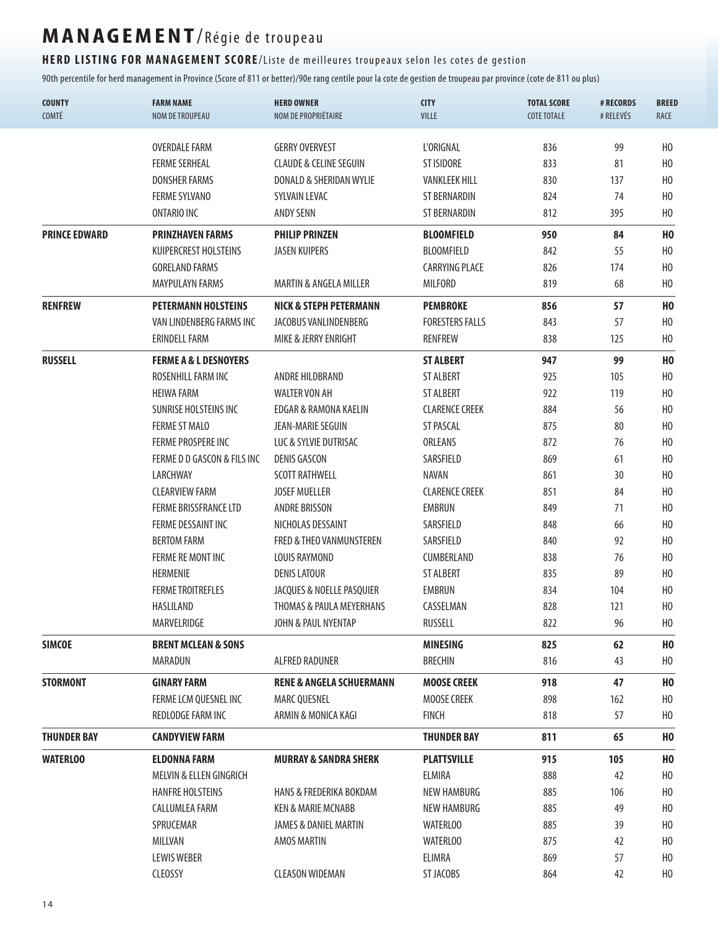#### HERD LISTING FOR MANAGEMENT SCORE/Liste de meilleures troupeaux selon les cotes de gestion

| <b>COUNTY</b><br>COMTÉ | <b>FARM NAME</b><br><b>NOM DE TROUPEAU</b> | <b>HERD OWNER</b><br>NOM DE PROPRIÉTAIRE | <b>CITY</b><br><b>VILLE</b> | <b>TOTAL SCORE</b><br><b>COTE TOTALE</b> | # RECORDS<br># RELEVÉS | <b>BREED</b><br>RACE |
|------------------------|--------------------------------------------|------------------------------------------|-----------------------------|------------------------------------------|------------------------|----------------------|
|                        | <b>OVERDALE FARM</b>                       | <b>GERRY OVERVEST</b>                    | L'ORIGNAL                   | 836                                      | 99                     | H <sub>0</sub>       |
|                        | <b>FERME SERHEAL</b>                       | <b>CLAUDE &amp; CELINE SEGUIN</b>        | ST ISIDORE                  | 833                                      | 81                     | H <sub>0</sub>       |
|                        | <b>DONSHER FARMS</b>                       | DONALD & SHERIDAN WYLIE                  | <b>VANKLEEK HILL</b>        | 830                                      | 137                    | H <sub>0</sub>       |
|                        | <b>FERME SYLVANO</b>                       | <b>SYLVAIN LEVAC</b>                     | ST BERNARDIN                | 824                                      | 74                     | H <sub>0</sub>       |
|                        | <b>ONTARIO INC</b>                         | <b>ANDY SENN</b>                         | ST BERNARDIN                | 812                                      | 395                    | H <sub>0</sub>       |
| <b>PRINCE EDWARD</b>   | <b>PRINZHAVEN FARMS</b>                    | <b>PHILIP PRINZEN</b>                    | <b>BLOOMFIELD</b>           | 950                                      | 84                     | H <sub>0</sub>       |
|                        | <b>KUIPERCREST HOLSTEINS</b>               | <b>JASEN KUIPERS</b>                     | <b>BLOOMFIELD</b>           | 842                                      | 55                     | H <sub>0</sub>       |
|                        | <b>GORELAND FARMS</b>                      |                                          | <b>CARRYING PLACE</b>       | 826                                      | 174                    | H <sub>0</sub>       |
|                        | <b>MAYPULAYN FARMS</b>                     | <b>MARTIN &amp; ANGELA MILLER</b>        | MILFORD                     | 819                                      | 68                     | H <sub>0</sub>       |
| <b>RENFREW</b>         | <b>PETERMANN HOLSTEINS</b>                 | <b>NICK &amp; STEPH PETERMANN</b>        | <b>PEMBROKE</b>             | 856                                      | 57                     | HO                   |
|                        | VAN LINDENBERG FARMS INC                   | JACOBUS VANLINDENBERG                    | <b>FORESTERS FALLS</b>      | 843                                      | 57                     | H <sub>0</sub>       |
|                        | <b>ERINDELL FARM</b>                       | <b>MIKE &amp; JERRY ENRIGHT</b>          | <b>RENFREW</b>              | 838                                      | 125                    | H <sub>0</sub>       |
| <b>RUSSELL</b>         | <b>FERME A &amp; L DESNOYERS</b>           |                                          | <b>ST ALBERT</b>            | 947                                      | 99                     | HO                   |
|                        | ROSENHILL FARM INC                         | ANDRE HILDBRAND                          | <b>ST ALBERT</b>            | 925                                      | 105                    | H <sub>0</sub>       |
|                        | <b>HEIWA FARM</b>                          | <b>WALTER VON AH</b>                     | <b>ST ALBERT</b>            | 922                                      | 119                    | H <sub>0</sub>       |
|                        | SUNRISE HOLSTEINS INC                      | EDGAR & RAMONA KAELIN                    | <b>CLARENCE CREEK</b>       | 884                                      | 56                     | H <sub>0</sub>       |
|                        | <b>FERME ST MALO</b>                       | <b>JEAN-MARIE SEGUIN</b>                 | <b>ST PASCAL</b>            | 875                                      | 80                     | H <sub>0</sub>       |
|                        | <b>FERME PROSPERE INC</b>                  | LUC & SYLVIE DUTRISAC                    | ORLEANS                     | 872                                      | 76                     | H <sub>0</sub>       |
|                        | FERME D D GASCON & FILS INC                | <b>DENIS GASCON</b>                      | SARSFIELD                   | 869                                      | 61                     | H <sub>0</sub>       |
|                        | LARCHWAY                                   | <b>SCOTT RATHWELL</b>                    | <b>NAVAN</b>                | 861                                      | 30                     | H <sub>0</sub>       |
|                        | <b>CLEARVIEW FARM</b>                      | <b>JOSEF MUELLER</b>                     | <b>CLARENCE CREEK</b>       | 851                                      | 84                     | H <sub>0</sub>       |
|                        | <b>FERME BRISSFRANCE LTD</b>               | <b>ANDRE BRISSON</b>                     | <b>EMBRUN</b>               | 849                                      | 71                     | H <sub>0</sub>       |
|                        | <b>FERME DESSAINT INC</b>                  | NICHOLAS DESSAINT                        | SARSFIELD                   | 848                                      | 66                     | H <sub>0</sub>       |
|                        | <b>BERTOM FARM</b>                         | FRED & THEO VANMUNSTEREN                 | SARSFIELD                   | 840                                      | 92                     | H <sub>0</sub>       |
|                        | <b>FERME RE MONT INC</b>                   | <b>LOUIS RAYMOND</b>                     | CUMBERLAND                  | 838                                      | 76                     | H <sub>0</sub>       |
|                        | <b>HERMENIE</b>                            | <b>DENIS LATOUR</b>                      | <b>ST ALBERT</b>            | 835                                      | 89                     | H <sub>0</sub>       |
|                        | <b>FERME TROITREFLES</b>                   | JACQUES & NOELLE PASQUIER                | <b>EMBRUN</b>               | 834                                      | 104                    | H <sub>0</sub>       |
|                        | HASLILAND                                  | THOMAS & PAULA MEYERHANS                 | CASSELMAN                   | 828                                      | 121                    | H <sub>0</sub>       |
|                        | MARVELRIDGE                                | JOHN & PAUL NYENTAP                      | RUSSELL                     | 822                                      | 96                     | HO                   |
| <b>SIMCOE</b>          | <b>BRENT MCLEAN &amp; SONS</b>             |                                          | <b>MINESING</b>             | 825                                      | 62                     | H <sub>0</sub>       |
|                        | MARADUN                                    | ALFRED RADUNER                           | <b>BRECHIN</b>              | 816                                      | 43                     | H <sub>0</sub>       |
| <b>STORMONT</b>        | <b>GINARY FARM</b>                         | <b>RENE &amp; ANGELA SCHUERMANN</b>      | <b>MOOSE CREEK</b>          | 918                                      | 47                     | HO                   |
|                        | FERME LCM QUESNEL INC                      | <b>MARC QUESNEL</b>                      | <b>MOOSE CREEK</b>          | 898                                      | 162                    | H <sub>0</sub>       |
|                        | REDLODGE FARM INC                          | ARMIN & MONICA KAGI                      | <b>FINCH</b>                | 818                                      | 57                     | H <sub>0</sub>       |
| <b>THUNDER BAY</b>     | <b>CANDYVIEW FARM</b>                      |                                          | <b>THUNDER BAY</b>          | 811                                      | 65                     | HO                   |
| <b>WATERLOO</b>        | <b>ELDONNA FARM</b>                        | <b>MURRAY &amp; SANDRA SHERK</b>         | <b>PLATTSVILLE</b>          | 915                                      | 105                    | HO                   |
|                        | <b>MELVIN &amp; ELLEN GINGRICH</b>         |                                          | ELMIRA                      | 888                                      | 42                     | H <sub>0</sub>       |
|                        | <b>HANFRE HOLSTEINS</b>                    | HANS & FREDERIKA BOKDAM                  | <b>NEW HAMBURG</b>          | 885                                      | 106                    | H <sub>0</sub>       |
|                        | <b>CALLUMLEA FARM</b>                      | <b>KEN &amp; MARIE MCNABB</b>            | <b>NEW HAMBURG</b>          | 885                                      | 49                     | H <sub>0</sub>       |
|                        | <b>SPRUCEMAR</b>                           | <b>JAMES &amp; DANIEL MARTIN</b>         | <b>WATERLOO</b>             | 885                                      | 39                     | H <sub>0</sub>       |
|                        | MILLVAN                                    | AMOS MARTIN                              | <b>WATERLOO</b>             | 875                                      | 42                     | H <sub>0</sub>       |
|                        | <b>LEWIS WEBER</b>                         |                                          | <b>ELIMRA</b>               | 869                                      | 57                     | H <sub>0</sub>       |
|                        | <b>CLEOSSY</b>                             | <b>CLEASON WIDEMAN</b>                   | ST JACOBS                   | 864                                      | 42                     | H <sub>0</sub>       |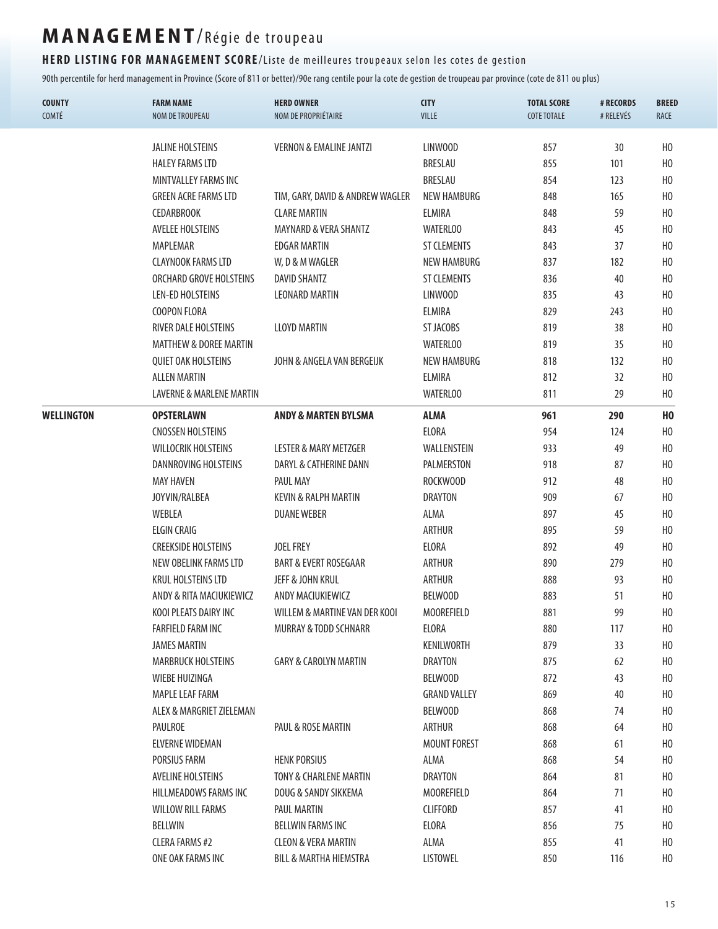#### HERD LISTING FOR MANAGEMENT SCORE/Liste de meilleures troupeaux selon les cotes de gestion

| <b>COUNTY</b><br>COMTÉ | <b>FARM NAME</b><br>NOM DE TROUPEAU | <b>HERD OWNER</b><br>NOM DE PROPRIÉTAIRE | <b>CITY</b><br>VILLE | <b>TOTAL SCORE</b><br><b>COTE TOTALE</b> | # RECORDS<br># RELEVÉS | <b>BREED</b><br>RACE |
|------------------------|-------------------------------------|------------------------------------------|----------------------|------------------------------------------|------------------------|----------------------|
|                        | <b>JALINE HOLSTEINS</b>             | <b>VERNON &amp; EMALINE JANTZI</b>       | LINWOOD              | 857                                      | 30                     | H <sub>0</sub>       |
|                        | <b>HALEY FARMS LTD</b>              |                                          | <b>BRESLAU</b>       | 855                                      | 101                    | H <sub>0</sub>       |
|                        | MINTVALLEY FARMS INC                |                                          | BRESLAU              | 854                                      | 123                    | H <sub>0</sub>       |
|                        | <b>GREEN ACRE FARMS LTD</b>         | TIM, GARY, DAVID & ANDREW WAGLER         | <b>NEW HAMBURG</b>   | 848                                      | 165                    | H <sub>0</sub>       |
|                        | <b>CEDARBROOK</b>                   | <b>CLARE MARTIN</b>                      | ELMIRA               | 848                                      | 59                     | H <sub>0</sub>       |
|                        | <b>AVELEE HOLSTEINS</b>             | <b>MAYNARD &amp; VERA SHANTZ</b>         | <b>WATERLOO</b>      | 843                                      | 45                     | H <sub>0</sub>       |
|                        | MAPLEMAR                            | <b>EDGAR MARTIN</b>                      | <b>ST CLEMENTS</b>   | 843                                      | 37                     | H <sub>0</sub>       |
|                        | <b>CLAYNOOK FARMS LTD</b>           | W, D & M WAGLER                          | <b>NEW HAMBURG</b>   | 837                                      | 182                    | H <sub>0</sub>       |
|                        | ORCHARD GROVE HOLSTEINS             | <b>DAVID SHANTZ</b>                      | <b>ST CLEMENTS</b>   | 836                                      | 40                     | H <sub>0</sub>       |
|                        | <b>LEN-ED HOLSTEINS</b>             | <b>LEONARD MARTIN</b>                    | LINWOOD              | 835                                      | 43                     | H <sub>0</sub>       |
|                        | <b>COOPON FLORA</b>                 |                                          | ELMIRA               | 829                                      | 243                    | H <sub>0</sub>       |
|                        | RIVER DALE HOLSTEINS                | <b>LLOYD MARTIN</b>                      | ST JACOBS            | 819                                      | 38                     | H <sub>0</sub>       |
|                        | <b>MATTHEW &amp; DOREE MARTIN</b>   |                                          | <b>WATERLOO</b>      | 819                                      | 35                     | H <sub>0</sub>       |
|                        | <b>QUIET OAK HOLSTEINS</b>          | JOHN & ANGELA VAN BERGEIJK               | <b>NEW HAMBURG</b>   | 818                                      | 132                    | H <sub>0</sub>       |
|                        | <b>ALLEN MARTIN</b>                 |                                          | <b>ELMIRA</b>        | 812                                      | 32                     | H <sub>0</sub>       |
|                        | <b>LAVERNE &amp; MARLENE MARTIN</b> |                                          | <b>WATERLOO</b>      | 811                                      | 29                     | H <sub>0</sub>       |
| <b>WELLINGTON</b>      | <b>OPSTERLAWN</b>                   | <b>ANDY &amp; MARTEN BYLSMA</b>          | <b>ALMA</b>          | 961                                      | 290                    | H <sub>0</sub>       |
|                        | <b>CNOSSEN HOLSTEINS</b>            |                                          | ELORA                | 954                                      | 124                    | H <sub>0</sub>       |
|                        | WILLOCRIK HOLSTEINS                 | <b>LESTER &amp; MARY METZGER</b>         | WALLENSTEIN          | 933                                      | 49                     | H <sub>0</sub>       |
|                        | DANNROVING HOLSTEINS                | DARYL & CATHERINE DANN                   | PALMERSTON           | 918                                      | 87                     | H <sub>0</sub>       |
|                        | <b>MAY HAVEN</b>                    | PAUL MAY                                 | ROCKWOOD             | 912                                      | 48                     | H <sub>0</sub>       |
|                        | JOYVIN/RALBEA                       | <b>KEVIN &amp; RALPH MARTIN</b>          | <b>DRAYTON</b>       | 909                                      | 67                     | H <sub>0</sub>       |
|                        | WEBLEA                              | <b>DUANE WEBER</b>                       | ALMA                 | 897                                      | 45                     | H <sub>0</sub>       |
|                        | <b>ELGIN CRAIG</b>                  |                                          | ARTHUR               | 895                                      | 59                     | H <sub>0</sub>       |
|                        | <b>CREEKSIDE HOLSTEINS</b>          | <b>JOEL FREY</b>                         | <b>ELORA</b>         | 892                                      | 49                     | H <sub>0</sub>       |
|                        | NEW OBELINK FARMS LTD               | <b>BART &amp; EVERT ROSEGAAR</b>         | ARTHUR               | 890                                      | 279                    | H <sub>0</sub>       |
|                        | <b>KRUL HOLSTEINS LTD</b>           | JEFF & JOHN KRUL                         | ARTHUR               | 888                                      | 93                     | H <sub>0</sub>       |
|                        | ANDY & RITA MACIUKIEWICZ            | ANDY MACIUKIEWICZ                        | BELWOOD              | 883                                      | 51                     | H <sub>0</sub>       |
|                        | KOOI PLEATS DAIRY INC               | WILLEM & MARTINE VAN DER KOOI            | MOOREFIELD           | 881                                      | 99                     | H <sub>0</sub>       |
|                        | FARFIELD FARM INC                   | MURRAY & TODD SCHNARR                    | ELORA                | 880                                      | 117                    | H <sub>0</sub>       |
|                        | <b>JAMES MARTIN</b>                 |                                          | KENILWORTH           | 879                                      | 33                     | H <sub>0</sub>       |
|                        | <b>MARBRUCK HOLSTEINS</b>           | <b>GARY &amp; CAROLYN MARTIN</b>         | <b>DRAYTON</b>       | 875                                      | 62                     | H <sub>0</sub>       |
|                        | WIEBE HUIZINGA                      |                                          | BELWOOD              | 872                                      | 43                     | H <sub>0</sub>       |
|                        | <b>MAPLE LEAF FARM</b>              |                                          | <b>GRAND VALLEY</b>  | 869                                      | 40                     | H <sub>0</sub>       |
|                        | ALEX & MARGRIET ZIELEMAN            |                                          | BELWOOD              | 868                                      | 74                     | H <sub>0</sub>       |
|                        | PAULROE                             | PAUL & ROSE MARTIN                       | ARTHUR               | 868                                      | 64                     | H <sub>0</sub>       |
|                        | <b>ELVERNE WIDEMAN</b>              |                                          | <b>MOUNT FOREST</b>  | 868                                      | 61                     | H <sub>0</sub>       |
|                        | PORSIUS FARM                        | <b>HENK PORSIUS</b>                      | ALMA                 | 868                                      | 54                     | H <sub>0</sub>       |
|                        | AVELINE HOLSTEINS                   | TONY & CHARLENE MARTIN                   | <b>DRAYTON</b>       | 864                                      | 81                     | H <sub>0</sub>       |
|                        | HILLMEADOWS FARMS INC               | DOUG & SANDY SIKKEMA                     | MOOREFIELD           | 864                                      | 71                     | H <sub>0</sub>       |
|                        | <b>WILLOW RILL FARMS</b>            | <b>PAUL MARTIN</b>                       | <b>CLIFFORD</b>      | 857                                      | 41                     | HO                   |
|                        | BELLWIN                             | <b>BELLWIN FARMS INC</b>                 | ELORA                | 856                                      | 75                     | H <sub>0</sub>       |
|                        | <b>CLERA FARMS #2</b>               | <b>CLEON &amp; VERA MARTIN</b>           | ALMA                 | 855                                      | 41                     | H <sub>0</sub>       |
|                        | ONE OAK FARMS INC                   | <b>BILL &amp; MARTHA HIEMSTRA</b>        | <b>LISTOWEL</b>      | 850                                      | 116                    | H <sub>0</sub>       |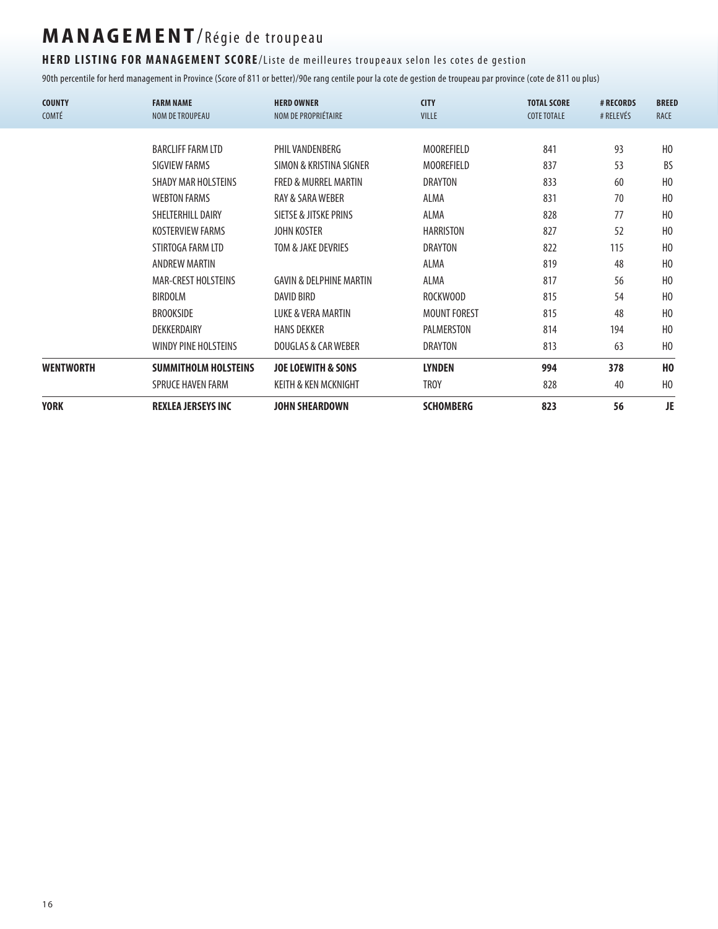#### HERD LISTING FOR MANAGEMENT SCORE/Liste de meilleures troupeaux selon les cotes de gestion

| <b>COUNTY</b>    | <b>FARM NAME</b>            | <b>HERD OWNER</b>                  | <b>CITY</b>         | <b>TOTAL SCORE</b> | # RECORDS | <b>BREED</b>   |
|------------------|-----------------------------|------------------------------------|---------------------|--------------------|-----------|----------------|
| <b>COMTÉ</b>     | <b>NOM DE TROUPEAU</b>      | NOM DE PROPRIÉTAIRE                | <b>VILLE</b>        | <b>COTE TOTALE</b> | # RELEVÉS | RACE           |
|                  |                             |                                    |                     |                    |           |                |
|                  | <b>BARCLIFF FARM LTD</b>    | PHIL VANDENBERG                    | <b>MOOREFIELD</b>   | 841                | 93        | H <sub>0</sub> |
|                  | SIGVIEW FARMS               | SIMON & KRISTINA SIGNER            | <b>MOOREFIELD</b>   | 837                | 53        | <b>BS</b>      |
|                  | <b>SHADY MAR HOLSTEINS</b>  | FRED & MURREL MARTIN               | <b>DRAYTON</b>      | 833                | 60        | H <sub>0</sub> |
|                  | <b>WEBTON FARMS</b>         | <b>RAY &amp; SARA WEBER</b>        | ALMA                | 831                | 70        | H <sub>0</sub> |
|                  | SHELTERHILL DAIRY           | SIETSE & JITSKE PRINS              | ALMA                | 828                | 77        | H <sub>0</sub> |
|                  | KOSTERVIEW FARMS            | JOHN KOSTER                        | <b>HARRISTON</b>    | 827                | 52        | H <sub>0</sub> |
|                  | STIRTOGA FARM LTD           | TOM & JAKE DEVRIES                 | <b>DRAYTON</b>      | 822                | 115       | H <sub>0</sub> |
|                  | ANDREW MARTIN               |                                    | ALMA                | 819                | 48        | H <sub>0</sub> |
|                  | <b>MAR-CREST HOLSTEINS</b>  | <b>GAVIN &amp; DELPHINE MARTIN</b> | ALMA                | 817                | 56        | H <sub>0</sub> |
|                  | <b>BIRDOLM</b>              | DAVID BIRD                         | ROCKWOOD            | 815                | 54        | H <sub>0</sub> |
|                  | <b>BROOKSIDE</b>            | LUKE & VERA MARTIN                 | <b>MOUNT FOREST</b> | 815                | 48        | H <sub>0</sub> |
|                  | DEKKERDAIRY                 | <b>HANS DEKKER</b>                 | PALMERSTON          | 814                | 194       | H <sub>0</sub> |
|                  | <b>WINDY PINE HOLSTEINS</b> | DOUGLAS & CAR WEBER                | <b>DRAYTON</b>      | 813                | 63        | H <sub>0</sub> |
| <b>WENTWORTH</b> | <b>SUMMITHOLM HOLSTEINS</b> | <b>JOE LOEWITH &amp; SONS</b>      | <b>LYNDEN</b>       | 994                | 378       | H <sub>0</sub> |
|                  | <b>SPRUCE HAVEN FARM</b>    | KEITH & KEN MCKNIGHT               | <b>TROY</b>         | 828                | 40        | H <sub>0</sub> |
| <b>YORK</b>      | <b>REXLEA JERSEYS INC</b>   | JOHN SHEARDOWN                     | <b>SCHOMBERG</b>    | 823                | 56        | JE             |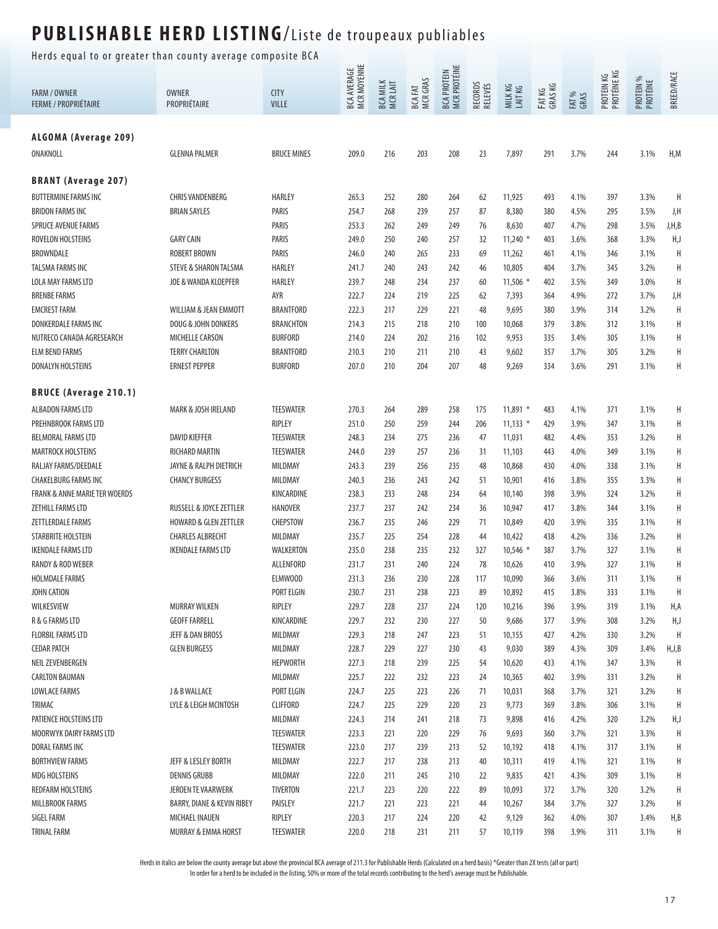Herds equal to or greater than county average composite BCA

| <b>FARM / OWNER</b><br><b>FERME / PROPRIÉTAIRE</b> | <b>OWNER</b><br>PROPRIÉTAIRE          | <b>CITY</b><br><b>VILLE</b> | MCR MOYENNE<br><b>BCA AVERAGE</b> | <b>MILK</b><br><b>BCA MILK</b><br>MCR LAIT | BCA FAT<br>MCR GRAS | <b>MCR PROTÉINE</b><br><b>BCA PROTEIN</b> | RECORDS<br>RELEVÉS | MILK KG<br>LAIT KG | FATKG<br>GRAS KG | FAT %<br>GRAS | PROTEIN KG<br>PROTÉINE KG | PROTEIN %<br>PROTÉINE | <b>BREED/RACE</b> |
|----------------------------------------------------|---------------------------------------|-----------------------------|-----------------------------------|--------------------------------------------|---------------------|-------------------------------------------|--------------------|--------------------|------------------|---------------|---------------------------|-----------------------|-------------------|
| ALGOMA (Average 209)                               |                                       |                             |                                   |                                            |                     |                                           |                    |                    |                  |               |                           |                       |                   |
| ONAKNOLL                                           | <b>GLENNA PALMER</b>                  | <b>BRUCE MINES</b>          | 209.0                             | 216                                        | 203                 | 208                                       | 23                 | 7,897              | 291              | 3.7%          | 244                       | 3.1%                  | H,M               |
| <b>BRANT (Average 207)</b>                         |                                       |                             |                                   |                                            |                     |                                           |                    |                    |                  |               |                           |                       |                   |
| <b>BUTTERMINE FARMS INC</b>                        | <b>CHRIS VANDENBERG</b>               | HARLEY                      | 265.3                             | 252                                        | 280                 | 264                                       | 62                 | 11,925             | 493              | 4.1%          | 397                       | 3.3%                  | H                 |
| <b>BRIDON FARMS INC</b>                            | <b>BRIAN SAYLES</b>                   | <b>PARIS</b>                | 254.7                             | 268                                        | 239                 | 257                                       | 87                 | 8,380              | 380              | 4.5%          | 295                       | 3.5%                  | J,H               |
| <b>SPRUCE AVENUE FARMS</b>                         |                                       | <b>PARIS</b>                | 253.3                             | 262                                        | 249                 | 249                                       | 76                 | 8,630              | 407              | 4.7%          | 298                       | 3.5%                  | J,H,B             |
| ROVELON HOLSTEINS                                  | <b>GARY CAIN</b>                      | <b>PARIS</b>                | 249.0                             | 250                                        | 240                 | 257                                       | 32                 | $11,240$ *         | 403              | 3.6%          | 368                       | 3.3%                  | H,J               |
| BROWNDALE                                          | ROBERT BROWN                          | <b>PARIS</b>                | 246.0                             | 240                                        | 265                 | 233                                       | 69                 | 11,262             | 461              | 4.1%          | 346                       | 3.1%                  | H                 |
| TALSMA FARMS INC                                   | <b>STEVE &amp; SHARON TALSMA</b>      | HARLEY                      | 241.7                             | 240                                        | 243                 | 242                                       | 46                 | 10,805             | 404              | 3.7%          | 345                       | 3.2%                  | H                 |
| LOLA MAY FARMS LTD                                 | JOE & WANDA KLOEPFER                  | HARLEY                      | 239.7                             | 248                                        | 234                 | 237                                       | 60                 | $11,506$ *         | 402              | 3.5%          | 349                       | 3.0%                  | H                 |
| <b>BRENBE FARMS</b>                                |                                       | AYR                         | 222.7                             | 224                                        | 219                 | 225                                       | 62                 | 7,393              | 364              | 4.9%          | 272                       | 3.7%                  | J,H               |
| <b>EMCREST FARM</b>                                | WILLIAM & JEAN EMMOTT                 | BRANTFORD                   | 222.3                             | 217                                        | 229                 | 221                                       | 48                 | 9,695              | 380              | 3.9%          | 314                       | 3.2%                  | H                 |
| DONKERDALE FARMS INC                               | DOUG & JOHN DONKERS                   | <b>BRANCHTON</b>            | 214.3                             | 215                                        | 218                 | 210                                       | 100                | 10,068             | 379              | 3.8%          | 312                       | 3.1%                  | H                 |
| NUTRECO CANADA AGRESEARCH                          | <b>MICHELLE CARSON</b>                | <b>BURFORD</b>              | 214.0                             | 224                                        | 202                 | 216                                       | 102                | 9,953              | 335              | 3.4%          | 305                       | 3.1%                  | H                 |
| <b>ELM BEND FARMS</b>                              | <b>TERRY CHARLTON</b>                 | BRANTFORD                   | 210.3                             | 210                                        | 211                 | 210                                       | 43                 | 9,602              | 357              | 3.7%          | 305                       | 3.2%                  | H                 |
| <b>DONALYN HOLSTEINS</b>                           | <b>ERNEST PEPPER</b>                  | <b>BURFORD</b>              | 207.0                             | 210                                        | 204                 | 207                                       | 48                 | 9,269              | 334              | 3.6%          | 291                       | 3.1%                  | H                 |
| <b>BRUCE (Average 210.1)</b>                       |                                       |                             |                                   |                                            |                     |                                           |                    |                    |                  |               |                           |                       |                   |
| <b>ALBADON FARMS LTD</b>                           | MARK & JOSH IRELAND                   | <b>TEESWATER</b>            | 270.3                             | 264                                        | 289                 | 258                                       | 175                | 11,891 *           | 483              | 4.1%          | 371                       | 3.1%                  | H                 |
| PREHNBROOK FARMS LTD                               |                                       | RIPLEY                      | 251.0                             | 250                                        | 259                 | 244                                       | 206                | $11,133$ *         | 429              | 3.9%          | 347                       | 3.1%                  | H                 |
| <b>BELMORAL FARMS LTD</b>                          | <b>DAVID KIEFFER</b>                  | <b>TEESWATER</b>            | 248.3                             | 234                                        | 275                 | 236                                       | 47                 | 11,031             | 482              | 4.4%          | 353                       | 3.2%                  | H                 |
| <b>MARTROCK HOLSTEINS</b>                          | RICHARD MARTIN                        | <b>TEESWATER</b>            | 244.0                             | 239                                        | 257                 | 236                                       | 31                 | 11,103             | 443              | 4.0%          | 349                       | 3.1%                  | H                 |
| RALJAY FARMS/DEEDALE                               | JAYNE & RALPH DIETRICH                | MILDMAY                     | 243.3                             | 239                                        | 256                 | 235                                       | 48                 | 10,868             | 430              | 4.0%          | 338                       | 3.1%                  | H                 |
| <b>CHAKELBURG FARMS INC</b>                        | <b>CHANCY BURGESS</b>                 | MILDMAY                     | 240.3                             | 236                                        | 243                 | 242                                       | 51                 | 10,901             | 416              | 3.8%          | 355                       | 3.3%                  | H                 |
| <b>FRANK &amp; ANNE MARIE TER WOERDS</b>           |                                       | KINCARDINE                  | 238.3                             | 233                                        | 248                 | 234                                       | 64                 | 10,140             | 398              | 3.9%          | 324                       | 3.2%                  | H                 |
| ZETHILL FARMS LTD                                  | RUSSELL & JOYCE ZETTLER               | <b>HANOVER</b>              | 237.7                             | 237                                        | 242                 | 234                                       | 36                 | 10,947             | 417              | 3.8%          | 344                       | 3.1%                  | H                 |
| ZETTLERDALE FARMS                                  | <b>HOWARD &amp; GLEN ZETTLER</b>      | <b>CHEPSTOW</b>             | 236.7                             | 235                                        | 246                 | 229                                       | 71                 | 10,849             | 420              | 3.9%          | 335                       | 3.1%                  | H                 |
| <b>STARBRITE HOLSTEIN</b>                          | <b>CHARLES ALBRECHT</b>               | MILDMAY                     | 235.7                             | 225                                        | 254                 | 228                                       | 44                 | 10,422             | 438              | 4.2%          | 336                       | 3.2%                  | H                 |
| <b>IKENDALE FARMS LTD</b>                          | <b>IKENDALE FARMS LTD</b>             | WALKERTON                   | 235.0                             | 238                                        | 235                 | 232                                       | 327                | $10,546$ *         | 387              | 3.7%          | 327                       | 3.1%                  | H                 |
| RANDY & ROD WEBER                                  |                                       | ALLENFORD                   | 231.7                             | 231                                        | 240                 | 224                                       | 78                 | 10,626             | 410              | 3.9%          | 327                       | 3.1%                  | H                 |
| <b>HOLMDALE FARMS</b>                              |                                       | ELMWOOD                     | 231.3                             | 236                                        | 230                 | 228                                       | 117                | 10,090             | 366              | 3.6%          | 311                       | 3.1%                  | H                 |
| JOHN CATION                                        |                                       | PORT ELGIN                  | 230.7                             | 231                                        | 238                 | 223                                       | 89                 | 10,892             | 415              | 3.8%          | 333                       | 3.1%                  | H                 |
| WILKESVIEW                                         | <b>MURRAY WILKEN</b>                  | RIPLEY                      | 229.7                             | 228                                        | 237                 | 224                                       | 120                | 10,216             | 396              | 3.9%          | 319                       | 3.1%                  | H,A               |
| R & G FARMS LTD                                    | <b>GEOFF FARRELL</b>                  | KINCARDINE                  | 229.7                             | 232                                        | 230                 | 227                                       | 50                 | 9,686              | 377              | 3.9%          | 308                       | 3.2%                  | H,J               |
| <b>FLORBIL FARMS LTD</b>                           | JEFF & DAN BROSS                      | MILDMAY                     | 229.3                             | 218                                        | 247                 | 223                                       | 51                 | 10,155             | 427              | 4.2%          | 330                       | 3.2%                  | H                 |
| <b>CEDAR PATCH</b>                                 | <b>GLEN BURGESS</b>                   | MILDMAY                     | 228.7                             | 229                                        | 227                 | 230                                       | 43                 | 9,030              | 389              | 4.3%          | 309                       | 3.4%                  | H,J,B             |
| NEIL ZEVENBERGEN                                   |                                       | <b>HEPWORTH</b>             | 227.3                             | 218                                        | 239                 | 225                                       | 54                 | 10,620             | 433              | 4.1%          | 347                       | 3.3%                  | H                 |
| <b>CARLTON BAUMAN</b>                              |                                       | MILDMAY                     | 225.7                             | 222                                        | 232                 | 223                                       | 24                 | 10,365             | 402              | 3.9%          | 331                       | 3.2%                  | H                 |
| <b>LOWLACE FARMS</b>                               | J & B WALLACE                         | PORT ELGIN                  | 224.7                             | 225                                        | 223                 | 226                                       | 71                 | 10,031             | 368              | 3.7%          | 321                       | 3.2%                  | H                 |
| TRIMAC                                             | LYLE & LEIGH MCINTOSH                 | <b>CLIFFORD</b>             | 224.7                             | 225                                        | 229                 | 220                                       | 23                 | 9,773              | 369              | 3.8%          | 306                       | 3.1%                  | $\mathsf H$       |
| PATIENCE HOLSTEINS LTD                             |                                       | MILDMAY                     | 224.3                             | 214                                        | 241                 | 218                                       | 73                 | 9,898              | 416              | 4.2%          | 320                       | 3.2%                  | H,J               |
| MOORWYK DAIRY FARMS LTD                            |                                       | TEESWATER                   | 223.3                             | 221                                        | 220                 | 229                                       | 76                 | 9,693              | 360              | 3.7%          | 321                       | 3.3%                  | H                 |
| DORAL FARMS INC                                    |                                       | TEESWATER                   | 223.0                             | 217                                        | 239                 | 213                                       | 52                 | 10,192             | 418              | 4.1%          | 317                       | 3.1%                  | H                 |
| <b>BORTHVIEW FARMS</b>                             | JEFF & LESLEY BORTH                   | MILDMAY                     | 222.7                             | 217                                        | 238                 | 213                                       | 40                 | 10,311             | 419              | 4.1%          | 321                       | 3.1%                  | H                 |
| MDG HOLSTEINS                                      | <b>DENNIS GRUBB</b>                   | MILDMAY                     | 222.0                             | 211                                        | 245                 | 210                                       | 22                 | 9,835              | 421              | 4.3%          | 309                       | 3.1%                  | H                 |
| REDFARM HOLSTEINS                                  | <b>JEROEN TE VAARWERK</b>             | <b>TIVERTON</b>             | 221.7                             | 223                                        | 220                 | 222                                       | 89                 | 10,093             | 372              | 3.7%          | 320                       | 3.2%                  | $\mathsf H$       |
| MILLBROOK FARMS                                    | <b>BARRY, DIANE &amp; KEVIN RIBEY</b> | PAISLEY                     | 221.7                             | 221                                        | 223                 | 221                                       | 44                 | 10,267             | 384              | 3.7%          | 327                       | 3.2%                  | $\mathsf H$       |
| <b>SIGEL FARM</b>                                  | MICHAEL INAUEN                        | RIPLEY                      | 220.3                             | 217                                        | 224                 | 220                                       | 42                 | 9,129              | 362              | 4.0%          | 307                       | 3.4%                  | H, B              |
| <b>TRINAL FARM</b>                                 | MURRAY & EMMA HORST                   | TEESWATER                   | 220.0                             | 218                                        | 231                 | 211                                       | 57                 | 10,119             | 398              | 3.9%          | 311                       | 3.1%                  | Η                 |

Herds in italics are below the county average but above the provincial BCA average of 211.3 for Publishable Herds (Calculated on a herd basis) \*Greater than 2X tests (all or part) In order for a herd to be included in the listing, 50% or more of the total records contributing to the herd's average must be Publishable.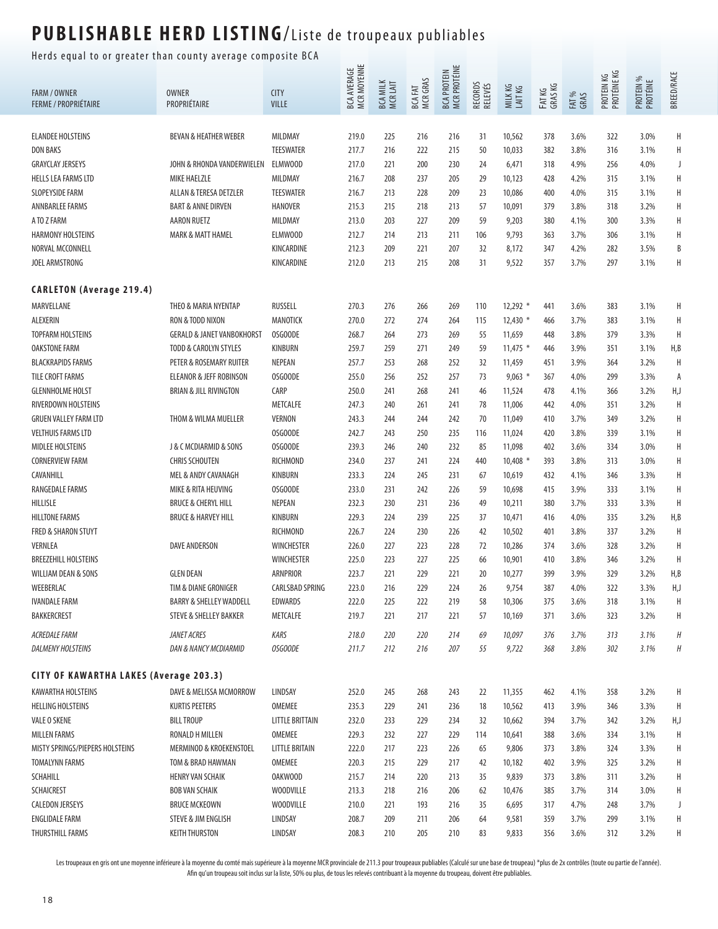Herds equal to or greater than county average composite BCA

| <b>FARM / OWNER</b><br><b>FERME / PROPRIÉTAIRE</b> | <b>OWNER</b><br>PROPRIÉTAIRE          | <b>CITY</b><br><b>VILLE</b> | BCA AVERAGE<br>MCR MOYENNE | <b>BCA MILK</b><br>MCR LAIT | BCA FAT<br>MCR GRAS | <b>MCR PROTÉINE</b><br><b>BCA PROTEIN</b> | RECORDS<br>RELEVÉS | MILK KG<br>LAIT KG | FATKG<br>GRAS KG | FAT %<br>GRAS | PROTEIN KG<br>PROTÉINE KG | PROTEIN %<br>PROTÉINE | <b>BREED/RACE</b> |
|----------------------------------------------------|---------------------------------------|-----------------------------|----------------------------|-----------------------------|---------------------|-------------------------------------------|--------------------|--------------------|------------------|---------------|---------------------------|-----------------------|-------------------|
|                                                    |                                       |                             |                            |                             |                     |                                           |                    |                    |                  |               |                           |                       |                   |
| <b>ELANDEE HOLSTEINS</b>                           | <b>BEVAN &amp; HEATHER WEBER</b>      | MILDMAY                     | 219.0                      | 225                         | 216                 | 216                                       | 31                 | 10,562             | 378              | 3.6%          | 322                       | 3.0%                  | Н                 |
| <b>DON BAKS</b>                                    |                                       | <b>TEESWATER</b>            | 217.7                      | 216                         | 222                 | 215                                       | 50                 | 10,033             | 382              | 3.8%          | 316                       | 3.1%                  | Н                 |
| <b>GRAYCLAY JERSEYS</b>                            | JOHN & RHONDA VANDERWIELEN            | ELMW00D                     | 217.0                      | 221                         | 200                 | 230                                       | 24                 | 6,471              | 318              | 4.9%          | 256                       | 4.0%                  | J                 |
| <b>HELLS LEA FARMS LTD</b>                         | MIKE HAELZLE                          | MILDMAY                     | 216.7                      | 208                         | 237                 | 205                                       | 29                 | 10,123             | 428              | 4.2%          | 315                       | 3.1%                  | Н                 |
| <b>SLOPEYSIDE FARM</b>                             | ALLAN & TERESA DETZLER                | <b>TEESWATER</b>            | 216.7                      | 213                         | 228                 | 209                                       | 23                 | 10,086             | 400              | 4.0%          | 315                       | 3.1%                  | Н                 |
| <b>ANNBARLEE FARMS</b>                             | <b>BART &amp; ANNE DIRVEN</b>         | <b>HANOVER</b>              | 215.3                      | 215                         | 218                 | 213                                       | 57                 | 10,091             | 379              | 3.8%          | 318                       | 3.2%                  | Н                 |
| A TO Z FARM                                        | <b>AARON RUETZ</b>                    | MILDMAY                     | 213.0                      | 203                         | 227                 | 209                                       | 59                 | 9,203              | 380              | 4.1%          | 300                       | 3.3%                  | Н                 |
| <b>HARMONY HOLSTEINS</b>                           | <b>MARK &amp; MATT HAMEL</b>          | <b>ELMWOOD</b>              | 212.7                      | 214                         | 213                 | 211                                       | 106                | 9,793              | 363              | 3.7%          | 306                       | 3.1%                  | Н                 |
| NORVAL MCCONNELL                                   |                                       | KINCARDINE                  | 212.3                      | 209                         | 221                 | 207                                       | 32                 | 8,172              | 347              | 4.2%          | 282                       | 3.5%                  | B                 |
| JOEL ARMSTRONG                                     |                                       | KINCARDINE                  | 212.0                      | 213                         | 215                 | 208                                       | 31                 | 9,522              | 357              | 3.7%          | 297                       | 3.1%                  | Н                 |
| <b>CARLETON (Average 219.4)</b>                    |                                       |                             |                            |                             |                     |                                           |                    |                    |                  |               |                           |                       |                   |
| MARVELLANE                                         | THEO & MARIA NYENTAP                  | RUSSELL                     | 270.3                      | 276                         | 266                 | 269                                       | 110                | $12,292$ *         | 441              | 3.6%          | 383                       | 3.1%                  | Н                 |
| <b>ALEXERIN</b>                                    | RON & TODD NIXON                      | MANOTICK                    | 270.0                      | 272                         | 274                 | 264                                       | 115                | $12,430$ *         | 466              | 3.7%          | 383                       | 3.1%                  | Н                 |
| <b>TOPFARM HOLSTEINS</b>                           | <b>GERALD &amp; JANET VANBOKHORST</b> | 0SG00DE                     | 268.7                      | 264                         | 273                 | 269                                       | 55                 | 11,659             | 448              | 3.8%          | 379                       | 3.3%                  | Η                 |
| <b>OAKSTONE FARM</b>                               | TODD & CAROLYN STYLES                 | KINBURN                     | 259.7                      | 259                         | 271                 | 249                                       | 59                 | $11,475$ *         | 446              | 3.9%          | 351                       | 3.1%                  | H,B               |
| <b>BLACKRAPIDS FARMS</b>                           | PETER & ROSEMARY RUITER               | NEPEAN                      | 257.7                      | 253                         | 268                 | 252                                       | 32                 | 11,459             | 451              | 3.9%          | 364                       | 3.2%                  | Н                 |
| <b>TILE CROFT FARMS</b>                            | ELEANOR & JEFF ROBINSON               | 0SG00DE                     | 255.0                      | 256                         | 252                 | 257                                       | 73                 | $9,063$ *          | 367              | 4.0%          | 299                       | 3.3%                  | А                 |
| <b>GLENNHOLME HOLST</b>                            | <b>BRIAN &amp; JILL RIVINGTON</b>     | CARP                        | 250.0                      | 241                         | 268                 | 241                                       | 46                 | 11,524             | 478              | 4.1%          | 366                       | 3.2%                  | H,J               |
| RIVERDOWN HOLSTEINS                                |                                       | METCALFE                    | 247.3                      | 240                         | 261                 | 241                                       | 78                 | 11,006             | 442              | 4.0%          | 351                       | 3.2%                  | Н                 |
| <b>GRUEN VALLEY FARM LTD</b>                       | THOM & WILMA MUELLER                  | <b>VERNON</b>               | 243.3                      | 244                         | 244                 | 242                                       | 70                 | 11,049             | 410              | 3.7%          | 349                       | 3.2%                  | Н                 |
| <b>VELTHUIS FARMS LTD</b>                          |                                       | OSGOODE                     | 242.7                      | 243                         | 250                 | 235                                       | 116                | 11,024             | 420              | 3.8%          | 339                       | 3.1%                  | Н                 |
| MIDLEE HOLSTEINS                                   | <b>J &amp; C MCDIARMID &amp; SONS</b> | OSGOODE                     | 239.3                      | 246                         | 240                 | 232                                       | 85                 | 11,098             | 402              | 3.6%          | 334                       | 3.0%                  | Н                 |
| <b>CORNERVIEW FARM</b>                             | <b>CHRIS SCHOUTEN</b>                 | RICHMOND                    | 234.0                      | 237                         | 241                 | 224                                       | 440                | $10,408$ *         | 393              | 3.8%          | 313                       | 3.0%                  | Н                 |
| CAVANHILL                                          | MEL & ANDY CAVANAGH                   | KINBURN                     | 233.3                      | 224                         | 245                 | 231                                       | 67                 | 10,619             | 432              | 4.1%          | 346                       | 3.3%                  | Н                 |
| RANGEDALE FARMS                                    | MIKE & RITA HEUVING                   | 0SG00DE                     | 233.0                      | 231                         | 242                 | 226                                       | 59                 | 10,698             | 415              | 3.9%          | 333                       | 3.1%                  | Н                 |
| HILLISLE                                           | <b>BRUCE &amp; CHERYL HILL</b>        | NEPEAN                      | 232.3                      | 230                         | 231                 | 236                                       | 49                 | 10,211             | 380              | 3.7%          | 333                       | 3.3%                  | Η                 |
| <b>HILLTONE FARMS</b>                              | <b>BRUCE &amp; HARVEY HILL</b>        | KINBURN                     | 229.3                      | 224                         | 239                 | 225                                       | 37                 | 10,471             | 416              | 4.0%          | 335                       | 3.2%                  | H, B              |
| <b>FRED &amp; SHARON STUYT</b>                     |                                       | RICHMOND                    | 226.7                      | 224                         | 230                 | 226                                       | 42                 | 10,502             | 401              | 3.8%          | 337                       | 3.2%                  | Н                 |
| VERNLEA                                            | <b>DAVE ANDERSON</b>                  | <b>WINCHESTER</b>           | 226.0                      | 227                         | 223                 | 228                                       | 72                 | 10,286             | 374              | 3.6%          | 328                       | 3.2%                  | Н                 |
| <b>BREEZEHILL HOLSTEINS</b>                        |                                       | <b>WINCHESTER</b>           | 225.0                      | 223                         | 227                 | 225                                       | 66                 | 10,901             | 410              | 3.8%          | 346                       | 3.2%                  | Η                 |
| WILLIAM DEAN & SONS                                | <b>GLEN DEAN</b>                      | ARNPRIOR                    | 223.7                      | 221                         | 229                 | 221                                       | 20                 | 10,277             | 399              | 3.9%          | 329                       | 3.2%                  | H,B               |
| WEEBERLAC                                          | TIM & DIANE GRONIGER                  | CARLSBAD SPRING             | 223.0                      | 216                         | 229                 | 224                                       | 26                 | 9,754              | 387              | 4.0%          | 322                       | 3.3%                  | H,J               |
| <b>IVANDALE FARM</b>                               | <b>BARRY &amp; SHELLEY WADDELL</b>    | <b>EDWARDS</b>              | 222.0                      | 225                         | 222                 | 219                                       | 58                 | 10,306             | 375              | 3.6%          | 318                       | 3.1%                  | Н                 |
| BAKKERCREST                                        | STEVE & SHELLEY BAKKER                | METCALFE                    | 219.7                      | 221                         | 217                 | 221                                       | 57                 | 10,169             | 371              | 3.6%          | 323                       | 3.2%                  | Н                 |
| <b>ACREDALE FARM</b>                               | <b>JANET ACRES</b>                    | KARS                        | 218.0                      | 220                         | 220                 | 214                                       | 69                 | 10,097             | 376              | 3.7%          | 313                       | 3.1%                  | Н                 |
| <b>DALMENY HOLSTEINS</b>                           | DAN & NANCY MCDIARMID                 | <i><b>OSGOODE</b></i>       | 211.7                      | 212                         | 216                 | 207                                       | 55                 | 9,722              | 368              | 3.8%          | 302                       | 3.1%                  | Н                 |
| <b>CITY OF KAWARTHA LAKES (Average 203.3)</b>      |                                       |                             |                            |                             |                     |                                           |                    |                    |                  |               |                           |                       |                   |
| KAWARTHA HOLSTEINS                                 | DAVE & MELISSA MCMORROW               | LINDSAY                     | 252.0                      | 245                         | 268                 | 243                                       | 22                 | 11,355             | 462              | 4.1%          | 358                       | 3.2%                  | Н                 |
| <b>HELLING HOLSTEINS</b>                           | <b>KURTIS PEETERS</b>                 | OMEMEE                      | 235.3                      | 229                         | 241                 | 236                                       | 18                 | 10,562             | 413              | 3.9%          | 346                       | 3.3%                  | H                 |
| VALE O SKENE                                       | <b>BILL TROUP</b>                     | <b>LITTLE BRITTAIN</b>      | 232.0                      | 233                         | 229                 | 234                                       | 32                 | 10,662             | 394              | 3.7%          | 342                       | 3.2%                  | H,J               |
| <b>MILLEN FARMS</b>                                | RONALD H MILLEN                       | OMEMEE                      | 229.3                      | 232                         | 227                 | 229                                       | 114                | 10,641             | 388              | 3.6%          | 334                       | 3.1%                  | Н                 |
| MISTY SPRINGS/PIEPERS HOLSTEINS                    | MERMINOD & KROEKENSTOEL               | <b>LITTLE BRITAIN</b>       | 222.0                      | 217                         | 223                 | 226                                       | 65                 | 9,806              | 373              | 3.8%          | 324                       | 3.3%                  | Н                 |
| <b>TOMALYNN FARMS</b>                              | TOM & BRAD HAWMAN                     | OMEMEE                      | 220.3                      | 215                         | 229                 | 217                                       | 42                 | 10,182             | 402              | 3.9%          | 325                       | 3.2%                  | Н                 |
| SCHAHILL                                           | <b>HENRY VAN SCHAIK</b>               | <b>OAKWOOD</b>              | 215.7                      | 214                         | 220                 | 213                                       | 35                 | 9,839              | 373              | 3.8%          | 311                       | 3.2%                  | Н                 |
| <b>SCHAICREST</b>                                  | <b>BOB VAN SCHAIK</b>                 | <b>WOODVILLE</b>            | 213.3                      | 218                         | 216                 | 206                                       | 62                 | 10,476             | 385              | 3.7%          | 314                       | 3.0%                  | Н                 |
| <b>CALEDON JERSEYS</b>                             | <b>BRUCE MCKEOWN</b>                  | <b>WOODVILLE</b>            | 210.0                      | 221                         | 193                 | 216                                       | 35                 | 6,695              | 317              | 4.7%          | 248                       | 3.7%                  | J                 |
| <b>ENGLIDALE FARM</b>                              | STEVE & JIM ENGLISH                   | LINDSAY                     | 208.7                      | 209                         | 211                 | 206                                       | 64                 | 9,581              | 359              | 3.7%          | 299                       | 3.1%                  | Н                 |
| THURSTHILL FARMS                                   | <b>KEITH THURSTON</b>                 | LINDSAY                     | 208.3                      | 210                         | 205                 | 210                                       | 83                 | 9,833              | 356              | 3.6%          | 312                       | 3.2%                  | Н                 |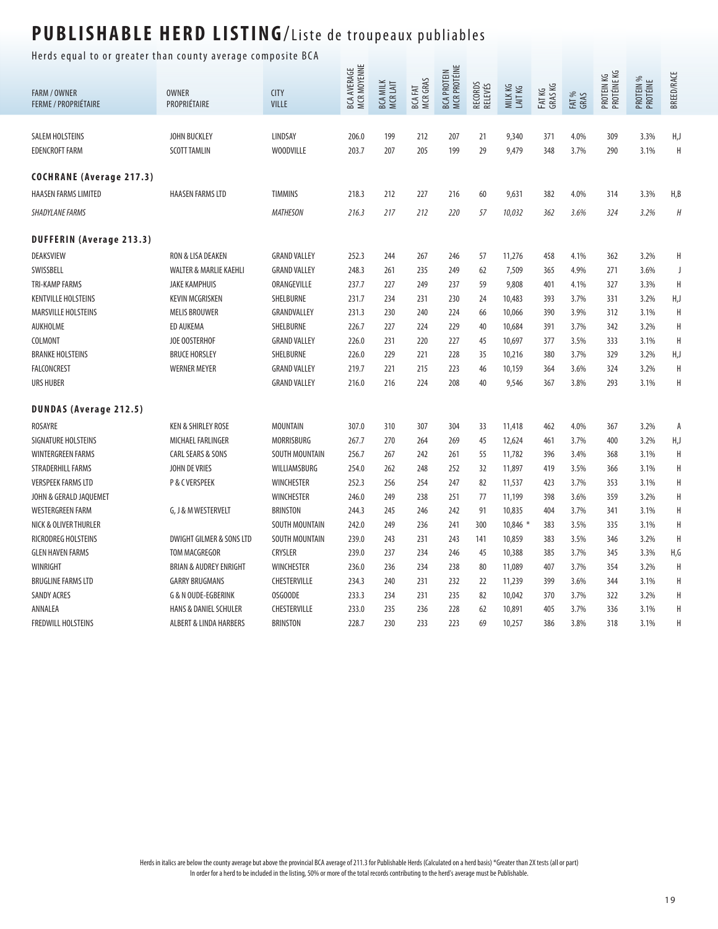Herds equal to or greater than county average composite BCA

| <b>FARM / OWNER</b><br><b>FERME / PROPRIÉTAIRE</b> | <b>OWNER</b><br>PROPRIÉTAIRE               | <b>CITY</b><br><b>VILLE</b> | MCR MOYENNE<br><b>BCA AVERAGE</b> | <b>BCA MILK</b><br>MCR LAIT | <b>MCRGRAS</b><br><b>BCAFAT</b> | BCA PROTEIN<br>MCR PROTÉINE | RECORDS<br>RELEVÉS | MILK KG<br>LAIT KG | FATKG<br>GRAS KG | FAT %<br>GRAS | PROTEIN KG<br>PROTÉINE KG | PROTEIN %<br>PROTÉINE | <b>BREED/RACE</b> |
|----------------------------------------------------|--------------------------------------------|-----------------------------|-----------------------------------|-----------------------------|---------------------------------|-----------------------------|--------------------|--------------------|------------------|---------------|---------------------------|-----------------------|-------------------|
| <b>SALEM HOLSTEINS</b><br><b>EDENCROFT FARM</b>    | <b>JOHN BUCKLEY</b><br><b>SCOTT TAMLIN</b> | LINDSAY<br><b>WOODVILLE</b> | 206.0<br>203.7                    | 199<br>207                  | 212<br>205                      | 207<br>199                  | 21<br>29           | 9,340<br>9,479     | 371<br>348       | 4.0%<br>3.7%  | 309<br>290                | 3.3%<br>3.1%          | H,J<br>H          |
| <b>COCHRANE</b> (Average 217.3)                    |                                            |                             |                                   |                             |                                 |                             |                    |                    |                  |               |                           |                       |                   |
| HAASEN FARMS LIMITED                               | <b>HAASEN FARMS LTD</b>                    | <b>TIMMINS</b>              | 218.3                             | 212                         | 227                             | 216                         | 60                 | 9,631              | 382              | 4.0%          | 314                       | 3.3%                  | H,B               |
| <b>SHADYLANE FARMS</b>                             |                                            | <b>MATHESON</b>             | 216.3                             | 217                         | 212                             | 220                         | 57                 | 10,032             | 362              | 3.6%          | 324                       | 3.2%                  | $\boldsymbol{H}$  |
| <b>DUFFERIN (Average 213.3)</b>                    |                                            |                             |                                   |                             |                                 |                             |                    |                    |                  |               |                           |                       |                   |
| DEAKSVIEW                                          | RON & LISA DEAKEN                          | <b>GRAND VALLEY</b>         | 252.3                             | 244                         | 267                             | 246                         | 57                 | 11,276             | 458              | 4.1%          | 362                       | 3.2%                  | H                 |
| SWISSBELL                                          | <b>WALTER &amp; MARLIE KAEHLI</b>          | <b>GRAND VALLEY</b>         | 248.3                             | 261                         | 235                             | 249                         | 62                 | 7,509              | 365              | 4.9%          | 271                       | 3.6%                  | J                 |
| <b>TRI-KAMP FARMS</b>                              | <b>JAKE KAMPHUIS</b>                       | ORANGEVILLE                 | 237.7                             | 227                         | 249                             | 237                         | 59                 | 9,808              | 401              | 4.1%          | 327                       | 3.3%                  | H                 |
| <b>KENTVILLE HOLSTEINS</b>                         | <b>KEVIN MCGRISKEN</b>                     | SHELBURNE                   | 231.7                             | 234                         | 231                             | 230                         | 24                 | 10,483             | 393              | 3.7%          | 331                       | 3.2%                  | H,J               |
| MARSVILLE HOLSTEINS                                | <b>MELIS BROUWER</b>                       | GRANDVALLEY                 | 231.3                             | 230                         | 240                             | 224                         | 66                 | 10,066             | 390              | 3.9%          | 312                       | 3.1%                  | $\mathsf H$       |
| AUKHOLME                                           | ED AUKEMA                                  | SHELBURNE                   | 226.7                             | 227                         | 224                             | 229                         | 40                 | 10,684             | 391              | 3.7%          | 342                       | 3.2%                  | H                 |
| <b>COLMONT</b>                                     | JOE OOSTERHOF                              | <b>GRAND VALLEY</b>         | 226.0                             | 231                         | 220                             | 227                         | 45                 | 10,697             | 377              | 3.5%          | 333                       | 3.1%                  | H                 |
| <b>BRANKE HOLSTEINS</b>                            | <b>BRUCE HORSLEY</b>                       | SHELBURNE                   | 226.0                             | 229                         | 221                             | 228                         | 35                 | 10,216             | 380              | 3.7%          | 329                       | 3.2%                  | H,J               |
| <b>FALCONCREST</b>                                 | <b>WERNER MEYER</b>                        | <b>GRAND VALLEY</b>         | 219.7                             | 221                         | 215                             | 223                         | 46                 | 10,159             | 364              | 3.6%          | 324                       | 3.2%                  | H                 |
| <b>URS HUBER</b>                                   |                                            | <b>GRAND VALLEY</b>         | 216.0                             | 216                         | 224                             | 208                         | 40                 | 9,546              | 367              | 3.8%          | 293                       | 3.1%                  | H                 |
| <b>DUNDAS (Average 212.5)</b>                      |                                            |                             |                                   |                             |                                 |                             |                    |                    |                  |               |                           |                       |                   |
| <b>ROSAYRE</b>                                     | <b>KEN &amp; SHIRLEY ROSE</b>              | <b>MOUNTAIN</b>             | 307.0                             | 310                         | 307                             | 304                         | 33                 | 11,418             | 462              | 4.0%          | 367                       | 3.2%                  | А                 |
| SIGNATURE HOLSTEINS                                | MICHAEL FARLINGER                          | <b>MORRISBURG</b>           | 267.7                             | 270                         | 264                             | 269                         | 45                 | 12,624             | 461              | 3.7%          | 400                       | 3.2%                  | H,J               |
| <b>WINTERGREEN FARMS</b>                           | <b>CARL SEARS &amp; SONS</b>               | SOUTH MOUNTAIN              | 256.7                             | 267                         | 242                             | 261                         | 55                 | 11,782             | 396              | 3.4%          | 368                       | 3.1%                  | H                 |
| STRADERHILL FARMS                                  | JOHN DE VRIES                              | WILLIAMSBURG                | 254.0                             | 262                         | 248                             | 252                         | 32                 | 11,897             | 419              | 3.5%          | 366                       | 3.1%                  | H                 |
| <b>VERSPEEK FARMS LTD</b>                          | <b>P &amp; C VERSPEEK</b>                  | WINCHESTER                  | 252.3                             | 256                         | 254                             | 247                         | 82                 | 11,537             | 423              | 3.7%          | 353                       | 3.1%                  | H                 |
| JOHN & GERALD JAQUEMET                             |                                            | <b>WINCHESTER</b>           | 246.0                             | 249                         | 238                             | 251                         | 77                 | 11,199             | 398              | 3.6%          | 359                       | 3.2%                  | H                 |
| <b>WESTERGREEN FARM</b>                            | G, J & M WESTERVELT                        | <b>BRINSTON</b>             | 244.3                             | 245                         | 246                             | 242                         | 91                 | 10,835             | 404              | 3.7%          | 341                       | 3.1%                  | $\mathsf H$       |
| NICK & OLIVER THURLER                              |                                            | SOUTH MOUNTAIN              | 242.0                             | 249                         | 236                             | 241                         | 300                | 10,846 *           | 383              | 3.5%          | 335                       | 3.1%                  | H                 |
| RICRODREG HOLSTEINS                                | <b>DWIGHT GILMER &amp; SONS LTD</b>        | <b>SOUTH MOUNTAIN</b>       | 239.0                             | 243                         | 231                             | 243                         | 141                | 10,859             | 383              | 3.5%          | 346                       | 3.2%                  | H                 |
| <b>GLEN HAVEN FARMS</b>                            | <b>TOM MACGREGOR</b>                       | <b>CRYSLER</b>              | 239.0                             | 237                         | 234                             | 246                         | 45                 | 10,388             | 385              | 3.7%          | 345                       | 3.3%                  | H,G               |
| WINRIGHT                                           | <b>BRIAN &amp; AUDREY ENRIGHT</b>          | <b>WINCHESTER</b>           | 236.0                             | 236                         | 234                             | 238                         | 80                 | 11,089             | 407              | 3.7%          | 354                       | 3.2%                  | H                 |
| <b>BRUGLINE FARMS LTD</b>                          | <b>GARRY BRUGMANS</b>                      | CHESTERVILLE                | 234.3                             | 240                         | 231                             | 232                         | 22                 | 11,239             | 399              | 3.6%          | 344                       | 3.1%                  | H                 |
| <b>SANDY ACRES</b>                                 | G & N OUDE-EGBERINK                        | OSGOODE                     | 233.3                             | 234                         | 231                             | 235                         | 82                 | 10,042             | 370              | 3.7%          | 322                       | 3.2%                  | H                 |
| ANNALEA                                            | <b>HANS &amp; DANIEL SCHULER</b>           | <b>CHESTERVILLE</b>         | 233.0                             | 235                         | 236                             | 228                         | 62                 | 10,891             | 405              | 3.7%          | 336                       | 3.1%                  | H                 |
| FREDWILL HOLSTEINS                                 | <b>ALBERT &amp; LINDA HARBERS</b>          | <b>BRINSTON</b>             | 228.7                             | 230                         | 233                             | 223                         | 69                 | 10,257             | 386              | 3.8%          | 318                       | 3.1%                  | H                 |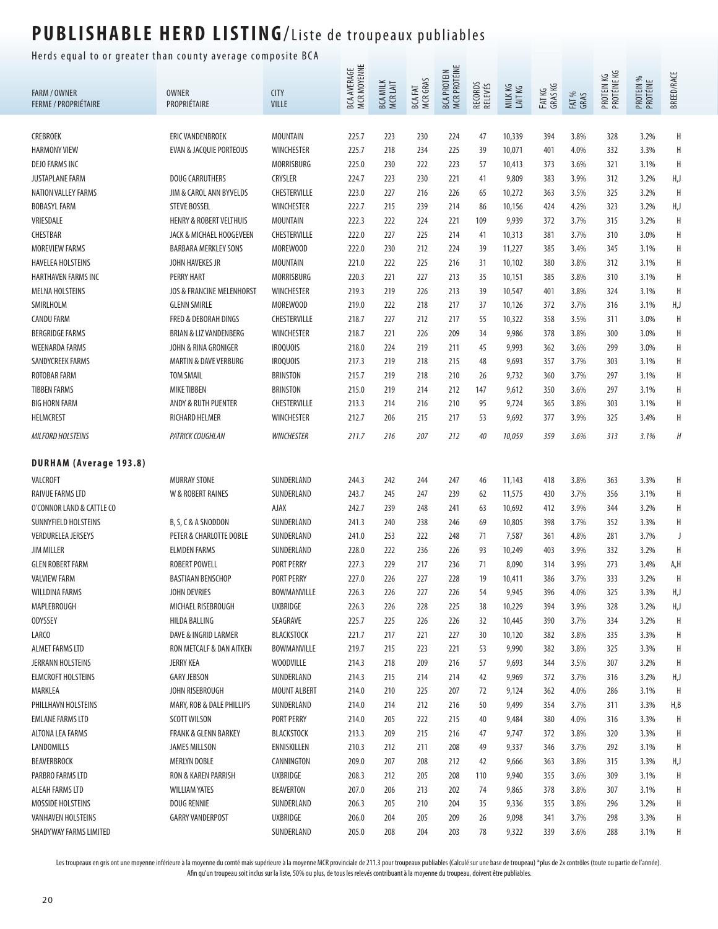Herds equal to or greater than county average composite BCA

| <b>FARM / OWNER</b><br><b>FERME / PROPRIÉTAIRE</b> | <b>OWNER</b><br>PROPRIÉTAIRE         | <b>CITY</b><br><b>VILLE</b> | BCA AVERAGE<br>MCR MOYENNE | <b>BCA MILK</b><br>MCR LAIT | BCA FAT<br>MCR GRAS | MCR PROTÉINE<br><b>BCA PROTEIN</b> | RECORDS<br>RELEVÉS | MILK KG<br>LAIT KG | FAT KG<br>GRAS KG | FAT %<br>GRAS | PROTEIN KG<br>PROTÉINE KG | PROTEIN %<br>PROTÉINE | <b>BREED/RACE</b> |
|----------------------------------------------------|--------------------------------------|-----------------------------|----------------------------|-----------------------------|---------------------|------------------------------------|--------------------|--------------------|-------------------|---------------|---------------------------|-----------------------|-------------------|
|                                                    |                                      |                             |                            |                             |                     |                                    |                    |                    |                   |               |                           |                       |                   |
| <b>CREBROEK</b>                                    | <b>ERIC VANDENBROEK</b>              | <b>MOUNTAIN</b>             | 225.7                      | 223                         | 230                 | 224                                | 47                 | 10,339             | 394               | 3.8%          | 328                       | 3.2%                  | H                 |
| <b>HARMONY VIEW</b>                                | <b>EVAN &amp; JACOUIE PORTEOUS</b>   | <b>WINCHESTER</b>           | 225.7                      | 218                         | 234                 | 225                                | 39                 | 10,071             | 401               | 4.0%          | 332                       | 3.3%                  | H                 |
| <b>DEJO FARMS INC</b>                              |                                      | MORRISBURG                  | 225.0                      | 230                         | 222                 | 223                                | 57                 | 10,413             | 373               | 3.6%          | 321                       | 3.1%                  | Η                 |
| <b>JUSTAPLANE FARM</b>                             | <b>DOUG CARRUTHERS</b>               | <b>CRYSLER</b>              | 224.7                      | 223                         | 230                 | 221                                | 41                 | 9,809              | 383               | 3.9%          | 312                       | 3.2%                  | H,J               |
| NATION VALLEY FARMS                                | JIM & CAROL ANN BYVELDS              | CHESTERVILLE                | 223.0                      | 227                         | 216                 | 226                                | 65                 | 10,272             | 363               | 3.5%          | 325                       | 3.2%                  | H                 |
| <b>BOBASYL FARM</b>                                | <b>STEVE BOSSEL</b>                  | <b>WINCHESTER</b>           | 222.7                      | 215                         | 239                 | 214                                | 86                 | 10,156             | 424               | 4.2%          | 323                       | 3.2%                  | H,J               |
| VRIESDALE                                          | <b>HENRY &amp; ROBERT VELTHUIS</b>   | MOUNTAIN                    | 222.3                      | 222                         | 224                 | 221                                | 109                | 9,939              | 372               | 3.7%          | 315                       | 3.2%                  | Η                 |
| CHESTBAR                                           | JACK & MICHAEL HOOGEVEEN             | <b>CHESTERVILLE</b>         | 222.0                      | 227                         | 225                 | 214                                | 41                 | 10,313             | 381               | 3.7%          | 310                       | 3.0%                  | Η                 |
| <b>MOREVIEW FARMS</b>                              | <b>BARBARA MERKLEY SONS</b>          | MOREWOOD                    | 222.0                      | 230                         | 212                 | 224                                | 39                 | 11,227             | 385               | 3.4%          | 345                       | 3.1%                  | Η                 |
| <b>HAVELEA HOLSTEINS</b>                           | JOHN HAVEKES JR                      | MOUNTAIN                    | 221.0                      | 222                         | 225                 | 216                                | 31                 | 10,102             | 380               | 3.8%          | 312                       | 3.1%                  | Η                 |
| HARTHAVEN FARMS INC                                | <b>PERRY HART</b>                    | MORRISBURG                  | 220.3                      | 221                         | 227                 | 213                                | 35                 | 10,151             | 385               | 3.8%          | 310                       | 3.1%                  | Η                 |
| <b>MELNA HOLSTEINS</b>                             | <b>JOS &amp; FRANCINE MELENHORST</b> | <b>WINCHESTER</b>           | 219.3                      | 219                         | 226                 | 213                                | 39                 | 10,547             | 401               | 3.8%          | 324                       | 3.1%                  | Η                 |
| SMIRLHOLM                                          | <b>GLENN SMIRLE</b>                  | MOREWOOD                    | 219.0                      | 222                         | 218                 | 217                                | 37                 | 10,126             | 372               | 3.7%          | 316                       | 3.1%                  | H,J               |
| <b>CANDU FARM</b>                                  | FRED & DEBORAH DINGS                 | <b>CHESTERVILLE</b>         | 218.7                      | 227                         | 212                 | 217                                | 55                 | 10,322             | 358               | 3.5%          | 311                       | 3.0%                  | Η                 |
| <b>BERGRIDGE FARMS</b>                             | <b>BRIAN &amp; LIZ VANDENBERG</b>    | <b>WINCHESTER</b>           | 218.7                      | 221                         | 226                 | 209                                | 34                 | 9,986              | 378               | 3.8%          | 300                       | 3.0%                  | Η                 |
| <b>WEENARDA FARMS</b>                              | JOHN & RINA GRONIGER                 | <b>IROQUOIS</b>             | 218.0                      | 224                         | 219                 | 211                                | 45                 | 9,993              | 362               | 3.6%          | 299                       | 3.0%                  | Н                 |
| SANDYCREEK FARMS                                   | <b>MARTIN &amp; DAVE VERBURG</b>     | <b>IROQUOIS</b>             | 217.3                      | 219                         | 218                 | 215                                | 48                 | 9,693              | 357               | 3.7%          | 303                       | 3.1%                  | Н                 |
| ROTOBAR FARM                                       | <b>TOM SMAIL</b>                     | <b>BRINSTON</b>             | 215.7                      | 219                         | 218                 | 210                                | 26                 | 9,732              | 360               | 3.7%          | 297                       | 3.1%                  | Η                 |
| <b>TIBBEN FARMS</b>                                | <b>MIKE TIBBEN</b>                   | <b>BRINSTON</b>             | 215.0                      | 219                         | 214                 | 212                                | 147                | 9,612              | 350               | 3.6%          | 297                       | 3.1%                  | Η                 |
| <b>BIG HORN FARM</b>                               | ANDY & RUTH PUENTER                  | <b>CHESTERVILLE</b>         | 213.3                      | 214                         | 216                 | 210                                | 95                 | 9,724              | 365               | 3.8%          | 303                       | 3.1%                  | Η                 |
| HELMCREST                                          | <b>RICHARD HELMER</b>                | <b>WINCHESTER</b>           | 212.7                      | 206                         | 215                 | 217                                | 53                 | 9,692              | 377               | 3.9%          | 325                       | 3.4%                  | Н                 |
| MILFORD HOLSTEINS                                  | PATRICK COUGHLAN                     | <b>WINCHESTER</b>           | 211.7                      | 216                         | 207                 | 212                                | 40                 | 10,059             | 359               | 3.6%          | 313                       | 3.1%                  | Η                 |
| <b>DURHAM (Average 193.8)</b>                      |                                      |                             |                            |                             |                     |                                    |                    |                    |                   |               |                           |                       |                   |
| VALCROFT                                           | <b>MURRAY STONE</b>                  | SUNDERLAND                  | 244.3                      | 242                         | 244                 | 247                                | 46                 | 11,143             | 418               | 3.8%          | 363                       | 3.3%                  | Η                 |
| RAIVUE FARMS LTD                                   | W & ROBERT RAINES                    | SUNDERLAND                  | 243.7                      | 245                         | 247                 | 239                                | 62                 | 11,575             | 430               | 3.7%          | 356                       | 3.1%                  | Н                 |
| O'CONNOR LAND & CATTLE CO                          |                                      | AJAX                        | 242.7                      | 239                         | 248                 | 241                                | 63                 | 10,692             | 412               | 3.9%          | 344                       | 3.2%                  | Н                 |
| SUNNYFIELD HOLSTEINS                               | B, S, C & A SNODDON                  | SUNDERLAND                  | 241.3                      | 240                         | 238                 | 246                                | 69                 | 10,805             | 398               | 3.7%          | 352                       | 3.3%                  | Н                 |
| <b>VERDURELEA JERSEYS</b>                          | PETER & CHARLOTTE DOBLE              | SUNDERLAND                  | 241.0                      | 253                         | 222                 | 248                                | 71                 | 7,587              | 361               | 4.8%          | 281                       | 3.7%                  | $\mathbf{J}$      |
| <b>JIM MILLER</b>                                  | <b>ELMDEN FARMS</b>                  | SUNDERLAND                  | 228.0                      | 222                         | 236                 | 226                                | 93                 | 10,249             | 403               | 3.9%          | 332                       | 3.2%                  | H                 |
| <b>GLEN ROBERT FARM</b>                            | <b>ROBERT POWELL</b>                 | PORT PERRY                  | 227.3                      | 229                         | 217                 | 236                                | 71                 | 8,090              | 314               | 3.9%          | 273                       | 3.4%                  | A,H               |
| <b>VALVIEW FARM</b>                                | <b>BASTIAAN BENSCHOP</b>             | PORT PERRY                  | 227.0                      | 226                         | 227                 | 228                                | 19                 | 10,411             | 386               | 3.7%          | 333                       | 3.2%                  | $\mathsf{H}$      |
| WILLDINA FARMS                                     | JOHN DEVRIES                         | BOWMANVILLE                 | 226.3                      | 226                         | 227                 | 226                                | 54                 | 9,945              | 396               | 4.0%          | 325                       | 3.3%                  | H,J               |
| MAPLEBROUGH                                        | MICHAEL RISEBROUGH                   | <b>UXBRIDGE</b>             | 226.3                      | 226                         | 228                 | 225                                | 38                 | 10,229             | 394               | 3.9%          | 328                       | 3.2%                  | H,J               |
| ODYSSEY                                            | HILDA BALLING                        | SEAGRAVE                    | 225.7                      | 225                         | 226                 | 226                                | 32                 | 10,445             | 390               | 3.7%          | 334                       | 3.2%                  | H                 |
| LARCO                                              | DAVE & INGRID LARMER                 | <b>BLACKSTOCK</b>           | 221.7                      | 217                         | 221                 | 227                                | 30                 | 10,120             | 382               | 3.8%          | 335                       | 3.3%                  | Η                 |
| ALMET FARMS LTD                                    | RON METCALF & DAN AITKEN             | BOWMANVILLE                 | 219.7                      | 215                         | 223                 | 221                                | 53                 | 9,990              | 382               | 3.8%          | 325                       | 3.3%                  | Η                 |
| JERRANN HOLSTEINS                                  | <b>JERRY KEA</b>                     | <b>WOODVILLE</b>            | 214.3                      | 218                         | 209                 | 216                                | 57                 | 9,693              | 344               | 3.5%          | 307                       | 3.2%                  | H                 |
| <b>ELMCROFT HOLSTEINS</b>                          | <b>GARY JEBSON</b>                   | SUNDERLAND                  | 214.3                      | 215                         | 214                 | 214                                | 42                 | 9,969              | 372               | 3.7%          | 316                       | 3.2%                  | H,J               |
| MARKLEA                                            | JOHN RISEBROUGH                      | MOUNT ALBERT                | 214.0                      | 210                         | 225                 | 207                                | 72                 | 9,124              | 362               | 4.0%          | 286                       | 3.1%                  | H                 |
| PHILLHAVN HOLSTEINS                                | MARY, ROB & DALE PHILLIPS            | SUNDERLAND                  | 214.0                      | 214                         | 212                 | 216                                | 50                 | 9,499              | 354               | 3.7%          | 311                       | 3.3%                  | H, B              |
| <b>EMLANE FARMS LTD</b>                            | <b>SCOTT WILSON</b>                  | PORT PERRY                  | 214.0                      | 205                         | 222                 | 215                                | 40                 | 9,484              | 380               | 4.0%          | 316                       | 3.3%                  | H                 |
| ALTONA LEA FARMS                                   | <b>FRANK &amp; GLENN BARKEY</b>      | <b>BLACKSTOCK</b>           | 213.3                      | 209                         | 215                 | 216                                | 47                 | 9,747              | 372               | 3.8%          | 320                       | 3.3%                  | Η                 |
| LANDOMILLS                                         | <b>JAMES MILLSON</b>                 | ENNISKILLEN                 | 210.3                      | 212                         | 211                 | 208                                | 49                 | 9,337              | 346               | 3.7%          | 292                       | 3.1%                  | H                 |
| <b>BEAVERBROCK</b>                                 | <b>MERLYN DOBLE</b>                  | CANNINGTON                  | 209.0                      | 207                         | 208                 | 212                                | 42                 | 9,666              | 363               | 3.8%          | 315                       | 3.3%                  | H,J               |
| PARBRO FARMS LTD                                   | RON & KAREN PARRISH                  | UXBRIDGE                    | 208.3                      | 212                         | 205                 | 208                                | 110                | 9,940              | 355               | 3.6%          | 309                       | 3.1%                  | H                 |
| ALEAH FARMS LTD                                    | <b>WILLIAM YATES</b>                 | <b>BEAVERTON</b>            | 207.0                      | 206                         | 213                 | 202                                | 74                 | 9,865              | 378               | 3.8%          | 307                       | 3.1%                  | Н                 |
| MOSSIDE HOLSTEINS                                  | DOUG RENNIE                          | SUNDERLAND                  | 206.3                      | 205                         | 210                 | 204                                | 35                 | 9,336              | 355               | 3.8%          | 296                       | 3.2%                  | Н                 |
| VANHAVEN HOLSTEINS                                 | <b>GARRY VANDERPOST</b>              | <b>UXBRIDGE</b>             | 206.0                      | 204                         | 205                 | 209                                | 26                 | 9,098              | 341               | 3.7%          | 298                       | 3.3%                  | Н                 |
| SHADYWAY FARMS LIMITED                             |                                      | SUNDERLAND                  | 205.0                      | 208                         | 204                 | 203                                | 78                 | 9,322              | 339               | 3.6%          | 288                       | 3.1%                  | Н                 |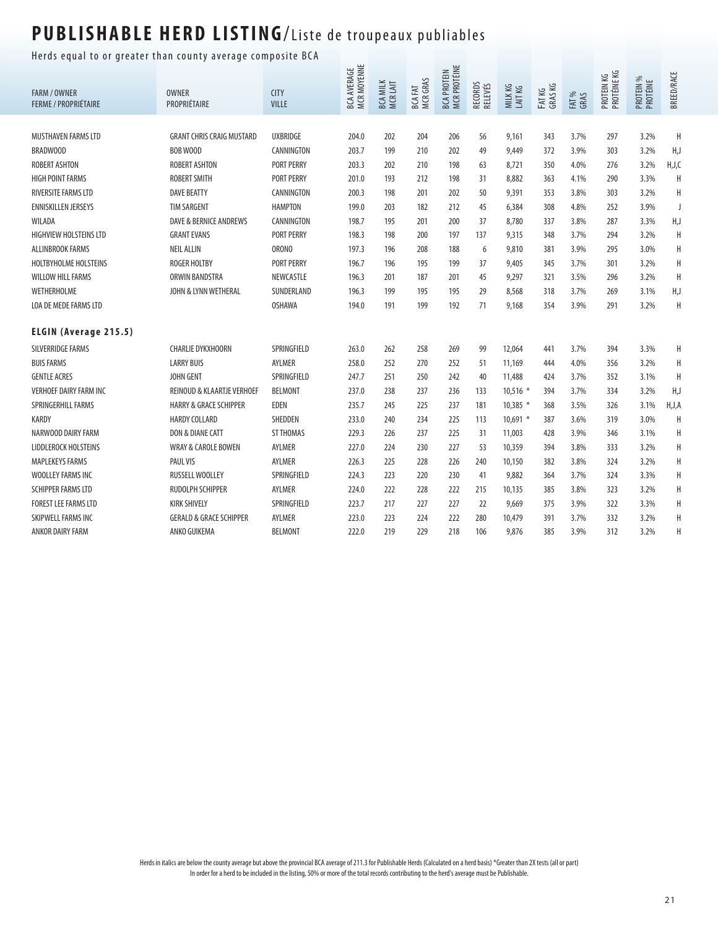Herds equal to or greater than county average composite BCA

| <b>FARM / OWNER</b><br><b>FERME / PROPRIÉTAIRE</b> | <b>OWNER</b><br>PROPRIÉTAIRE                 | <b>CITY</b><br><b>VILLE</b> | MCR MOYENNE<br><b>BCA AVERAGE</b> | <b>BCA MILK</b><br>MCR LAIT<br>BCA <sub>I</sub> | <b>MCRGRAS</b><br><b>BCA FAT</b> | <b>MCR PROTÉINE</b><br><b>BCA PROTEIN</b> | RECORDS<br>RELEVÉS | MILK KG<br>LAIT KG | FATKG<br>GRAS KG | FAT %<br>GRAS | PROTEIN KG<br>PROTÉINE KG | PROTEIN %<br>PROTÉINE | <b>BREED/RACE</b> |
|----------------------------------------------------|----------------------------------------------|-----------------------------|-----------------------------------|-------------------------------------------------|----------------------------------|-------------------------------------------|--------------------|--------------------|------------------|---------------|---------------------------|-----------------------|-------------------|
|                                                    |                                              | <b>UXBRIDGE</b>             |                                   | 202                                             | 204                              |                                           |                    |                    |                  | 3.7%          |                           |                       | H                 |
| <b>MUSTHAVEN FARMS LTD</b><br>BRADWOOD             | <b>GRANT CHRIS CRAIG MUSTARD</b><br>BOB WOOD | CANNINGTON                  | 204.0<br>203.7                    | 199                                             | 210                              | 206<br>202                                | 56<br>49           | 9.161              | 343<br>372       | 3.9%          | 297<br>303                | 3.2%<br>3.2%          | H,J               |
| <b>ROBERT ASHTON</b>                               | <b>ROBERT ASHTON</b>                         | <b>PORT PERRY</b>           | 203.3                             | 202                                             | 210                              | 198                                       | 63                 | 9,449<br>8,721     | 350              | 4.0%          | 276                       | 3.2%                  | H, J, C           |
| <b>HIGH POINT FARMS</b>                            | <b>ROBERT SMITH</b>                          | <b>PORT PERRY</b>           | 201.0                             | 193                                             | 212                              | 198                                       | 31                 | 8,882              | 363              | 4.1%          | 290                       | 3.3%                  | H                 |
| RIVERSITE FARMS LTD                                | <b>DAVE BEATTY</b>                           | CANNINGTON                  | 200.3                             | 198                                             | 201                              | 202                                       | 50                 | 9,391              | 353              | 3.8%          | 303                       | 3.2%                  | H                 |
| <b>ENNISKILLEN JERSEYS</b>                         | <b>TIM SARGENT</b>                           | <b>HAMPTON</b>              | 199.0                             | 203                                             | 182                              | 212                                       | 45                 | 6,384              | 308              | 4.8%          | 252                       | 3.9%                  | J                 |
| <b>WILADA</b>                                      | DAVE & BERNICE ANDREWS                       | CANNINGTON                  | 198.7                             | 195                                             | 201                              | 200                                       | 37                 | 8,780              | 337              | 3.8%          | 287                       | 3.3%                  | H,J               |
| <b>HIGHVIEW HOLSTEINS LTD</b>                      | <b>GRANT EVANS</b>                           | PORT PERRY                  | 198.3                             | 198                                             | 200                              | 197                                       | 137                | 9,315              | 348              | 3.7%          | 294                       | 3.2%                  | H                 |
| ALLINBROOK FARMS                                   | <b>NEIL ALLIN</b>                            | <b>ORONO</b>                | 197.3                             | 196                                             | 208                              | 188                                       | 6                  | 9,810              | 381              | 3.9%          | 295                       | 3.0%                  | H                 |
| <b>HOLTBYHOLME HOLSTEINS</b>                       | <b>ROGER HOLTBY</b>                          | <b>PORT PERRY</b>           | 196.7                             | 196                                             | 195                              | 199                                       | 37                 | 9,405              | 345              | 3.7%          | 301                       | 3.2%                  | H                 |
| <b>WILLOW HILL FARMS</b>                           | ORWIN BANDSTRA                               | NEWCASTLE                   | 196.3                             | 201                                             | 187                              | 201                                       | 45                 | 9,297              | 321              | 3.5%          | 296                       | 3.2%                  | H                 |
| <b>WETHERHOLME</b>                                 | JOHN & LYNN WETHERAL                         | SUNDERLAND                  | 196.3                             | 199                                             | 195                              | 195                                       | 29                 | 8,568              | 318              | 3.7%          | 269                       | 3.1%                  | H,J               |
| LOA DE MEDE FARMS LTD                              |                                              | <b>OSHAWA</b>               | 194.0                             | 191                                             | 199                              | 192                                       | 71                 | 9,168              | 354              | 3.9%          | 291                       | 3.2%                  | H                 |
| ELGIN (Average 215.5)                              |                                              |                             |                                   |                                                 |                                  |                                           |                    |                    |                  |               |                           |                       |                   |
| <b>SILVERRIDGE FARMS</b>                           | <b>CHARLIE DYKXHOORN</b>                     | SPRINGFIELD                 | 263.0                             | 262                                             | 258                              | 269                                       | 99                 | 12,064             | 441              | 3.7%          | 394                       | 3.3%                  | H                 |
| <b>BUIS FARMS</b>                                  | <b>LARRY BUIS</b>                            | AYLMER                      | 258.0                             | 252                                             | 270                              | 252                                       | 51                 | 11,169             | 444              | 4.0%          | 356                       | 3.2%                  | H                 |
| <b>GENTLE ACRES</b>                                | <b>JOHN GENT</b>                             | SPRINGFIELD                 | 247.7                             | 251                                             | 250                              | 242                                       | 40                 | 11,488             | 424              | 3.7%          | 352                       | 3.1%                  | H                 |
| <b>VERHOEF DAIRY FARM INC</b>                      | <b>REINOUD &amp; KLAARTJE VERHOEF</b>        | <b>BELMONT</b>              | 237.0                             | 238                                             | 237                              | 236                                       | 133                | $10,516$ *         | 394              | 3.7%          | 334                       | 3.2%                  | H,J               |
| SPRINGERHILL FARMS                                 | <b>HARRY &amp; GRACE SCHIPPER</b>            | <b>EDEN</b>                 | 235.7                             | 245                                             | 225                              | 237                                       | 181                | $10,385$ *         | 368              | 3.5%          | 326                       | 3.1%                  | H, J, A           |
| KARDY                                              | <b>HARDY COLLARD</b>                         | SHEDDEN                     | 233.0                             | 240                                             | 234                              | 225                                       | 113                | $10.691$ *         | 387              | 3.6%          | 319                       | 3.0%                  | $\mathsf{H}$      |
| NARWOOD DAIRY FARM                                 | DON & DIANE CATT                             | <b>STTHOMAS</b>             | 229.3                             | 226                                             | 237                              | 225                                       | 31                 | 11,003             | 428              | 3.9%          | 346                       | 3.1%                  | H                 |
| <b>LIDDLEROCK HOLSTEINS</b>                        | <b>WRAY &amp; CAROLE BOWEN</b>               | AYLMER                      | 227.0                             | 224                                             | 230                              | 227                                       | 53                 | 10,359             | 394              | 3.8%          | 333                       | 3.2%                  | H                 |
| <b>MAPLEKEYS FARMS</b>                             | <b>PAUL VIS</b>                              | AYLMER                      | 226.3                             | 225                                             | 228                              | 226                                       | 240                | 10,150             | 382              | 3.8%          | 324                       | 3.2%                  | H                 |
| WOOLLEY FARMS INC                                  | RUSSELL WOOLLEY                              | SPRINGFIELD                 | 224.3                             | 223                                             | 220                              | 230                                       | 41                 | 9,882              | 364              | 3.7%          | 324                       | 3.3%                  | H                 |
| <b>SCHIPPER FARMS LTD</b>                          | RUDOLPH SCHIPPER                             | AYLMER                      | 224.0                             | 222                                             | 228                              | 222                                       | 215                | 10,135             | 385              | 3.8%          | 323                       | 3.2%                  | H                 |
| <b>FOREST LEE FARMS LTD</b>                        | <b>KIRK SHIVELY</b>                          | SPRINGFIELD                 | 223.7                             | 217                                             | 227                              | 227                                       | 22                 | 9,669              | 375              | 3.9%          | 322                       | 3.3%                  | H                 |
| <b>SKIPWELL FARMS INC</b>                          | <b>GERALD &amp; GRACE SCHIPPER</b>           | AYLMER                      | 223.0                             | 223                                             | 224                              | 222                                       | 280                | 10,479             | 391              | 3.7%          | 332                       | 3.2%                  | H                 |
| ANKOR DAIRY FARM                                   | ANKO GUIKEMA                                 | <b>BELMONT</b>              | 222.0                             | 219                                             | 229                              | 218                                       | 106                | 9,876              | 385              | 3.9%          | 312                       | 3.2%                  | H                 |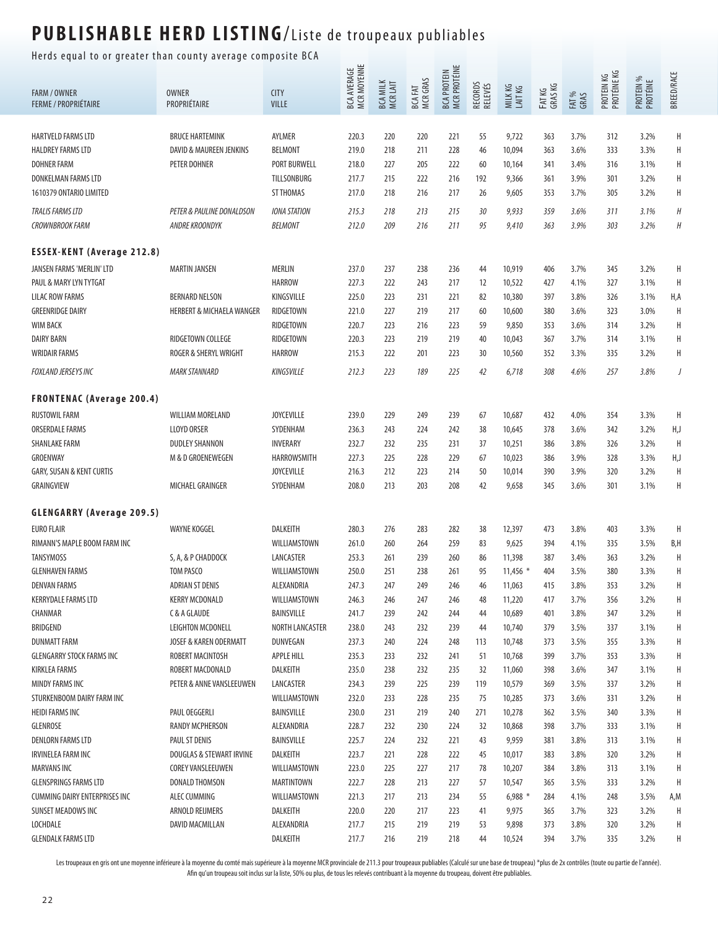Herds equal to or greater than county average composite BCA

| <b>FARM / OWNER</b><br><b>FERME / PROPRIÉTAIRE</b> | <b>OWNER</b><br>PROPRIÉTAIRE         | <b>CITY</b><br><b>VILLE</b> | MCR MOYENNE<br><b>BCA AVERAGE</b> | <b>BCA MILK</b><br>MCR LAIT | BCA FAT<br>MCR GRAS | <b>MCR PROTÉINE</b><br><b>BCA PROTEIN</b> | RECORDS<br>RELEVÉS | MILK KG<br>LAIT KG | FAT KG<br>GRAS KG | FAT %<br>GRAS | PROTEIN KG<br>PROTÉINE KG | PROTEIN %<br>PROTÉINE | <b>BREED/RACE</b> |
|----------------------------------------------------|--------------------------------------|-----------------------------|-----------------------------------|-----------------------------|---------------------|-------------------------------------------|--------------------|--------------------|-------------------|---------------|---------------------------|-----------------------|-------------------|
| <b>HARTVELD FARMS LTD</b>                          | <b>BRUCE HARTEMINK</b>               | AYLMER                      | 220.3                             | 220                         | 220                 | 221                                       | 55                 | 9,722              | 363               | 3.7%          | 312                       | 3.2%                  | Η                 |
| <b>HALDREY FARMS LTD</b>                           | DAVID & MAUREEN JENKINS              | <b>BELMONT</b>              | 219.0                             | 218                         | 211                 | 228                                       | 46                 | 10,094             | 363               | 3.6%          | 333                       | 3.3%                  | Н                 |
| <b>DOHNER FARM</b>                                 | PETER DOHNER                         | <b>PORT BURWELL</b>         | 218.0                             | 227                         | 205                 | 222                                       | 60                 | 10,164             | 341               | 3.4%          | 316                       | 3.1%                  | Н                 |
| DONKELMAN FARMS LTD                                |                                      | TILLSONBURG                 | 217.7                             | 215                         | 222                 | 216                                       | 192                | 9,366              | 361               | 3.9%          | 301                       | 3.2%                  | Н                 |
| 1610379 ONTARIO LIMITED                            |                                      | ST THOMAS                   | 217.0                             | 218                         | 216                 | 217                                       | 26                 | 9,605              | 353               | 3.7%          | 305                       | 3.2%                  | Н                 |
| <b>TRALIS FARMS LTD</b>                            | PETER & PAULINE DONALDSON            | <b>IONA STATION</b>         | 215.3                             | 218                         | 213                 | 215                                       | 30                 | 9,933              | 359               | 3.6%          | 311                       | 3.1%                  | Н                 |
| CROWNBROOK FARM                                    | <b>ANDRE KROONDYK</b>                | <b>BELMONT</b>              | 212.0                             | 209                         | 216                 | 211                                       | 95                 | 9,410              | 363               | 3.9%          | 303                       | 3.2%                  | Н                 |
| <b>ESSEX-KENT (Average 212.8)</b>                  |                                      |                             |                                   |                             |                     |                                           |                    |                    |                   |               |                           |                       |                   |
| JANSEN FARMS 'MERLIN' LTD                          | <b>MARTIN JANSEN</b>                 | <b>MERLIN</b>               | 237.0                             | 237                         | 238                 | 236                                       | 44                 | 10,919             | 406               | 3.7%          | 345                       | 3.2%                  | H                 |
| PAUL & MARY LYN TYTGAT                             |                                      | <b>HARROW</b>               | 227.3                             | 222                         | 243                 | 217                                       | 12                 | 10,522             | 427               | 4.1%          | 327                       | 3.1%                  | H                 |
| <b>LILAC ROW FARMS</b>                             | <b>BERNARD NELSON</b>                | KINGSVILLE                  | 225.0                             | 223                         | 231                 | 221                                       | 82                 | 10,380             | 397               | 3.8%          | 326                       | 3.1%                  | H,A               |
| <b>GREENRIDGE DAIRY</b>                            | <b>HERBERT &amp; MICHAELA WANGER</b> | RIDGETOWN                   | 221.0                             | 227                         | 219                 | 217                                       | 60                 | 10,600             | 380               | 3.6%          | 323                       | 3.0%                  | H                 |
| <b>WIM BACK</b>                                    |                                      | RIDGETOWN                   | 220.7                             | 223                         | 216                 | 223                                       | 59                 | 9,850              | 353               | 3.6%          | 314                       | 3.2%                  | Η                 |
| <b>DAIRY BARN</b>                                  | RIDGETOWN COLLEGE                    | RIDGETOWN                   | 220.3                             | 223                         | 219                 | 219                                       | 40                 | 10,043             | 367               | 3.7%          | 314                       | 3.1%                  | Η                 |
| <b>WRIDAIR FARMS</b>                               | ROGER & SHERYL WRIGHT                | <b>HARROW</b>               | 215.3                             | 222                         | 201                 | 223                                       | 30                 | 10,560             | 352               | 3.3%          | 335                       | 3.2%                  | Н                 |
| <b>FOXLAND JERSEYS INC</b>                         | <b>MARK STANNARD</b>                 | <b>KINGSVILLE</b>           | 212.3                             | 223                         | 189                 | 225                                       | 42                 | 6,718              | 308               | 4.6%          | 257                       | 3.8%                  | J                 |
|                                                    |                                      |                             |                                   |                             |                     |                                           |                    |                    |                   |               |                           |                       |                   |
| <b>FRONTENAC (Average 200.4)</b>                   |                                      |                             |                                   |                             |                     |                                           |                    |                    |                   |               |                           |                       |                   |
| <b>RUSTOWIL FARM</b>                               | <b>WILLIAM MORELAND</b>              | <b>JOYCEVILLE</b>           | 239.0                             | 229                         | 249                 | 239                                       | 67                 | 10,687             | 432               | 4.0%          | 354                       | 3.3%                  | H                 |
| <b>ORSERDALE FARMS</b>                             | <b>LLOYD ORSER</b>                   | SYDENHAM                    | 236.3                             | 243                         | 224                 | 242                                       | 38                 | 10,645             | 378               | 3.6%          | 342                       | 3.2%                  | H,J               |
| <b>SHANLAKE FARM</b>                               | <b>DUDLEY SHANNON</b>                | INVERARY                    | 232.7                             | 232                         | 235                 | 231                                       | 37                 | 10,251             | 386               | 3.8%          | 326                       | 3.2%                  | $\mathsf H$       |
| <b>GROENWAY</b>                                    | M & D GROENEWEGEN                    | HARROWSMITH                 | 227.3                             | 225                         | 228                 | 229                                       | 67                 | 10,023             | 386               | 3.9%          | 328                       | 3.3%                  | H,J               |
| GARY, SUSAN & KENT CURTIS                          |                                      | <b>JOYCEVILLE</b>           | 216.3                             | 212                         | 223                 | 214                                       | 50                 | 10,014             | 390               | 3.9%          | 320                       | 3.2%                  | H                 |
| GRAINGVIEW                                         | MICHAEL GRAINGER                     | SYDENHAM                    | 208.0                             | 213                         | 203                 | 208                                       | 42                 | 9,658              | 345               | 3.6%          | 301                       | 3.1%                  | Η                 |
| <b>GLENGARRY (Average 209.5)</b>                   |                                      |                             |                                   |                             |                     |                                           |                    |                    |                   |               |                           |                       |                   |
| <b>EURO FLAIR</b>                                  | <b>WAYNE KOGGEL</b>                  | DALKEITH                    | 280.3                             | 276                         | 283                 | 282                                       | 38                 | 12,397             | 473               | 3.8%          | 403                       | 3.3%                  | $\mathsf{H}$      |
| RIMANN'S MAPLE BOOM FARM INC                       |                                      | WILLIAMSTOWN                | 261.0                             | 260                         | 264                 | 259                                       | 83                 | 9,625              | 394               | 4.1%          | 335                       | 3.5%                  | B,H               |
| <b>TANSYMOSS</b>                                   | S, A, & P CHADDOCK                   | LANCASTER                   | 253.3                             | 261                         | 239                 | 260                                       | 86                 | 11,398             | 387               | 3.4%          | 363                       | 3.2%                  | H                 |
| <b>GLENHAVEN FARMS</b>                             | TOM PASCO                            | WILLIAMSTOWN                | 250.0                             | 251                         | 238                 | 261                                       | 95                 | $11,456$ *         | 404               | 3.5%          | 380                       | 3.3%                  | H                 |
| <b>DENVAN FARMS</b>                                | <b>ADRIAN ST DENIS</b>               | ALEXANDRIA                  | 247.3                             | 247                         | 249                 | 246                                       | 46                 | 11,063             | 415               | 3.8%          | 353                       | 3.2%                  | H                 |
| <b>KERRYDALE FARMS LTD</b>                         | <b>KERRY MCDONALD</b>                | WILLIAMSTOWN                | 246.3                             | 246                         | 247                 | 246                                       | 48                 | 11,220             | 417               | 3.7%          | 356                       | 3.2%                  | Η                 |
| CHANMAR                                            | C & A GLAUDE                         | BAINSVILLE                  | 241.7                             | 239                         | 242                 | 244                                       | 44                 | 10,689             | 401               | 3.8%          | 347                       | 3.2%                  | Н                 |
| BRIDGEND                                           | LEIGHTON MCDONELL                    | NORTH LANCASTER             | 238.0                             | 243                         | 232                 | 239                                       | 44                 | 10,740             | 379               | 3.5%          | 337                       | 3.1%                  | H                 |
| <b>DUNMATT FARM</b>                                | JOSEF & KAREN ODERMATT               | DUNVEGAN                    | 237.3                             | 240                         | 224                 | 248                                       | 113                | 10,748             | 373               | 3.5%          | 355                       | 3.3%                  | Н                 |
| <b>GLENGARRY STOCK FARMS INC</b>                   | ROBERT MACINTOSH                     | <b>APPLE HILL</b>           | 235.3                             | 233                         | 232                 | 241                                       | 51                 | 10,768             | 399               | 3.7%          | 353                       | 3.3%                  | H                 |
| KIRKLEA FARMS                                      | ROBERT MACDONALD                     | DALKEITH                    | 235.0                             | 238                         | 232                 | 235                                       | 32                 | 11,060             | 398               | 3.6%          | 347                       | 3.1%                  | Н                 |
| MINDY FARMS INC                                    | PETER & ANNE VANSLEEUWEN             | LANCASTER                   | 234.3                             | 239                         | 225                 | 239                                       | 119                | 10,579             | 369               | 3.5%          | 337                       | 3.2%                  | Н                 |
| STURKENBOOM DAIRY FARM INC                         |                                      | WILLIAMSTOWN                | 232.0                             | 233                         | 228                 | 235                                       | 75                 | 10,285             | 373               | 3.6%          | 331                       | 3.2%                  | H                 |
| <b>HEIDI FARMS INC</b>                             | PAUL OEGGERLI                        | BAINSVILLE                  | 230.0                             | 231                         | 219                 | 240                                       | 271                | 10,278             | 362               | 3.5%          | 340                       | 3.3%                  | H                 |
| GLENROSE                                           | RANDY MCPHERSON                      | ALEXANDRIA                  | 228.7                             | 232                         | 230                 | 224                                       | 32                 | 10,868             | 398               | 3.7%          | 333                       | 3.1%                  | H                 |
| <b>DENLORN FARMS LTD</b>                           | PAUL ST DENIS                        | BAINSVILLE                  | 225.7                             | 224                         | 232                 | 221                                       | 43                 | 9,959              | 381               | 3.8%          | 313                       | 3.1%                  | Н                 |
| IRVINELEA FARM INC                                 | DOUGLAS & STEWART IRVINE             | DALKEITH                    | 223.7                             | 221                         | 228                 | 222                                       | 45                 | 10,017             | 383               | 3.8%          | 320                       | 3.2%                  | Н                 |
| <b>MARVANS INC</b>                                 | <b>COREY VANSLEEUWEN</b>             | WILLIAMSTOWN                | 223.0                             | 225                         | 227                 | 217                                       | 78                 | 10,207             | 384               | 3.8%          | 313                       | 3.1%                  | H                 |
| <b>GLENSPRINGS FARMS LTD</b>                       | DONALD THOMSON                       | MARTINTOWN                  | 222.7                             | 228                         | 213                 | 227                                       | 57                 | 10,547             | 365               | 3.5%          | 333                       | 3.2%                  | H                 |
| <b>CUMMING DAIRY ENTERPRISES INC</b>               | ALEC CUMMING                         | WILLIAMSTOWN                | 221.3                             | 217                         | 213                 | 234                                       | 55                 | $6,988$ *          | 284               | 4.1%          | 248                       | 3.5%                  | A,M               |
| <b>SUNSET MEADOWS INC</b>                          | ARNOLD REIJMERS                      | DALKEITH                    | 220.0                             | 220                         | 217                 | 223                                       | 41                 | 9,975              | 365               | 3.7%          | 323                       | 3.2%                  | H                 |
| LOCHDALE                                           | DAVID MACMILLAN                      | ALEXANDRIA                  | 217.7                             | 215                         | 219                 | 219                                       | 53                 | 9,898              | 373               | 3.8%          | 320                       | 3.2%                  | H                 |
| <b>GLENDALK FARMS LTD</b>                          |                                      | DALKEITH                    | 217.7                             | 216                         | 219                 | 218                                       | 44                 | 10,524             | 394               | 3.7%          | 335                       | 3.2%                  | Н                 |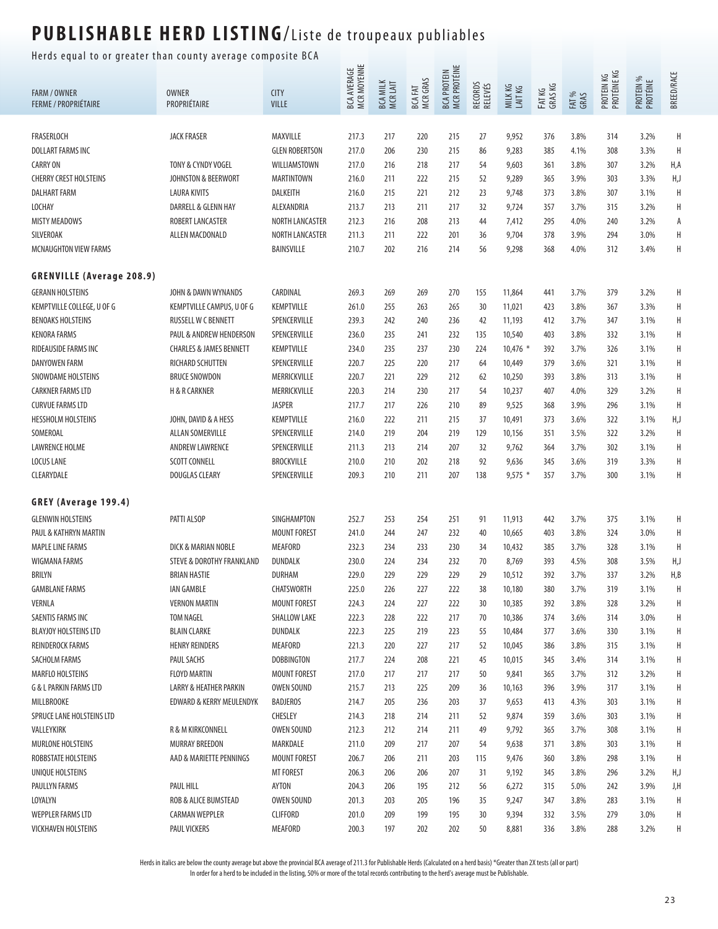Herds equal to or greater than county average composite BCA

| <b>FARM / OWNER</b><br><b>FERME / PROPRIÉTAIRE</b> | <b>OWNER</b><br>PROPRIÉTAIRE         | <b>CITY</b><br><b>VILLE</b> | BCA AVERAGE<br>MCR MOYENNE | <b>BCA MILK</b><br>MCR LAIT | BCA FAT<br>MCR GRAS | MCR PROTÉINE<br><b>BCA PROTEIN</b> | RECORDS<br>RELEVÉS | MILK KG<br>LAIT KG | FAT KG<br>GRAS KG | FAT %<br>GRAS | PROTEIN KG<br>PROTÉINE KG | PROTEIN %<br>PROTÉINE | <b>BREED/RACE</b> |
|----------------------------------------------------|--------------------------------------|-----------------------------|----------------------------|-----------------------------|---------------------|------------------------------------|--------------------|--------------------|-------------------|---------------|---------------------------|-----------------------|-------------------|
| FRASERLOCH                                         | <b>JACK FRASER</b>                   | MAXVILLE                    | 217.3                      | 217                         | 220                 | 215                                | 27                 | 9,952              | 376               | 3.8%          | 314                       | 3.2%                  | H                 |
| DOLLART FARMS INC                                  |                                      | <b>GLEN ROBERTSON</b>       | 217.0                      | 206                         | 230                 | 215                                | 86                 | 9,283              | 385               | 4.1%          | 308                       | 3.3%                  | H                 |
| <b>CARRY ON</b>                                    | <b>TONY &amp; CYNDY VOGEL</b>        | WILLIAMSTOWN                | 217.0                      | 216                         | 218                 | 217                                | 54                 | 9,603              | 361               | 3.8%          | 307                       | 3.2%                  | H,A               |
| <b>CHERRY CREST HOLSTEINS</b>                      | <b>JOHNSTON &amp; BEERWORT</b>       | MARTINTOWN                  | 216.0                      | 211                         | 222                 | 215                                | 52                 | 9,289              | 365               | 3.9%          | 303                       | 3.3%                  | H,J               |
| <b>DALHART FARM</b>                                | LAURA KIVITS                         | DALKEITH                    | 216.0                      | 215                         | 221                 | 212                                | 23                 | 9,748              | 373               | 3.8%          | 307                       | 3.1%                  | Η                 |
| LOCHAY                                             | DARRELL & GLENN HAY                  | ALEXANDRIA                  | 213.7                      | 213                         | 211                 | 217                                | 32                 | 9,724              | 357               | 3.7%          | 315                       | 3.2%                  | Η                 |
| <b>MISTY MEADOWS</b>                               | ROBERT LANCASTER                     | NORTH LANCASTER             | 212.3                      | 216                         | 208                 | 213                                | 44                 | 7,412              | 295               | 4.0%          | 240                       | 3.2%                  | А                 |
| SILVEROAK                                          | ALLEN MACDONALD                      | NORTH LANCASTER             | 211.3                      | 211                         | 222                 | 201                                | 36                 | 9,704              | 378               | 3.9%          | 294                       | 3.0%                  | Η                 |
| MCNAUGHTON VIEW FARMS                              |                                      | BAINSVILLE                  | 210.7                      | 202                         | 216                 | 214                                | 56                 | 9,298              | 368               | 4.0%          | 312                       | 3.4%                  | Η                 |
| <b>GRENVILLE (Average 208.9)</b>                   |                                      |                             |                            |                             |                     |                                    |                    |                    |                   |               |                           |                       |                   |
| <b>GERANN HOLSTEINS</b>                            | JOHN & DAWN WYNANDS                  | CARDINAL                    | 269.3                      | 269                         | 269                 | 270                                | 155                | 11,864             | 441               | 3.7%          | 379                       | 3.2%                  | Η                 |
| KEMPTVILLE COLLEGE, U OF G                         | KEMPTVILLE CAMPUS, U OF G            | KEMPTVILLE                  | 261.0                      | 255                         | 263                 | 265                                | 30                 | 11,021             | 423               | 3.8%          | 367                       | 3.3%                  | Η                 |
| <b>BENOAKS HOLSTEINS</b>                           | RUSSELL W C BENNETT                  | SPENCERVILLE                | 239.3                      | 242                         | 240                 | 236                                | 42                 | 11,193             | 412               | 3.7%          | 347                       | 3.1%                  | Η                 |
| <b>KENORA FARMS</b>                                | PAUL & ANDREW HENDERSON              | SPENCERVILLE                | 236.0                      | 235                         | 241                 | 232                                | 135                | 10,540             | 403               | 3.8%          | 332                       | 3.1%                  | Η                 |
| RIDEAUSIDE FARMS INC                               | <b>CHARLES &amp; JAMES BENNETT</b>   | <b>KEMPTVILLE</b>           | 234.0                      | 235                         | 237                 | 230                                | 224                | $10,476$ *         | 392               | 3.7%          | 326                       | 3.1%                  | Н                 |
| DANYOWEN FARM                                      | RICHARD SCHUTTEN                     | SPENCERVILLE                | 220.7                      | 225                         | 220                 | 217                                | 64                 | 10,449             | 379               | 3.6%          | 321                       | 3.1%                  | Н                 |
| SNOWDAME HOLSTEINS                                 | <b>BRUCE SNOWDON</b>                 | MERRICKVILLE                | 220.7                      | 221                         | 229                 | 212                                | 62                 | 10,250             | 393               | 3.8%          | 313                       | 3.1%                  | Н                 |
| <b>CARKNER FARMS LTD</b>                           | H & R CARKNER                        | MERRICKVILLE                | 220.3                      | 214                         | 230                 | 217                                | 54                 | 10,237             | 407               | 4.0%          | 329                       | 3.2%                  | Н                 |
| <b>CURVUE FARMS LTD</b>                            |                                      | <b>JASPER</b>               | 217.7                      | 217                         | 226                 | 210                                | 89                 | 9,525              | 368               | 3.9%          | 296                       | 3.1%                  | Η                 |
| HESSHOLM HOLSTEINS                                 | JOHN, DAVID & A HESS                 | KEMPTVILLE                  | 216.0                      | 222                         | 211                 | 215                                | 37                 | 10,491             | 373               | 3.6%          | 322                       | 3.1%                  | H,J               |
| SOMEROAL                                           | <b>ALLAN SOMERVILLE</b>              | SPENCERVILLE                | 214.0                      | 219                         | 204                 | 219                                | 129                | 10,156             | 351               | 3.5%          | 322                       | 3.2%                  | Η                 |
| <b>LAWRENCE HOLME</b>                              | <b>ANDREW LAWRENCE</b>               | SPENCERVILLE                | 211.3                      | 213                         | 214                 | 207                                | 32                 | 9,762              | 364               | 3.7%          | 302                       | 3.1%                  | Η                 |
| <b>LOCUS LANE</b>                                  | <b>SCOTT CONNELL</b>                 | BROCKVILLE                  | 210.0                      | 210                         | 202                 | 218                                | 92                 | 9,636              | 345               | 3.6%          | 319                       | 3.3%                  | Η                 |
| CLEARYDALE                                         | DOUGLAS CLEARY                       | SPENCERVILLE                | 209.3                      | 210                         | 211                 | 207                                | 138                | $9,575$ *          | 357               | 3.7%          | 300                       | 3.1%                  | Η                 |
| GREY (Average 199.4)                               |                                      |                             |                            |                             |                     |                                    |                    |                    |                   |               |                           |                       |                   |
| <b>GLENWIN HOLSTEINS</b>                           | PATTI ALSOP                          | SINGHAMPTON                 | 252.7                      | 253                         | 254                 | 251                                | 91                 | 11,913             | 442               | 3.7%          | 375                       | 3.1%                  | H                 |
| PAUL & KATHRYN MARTIN                              |                                      | <b>MOUNT FOREST</b>         | 241.0                      | 244                         | 247                 | 232                                | 40                 | 10,665             | 403               | 3.8%          | 324                       | 3.0%                  | Η                 |
| <b>MAPLE LINE FARMS</b>                            | DICK & MARIAN NOBLE                  | <b>MEAFORD</b>              | 232.3                      | 234                         | 233                 | 230                                | 34                 | 10,432             | 385               | 3.7%          | 328                       | 3.1%                  | Η                 |
| WIGMANA FARMS                                      | <b>STEVE &amp; DOROTHY FRANKLAND</b> | DUNDALK                     | 230.0                      | 224                         | 234                 | 232                                | 70                 | 8,769              | 393               | 4.5%          | 308                       | 3.5%                  | H,J               |
| <b>BRILYN</b>                                      | <b>BRIAN HASTIE</b>                  | DURHAM                      | 229.0                      | 229                         | 229                 | 229                                | 29                 | 10,512             | 392               | 3.7%          | 337                       | 3.2%                  | H, B              |
| <b>GAMBLANE FARMS</b>                              | IAN GAMBLE                           | <b>CHATSWORTH</b>           | 225.0                      | 226                         | 227                 | 222                                | 38                 | 10,180             | 380               | 3.7%          | 319                       | 3.1%                  | H                 |
| VERNLA                                             | <b>VERNON MARTIN</b>                 | <b>MOUNT FOREST</b>         | 224.3                      | 224                         | 227                 | 222                                | 30                 | 10,385             | 392               | 3.8%          | 328                       | 3.2%                  | Н                 |
| SAENTIS FARMS INC                                  | <b>TOM NAGEL</b>                     | <b>SHALLOW LAKE</b>         | 222.3                      | 228                         | 222                 | 217                                | 70                 | 10,386             | 374               | 3.6%          | 314                       | 3.0%                  | H                 |
| <b>BLAYJOY HOLSTEINS LTD</b>                       | <b>BLAIN CLARKE</b>                  | <b>DUNDALK</b>              | 222.3                      | 225                         | 219                 | 223                                | 55                 | 10,484             | 377               | 3.6%          | 330                       | 3.1%                  | Н                 |
| <b>REINDEROCK FARMS</b>                            | <b>HENRY REINDERS</b>                | MEAFORD                     | 221.3                      | 220                         | 227                 | 217                                | 52                 | 10,045             | 386               | 3.8%          | 315                       | 3.1%                  | Η                 |
| <b>SACHOLM FARMS</b>                               | PAUL SACHS                           | <b>DOBBINGTON</b>           | 217.7                      | 224                         | 208                 | 221                                | 45                 | 10,015             | 345               | 3.4%          | 314                       | 3.1%                  | Η                 |
| MARFLO HOLSTEINS                                   | <b>FLOYD MARTIN</b>                  | <b>MOUNT FOREST</b>         | 217.0                      | 217                         | 217                 | 217                                | 50                 | 9,841              | 365               | 3.7%          | 312                       | 3.2%                  | Η                 |
| <b>G &amp; L PARKIN FARMS LTD</b>                  | LARRY & HEATHER PARKIN               | <b>OWEN SOUND</b>           | 215.7                      | 213                         | 225                 | 209                                | 36                 | 10,163             | 396               | 3.9%          | 317                       | 3.1%                  | Н                 |
| MILLBROOKE                                         | EDWARD & KERRY MEULENDYK             | <b>BADJEROS</b>             | 214.7                      | 205                         | 236                 | 203                                | 37                 | 9,653              | 413               | 4.3%          | 303                       | 3.1%                  | Н                 |
| SPRUCE LANE HOLSTEINS LTD                          |                                      | CHESLEY                     | 214.3                      | 218                         | 214                 | 211                                | 52                 | 9,874              | 359               | 3.6%          | 303                       | 3.1%                  | Η                 |
| VALLEYKIRK                                         | R & M KIRKCONNELL                    | <b>OWEN SOUND</b>           | 212.3                      | 212                         | 214                 | 211                                | 49                 | 9,792              | 365               | 3.7%          | 308                       | 3.1%                  | Η                 |
| MURLONE HOLSTEINS                                  | MURRAY BREEDON                       | MARKDALE                    | 211.0                      | 209                         | 217                 | 207                                | 54                 | 9,638              | 371               | 3.8%          | 303                       | 3.1%                  | Η                 |
| ROBBSTATE HOLSTEINS                                | AAD & MARIETTE PENNINGS              | <b>MOUNT FOREST</b>         | 206.7                      | 206                         | 211                 | 203                                | 115                | 9,476              | 360               | 3.8%          | 298                       | 3.1%                  | Η                 |
| UNIQUE HOLSTEINS                                   |                                      | <b>MT FOREST</b>            | 206.3                      | 206                         | 206                 | 207                                | 31                 | 9,192              | 345               | 3.8%          | 296                       | 3.2%                  | H,J               |
| PAULLYN FARMS                                      | PAUL HILL                            | <b>AYTON</b>                | 204.3                      | 206                         | 195                 | 212                                | 56                 | 6,272              | 315               | 5.0%          | 242                       | 3.9%                  | J,H               |
| LOYALYN                                            | ROB & ALICE BUMSTEAD                 | <b>OWEN SOUND</b>           | 201.3                      | 203                         | 205                 | 196                                | 35                 | 9,247              | 347               | 3.8%          | 283                       | 3.1%                  | Н                 |
| WEPPLER FARMS LTD                                  | <b>CARMAN WEPPLER</b>                | <b>CLIFFORD</b>             | 201.0                      | 209                         | 199                 | 195                                | 30                 | 9,394              | 332               | 3.5%          | 279                       | 3.0%                  | Η                 |
| VICKHAVEN HOLSTEINS                                | PAUL VICKERS                         | MEAFORD                     | 200.3                      | 197                         | 202                 | 202                                | 50                 | 8,881              | 336               | 3.8%          | 288                       | 3.2%                  | Н                 |

Herds in italics are below the county average but above the provincial BCA average of 211.3 for Publishable Herds (Calculated on a herd basis) \*Greater than 2X tests (all or part) In order for a herd to be included in the listing, 50% or more of the total records contributing to the herd's average must be Publishable.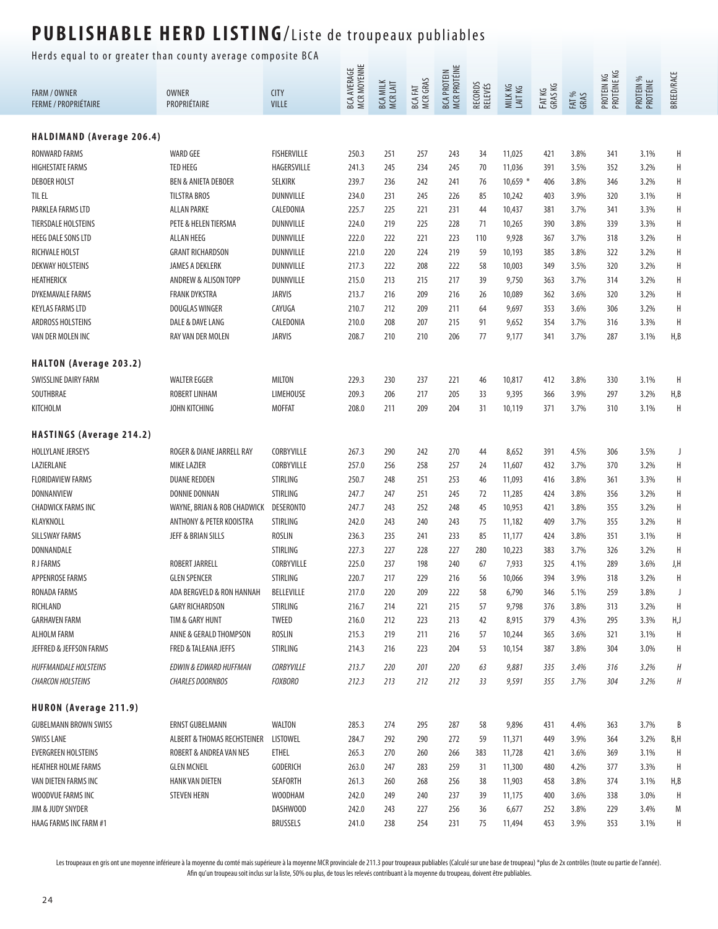Herds equal to or greater than county average composite BCA

| <b>FARM / OWNER</b>             | <b>OWNER</b>                   | <b>CITY</b>        | MCR MOYENNE<br><b>BCA AVERAGE</b> | <b>BCA MILK</b><br>MCR LAIT | MCR GRAS<br><b>BCA FAT</b> | MCR PROTÉINE<br><b>BCA PROTEIN</b> | RECORDS<br>RELEVÉS | MILK KG<br>LAIT KG | FAT KG<br>GRAS KG | FAT %<br>GRAS | PROTEIN KG<br>PROTÉINE KG | PROTEIN %<br>PROTÉINE | <b>BREED/RACE</b>       |
|---------------------------------|--------------------------------|--------------------|-----------------------------------|-----------------------------|----------------------------|------------------------------------|--------------------|--------------------|-------------------|---------------|---------------------------|-----------------------|-------------------------|
| <b>FERME / PROPRIÉTAIRE</b>     | PROPRIÉTAIRE                   | <b>VILLE</b>       |                                   |                             |                            |                                    |                    |                    |                   |               |                           |                       |                         |
|                                 |                                |                    |                                   |                             |                            |                                    |                    |                    |                   |               |                           |                       |                         |
| HALDIMAND (Average 206.4)       |                                |                    |                                   |                             |                            |                                    |                    |                    |                   |               |                           |                       |                         |
| RONWARD FARMS                   | <b>WARD GEE</b>                | <b>FISHERVILLE</b> | 250.3                             | 251                         | 257                        | 243                                | 34                 | 11,025             | 421               | 3.8%          | 341                       | 3.1%                  | Η                       |
| <b>HIGHESTATE FARMS</b>         | TED HEEG                       | HAGERSVILLE        | 241.3                             | 245                         | 234                        | 245                                | 70                 | 11,036             | 391               | 3.5%          | 352                       | 3.2%                  | H                       |
| <b>DEBOER HOLST</b>             | <b>BEN &amp; ANIETA DEBOER</b> | SELKIRK            | 239.7                             | 236                         | 242                        | 241                                | 76                 | $10,659$ *         | 406               | 3.8%          | 346                       | 3.2%                  | Н                       |
| TIL EL                          | <b>TILSTRA BROS</b>            | DUNNVILLE          | 234.0                             | 231                         | 245                        | 226                                | 85                 | 10,242             | 403               | 3.9%          | 320                       | 3.1%                  | Н                       |
| PARKLEA FARMS LTD               | <b>ALLAN PARKE</b>             | CALEDONIA          | 225.7                             | 225                         | 221                        | 231                                | 44                 | 10,437             | 381               | 3.7%          | 341                       | 3.3%                  | Н                       |
| TIERSDALE HOLSTEINS             | PETE & HELEN TIERSMA           | DUNNVILLE          | 224.0                             | 219                         | 225                        | 228                                | 71                 | 10,265             | 390               | 3.8%          | 339                       | 3.3%                  | Н                       |
| <b>HEEG DALE SONS LTD</b>       | <b>ALLAN HEEG</b>              | DUNNVILLE          | 222.0                             | 222                         | 221                        | 223                                | 110                | 9,928              | 367               | 3.7%          | 318                       | 3.2%                  | Н                       |
| RICHVALE HOLST                  | <b>GRANT RICHARDSON</b>        | DUNNVILLE          | 221.0                             | 220                         | 224                        | 219                                | 59                 | 10,193             | 385               | 3.8%          | 322                       | 3.2%                  | Н                       |
| <b>DEKWAY HOLSTEINS</b>         | <b>JAMES A DEKLERK</b>         | DUNNVILLE          | 217.3                             | 222                         | 208                        | 222                                | 58                 | 10,003             | 349               | 3.5%          | 320                       | 3.2%                  | Н                       |
| HEATHERICK                      | ANDREW & ALISON TOPP           | DUNNVILLE          | 215.0                             | 213                         | 215                        | 217                                | 39                 | 9,750              | 363               | 3.7%          | 314                       | 3.2%                  | Н                       |
| <b>DYKEMAVALE FARMS</b>         | <b>FRANK DYKSTRA</b>           | <b>JARVIS</b>      | 213.7                             | 216                         | 209                        | 216                                | 26                 | 10,089             | 362               | 3.6%          | 320                       | 3.2%                  | Н                       |
| <b>KEYLAS FARMS LTD</b>         | <b>DOUGLAS WINGER</b>          | CAYUGA             | 210.7                             | 212                         | 209                        | 211                                | 64                 | 9,697              | 353               | 3.6%          | 306                       | 3.2%                  | H                       |
| ARDROSS HOLSTEINS               | DALE & DAVE LANG               | CALEDONIA          | 210.0                             | 208                         | 207                        | 215                                | 91                 | 9,652              | 354               | 3.7%          | 316                       | 3.3%                  | H                       |
| VAN DER MOLEN INC               | RAY VAN DER MOLEN              | <b>JARVIS</b>      | 208.7                             | 210                         | 210                        | 206                                | 77                 | 9,177              | 341               | 3.7%          | 287                       | 3.1%                  | H,B                     |
|                                 |                                |                    |                                   |                             |                            |                                    |                    |                    |                   |               |                           |                       |                         |
| <b>HALTON (Average 203.2)</b>   |                                |                    |                                   |                             |                            |                                    |                    |                    |                   |               |                           |                       |                         |
| SWISSLINE DAIRY FARM            | <b>WALTER EGGER</b>            | <b>MILTON</b>      | 229.3                             | 230                         | 237                        | 221                                | 46                 | 10,817             | 412               | 3.8%          | 330                       | 3.1%                  | Η                       |
| SOUTHBRAE                       | <b>ROBERT LINHAM</b>           | <b>LIMEHOUSE</b>   | 209.3                             | 206                         | 217                        | 205                                | 33                 | 9,395              | 366               | 3.9%          | 297                       | 3.2%                  | H, B                    |
| KITCHOLM                        | JOHN KITCHING                  | <b>MOFFAT</b>      | 208.0                             | 211                         | 209                        | 204                                | 31                 | 10,119             | 371               | 3.7%          | 310                       | 3.1%                  | H                       |
|                                 |                                |                    |                                   |                             |                            |                                    |                    |                    |                   |               |                           |                       |                         |
| <b>HASTINGS (Average 214.2)</b> |                                |                    |                                   |                             |                            |                                    |                    |                    |                   |               |                           |                       |                         |
| <b>HOLLYLANE JERSEYS</b>        | ROGER & DIANE JARRELL RAY      | CORBYVILLE         | 267.3                             | 290                         | 242                        | 270                                | 44                 | 8,652              | 391               | 4.5%          | 306                       | 3.5%                  | J                       |
| LAZIERLANE                      | <b>MIKE LAZIER</b>             | CORBYVILLE         | 257.0                             | 256                         | 258                        | 257                                | 24                 | 11,607             | 432               | 3.7%          | 370                       | 3.2%                  | Н                       |
| <b>FLORIDAVIEW FARMS</b>        | <b>DUANE REDDEN</b>            | <b>STIRLING</b>    | 250.7                             | 248                         | 251                        | 253                                | 46                 | 11,093             | 416               | 3.8%          | 361                       | 3.3%                  | Н                       |
| DONNANVIEW                      | DONNIE DONNAN                  | <b>STIRLING</b>    | 247.7                             | 247                         | 251                        | 245                                | 72                 | 11,285             | 424               | 3.8%          | 356                       | 3.2%                  | Н                       |
| <b>CHADWICK FARMS INC</b>       | WAYNE, BRIAN & ROB CHADWICK    | <b>DESERONTO</b>   | 247.7                             | 243                         | 252                        | 248                                | 45                 | 10,953             | 421               | 3.8%          | 355                       | 3.2%                  | Η                       |
| KLAYKNOLL                       | ANTHONY & PETER KOOISTRA       | <b>STIRLING</b>    | 242.0                             | 243                         | 240                        | 243                                | 75                 | 11,182             | 409               | 3.7%          | 355                       | 3.2%                  | Н                       |
| <b>SILLSWAY FARMS</b>           | JEFF & BRIAN SILLS             | <b>ROSLIN</b>      | 236.3                             | 235                         | 241                        | 233                                | 85                 | 11,177             | 424               | 3.8%          | 351                       | 3.1%                  | Н                       |
| DONNANDALE                      |                                | <b>STIRLING</b>    | 227.3                             | 227                         | 228                        | 227                                | 280                | 10,223             | 383               | 3.7%          | 326                       | 3.2%                  | Η                       |
| <b>RJFARMS</b>                  | ROBERT JARRELL                 | CORBYVILLE         | 225.0                             | 237                         | 198                        | 240                                | 67                 | 7,933              | 325               | 4.1%          | 289                       | 3.6%                  | J,H                     |
| <b>APPENROSE FARMS</b>          | <b>GLEN SPENCER</b>            | STIRLING           | 220.7                             | 217                         | 229                        | 216                                | 56                 | 10,066             | 394               | 3.9%          | 318                       | 3.2%                  | Η                       |
| RONADA FARMS                    | ADA BERGVELD & RON HANNAH      | BELLEVILLE         | 217.0                             | 220                         | 209                        | 222                                | 58                 | 6,790              | 346               | 5.1%          | 259                       | 3.8%                  | J                       |
| RICHLAND                        | <b>GARY RICHARDSON</b>         | STIRLING           | 216.7                             | 214                         | 221                        | 215                                | 57                 | 9,798              | 376               | 3.8%          | 313                       | 3.2%                  | Н                       |
| <b>GARHAVEN FARM</b>            | TIM & GARY HUNT                | TWEED              | 216.0                             | 212                         | 223                        | 213                                | 42                 | 8,915              | 379               | 4.3%          | 295                       | 3.3%                  | H,J                     |
| <b>ALHOLM FARM</b>              | ANNE & GERALD THOMPSON         | <b>ROSLIN</b>      | 215.3                             | 219                         | 211                        | 216                                | 57                 | 10,244             | 365               | 3.6%          | 321                       | 3.1%                  | Н                       |
| JEFFRED & JEFFSON FARMS         | FRED & TALEANA JEFFS           | STIRLING           | 214.3                             | 216                         | 223                        | 204                                | 53                 | 10,154             | 387               | 3.8%          | 304                       | 3.0%                  | Н                       |
| <b>HUFFMANDALE HOLSTEINS</b>    | EDWIN & EDWARD HUFFMAN         | <b>CORBYVILLE</b>  | 213.7                             | 220                         | 201                        | 220                                | 63                 | 9,881              | 335               | 3.4%          | 316                       | 3.2%                  | Η                       |
| <b>CHARCON HOLSTEINS</b>        | <b>CHARLES DOORNBOS</b>        | <b>FOXBORO</b>     | 212.3                             | 213                         | 212                        | 212                                | 33                 | 9,591              | 355               | 3.7%          | 304                       | 3.2%                  | Η                       |
|                                 |                                |                    |                                   |                             |                            |                                    |                    |                    |                   |               |                           |                       |                         |
| <b>HURON</b> (Average 211.9)    |                                |                    |                                   |                             |                            |                                    |                    |                    |                   |               |                           |                       |                         |
| <b>GUBELMANN BROWN SWISS</b>    | ERNST GUBELMANN                | <b>WALTON</b>      | 285.3                             | 274                         | 295                        | 287                                | 58                 | 9,896              | 431               | 4.4%          | 363                       | 3.7%                  | B                       |
| <b>SWISS LANE</b>               | ALBERT & THOMAS RECHSTEINER    | <b>LISTOWEL</b>    | 284.7                             | 292                         | 290                        | 272                                | 59                 | 11,371             | 449               | 3.9%          | 364                       | 3.2%                  | B,H                     |
| <b>EVERGREEN HOLSTEINS</b>      | ROBERT & ANDREA VAN NES        | <b>ETHEL</b>       | 265.3                             | 270                         | 260                        | 266                                | 383                | 11,728             | 421               | 3.6%          | 369                       | 3.1%                  | Η                       |
| <b>HEATHER HOLME FARMS</b>      | <b>GLEN MCNEIL</b>             | <b>GODERICH</b>    | 263.0                             | 247                         | 283                        | 259                                | 31                 | 11,300             | 480               | 4.2%          | 377                       | 3.3%                  | H                       |
| VAN DIETEN FARMS INC            | HANK VAN DIETEN                | SEAFORTH           | 261.3                             | 260                         | 268                        | 256                                | 38                 | 11,903             | 458               | 3.8%          | 374                       | 3.1%                  | $\mathsf{H},\mathsf{B}$ |
| WOODVUE FARMS INC               | <b>STEVEN HERN</b>             | <b>WOODHAM</b>     | 242.0                             | 249                         | 240                        | 237                                | 39                 | 11,175             | 400               | 3.6%          | 338                       | 3.0%                  | Н                       |
| JIM & JUDY SNYDER               |                                | DASHWOOD           | 242.0                             | 243                         | 227                        | 256                                | 36                 | 6,677              | 252               | 3.8%          | 229                       | 3.4%                  | M                       |
| HAAG FARMS INC FARM #1          |                                | BRUSSELS           | 241.0                             | 238                         | 254                        | 231                                | 75                 | 11,494             | 453               | 3.9%          | 353                       | 3.1%                  | H                       |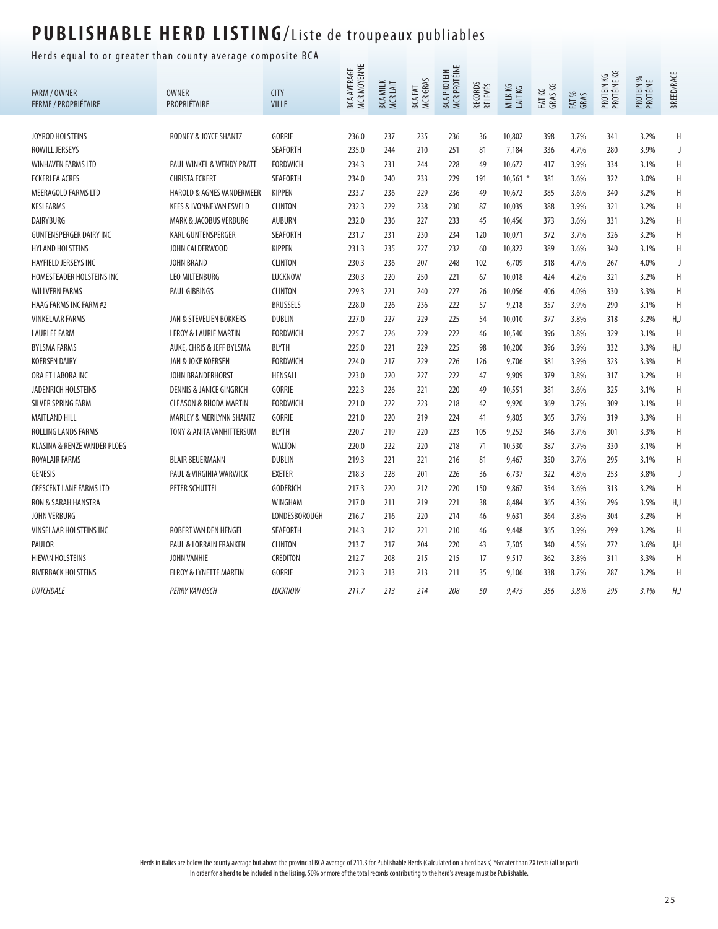Herds equal to or greater than county average composite BCA

| <b>FARM / OWNER</b><br><b>FERME / PROPRIÉTAIRE</b> | <b>OWNER</b><br>PROPRIÉTAIRE         | <b>CITY</b><br><b>VILLE</b> | MCR MOYENNE<br><b>BCA AVERAGE</b> | <b>MILK</b><br>MCRLAIT<br>BCA <sub>I</sub> | BCA FAT<br>MCR GRAS | <b>MCR PROTÉINE</b><br><b>BCA PROTEIN</b> | RECORDS<br>RELEVÉS | MILK KG<br>LAIT KG | FATKG<br>GRAS KG | FAT%<br>GRAS | PROTEIN KG<br>PROTÉINE KG | PROTEIN %<br>PROTÉINE | <b>BREED/RACE</b> |
|----------------------------------------------------|--------------------------------------|-----------------------------|-----------------------------------|--------------------------------------------|---------------------|-------------------------------------------|--------------------|--------------------|------------------|--------------|---------------------------|-----------------------|-------------------|
| JOYROD HOLSTEINS                                   | RODNEY & JOYCE SHANTZ                | <b>GORRIE</b>               | 236.0                             | 237                                        | 235                 | 236                                       | 36                 | 10,802             | 398              | 3.7%         | 341                       | 3.2%                  | H                 |
| ROWILL JERSEYS                                     |                                      | SEAFORTH                    | 235.0                             | 244                                        | 210                 | 251                                       | 81                 | 7,184              | 336              | 4.7%         | 280                       | 3.9%                  | J                 |
| <b>WINHAVEN FARMS LTD</b>                          | PAUL WINKEL & WENDY PRATT            | <b>FORDWICH</b>             | 234.3                             | 231                                        | 244                 | 228                                       | 49                 | 10,672             | 417              | 3.9%         | 334                       | 3.1%                  | Н                 |
| <b>ECKERLEA ACRES</b>                              | <b>CHRISTA ECKERT</b>                | <b>SEAFORTH</b>             | 234.0                             | 240                                        | 233                 | 229                                       | 191                | $10,561$ *         | 381              | 3.6%         | 322                       | 3.0%                  | H                 |
| <b>MEERAGOLD FARMS LTD</b>                         | <b>HAROLD &amp; AGNES VANDERMEER</b> | <b>KIPPEN</b>               | 233.7                             | 236                                        | 229                 | 236                                       | 49                 | 10,672             | 385              | 3.6%         | 340                       | 3.2%                  | H                 |
| <b>KESI FARMS</b>                                  | <b>KEES &amp; IVONNE VAN ESVELD</b>  | <b>CLINTON</b>              | 232.3                             | 229                                        | 238                 | 230                                       | 87                 | 10,039             | 388              | 3.9%         | 321                       | 3.2%                  | H                 |
| <b>DAIRYBURG</b>                                   | <b>MARK &amp; JACOBUS VERBURG</b>    | <b>AUBURN</b>               | 232.0                             | 236                                        | 227                 | 233                                       | 45                 | 10,456             | 373              | 3.6%         | 331                       | 3.2%                  | Н                 |
| <b>GUNTENSPERGER DAIRY INC</b>                     | KARL GUNTENSPERGER                   | <b>SEAFORTH</b>             | 231.7                             | 231                                        | 230                 | 234                                       | 120                | 10,071             | 372              | 3.7%         | 326                       | 3.2%                  | Н                 |
| <b>HYLAND HOLSTEINS</b>                            | JOHN CALDERWOOD                      | <b>KIPPEN</b>               | 231.3                             | 235                                        | 227                 | 232                                       | 60                 | 10,822             | 389              | 3.6%         | 340                       | 3.1%                  | Н                 |
| <b>HAYFIELD JERSEYS INC</b>                        | <b>JOHN BRAND</b>                    | <b>CLINTON</b>              | 230.3                             | 236                                        | 207                 | 248                                       | 102                | 6,709              | 318              | 4.7%         | 267                       | 4.0%                  | J                 |
| HOMESTEADER HOLSTEINS INC                          | <b>LEO MILTENBURG</b>                | <b>LUCKNOW</b>              | 230.3                             | 220                                        | 250                 | 221                                       | 67                 | 10,018             | 424              | 4.2%         | 321                       | 3.2%                  | Н                 |
| <b>WILLVERN FARMS</b>                              | PAUL GIBBINGS                        | <b>CLINTON</b>              | 229.3                             | 221                                        | 240                 | 227                                       | 26                 | 10,056             | 406              | 4.0%         | 330                       | 3.3%                  | Н                 |
| <b>HAAG FARMS INC FARM #2</b>                      |                                      | <b>BRUSSELS</b>             | 228.0                             | 226                                        | 236                 | 222                                       | 57                 | 9,218              | 357              | 3.9%         | 290                       | 3.1%                  | H                 |
| <b>VINKELAAR FARMS</b>                             | JAN & STEVELIEN BOKKERS              | <b>DUBLIN</b>               | 227.0                             | 227                                        | 229                 | 225                                       | 54                 | 10,010             | 377              | 3.8%         | 318                       | 3.2%                  | H,J               |
| <b>LAURLEE FARM</b>                                | <b>LEROY &amp; LAURIE MARTIN</b>     | <b>FORDWICH</b>             | 225.7                             | 226                                        | 229                 | 222                                       | 46                 | 10,540             | 396              | 3.8%         | 329                       | 3.1%                  | H                 |
| <b>BYLSMA FARMS</b>                                | AUKE, CHRIS & JEFF BYLSMA            | <b>BLYTH</b>                | 225.0                             | 221                                        | 229                 | 225                                       | 98                 | 10,200             | 396              | 3.9%         | 332                       | 3.3%                  | H,J               |
| <b>KOERSEN DAIRY</b>                               | JAN & JOKE KOERSEN                   | <b>FORDWICH</b>             | 224.0                             | 217                                        | 229                 | 226                                       | 126                | 9,706              | 381              | 3.9%         | 323                       | 3.3%                  | H                 |
| ORA ET LABORA INC                                  | JOHN BRANDERHORST                    | HENSALL                     | 223.0                             | 220                                        | 227                 | 222                                       | 47                 | 9,909              | 379              | 3.8%         | 317                       | 3.2%                  | Н                 |
| <b>JADENRICH HOLSTEINS</b>                         | <b>DENNIS &amp; JANICE GINGRICH</b>  | <b>GORRIE</b>               | 222.3                             | 226                                        | 221                 | 220                                       | 49                 | 10,551             | 381              | 3.6%         | 325                       | 3.1%                  | Н                 |
| SILVER SPRING FARM                                 | <b>CLEASON &amp; RHODA MARTIN</b>    | <b>FORDWICH</b>             | 221.0                             | 222                                        | 223                 | 218                                       | 42                 | 9,920              | 369              | 3.7%         | 309                       | 3.1%                  | Н                 |
| <b>MAITLAND HILL</b>                               | <b>MARLEY &amp; MERILYNN SHANTZ</b>  | <b>GORRIE</b>               | 221.0                             | 220                                        | 219                 | 224                                       | 41                 | 9,805              | 365              | 3.7%         | 319                       | 3.3%                  | Н                 |
| ROLLING LANDS FARMS                                | TONY & ANITA VANHITTERSUM            | <b>BLYTH</b>                | 220.7                             | 219                                        | 220                 | 223                                       | 105                | 9,252              | 346              | 3.7%         | 301                       | 3.3%                  | Н                 |
| KLASINA & RENZE VANDER PLOEG                       |                                      | WALTON                      | 220.0                             | 222                                        | 220                 | 218                                       | 71                 | 10,530             | 387              | 3.7%         | 330                       | 3.1%                  | Н                 |
| ROYALAIR FARMS                                     | <b>BLAIR BEUERMANN</b>               | <b>DUBLIN</b>               | 219.3                             | 221                                        | 221                 | 216                                       | 81                 | 9,467              | 350              | 3.7%         | 295                       | 3.1%                  | Н                 |
| <b>GENESIS</b>                                     | PAUL & VIRGINIA WARWICK              | <b>EXETER</b>               | 218.3                             | 228                                        | 201                 | 226                                       | 36                 | 6,737              | 322              | 4.8%         | 253                       | 3.8%                  | J                 |
| <b>CRESCENT LANE FARMS LTD</b>                     | PETER SCHUTTEL                       | <b>GODERICH</b>             | 217.3                             | 220                                        | 212                 | 220                                       | 150                | 9,867              | 354              | 3.6%         | 313                       | 3.2%                  | H                 |
| RON & SARAH HANSTRA                                |                                      | <b>WINGHAM</b>              | 217.0                             | 211                                        | 219                 | 221                                       | 38                 | 8,484              | 365              | 4.3%         | 296                       | 3.5%                  | H,J               |
| JOHN VERBURG                                       |                                      | <b>LONDESBOROUGH</b>        | 216.7                             | 216                                        | 220                 | 214                                       | 46                 | 9,631              | 364              | 3.8%         | 304                       | 3.2%                  | H                 |
| <b>VINSELAAR HOLSTEINS INC</b>                     | ROBERT VAN DEN HENGEL                | <b>SEAFORTH</b>             | 214.3                             | 212                                        | 221                 | 210                                       | 46                 | 9,448              | 365              | 3.9%         | 299                       | 3.2%                  | H                 |
| PAULOR                                             | PAUL & LORRAIN FRANKEN               | <b>CLINTON</b>              | 213.7                             | 217                                        | 204                 | 220                                       | 43                 | 7,505              | 340              | 4.5%         | 272                       | 3.6%                  | J,H               |
| <b>HIEVAN HOLSTEINS</b>                            | <b>JOHN VANHIE</b>                   | CREDITON                    | 212.7                             | 208                                        | 215                 | 215                                       | 17                 | 9,517              | 362              | 3.8%         | 311                       | 3.3%                  | H                 |
| RIVERBACK HOLSTEINS                                | ELROY & LYNETTE MARTIN               | <b>GORRIE</b>               | 212.3                             | 213                                        | 213                 | 211                                       | 35                 | 9,106              | 338              | 3.7%         | 287                       | 3.2%                  | H                 |
| <b>DUTCHDALE</b>                                   | PERRY VAN OSCH                       | <b>LUCKNOW</b>              | 211.7                             | 213                                        | 214                 | 208                                       | 50                 | 9,475              | 356              | 3.8%         | 295                       | 3.1%                  | H, J              |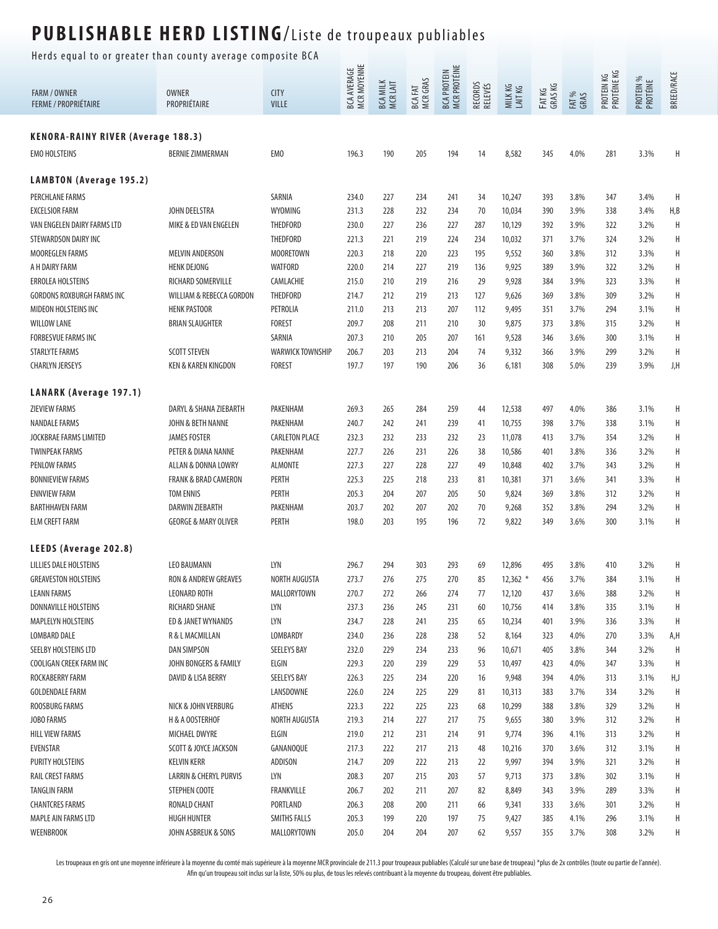Herds equal to or greater than county average composite BCA

| <b>FARM / OWNER</b><br><b>FERME / PROPRIÉTAIRE</b> | <b>OWNER</b><br>PROPRIÉTAIRE                           | <b>CITY</b><br><b>VILLE</b> | MCR MOYENNE<br><b>BCA AVERAGE</b> | <b>BCA MILK</b><br>MCR LAIT | BCA FAT<br>MCR GRAS | <b>MCR PROTÉINE</b><br><b>BCA PROTEIN</b> | RECORDS<br>RELEVÉS | MILK KG<br>LAIT KG | FAT KG<br>GRAS KG | FAT %<br>GRAS | PROTEIN KG<br>PROTÉINE KG | PROTEIN %<br>PROTÉINE | BREED/RACE |
|----------------------------------------------------|--------------------------------------------------------|-----------------------------|-----------------------------------|-----------------------------|---------------------|-------------------------------------------|--------------------|--------------------|-------------------|---------------|---------------------------|-----------------------|------------|
|                                                    |                                                        |                             |                                   |                             |                     |                                           |                    |                    |                   |               |                           |                       |            |
| <b>KENORA-RAINY RIVER (Average 188.3)</b>          |                                                        |                             |                                   |                             |                     |                                           |                    |                    |                   |               |                           |                       |            |
| <b>EMO HOLSTEINS</b>                               | BERNIE ZIMMERMAN                                       | EM <sub>0</sub>             | 196.3                             | 190                         | 205                 | 194                                       | 14                 | 8,582              | 345               | 4.0%          | 281                       | 3.3%                  | H          |
|                                                    |                                                        |                             |                                   |                             |                     |                                           |                    |                    |                   |               |                           |                       |            |
| <b>LAMBTON (Average 195.2)</b>                     |                                                        |                             |                                   |                             |                     |                                           |                    |                    |                   |               |                           |                       |            |
| PERCHLANE FARMS                                    |                                                        | SARNIA                      | 234.0                             | 227                         | 234                 | 241                                       | 34                 | 10,247             | 393               | 3.8%          | 347                       | 3.4%                  | H          |
| <b>EXCELSIOR FARM</b>                              | JOHN DEELSTRA                                          | WYOMING                     | 231.3                             | 228                         | 232                 | 234                                       | 70                 | 10,034             | 390               | 3.9%          | 338                       | 3.4%                  | H,B        |
| VAN ENGELEN DAIRY FARMS LTD                        | MIKE & ED VAN ENGELEN                                  | THEDFORD                    | 230.0                             | 227                         | 236                 | 227                                       | 287                | 10,129             | 392               | 3.9%          | 322                       | 3.2%                  | H          |
| STEWARDSON DAIRY INC                               |                                                        | THEDFORD                    | 221.3                             | 221                         | 219                 | 224                                       | 234                | 10,032             | 371               | 3.7%          | 324                       | 3.2%                  | H          |
| MOOREGLEN FARMS                                    | <b>MELVIN ANDERSON</b>                                 | <b>MOORETOWN</b>            | 220.3                             | 218                         | 220                 | 223                                       | 195                | 9,552              | 360               | 3.8%          | 312                       | 3.3%                  | Н          |
| A H DAIRY FARM                                     | <b>HENK DEJONG</b>                                     | <b>WATFORD</b>              | 220.0                             | 214                         | 227                 | 219                                       | 136                | 9,925              | 389               | 3.9%          | 322                       | 3.2%                  | Н          |
| ERROLEA HOLSTEINS                                  | RICHARD SOMERVILLE                                     | CAMLACHIE                   | 215.0                             | 210                         | 219                 | 216                                       | 29                 | 9,928              | 384               | 3.9%          | 323                       | 3.3%                  | Н          |
| <b>GORDONS ROXBURGH FARMS INC</b>                  | WILLIAM & REBECCA GORDON                               | THEDFORD                    | 214.7                             | 212                         | 219                 | 213                                       | 127                | 9,626              | 369               | 3.8%          | 309                       | 3.2%                  | Н          |
| MIDEON HOLSTEINS INC                               | <b>HENK PASTOOR</b>                                    | PETROLIA                    | 211.0                             | 213                         | 213                 | 207                                       | 112                | 9,495              | 351               | 3.7%          | 294                       | 3.1%                  | Н          |
| <b>WILLOW LANE</b>                                 | <b>BRIAN SLAUGHTER</b>                                 | <b>FOREST</b>               | 209.7                             | 208                         | 211                 | 210                                       | 30                 | 9,875              | 373               | 3.8%          | 315                       | 3.2%                  | H          |
| <b>FORBESVUE FARMS INC</b>                         |                                                        | SARNIA                      | 207.3                             | 210                         | 205                 | 207                                       | 161                | 9,528              | 346               | 3.6%          | 300                       | 3.1%                  | H          |
| <b>STARLYTE FARMS</b>                              | <b>SCOTT STEVEN</b>                                    | <b>WARWICK TOWNSHIP</b>     | 206.7                             | 203                         | 213                 | 204                                       | 74                 | 9,332              | 366               | 3.9%          | 299                       | 3.2%                  | H          |
| <b>CHARLYN JERSEYS</b>                             | KEN & KAREN KINGDON                                    | <b>FOREST</b>               | 197.7                             | 197                         | 190                 | 206                                       | 36                 | 6,181              | 308               | 5.0%          | 239                       | 3.9%                  | J,H        |
| LANARK (Average 197.1)                             |                                                        |                             |                                   |                             |                     |                                           |                    |                    |                   |               |                           |                       |            |
| <b>ZIEVIEW FARMS</b>                               | DARYL & SHANA ZIEBARTH                                 | PAKENHAM                    | 269.3                             | 265                         | 284                 | 259                                       | 44                 | 12,538             | 497               | 4.0%          | 386                       | 3.1%                  | Н          |
| NANDALE FARMS                                      | JOHN & BETH NANNE                                      | PAKENHAM                    | 240.7                             | 242                         | 241                 | 239                                       | 41                 | 10,755             | 398               | 3.7%          | 338                       | 3.1%                  | Н          |
| JOCKBRAE FARMS LIMITED                             | <b>JAMES FOSTER</b>                                    | <b>CARLETON PLACE</b>       | 232.3                             | 232                         | 233                 | 232                                       | 23                 | 11,078             | 413               | 3.7%          | 354                       | 3.2%                  | Н          |
|                                                    | PETER & DIANA NANNE                                    | PAKENHAM                    | 227.7                             | 226                         | 231                 | 226                                       | 38                 |                    |                   |               |                           | 3.2%                  | Н          |
| <b>TWINPEAK FARMS</b>                              |                                                        | <b>ALMONTE</b>              | 227.3                             | 227                         | 228                 | 227                                       | 49                 | 10,586             | 401<br>402        | 3.8%<br>3.7%  | 336                       | 3.2%                  | Н          |
| <b>PENLOW FARMS</b>                                | ALLAN & DONNA LOWRY<br><b>FRANK &amp; BRAD CAMERON</b> | PERTH                       | 225.3                             | 225                         | 218                 | 233                                       |                    | 10,848             | 371               | 3.6%          | 343                       | 3.3%                  | Н          |
| <b>BONNIEVIEW FARMS</b><br><b>ENNVIEW FARM</b>     | <b>TOM ENNIS</b>                                       | PERTH                       | 205.3                             | 204                         | 207                 | 205                                       | 81<br>50           | 10,381             | 369               |               | 341                       | 3.2%                  | Н          |
| <b>BARTHHAVEN FARM</b>                             | DARWIN ZIEBARTH                                        | PAKENHAM                    | 203.7                             | 202                         | 207                 | 202                                       | 70                 | 9,824<br>9,268     | 352               | 3.8%<br>3.8%  | 312<br>294                | 3.2%                  | Н          |
| <b>ELM CREFT FARM</b>                              | <b>GEORGE &amp; MARY OLIVER</b>                        | PERTH                       | 198.0                             | 203                         | 195                 | 196                                       | 72                 | 9,822              | 349               | 3.6%          | 300                       | 3.1%                  | Н          |
|                                                    |                                                        |                             |                                   |                             |                     |                                           |                    |                    |                   |               |                           |                       |            |
| LEEDS (Average 202.8)                              |                                                        |                             |                                   |                             |                     |                                           |                    |                    |                   |               |                           |                       |            |
| LILLIES DALE HOLSTEINS                             | <b>LEO BAUMANN</b>                                     | LYN                         | 296.7                             | 294                         | 303                 | 293                                       | 69                 | 12,896             | 495               | 3.8%          | 410                       | 3.2%                  | H          |
| <b>GREAVESTON HOLSTEINS</b>                        | <b>RON &amp; ANDREW GREAVES</b>                        | <b>NORTH AUGUSTA</b>        | 273.7                             | 276                         | 275                 | 270                                       | 85                 | $12,362$ *         | 456               | 3.7%          | 384                       | 3.1%                  | H          |
| <b>LEANN FARMS</b>                                 | <b>LEONARD ROTH</b>                                    | MALLORYTOWN                 | 270.7                             | 272                         | 266                 | 274                                       | 77                 | 12,120             | 437               | 3.6%          | 388                       | 3.2%                  | Η          |
| DONNAVILLE HOLSTEINS                               | <b>RICHARD SHANE</b>                                   | <b>LYN</b>                  | 237.3                             | 236                         | 245                 | 231                                       | 60                 | 10,756             | 414               | 3.8%          | 335                       | 3.1%                  | Н          |
| MAPLELYN HOLSTEINS                                 | ED & JANET WYNANDS                                     | <b>LYN</b>                  | 234.7                             | 228                         | 241                 | 235                                       | 65                 | 10,234             | 401               | 3.9%          | 336                       | 3.3%                  | H          |
| <b>LOMBARD DALE</b>                                | R & L MACMILLAN                                        | LOMBARDY                    | 234.0                             | 236                         | 228                 | 238                                       | 52                 | 8,164              | 323               | 4.0%          | 270                       | 3.3%                  | A,H        |
| SEELBY HOLSTEINS LTD                               | <b>DAN SIMPSON</b>                                     | <b>SEELEYS BAY</b>          | 232.0                             | 229                         | 234                 | 233                                       | 96                 | 10,671             | 405               | 3.8%          | 344                       | 3.2%                  | Η          |
| COOLIGAN CREEK FARM INC                            | JOHN BONGERS & FAMILY                                  | ELGIN                       | 229.3                             | 220                         | 239                 | 229                                       | 53                 | 10,497             | 423               | 4.0%          | 347                       | 3.3%                  | H          |
| ROCKABERRY FARM                                    | DAVID & LISA BERRY                                     | <b>SEELEYS BAY</b>          | 226.3                             | 225                         | 234                 | 220                                       | 16                 | 9,948              | 394               | 4.0%          | 313                       | 3.1%                  | H,J        |
| <b>GOLDENDALE FARM</b>                             |                                                        | LANSDOWNE                   | 226.0                             | 224                         | 225                 | 229                                       | 81                 | 10,313             | 383               | 3.7%          | 334                       | 3.2%                  | Н          |
| ROOSBURG FARMS                                     | NICK & JOHN VERBURG                                    | <b>ATHENS</b>               | 223.3                             | 222                         | 225                 | 223                                       | 68                 | 10,299             | 388               | 3.8%          | 329                       | 3.2%                  | Н          |
| JOBO FARMS                                         | H & A OOSTERHOF                                        | NORTH AUGUSTA               | 219.3                             | 214                         | 227                 | 217                                       | 75                 | 9,655              | 380               | 3.9%          | 312                       | 3.2%                  | Н          |
| <b>HILL VIEW FARMS</b>                             | MICHAEL DWYRE                                          | ELGIN                       | 219.0                             | 212                         | 231                 | 214                                       | 91                 | 9,774              | 396               | 4.1%          | 313                       | 3.2%                  | Н          |
| EVENSTAR                                           | SCOTT & JOYCE JACKSON                                  | GANANOQUE                   | 217.3                             | 222                         | 217                 | 213                                       | 48                 | 10,216             | 370               | 3.6%          | 312                       | 3.1%                  | Н          |
| PURITY HOLSTEINS                                   | <b>KELVIN KERR</b>                                     | <b>ADDISON</b>              | 214.7                             | 209                         | 222                 | 213                                       | 22                 | 9,997              | 394               | 3.9%          | 321                       | 3.2%                  | Н          |
| RAIL CREST FARMS                                   | LARRIN & CHERYL PURVIS                                 | LYN                         | 208.3                             | 207                         | 215                 | 203                                       | 57                 | 9,713              | 373               | 3.8%          | 302                       | 3.1%                  | Н          |
| <b>TANGLIN FARM</b>                                | STEPHEN COOTE                                          | FRANKVILLE                  | 206.7                             | 202                         | 211                 | 207                                       | 82                 | 8,849              | 343               | 3.9%          | 289                       | 3.3%                  | Н          |
| <b>CHANTCRES FARMS</b>                             | RONALD CHANT                                           | PORTLAND                    | 206.3                             | 208                         | 200                 | 211                                       | 66                 | 9,341              | 333               | 3.6%          | 301                       | 3.2%                  | Н          |
| MAPLE AIN FARMS LTD                                | <b>HUGH HUNTER</b>                                     | <b>SMITHS FALLS</b>         | 205.3                             | 199                         | 220                 | 197                                       | 75                 | 9,427              | 385               | 4.1%          | 296                       | 3.1%                  | Н          |
| <b>WEENBROOK</b>                                   | JOHN ASBREUK & SONS                                    | MALLORYTOWN                 | 205.0                             | 204                         | 204                 | 207                                       | 62                 | 9,557              | 355               | 3.7%          | 308                       | 3.2%                  | Н          |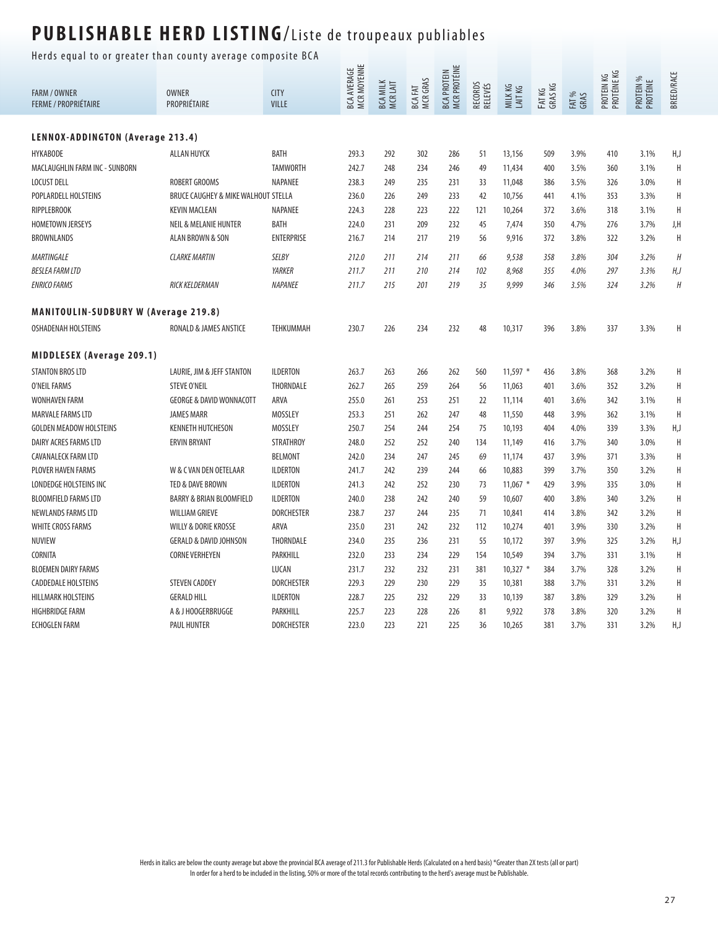Herds equal to or greater than county average composite BCA

| <b>FARM / OWNER</b><br><b>FERME / PROPRIÉTAIRE</b> | <b>OWNER</b><br>PROPRIÉTAIRE        | <b>CITY</b><br><b>VILLE</b> | MCR MOYENNE<br><b>BCA AVERAGE</b> | <b>BCA MILK</b><br>MCR LAIT | BCA FAT<br>MCR GRAS | BCA PROTEIN<br>MCR PROTÉINE | RECORDS<br>RELEVÉS | MILK KG<br>LAIT KG | FATKG<br>GRAS KG | FAT %<br>GRAS | PROTEIN KG<br>PROTÉINE KG | PROTEIN %<br>PROTÉINE | <b>BREED/RACE</b> |
|----------------------------------------------------|-------------------------------------|-----------------------------|-----------------------------------|-----------------------------|---------------------|-----------------------------|--------------------|--------------------|------------------|---------------|---------------------------|-----------------------|-------------------|
| <b>LENNOX-ADDINGTON (Average 213.4)</b>            |                                     |                             |                                   |                             |                     |                             |                    |                    |                  |               |                           |                       |                   |
| <b>HYKABODE</b>                                    | ALLAN HUYCK                         | BATH                        | 293.3                             | 292                         | 302                 | 286                         | 51                 | 13,156             | 509              | 3.9%          | 410                       | 3.1%                  | H,J               |
| MACLAUGHLIN FARM INC - SUNBORN                     |                                     | <b>TAMWORTH</b>             | 242.7                             | 248                         | 234                 | 246                         | 49                 | 11,434             | 400              | 3.5%          | 360                       | 3.1%                  | $\mathsf H$       |
| <b>LOCUST DELL</b>                                 | ROBERT GROOMS                       | NAPANEE                     | 238.3                             | 249                         | 235                 | 231                         | 33                 | 11,048             | 386              | 3.5%          | 326                       | 3.0%                  | $\sf H$           |
| POPLARDELL HOLSTEINS                               | BRUCE CAUGHEY & MIKE WALHOUT STELLA |                             | 236.0                             | 226                         | 249                 | 233                         | 42                 | 10,756             | 441              | 4.1%          | 353                       | 3.3%                  | H                 |
| <b>RIPPLEBROOK</b>                                 | <b>KEVIN MACLEAN</b>                | NAPANEE                     | 224.3                             | 228                         | 223                 | 222                         | 121                | 10,264             | 372              | 3.6%          | 318                       | 3.1%                  | H                 |
| <b>HOMETOWN JERSEYS</b>                            | <b>NEIL &amp; MELANIE HUNTER</b>    | <b>BATH</b>                 | 224.0                             | 231                         | 209                 | 232                         | 45                 | 7,474              | 350              | 4.7%          | 276                       | 3.7%                  | J,H               |
| <b>BROWNLANDS</b>                                  | ALAN BROWN & SON                    | <b>ENTERPRISE</b>           | 216.7                             | 214                         | 217                 | 219                         | 56                 | 9,916              | 372              | 3.8%          | 322                       | 3.2%                  | H                 |
| <b>MARTINGALE</b>                                  | <b>CLARKE MARTIN</b>                | <b>SELBY</b>                | 212.0                             | 211                         | 214                 | 211                         | 66                 | 9,538              | 358              | 3.8%          | 304                       | 3.2%                  | H                 |
| <b>BESLEA FARM LTD</b>                             |                                     | YARKER                      | 211.7                             | 211                         | 210                 | 214                         | 102                | 8,968              | 355              | 4.0%          | 297                       | 3.3%                  | H, J              |
| <b>ENRICO FARMS</b>                                | RICK KELDERMAN                      | NAPANEE                     | 211.7                             | 215                         | 201                 | 219                         | 35                 | 9,999              | 346              | 3.5%          | 324                       | 3.2%                  | H                 |
| <b>MANITOULIN-SUDBURY W (Average 219.8)</b>        |                                     |                             |                                   |                             |                     |                             |                    |                    |                  |               |                           |                       |                   |
| <b>OSHADENAH HOLSTEINS</b>                         | <b>RONALD &amp; JAMES ANSTICE</b>   | <b>TEHKUMMAH</b>            | 230.7                             | 226                         | 234                 | 232                         | 48                 | 10,317             | 396              | 3.8%          | 337                       | 3.3%                  | Η                 |
| <b>MIDDLESEX (Average 209.1)</b>                   |                                     |                             |                                   |                             |                     |                             |                    |                    |                  |               |                           |                       |                   |
| <b>STANTON BROS LTD</b>                            | LAURIE, JIM & JEFF STANTON          | <b>ILDERTON</b>             | 263.7                             | 263                         | 266                 | 262                         | 560                | $11,597$ *         | 436              | 3.8%          | 368                       | 3.2%                  | H                 |
| O'NEIL FARMS                                       | <b>STEVE O'NEIL</b>                 | <b>THORNDALE</b>            | 262.7                             | 265                         | 259                 | 264                         | 56                 | 11,063             | 401              | 3.6%          | 352                       | 3.2%                  | $\sf H$           |
| <b>WONHAVEN FARM</b>                               | <b>GEORGE &amp; DAVID WONNACOTT</b> | ARVA                        | 255.0                             | 261                         | 253                 | 251                         | 22                 | 11,114             | 401              | 3.6%          | 342                       | 3.1%                  | H                 |
| MARVALE FARMS LTD                                  | <b>JAMES MARR</b>                   | MOSSLEY                     | 253.3                             | 251                         | 262                 | 247                         | 48                 | 11,550             | 448              | 3.9%          | 362                       | 3.1%                  | $\mathsf H$       |
| <b>GOLDEN MEADOW HOLSTEINS</b>                     | <b>KENNETH HUTCHESON</b>            | <b>MOSSLEY</b>              | 250.7                             | 254                         | 244                 | 254                         | 75                 | 10,193             | 404              | 4.0%          | 339                       | 3.3%                  | H,J               |
| DAIRY ACRES FARMS LTD                              | <b>ERVIN BRYANT</b>                 | <b>STRATHROY</b>            | 248.0                             | 252                         | 252                 | 240                         | 134                | 11,149             | 416              | 3.7%          | 340                       | 3.0%                  | H                 |
| CAVANALECK FARM LTD                                |                                     | <b>BELMONT</b>              | 242.0                             | 234                         | 247                 | 245                         | 69                 | 11,174             | 437              | 3.9%          | 371                       | 3.3%                  | Н                 |
| <b>PLOVER HAVEN FARMS</b>                          | W & C VAN DEN OETELAAR              | <b>ILDERTON</b>             | 241.7                             | 242                         | 239                 | 244                         | 66                 | 10,883             | 399              | 3.7%          | 350                       | 3.2%                  | Н                 |
| LONDEDGE HOLSTEINS INC                             | TED & DAVE BROWN                    | <b>ILDERTON</b>             | 241.3                             | 242                         | 252                 | 230                         | 73                 | $11,067$ *         | 429              | 3.9%          | 335                       | 3.0%                  | H                 |
| <b>BLOOMFIELD FARMS LTD</b>                        | <b>BARRY &amp; BRIAN BLOOMFIELD</b> | <b>ILDERTON</b>             | 240.0                             | 238                         | 242                 | 240                         | 59                 | 10,607             | 400              | 3.8%          | 340                       | 3.2%                  | H                 |
| NEWLANDS FARMS LTD                                 | <b>WILLIAM GRIEVE</b>               | <b>DORCHESTER</b>           | 238.7                             | 237                         | 244                 | 235                         | 71                 | 10,841             | 414              | 3.8%          | 342                       | 3.2%                  | $\sf H$           |
| <b>WHITE CROSS FARMS</b>                           | <b>WILLY &amp; DORIE KROSSE</b>     | ARVA                        | 235.0                             | 231                         | 242                 | 232                         | 112                | 10,274             | 401              | 3.9%          | 330                       | 3.2%                  | H                 |
| NUVIEW                                             | <b>GERALD &amp; DAVID JOHNSON</b>   | THORNDALE                   | 234.0                             | 235                         | 236                 | 231                         | 55                 | 10,172             | 397              | 3.9%          | 325                       | 3.2%                  | H,J               |
| CORNITA                                            | <b>CORNE VERHEYEN</b>               | PARKHILL                    | 232.0                             | 233                         | 234                 | 229                         | 154                | 10,549             | 394              | 3.7%          | 331                       | 3.1%                  | $\sf H$           |
| <b>BLOEMEN DAIRY FARMS</b>                         |                                     | LUCAN                       | 231.7                             | 232                         | 232                 | 231                         | 381                | $10,327$ *         | 384              | 3.7%          | 328                       | 3.2%                  | H                 |
| <b>CADDEDALE HOLSTEINS</b>                         | <b>STEVEN CADDEY</b>                | <b>DORCHESTER</b>           | 229.3                             | 229                         | 230                 | 229                         | 35                 | 10,381             | 388              | 3.7%          | 331                       | 3.2%                  | H                 |
| HILLMARK HOLSTEINS                                 | <b>GERALD HILL</b>                  | <b>ILDERTON</b>             | 228.7                             | 225                         | 232                 | 229                         | 33                 | 10,139             | 387              | 3.8%          | 329                       | 3.2%                  | H                 |
| <b>HIGHBRIDGE FARM</b>                             | A & J HOOGERBRUGGE                  | PARKHILL                    | 225.7                             | 223                         | 228                 | 226                         | 81                 | 9,922              | 378              | 3.8%          | 320                       | 3.2%                  | $\mathsf H$       |
| <b>ECHOGLEN FARM</b>                               | <b>PAUL HUNTER</b>                  | <b>DORCHESTER</b>           | 223.0                             | 223                         | 221                 | 225                         | 36                 | 10,265             | 381              | 3.7%          | 331                       | 3.2%                  | H,J               |

Herds in italics are below the county average but above the provincial BCA average of 211.3 for Publishable Herds (Calculated on a herd basis) \*Greater than 2X tests (all or part) In order for a herd to be included in the listing, 50% or more of the total records contributing to the herd's average must be Publishable.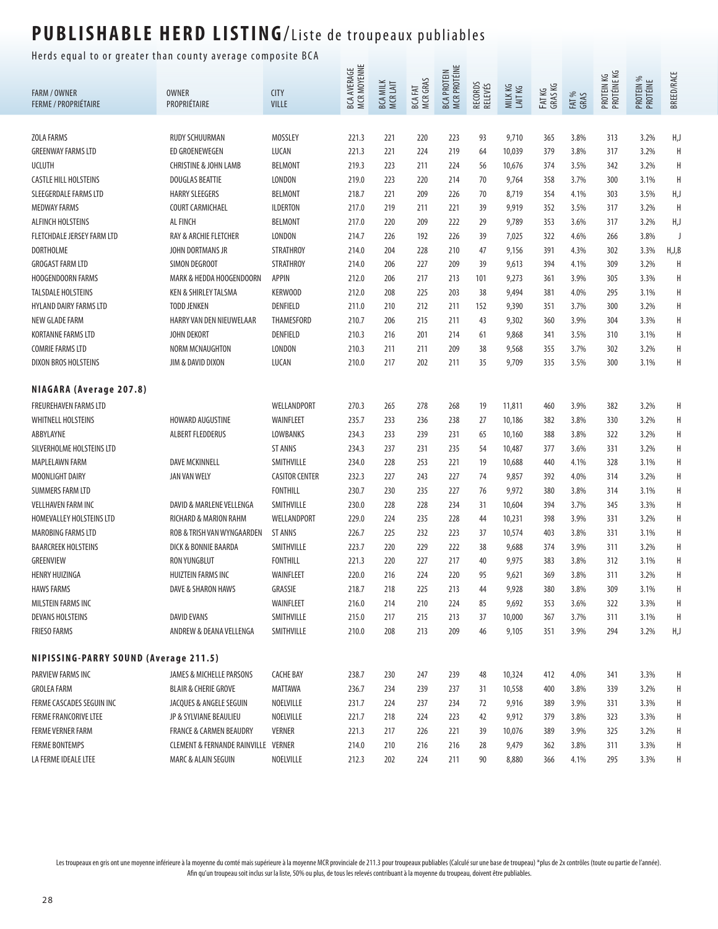Herds equal to or greater than county average composite BCA

| <b>FARM / OWNER</b><br><b>FERME / PROPRIÉTAIRE</b> | <b>OWNER</b><br>PROPRIÉTAIRE        | <b>CITY</b><br><b>VILLE</b> | BCA AVERAGE<br>MCR MOYENNE | <b>BCA MILK</b><br>MCR LAIT | BCA FAT<br>MCR GRAS | <b>MCR PROTÉINE</b><br><b>BCA PROTEIN</b> | RECORDS<br>RELEVÉS | MILKKG<br>LAITKG | FAT KG<br>GRAS KG | FAT %<br>GRAS | PROTEIN KG<br>PROTÉINE KG | PROTEIN %<br>PROTÉINE | <b>BREED/RACE</b> |
|----------------------------------------------------|-------------------------------------|-----------------------------|----------------------------|-----------------------------|---------------------|-------------------------------------------|--------------------|------------------|-------------------|---------------|---------------------------|-----------------------|-------------------|
|                                                    |                                     |                             |                            |                             |                     |                                           |                    |                  |                   |               |                           |                       |                   |
| <b>ZOLA FARMS</b>                                  | RUDY SCHUURMAN                      | <b>MOSSLEY</b>              | 221.3                      | 221                         | 220                 | 223                                       | 93                 | 9,710            | 365               | 3.8%          | 313                       | 3.2%                  | H,J               |
| <b>GREENWAY FARMS LTD</b>                          | ED GROENEWEGEN                      | LUCAN                       | 221.3                      | 221                         | 224                 | 219                                       | 64                 | 10,039           | 379               | 3.8%          | 317                       | 3.2%                  | Η                 |
| <b>UCLUTH</b>                                      | <b>CHRISTINE &amp; JOHN LAMB</b>    | <b>BELMONT</b>              | 219.3                      | 223                         | 211                 | 224                                       | 56                 | 10,676           | 374               | 3.5%          | 342                       | 3.2%                  | Н                 |
| <b>CASTLE HILL HOLSTEINS</b>                       | <b>DOUGLAS BEATTIE</b>              | LONDON                      | 219.0                      | 223                         | 220                 | 214                                       | 70                 | 9,764            | 358               | 3.7%          | 300                       | 3.1%                  | Η                 |
| <b>SLEEGERDALE FARMS LTD</b>                       | <b>HARRY SLEEGERS</b>               | <b>BELMONT</b>              | 218.7                      | 221                         | 209                 | 226                                       | 70                 | 8,719            | 354               | 4.1%          | 303                       | 3.5%                  | H,J               |
| <b>MEDWAY FARMS</b>                                | <b>COURT CARMICHAEL</b>             | <b>ILDERTON</b>             | 217.0                      | 219                         | 211                 | 221                                       | 39                 | 9,919            | 352               | 3.5%          | 317                       | 3.2%                  | H                 |
| ALFINCH HOLSTEINS                                  | AL FINCH                            | <b>BELMONT</b>              | 217.0                      | 220                         | 209                 | 222                                       | 29                 | 9,789            | 353               | 3.6%          | 317                       | 3.2%                  | H,J               |
| FLETCHDALE JERSEY FARM LTD                         | RAY & ARCHIE FLETCHER               | LONDON                      | 214.7                      | 226                         | 192                 | 226                                       | 39                 | 7,025            | 322               | 4.6%          | 266                       | 3.8%                  |                   |
| <b>DORTHOLME</b>                                   | JOHN DORTMANS JR                    | <b>STRATHROY</b>            | 214.0                      | 204                         | 228                 | 210                                       | 47                 | 9,156            | 391               | 4.3%          | 302                       | 3.3%                  | H,J,B             |
| <b>GROGAST FARM LTD</b>                            | SIMON DEGROOT                       | <b>STRATHROY</b>            | 214.0                      | 206                         | 227                 | 209                                       | 39                 | 9,613            | 394               | 4.1%          | 309                       | 3.2%                  | Η                 |
| <b>HOOGENDOORN FARMS</b>                           | MARK & HEDDA HOOGENDOORN            | <b>APPIN</b>                | 212.0                      | 206                         | 217                 | 213                                       | 101                | 9,273            | 361               | 3.9%          | 305                       | 3.3%                  | Н                 |
| <b>TALSDALE HOLSTEINS</b>                          | <b>KEN &amp; SHIRLEY TALSMA</b>     | <b>KERWOOD</b>              | 212.0                      | 208                         | 225                 | 203                                       | 38                 | 9,494            | 381               | 4.0%          | 295                       | 3.1%                  | Н                 |
| <b>HYLAND DAIRY FARMS LTD</b>                      | <b>TODD JENKEN</b>                  | DENFIELD                    | 211.0                      | 210                         | 212                 | 211                                       | 152                | 9,390            | 351               | 3.7%          | 300                       | 3.2%                  | Н                 |
| <b>NEW GLADE FARM</b>                              | HARRY VAN DEN NIEUWELAAR            | THAMESFORD                  | 210.7                      | 206                         | 215                 | 211                                       | 43                 | 9,302            | 360               | 3.9%          | 304                       | 3.3%                  | Н                 |
| KORTANNE FARMS LTD                                 | <b>JOHN DEKORT</b>                  | DENFIELD                    | 210.3                      | 216                         | 201                 | 214                                       | 61                 | 9,868            | 341               | 3.5%          | 310                       | 3.1%                  | Н                 |
| <b>COMRIE FARMS LTD</b>                            | NORM MCNAUGHTON                     | LONDON                      | 210.3                      | 211                         | 211                 | 209                                       | 38                 | 9,568            | 355               | 3.7%          | 302                       | 3.2%                  | Н                 |
| DIXON BROS HOLSTEINS                               | JIM & DAVID DIXON                   | LUCAN                       | 210.0                      | 217                         | 202                 | 211                                       | 35                 | 9,709            | 335               | 3.5%          | 300                       | 3.1%                  | Н                 |
| NIAGARA (Average 207.8)                            |                                     |                             |                            |                             |                     |                                           |                    |                  |                   |               |                           |                       |                   |
| <b>FREUREHAVEN FARMS LTD</b>                       |                                     | WELLANDPORT                 | 270.3                      | 265                         | 278                 | 268                                       | 19                 | 11,811           | 460               | 3.9%          | 382                       | 3.2%                  | Н                 |
| <b>WHITNELL HOLSTEINS</b>                          | HOWARD AUGUSTINE                    | WAINFLEET                   | 235.7                      | 233                         | 236                 | 238                                       | 27                 | 10,186           | 382               | 3.8%          | 330                       | 3.2%                  | Н                 |
| ABBYLAYNE                                          | ALBERT FLEDDERUS                    | LOWBANKS                    | 234.3                      | 233                         | 239                 | 231                                       | 65                 | 10,160           | 388               | 3.8%          | 322                       | 3.2%                  | Н                 |
| SILVERHOLME HOLSTEINS LTD                          |                                     | <b>ST ANNS</b>              | 234.3                      | 237                         | 231                 | 235                                       | 54                 | 10,487           | 377               | 3.6%          | 331                       | 3.2%                  | Н                 |
| MAPLELAWN FARM                                     | <b>DAVE MCKINNELL</b>               | SMITHVILLE                  | 234.0                      | 228                         | 253                 | 221                                       | 19                 | 10,688           | 440               | 4.1%          | 328                       | 3.1%                  | Н                 |
| MOONLIGHT DAIRY                                    | JAN VAN WELY                        | <b>CASITOR CENTER</b>       | 232.3                      | 227                         | 243                 | 227                                       | 74                 | 9,857            | 392               | 4.0%          | 314                       | 3.2%                  | Н                 |
| SUMMERS FARM LTD                                   |                                     | <b>FONTHILL</b>             | 230.7                      | 230                         | 235                 | 227                                       | 76                 | 9,972            | 380               | 3.8%          | 314                       | 3.1%                  | Н                 |
| <b>VELLHAVEN FARM INC</b>                          | DAVID & MARLENE VELLENGA            | SMITHVILLE                  | 230.0                      | 228                         | 228                 | 234                                       | 31                 | 10,604           | 394               | 3.7%          | 345                       | 3.3%                  | Н                 |
| HOMEVALLEY HOLSTEINS LTD                           | <b>RICHARD &amp; MARION RAHM</b>    | WELLANDPORT                 | 229.0                      | 224                         | 235                 | 228                                       | 44                 | 10,231           | 398               | 3.9%          | 331                       | 3.2%                  | Н                 |
| MAROBING FARMS LTD                                 | ROB & TRISH VAN WYNGAARDEN          | <b>ST ANNS</b>              | 226.7                      | 225                         | 232                 | 223                                       | 37                 | 10,574           | 403               | 3.8%          | 331                       | 3.1%                  | Н                 |
| <b>BAARCREEK HOLSTEINS</b>                         | DICK & BONNIE BAARDA                | <b>SMITHVILLE</b>           | 223.7                      | 220                         | 229                 | 222                                       | 38                 | 9,688            | 374               | 3.9%          | 311                       | 3.2%                  | Н                 |
| GREENVIEW                                          | <b>RON YUNGBLUT</b>                 | <b>FONTHILL</b>             | 221.3                      | 220                         | 227                 | 217                                       | 40                 | 9,975            | 383               | 3.8%          | 312                       | 3.1%                  | Н                 |
| <b>HENRY HUIZINGA</b>                              | <b>HUIZTEIN FARMS INC</b>           | WAINFLEET                   | 220.0                      | 216                         | 224                 | 220                                       | 95                 | 9,621            | 369               | 3.8%          | 311                       | 3.2%                  | Н                 |
| <b>HAWS FARMS</b>                                  | DAVE & SHARON HAWS                  | GRASSIE                     | 218.7                      | 218                         | 225                 | 213                                       | 44                 | 9,928            | 380               | 3.8%          | 309                       | 3.1%                  | Н                 |
| MILSTEIN FARMS INC                                 |                                     | WAINFLEET                   | 216.0                      | 214                         | 210                 | 224                                       | 85                 | 9,692            | 353               | 3.6%          | 322                       | 3.3%                  | Н                 |
| <b>DEVANS HOLSTEINS</b>                            | <b>DAVID EVANS</b>                  | SMITHVILLE                  | 215.0                      | 217                         | 215                 | 213                                       | 37                 | 10,000           | 367               | 3.7%          | 311                       | 3.1%                  | H                 |
| <b>FRIESO FARMS</b>                                | ANDREW & DEANA VELLENGA             | SMITHVILLE                  | 210.0                      | 208                         | 213                 | 209                                       | 46                 | 9,105            | 351               | 3.9%          | 294                       | 3.2%                  | H,J               |
| NIPISSING-PARRY SOUND (Average 211.5)              |                                     |                             |                            |                             |                     |                                           |                    |                  |                   |               |                           |                       |                   |
|                                                    |                                     |                             |                            |                             |                     |                                           |                    |                  |                   |               |                           |                       |                   |
| PARVIEW FARMS INC                                  | JAMES & MICHELLE PARSONS            | <b>CACHE BAY</b>            | 238.7                      | 230                         | 247                 | 239                                       | 48                 | 10,324           | 412               | 4.0%          | 341                       | 3.3%                  | Н                 |
| <b>GROLEA FARM</b>                                 | <b>BLAIR &amp; CHERIE GROVE</b>     | <b>MATTAWA</b>              | 236.7                      | 234                         | 239                 | 237                                       | 31                 | 10,558           | 400               | 3.8%          | 339                       | 3.2%                  | H                 |
| FERME CASCADES SEGUIN INC                          | JACOUES & ANGELE SEGUIN             | NOELVILLE                   | 231.7                      | 224                         | 237                 | 234                                       | 72                 | 9,916            | 389               | 3.9%          | 331                       | 3.3%                  | H                 |
| <b>FERME FRANCORIVE LTEE</b>                       | JP & SYLVIANE BEAULIEU              | NOELVILLE                   | 221.7                      | 218                         | 224                 | 223                                       | 42                 | 9,912            | 379               | 3.8%          | 323                       | 3.3%                  | H                 |
| <b>FERME VERNER FARM</b>                           | <b>FRANCE &amp; CARMEN BEAUDRY</b>  | <b>VERNER</b>               | 221.3                      | 217                         | 226                 | 221                                       | 39                 | 10,076           | 389               | 3.9%          | 325                       | 3.2%                  | H                 |
| <b>FERME BONTEMPS</b>                              | CLEMENT & FERNANDE RAINVILLE VERNER |                             | 214.0                      | 210                         | 216                 | 216                                       | 28                 | 9,479            | 362               | 3.8%          | 311                       | 3.3%                  | H                 |
| LA FERME IDEALE LTEE                               | MARC & ALAIN SEGUIN                 | NOELVILLE                   | 212.3                      | 202                         | 224                 | 211                                       | 90                 | 8,880            | 366               | 4.1%          | 295                       | 3.3%                  | Н                 |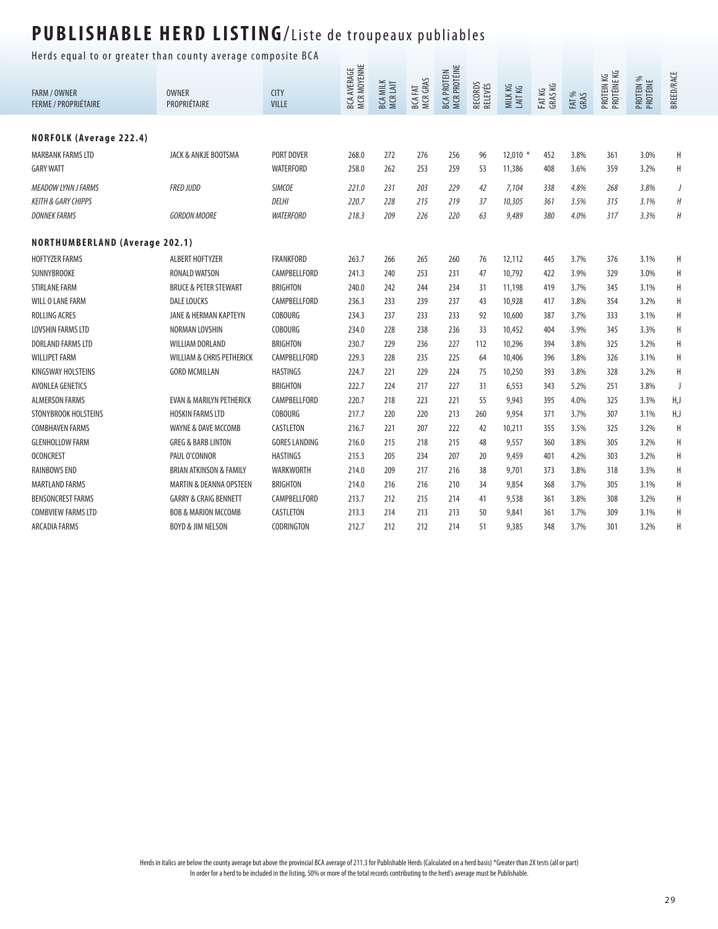Herds equal to or greater than county average composite BCA

| <b>FARM / OWNER</b><br><b>FERME / PROPRIÉTAIRE</b> | <b>OWNER</b><br>PROPRIÉTAIRE         | <b>CITY</b><br><b>VILLE</b> | MCR MOYENNE<br><b>BCA AVERAGE</b> | <b>BCA MILK</b><br>MCR LAIT | MCR GRAS<br><b>BCAFAT</b> | BCA PROTEIN<br>MCR PROTÉINE | RECORDS<br>RELEVÉS | MILK KG<br>LAIT KG | FATKG<br>GRAS KG | FAT %<br>GRAS | PROTEIN KG<br>PROTÉINE KG | PROTEIN %<br>PROTÉINE | <b>BREED/RACE</b> |
|----------------------------------------------------|--------------------------------------|-----------------------------|-----------------------------------|-----------------------------|---------------------------|-----------------------------|--------------------|--------------------|------------------|---------------|---------------------------|-----------------------|-------------------|
| <b>NORFOLK (Average 222.4)</b>                     |                                      |                             |                                   |                             |                           |                             |                    |                    |                  |               |                           |                       |                   |
|                                                    |                                      |                             |                                   |                             |                           |                             |                    |                    |                  |               |                           |                       |                   |
| <b>MARBANK FARMS LTD</b>                           | JACK & ANKJE BOOTSMA                 | PORT DOVER                  | 268.0<br>258.0                    | 272                         | 276                       | 256                         | 96                 | $12,010$ *         | 452              | 3.8%          | 361                       | 3.0%                  | Η                 |
| <b>GARY WATT</b>                                   |                                      | <b>WATERFORD</b>            |                                   | 262                         | 253                       | 259                         | 53                 | 11,386             | 408              | 3.6%          | 359                       | 3.2%                  | Η                 |
| <b>MEADOW LYNN J FARMS</b>                         | <b>FRED JUDD</b>                     | <b>SIMCOE</b>               | 221.0                             | 231                         | 203                       | 229                         | 42                 | 7.104              | 338              | 4.8%          | 268                       | 3.8%                  | J                 |
| <b>KEITH &amp; GARY CHIPPS</b>                     |                                      | <b>DELHI</b>                | 220.7                             | 228                         | 215                       | 219                         | 37                 | 10,305             | 361              | 3.5%          | 315                       | 3.1%                  | H                 |
| <b>DONNEK FARMS</b>                                | <b>GORDON MOORE</b>                  | <b>WATERFORD</b>            | 218.3                             | 209                         | 226                       | 220                         | 63                 | 9,489              | 380              | 4.0%          | 317                       | 3.3%                  | H                 |
| <b>NORTHUMBERLAND (Average 202.1)</b>              |                                      |                             |                                   |                             |                           |                             |                    |                    |                  |               |                           |                       |                   |
| <b>HOFTYZER FARMS</b>                              | <b>ALBERT HOFTYZER</b>               | <b>FRANKFORD</b>            | 263.7                             | 266                         | 265                       | 260                         | 76                 | 12,112             | 445              | 3.7%          | 376                       | 3.1%                  | Н                 |
| SUNNYBROOKE                                        | <b>RONALD WATSON</b>                 | CAMPBELLFORD                | 241.3                             | 240                         | 253                       | 231                         | 47                 | 10,792             | 422              | 3.9%          | 329                       | 3.0%                  | Η                 |
| <b>STIRLANE FARM</b>                               | <b>BRUCE &amp; PETER STEWART</b>     | <b>BRIGHTON</b>             | 240.0                             | 242                         | 244                       | 234                         | 31                 | 11,198             | 419              | 3.7%          | 345                       | 3.1%                  | Н                 |
| <b>WILL O LANE FARM</b>                            | <b>DALE LOUCKS</b>                   | CAMPBELLFORD                | 236.3                             | 233                         | 239                       | 237                         | 43                 | 10,928             | 417              | 3.8%          | 354                       | 3.2%                  | Η                 |
| <b>ROLLING ACRES</b>                               | <b>JANE &amp; HERMAN KAPTEYN</b>     | <b>COBOURG</b>              | 234.3                             | 237                         | 233                       | 233                         | 92                 | 10,600             | 387              | 3.7%          | 333                       | 3.1%                  | H                 |
| <b>LOVSHIN FARMS LTD</b>                           | NORMAN LOVSHIN                       | <b>COBOURG</b>              | 234.0                             | 228                         | 238                       | 236                         | 33                 | 10,452             | 404              | 3.9%          | 345                       | 3.3%                  | Н                 |
| <b>DORLAND FARMS LTD</b>                           | <b>WILLIAM DORLAND</b>               | <b>BRIGHTON</b>             | 230.7                             | 229                         | 236                       | 227                         | 112                | 10,296             | 394              | 3.8%          | 325                       | 3.2%                  | Н                 |
| <b>WILLIPET FARM</b>                               | <b>WILLIAM &amp; CHRIS PETHERICK</b> | CAMPBELLFORD                | 229.3                             | 228                         | 235                       | 225                         | 64                 | 10,406             | 396              | 3.8%          | 326                       | 3.1%                  | Η                 |
| <b>KINGSWAY HOLSTEINS</b>                          | <b>GORD MCMILLAN</b>                 | <b>HASTINGS</b>             | 224.7                             | 221                         | 229                       | 224                         | 75                 | 10,250             | 393              | 3.8%          | 328                       | 3.2%                  | Н                 |
| AVONLEA GENETICS                                   |                                      | <b>BRIGHTON</b>             | 222.7                             | 224                         | 217                       | 227                         | 31                 | 6,553              | 343              | 5.2%          | 251                       | 3.8%                  | J                 |
| <b>ALMERSON FARMS</b>                              | <b>EVAN &amp; MARILYN PETHERICK</b>  | CAMPBELLFORD                | 220.7                             | 218                         | 223                       | 221                         | 55                 | 9,943              | 395              | 4.0%          | 325                       | 3.3%                  | H,J               |
| STONYBROOK HOLSTEINS                               | <b>HOSKIN FARMS LTD</b>              | <b>COBOURG</b>              | 217.7                             | 220                         | 220                       | 213                         | 260                | 9,954              | 371              | 3.7%          | 307                       | 3.1%                  | H,J               |
| <b>COMBHAVEN FARMS</b>                             | <b>WAYNE &amp; DAVE MCCOMB</b>       | CASTLETON                   | 216.7                             | 221                         | 207                       | 222                         | 42                 | 10,211             | 355              | 3.5%          | 325                       | 3.2%                  | H                 |
| <b>GLENHOLLOW FARM</b>                             | <b>GREG &amp; BARB LINTON</b>        | <b>GORES LANDING</b>        | 216.0                             | 215                         | 218                       | 215                         | 48                 | 9,557              | 360              | 3.8%          | 305                       | 3.2%                  | Н                 |
| <b>OCONCREST</b>                                   | PAUL O'CONNOR                        | <b>HASTINGS</b>             | 215.3                             | 205                         | 234                       | 207                         | 20                 | 9,459              | 401              | 4.2%          | 303                       | 3.2%                  | Н                 |
| <b>RAINBOWS END</b>                                | <b>BRIAN ATKINSON &amp; FAMILY</b>   | WARKWORTH                   | 214.0                             | 209                         | 217                       | 216                         | 38                 | 9,701              | 373              | 3.8%          | 318                       | 3.3%                  | Н                 |
| <b>MARTLAND FARMS</b>                              | MARTIN & DEANNA OPSTEEN              | <b>BRIGHTON</b>             | 214.0                             | 216                         | 216                       | 210                         | 34                 | 9,854              | 368              | 3.7%          | 305                       | 3.1%                  | Η                 |
| <b>BENSONCREST FARMS</b>                           | <b>GARRY &amp; CRAIG BENNETT</b>     | CAMPBELLFORD                | 213.7                             | 212                         | 215                       | 214                         | 41                 | 9,538              | 361              | 3.8%          | 308                       | 3.2%                  | Н                 |
| <b>COMBVIEW FARMS LTD</b>                          | <b>BOB &amp; MARION MCCOMB</b>       | CASTLETON                   | 213.3                             | 214                         | 213                       | 213                         | 50                 | 9,841              | 361              | 3.7%          | 309                       | 3.1%                  | Н                 |
| ARCADIA FARMS                                      | <b>BOYD &amp; JIM NELSON</b>         | CODRINGTON                  | 212.7                             | 212                         | 212                       | 214                         | 51                 | 9,385              | 348              | 3.7%          | 301                       | 3.2%                  | H                 |
|                                                    |                                      |                             |                                   |                             |                           |                             |                    |                    |                  |               |                           |                       |                   |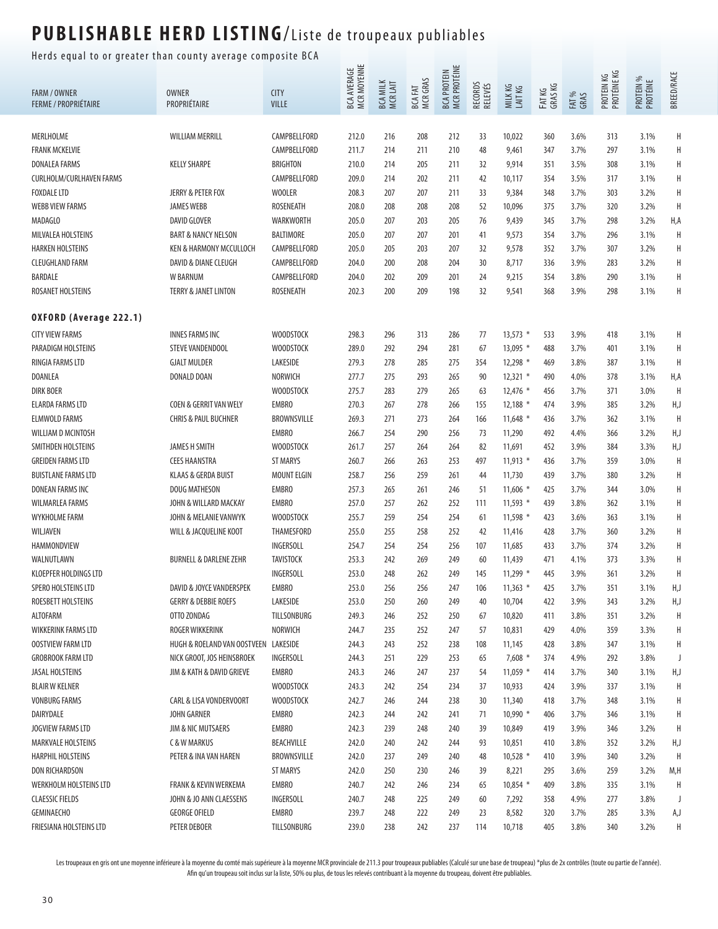Herds equal to or greater than county average composite BCA

| <b>FARM / OWNER</b><br><b>FERME / PROPRIÉTAIRE</b> | <b>OWNER</b><br>PROPRIÉTAIRE       | <b>CITY</b><br><b>VILLE</b> | MCR MOYENNE<br><b>BCA AVERAGE</b> | <b>BCA MILK</b><br>MCR LAIT | BCA FAT<br>MCR GRAS | <b>MCR PROTÉINE</b><br><b>BCA PROTEIN</b> | RECORDS<br>RELEVÉS | MILK KG<br>LAIT KG | FAT KG<br>GRAS KG | FAT %<br>GRAS | PROTEIN KG<br>PROTÉINE KG | PROTEIN %<br>PROTÉINE | <b>BREED/RACE</b> |
|----------------------------------------------------|------------------------------------|-----------------------------|-----------------------------------|-----------------------------|---------------------|-------------------------------------------|--------------------|--------------------|-------------------|---------------|---------------------------|-----------------------|-------------------|
| MERLHOLME                                          | <b>WILLIAM MERRILL</b>             | CAMPBELLFORD                | 212.0                             | 216                         | 208                 | 212                                       | 33                 | 10,022             | 360               | 3.6%          | 313                       | 3.1%                  | Η                 |
| <b>FRANK MCKELVIE</b>                              |                                    | CAMPBELLFORD                | 211.7                             | 214                         | 211                 | 210                                       | 48                 | 9,461              | 347               | 3.7%          | 297                       | 3.1%                  | Η                 |
| <b>DONALEA FARMS</b>                               |                                    |                             |                                   | 214                         |                     |                                           |                    |                    |                   |               |                           |                       | Н                 |
|                                                    | <b>KELLY SHARPE</b>                | <b>BRIGHTON</b>             | 210.0                             |                             | 205                 | 211                                       | 32                 | 9,914              | 351               | 3.5%          | 308                       | 3.1%                  |                   |
| <b>CURLHOLM/CURLHAVEN FARMS</b>                    |                                    | CAMPBELLFORD                | 209.0                             | 214                         | 202                 | 211                                       | 42                 | 10,117             | 354               | 3.5%          | 317                       | 3.1%                  | Η                 |
| <b>FOXDALE LTD</b>                                 | <b>JERRY &amp; PETER FOX</b>       | <b>WOOLER</b>               | 208.3                             | 207                         | 207                 | 211                                       | 33                 | 9,384              | 348               | 3.7%          | 303                       | 3.2%                  | Η                 |
| <b>WEBB VIEW FARMS</b>                             | <b>JAMES WEBB</b>                  | <b>ROSENEATH</b>            | 208.0                             | 208                         | 208                 | 208                                       | 52                 | 10,096             | 375               | 3.7%          | 320                       | 3.2%                  | H                 |
| MADAGLO                                            | <b>DAVID GLOVER</b>                | WARKWORTH                   | 205.0                             | 207                         | 203                 | 205                                       | 76                 | 9,439              | 345               | 3.7%          | 298                       | 3.2%                  | H,A               |
| <b>MILVALEA HOLSTEINS</b>                          | <b>BART &amp; NANCY NELSON</b>     | BALTIMORE                   | 205.0                             | 207                         | 207                 | 201                                       | 41                 | 9,573              | 354               | 3.7%          | 296                       | 3.1%                  | Η                 |
| <b>HARKEN HOLSTEINS</b>                            | <b>KEN &amp; HARMONY MCCULLOCH</b> | CAMPBELLFORD                | 205.0                             | 205                         | 203                 | 207                                       | 32                 | 9,578              | 352               | 3.7%          | 307                       | 3.2%                  | Η                 |
| <b>CLEUGHLAND FARM</b>                             | DAVID & DIANE CLEUGH               | CAMPBELLFORD                | 204.0                             | 200                         | 208                 | 204                                       | 30                 | 8,717              | 336               | 3.9%          | 283                       | 3.2%                  | Η                 |
| BARDALE                                            | <b>W BARNUM</b>                    | CAMPBELLFORD                | 204.0                             | 202                         | 209                 | 201                                       | 24                 | 9,215              | 354               | 3.8%          | 290                       | 3.1%                  | Η                 |
| ROSANET HOLSTEINS                                  | <b>TERRY &amp; JANET LINTON</b>    | ROSENEATH                   | 202.3                             | 200                         | 209                 | 198                                       | 32                 | 9,541              | 368               | 3.9%          | 298                       | 3.1%                  | Η                 |
| OXFORD (Average 222.1)                             |                                    |                             |                                   |                             |                     |                                           |                    |                    |                   |               |                           |                       |                   |
| <b>CITY VIEW FARMS</b>                             | <b>INNES FARMS INC</b>             | <b>WOODSTOCK</b>            | 298.3                             | 296                         | 313                 | 286                                       | 77                 | $13,573$ *         | 533               | 3.9%          | 418                       | 3.1%                  | Η                 |
| PARADIGM HOLSTEINS                                 | STEVE VANDENDOOL                   | <b>WOODSTOCK</b>            | 289.0                             | 292                         | 294                 | 281                                       | 67                 | 13,095 *           | 488               | 3.7%          | 401                       | 3.1%                  | Н                 |
| RINGIA FARMS LTD                                   | <b>GJALT MULDER</b>                | LAKESIDE                    | 279.3                             | 278                         | 285                 | 275                                       | 354                | 12,298 *           | 469               | 3.8%          | 387                       | 3.1%                  | Η                 |
| <b>DOANLEA</b>                                     | DONALD DOAN                        | NORWICH                     | 277.7                             | 275                         | 293                 | 265                                       | 90                 | $12,321$ *         | 490               | 4.0%          | 378                       | 3.1%                  | H,A               |
| <b>DIRK BOER</b>                                   |                                    | <b>WOODSTOCK</b>            | 275.7                             | 283                         | 279                 | 265                                       | 63                 | $12,476$ *         | 456               | 3.7%          | 371                       | 3.0%                  | H                 |
| ELARDA FARMS LTD                                   | COEN & GERRIT VAN WELY             | <b>EMBRO</b>                | 270.3                             | 267                         | 278                 | 266                                       | 155                | $12,188$ *         | 474               | 3.9%          | 385                       | 3.2%                  | H,J               |
| ELMWOLD FARMS                                      | <b>CHRIS &amp; PAUL BUCHNER</b>    | BROWNSVILLE                 | 269.3                             | 271                         | 273                 | 264                                       | 166                | $11,648$ *         | 436               | 3.7%          | 362                       | 3.1%                  | H                 |
| WILLIAM D MCINTOSH                                 |                                    | <b>EMBRO</b>                | 266.7                             | 254                         | 290                 | 256                                       | 73                 | 11,290             | 492               | 4.4%          | 366                       | 3.2%                  | H,J               |
| SMITHDEN HOLSTEINS                                 | <b>JAMES H SMITH</b>               | <b>WOODSTOCK</b>            | 261.7                             | 257                         | 264                 | 264                                       | 82                 | 11,691             | 452               | 3.9%          | 384                       | 3.3%                  | H,J               |
| <b>GREIDEN FARMS LTD</b>                           | <b>CEES HAANSTRA</b>               | <b>ST MARYS</b>             | 260.7                             | 266                         | 263                 | 253                                       | 497                | $11,913$ *         | 436               | 3.7%          | 359                       | 3.0%                  | Η                 |
| <b>BUISTLANE FARMS LTD</b>                         | KLAAS & GERDA BUIST                | MOUNT ELGIN                 | 258.7                             | 256                         | 259                 | 261                                       | 44                 | 11,730             | 439               | 3.7%          | 380                       | 3.2%                  | Н                 |
| DONEAN FARMS INC                                   | <b>DOUG MATHESON</b>               | <b>EMBRO</b>                | 257.3                             | 265                         | 261                 | 246                                       | 51                 | $11,606$ *         | 425               | 3.7%          | 344                       | 3.0%                  | Н                 |
| <b>WILMARLEA FARMS</b>                             | JOHN & WILLARD MACKAY              | <b>EMBRO</b>                | 257.0                             | 257                         | 262                 | 252                                       | 111                | $11,593$ *         | 439               | 3.8%          | 362                       | 3.1%                  | Н                 |
| WYKHOLME FARM                                      | JOHN & MELANIE VANWYK              | <b>WOODSTOCK</b>            | 255.7                             | 259                         | 254                 | 254                                       | 61                 | $11,598$ *         | 423               | 3.6%          | 363                       | 3.1%                  | Н                 |
| WILJAVEN                                           | WILL & JACQUELINE KOOT             | THAMESFORD                  | 255.0                             | 255                         | 258                 | 252                                       | 42                 | 11,416             | 428               | 3.7%          | 360                       | 3.2%                  | Н                 |
| HAMMONDVIEW                                        |                                    | INGERSOLL                   | 254.7                             | 254                         | 254                 | 256                                       | 107                | 11,685             | 433               | 3.7%          | 374                       | 3.2%                  | Н                 |
| WALNUTLAWN                                         | <b>BURNELL &amp; DARLENE ZEHR</b>  | <b>TAVISTOCK</b>            | 253.3                             | 242                         | 269                 | 249                                       | 60                 | 11,439             | 471               | 4.1%          | 373                       | 3.3%                  | Н                 |
| KLOEPFER HOLDINGS LTD                              |                                    | INGERSOLL                   | 253.0                             | 248                         | 262                 | 249                                       | 145                | $11,299$ *         | 445               | 3.9%          | 361                       | 3.2%                  | Η                 |
| SPERO HOLSTEINS LTD                                | DAVID & JOYCE VANDERSPEK           | <b>EMBRO</b>                | 253.0                             | 256                         | 256                 | 247                                       | 106                | $11,363$ *         | 425               | 3.7%          | 351                       | 3.1%                  | H,J               |
| ROESBETT HOLSTEINS                                 | <b>GERRY &amp; DEBBIE ROEFS</b>    | LAKESIDE                    | 253.0                             | 250                         | 260                 | 249                                       | 40                 | 10,704             | 422               | 3.9%          | 343                       | 3.2%                  | H,J               |
| ALTOFARM                                           | OTTO ZONDAG                        | TILLSONBURG                 | 249.3                             | 246                         | 252                 | 250                                       | 67                 | 10,820             | 411               | 3.8%          | 351                       | 3.2%                  | H                 |
| WIKKERINK FARMS LTD                                | ROGER WIKKERINK                    | NORWICH                     | 244.7                             | 235                         | 252                 | 247                                       | 57                 | 10,831             | 429               | 4.0%          | 359                       | 3.3%                  | Н                 |
| OOSTVIEW FARM LTD                                  | HUGH & ROELAND VAN OOSTVEEN        | LAKESIDE                    | 244.3                             | 243                         | 252                 | 238                                       | 108                | 11,145             | 428               | 3.8%          | 347                       | 3.1%                  | Н                 |
| <b>GROBROOK FARM LTD</b>                           | NICK GROOT, JOS HEINSBROEK         | INGERSOLL                   | 244.3                             | 251                         | 229                 | 253                                       | 65                 | $7,608$ *          | 374               | 4.9%          | 292                       | 3.8%                  | J                 |
| <b>JASAL HOLSTEINS</b>                             | JIM & KATH & DAVID GRIEVE          | <b>EMBRO</b>                | 243.3                             | 246                         | 247                 | 237                                       | 54                 | $11,059$ *         | 414               | 3.7%          | 340                       | 3.1%                  | H,J               |
| <b>BLAIR W KELNER</b>                              |                                    | <b>WOODSTOCK</b>            | 243.3                             | 242                         | 254                 | 234                                       | 37                 | 10,933             | 424               | 3.9%          | 337                       | 3.1%                  | H                 |
| <b>VONBURG FARMS</b>                               | CARL & LISA VONDERVOORT            | <b>WOODSTOCK</b>            | 242.7                             | 246                         | 244                 | 238                                       | 30                 | 11,340             | 418               | 3.7%          | 348                       | 3.1%                  | Н                 |
| DAIRYDALE                                          | <b>JOHN GARNER</b>                 | <b>EMBRO</b>                | 242.3                             | 244                         | 242                 | 241                                       | 71                 | $10,990$ *         | 406               | 3.7%          | 346                       | 3.1%                  | Н                 |
| JOGVIEW FARMS LTD                                  | JIM & NIC MUTSAERS                 | <b>EMBRO</b>                | 242.3                             | 239                         | 248                 | 240                                       | 39                 | 10,849             | 419               | 3.9%          | 346                       | 3.2%                  | H                 |
| MARKVALE HOLSTEINS                                 | C & W MARKUS                       | BEACHVILLE                  | 242.0                             | 240                         | 242                 | 244                                       | 93                 | 10,851             | 410               | 3.8%          | 352                       | 3.2%                  | H,J               |
| <b>HARPHIL HOLSTEINS</b>                           | PETER & INA VAN HAREN              | BROWNSVILLE                 | 242.0                             | 237                         | 249                 | 240                                       | 48                 | $10,528$ *         | 410               | 3.9%          | 340                       | 3.2%                  | H                 |
| DON RICHARDSON                                     |                                    | <b>ST MARYS</b>             | 242.0                             | 250                         | 230                 | 246                                       | 39                 | 8,221              | 295               | 3.6%          | 259                       | 3.2%                  | M,H               |
| <b>WERKHOLM HOLSTEINS LTD</b>                      | FRANK & KEVIN WERKEMA              | <b>EMBRO</b>                | 240.7                             | 242                         | 246                 | 234                                       | 65                 | $10,854$ *         | 409               | 3.8%          | 335                       | 3.1%                  | H                 |
| <b>CLAESSIC FIELDS</b>                             | JOHN & JO ANN CLAESSENS            | INGERSOLL                   | 240.7                             | 248                         | 225                 | 249                                       | 60                 | 7,292              | 358               | 4.9%          | 277                       | 3.8%                  | J                 |
| <b>GEMINAECHO</b>                                  | <b>GEORGE OFIELD</b>               | <b>EMBRO</b>                | 239.7                             | 248                         | 222                 | 249                                       | 23                 | 8,582              | 320               | 3.7%          | 285                       | 3.3%                  | A,J               |
| FRIESIANA HOLSTEINS LTD                            | PETER DEBOER                       | TILLSONBURG                 | 239.0                             | 238                         | 242                 | 237                                       | 114                | 10,718             | 405               | 3.8%          | 340                       | 3.2%                  | Н                 |
|                                                    |                                    |                             |                                   |                             |                     |                                           |                    |                    |                   |               |                           |                       |                   |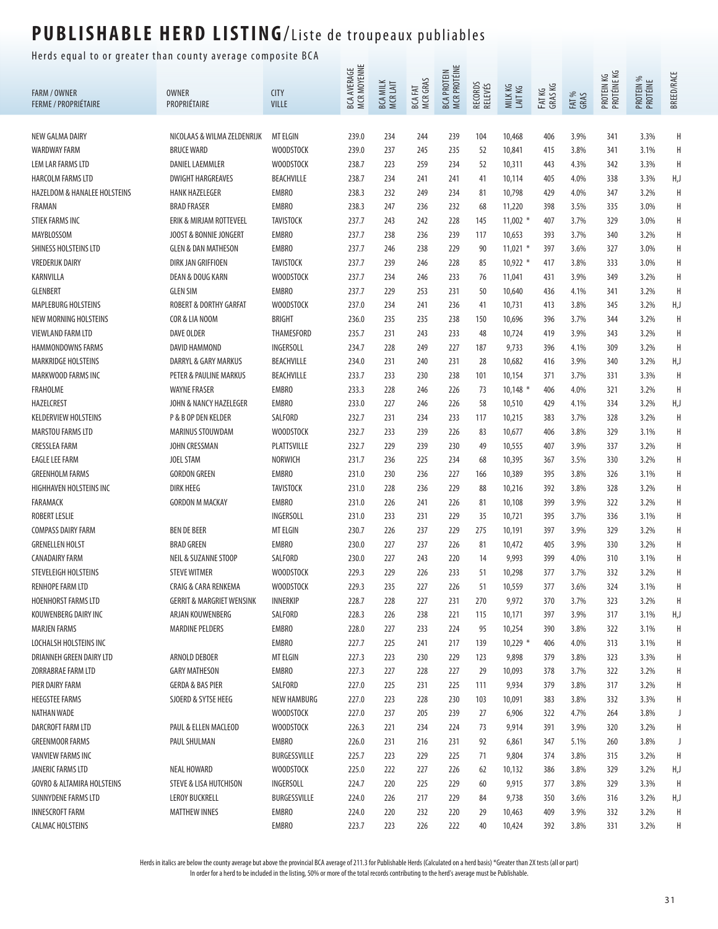Herds equal to or greater than county average composite BCA

| <b>FARM / OWNER</b><br><b>FERME / PROPRIÉTAIRE</b> | <b>OWNER</b><br>PROPRIÉTAIRE         | <b>CITY</b><br><b>VILLE</b> | MCR MOYENNE<br><b>BCA AVERAGE</b> | <b>BCA MILK</b><br>MCR LAIT | MCR GRAS<br><b>BCA FAT</b> | MCR PROTÉINE<br><b>BCA PROTEIN</b> | RECORDS<br>RELEVÉS | MILKKG<br>LAITKG | FAT KG<br>GRAS KG | FAT %<br>GRAS | PROTEIN KG<br>PROTÉINE KG | PROTEIN %<br>PROTÉINE | <b>BREED/RACE</b> |
|----------------------------------------------------|--------------------------------------|-----------------------------|-----------------------------------|-----------------------------|----------------------------|------------------------------------|--------------------|------------------|-------------------|---------------|---------------------------|-----------------------|-------------------|
|                                                    |                                      |                             |                                   |                             |                            |                                    |                    |                  |                   |               |                           |                       |                   |
| NEW GALMA DAIRY                                    | NICOLAAS & WILMA ZELDENRIJK          | <b>MT ELGIN</b>             | 239.0                             | 234                         | 244                        | 239                                | 104                | 10,468           | 406               | 3.9%          | 341                       | 3.3%                  | H                 |
| <b>WARDWAY FARM</b>                                | <b>BRUCE WARD</b>                    | <b>WOODSTOCK</b>            | 239.0                             | 237                         | 245                        | 235                                | 52                 | 10,841           | 415               | 3.8%          | 341                       | 3.1%                  | H                 |
| LEM LAR FARMS LTD                                  | <b>DANIEL LAEMMLER</b>               | <b>WOODSTOCK</b>            | 238.7                             | 223                         | 259                        | 234                                | 52                 | 10,311           | 443               | 4.3%          | 342                       | 3.3%                  | H                 |
| HARCOLM FARMS LTD                                  | <b>DWIGHT HARGREAVES</b>             | BEACHVILLE                  | 238.7                             | 234                         | 241                        | 241                                | 41                 | 10,114           | 405               | 4.0%          | 338                       | 3.3%                  | H,J               |
| <b>HAZELDOM &amp; HANALEE HOLSTEINS</b>            | <b>HANK HAZELEGER</b>                | <b>EMBRO</b>                | 238.3                             | 232                         | 249                        | 234                                | 81                 | 10,798           | 429               | 4.0%          | 347                       | 3.2%                  | H                 |
| FRAMAN                                             | <b>BRAD FRASER</b>                   | <b>EMBRO</b>                | 238.3                             | 247                         | 236                        | 232                                | 68                 | 11,220           | 398               | 3.5%          | 335                       | 3.0%                  | Η                 |
| <b>STIEK FARMS INC</b>                             | ERIK & MIRJAM ROTTEVEEL              | <b>TAVISTOCK</b>            | 237.7                             | 243                         | 242                        | 228                                | 145                | $11,002$ *       | 407               | 3.7%          | 329                       | 3.0%                  | Η                 |
| MAYBLOSSOM                                         | JOOST & BONNIE JONGERT               | <b>EMBRO</b>                | 237.7                             | 238                         | 236                        | 239                                | 117                | 10,653           | 393               | 3.7%          | 340                       | 3.2%                  | Н                 |
| SHINESS HOLSTEINS LTD                              | <b>GLEN &amp; DAN MATHESON</b>       | <b>EMBRO</b>                | 237.7                             | 246                         | 238                        | 229                                | 90                 | $11,021$ *       | 397               | 3.6%          | 327                       | 3.0%                  | Н                 |
| <b>VREDERIJK DAIRY</b>                             | DIRK JAN GRIFFIOEN                   | <b>TAVISTOCK</b>            | 237.7                             | 239                         | 246                        | 228                                | 85                 | $10,922$ *       | 417               | 3.8%          | 333                       | 3.0%                  | Η                 |
| KARNVILLA                                          | <b>DEAN &amp; DOUG KARN</b>          | <b>WOODSTOCK</b>            | 237.7                             | 234                         | 246                        | 233                                | 76                 | 11,041           | 431               | 3.9%          | 349                       | 3.2%                  | Η                 |
| <b>GLENBERT</b>                                    | <b>GLEN SIM</b>                      | <b>EMBRO</b>                | 237.7                             | 229                         | 253                        | 231                                | 50                 | 10,640           | 436               | 4.1%          | 341                       | 3.2%                  | H                 |
| MAPLEBURG HOLSTEINS                                | ROBERT & DORTHY GARFAT               | <b>WOODSTOCK</b>            | 237.0                             | 234                         | 241                        | 236                                | 41                 | 10,731           | 413               | 3.8%          | 345                       | 3.2%                  | H,J               |
| NEW MORNING HOLSTEINS                              | COR & LIA NOOM                       | <b>BRIGHT</b>               | 236.0                             | 235                         | 235                        | 238                                | 150                | 10,696           | 396               | 3.7%          | 344                       | 3.2%                  | H                 |
| <b>VIEWLAND FARM LTD</b>                           | <b>DAVE OLDER</b>                    | <b>THAMESFORD</b>           | 235.7                             | 231                         | 243                        | 233                                | 48                 | 10,724           | 419               | 3.9%          | 343                       | 3.2%                  | H                 |
| <b>HAMMONDOWNS FARMS</b>                           | DAVID HAMMOND                        | INGERSOLL                   | 234.7                             | 228                         | 249                        | 227                                | 187                | 9,733            | 396               | 4.1%          | 309                       | 3.2%                  | H                 |
| <b>MARKRIDGE HOLSTEINS</b>                         | DARRYL & GARY MARKUS                 | BEACHVILLE                  | 234.0                             | 231                         | 240                        | 231                                | 28                 | 10,682           | 416               | 3.9%          | 340                       | 3.2%                  | H,J               |
| MARKWOOD FARMS INC                                 | PETER & PAULINE MARKUS               | BEACHVILLE                  | 233.7                             | 233                         | 230                        | 238                                | 101                | 10,154           | 371               | 3.7%          | 331                       | 3.3%                  | H                 |
| <b>FRAHOLME</b>                                    | <b>WAYNE FRASER</b>                  | <b>EMBRO</b>                | 233.3                             | 228                         | 246                        | 226                                | 73                 | $10,148$ *       | 406               | 4.0%          | 321                       | 3.2%                  | H                 |
| HAZELCREST                                         | JOHN & NANCY HAZELEGER               | <b>EMBRO</b>                | 233.0                             | 227                         | 246                        | 226                                | 58                 | 10,510           | 429               | 4.1%          | 334                       | 3.2%                  | H,J               |
| <b>KELDERVIEW HOLSTEINS</b>                        | P & B OP DEN KELDER                  | SALFORD                     | 232.7                             | 231                         | 234                        | 233                                | 117                | 10,215           | 383               | 3.7%          | 328                       | 3.2%                  | H                 |
| <b>MARSTOU FARMS LTD</b>                           | MARINUS STOUWDAM                     | <b>WOODSTOCK</b>            | 232.7                             | 233                         | 239                        | 226                                | 83                 | 10,677           | 406               | 3.8%          | 329                       | 3.1%                  | Η                 |
| <b>CRESSLEA FARM</b>                               | JOHN CRESSMAN                        | PLATTSVILLE                 | 232.7                             | 229                         | 239                        | 230                                | 49                 | 10,555           | 407               | 3.9%          | 337                       | 3.2%                  | Н                 |
| <b>EAGLE LEE FARM</b>                              | <b>JOEL STAM</b>                     | NORWICH                     | 231.7                             | 236                         | 225                        | 234                                | 68                 | 10,395           | 367               | 3.5%          | 330                       | 3.2%                  | Н                 |
| <b>GREENHOLM FARMS</b>                             | <b>GORDON GREEN</b>                  | <b>EMBRO</b>                | 231.0                             | 230                         | 236                        | 227                                | 166                | 10,389           | 395               | 3.8%          | 326                       | 3.1%                  | Н                 |
| HIGHHAVEN HOLSTEINS INC                            | <b>DIRK HEEG</b>                     | <b>TAVISTOCK</b>            | 231.0                             | 228                         | 236                        | 229                                | 88                 | 10,216           | 392               | 3.8%          | 328                       | 3.2%                  | Н                 |
| FARAMACK                                           | <b>GORDON M MACKAY</b>               | <b>EMBRO</b>                | 231.0                             | 226                         | 241                        | 226                                | 81                 | 10,108           | 399               | 3.9%          | 322                       | 3.2%                  | Н                 |
| <b>ROBERT LESLIE</b>                               |                                      | INGERSOLL                   | 231.0                             | 233                         | 231                        | 229                                | 35                 | 10,721           | 395               | 3.7%          | 336                       | 3.1%                  | Н                 |
| <b>COMPASS DAIRY FARM</b>                          | <b>BEN DE BEER</b>                   | <b>MT ELGIN</b>             | 230.7                             | 226                         | 237                        | 229                                | 275                | 10,191           | 397               | 3.9%          | 329                       | 3.2%                  | Н                 |
| <b>GRENELLEN HOLST</b>                             | <b>BRAD GREEN</b>                    | <b>EMBRO</b>                | 230.0                             | 227                         | 237                        | 226                                | 81                 | 10,472           | 405               | 3.9%          | 330                       | 3.2%                  | H                 |
| <b>CANADAIRY FARM</b>                              | NEIL & SUZANNE STOOP                 | SALFORD                     | 230.0                             | 227                         | 243                        | 220                                | 14                 | 9,993            | 399               | 4.0%          | 310                       | 3.1%                  | Η                 |
| STEVELEIGH HOLSTEINS                               | <b>STEVE WITMER</b>                  | <b>WOODSTOCK</b>            | 229.3                             | 229                         | 226                        | 233                                | 51                 | 10,298           | 377               | 3.7%          | 332                       | 3.2%                  | Η                 |
| <b>RENHOPE FARM LTD</b>                            | <b>CRAIG &amp; CARA RENKEMA</b>      | <b>WOODSTOCK</b>            | 229.3                             | 235                         | 227                        | 226                                | 51                 | 10,559           | 377               | 3.6%          | 324                       | 3.1%                  | Н                 |
| <b>HOENHORST FARMS LTD</b>                         | <b>GERRIT &amp; MARGRIET WENSINK</b> | <b>INNERKIP</b>             | 228.7                             | 228                         | 227                        | 231                                | 270                | 9,972            | 370               | 3.7%          | 323                       | 3.2%                  | Η                 |
| KOUWENBERG DAIRY INC                               | ARJAN KOUWENBERG                     | SALFORD                     | 228.3                             | 226                         | 238                        | 221                                | 115                | 10,171           | 397               | 3.9%          | 317                       | 3.1%                  | H,J               |
| <b>MARJEN FARMS</b>                                | MARDINE PELDERS                      | <b>EMBRO</b>                | 228.0                             | 227                         | 233                        | 224                                | 95                 | 10,254           | 390               | 3.8%          | 322                       | 3.1%                  | H                 |
| LOCHALSH HOLSTEINS INC                             |                                      | <b>EMBRO</b>                | 227.7                             | 225                         | 241                        | 217                                | 139                | $10,229$ *       | 406               | 4.0%          | 313                       | 3.1%                  | Н                 |
| DRIANNEH GREEN DAIRY LTD                           | ARNOLD DEBOER                        | <b>MT ELGIN</b>             | 227.3                             | 223                         | 230                        | 229                                | 123                | 9,898            | 379               | 3.8%          | 323                       | 3.3%                  | Н                 |
|                                                    |                                      | <b>EMBRO</b>                |                                   |                             |                            |                                    |                    |                  |                   |               |                           |                       |                   |
| ZORRABRAE FARM LTD                                 | <b>GARY MATHESON</b>                 |                             | 227.3                             | 227                         | 228                        | 227                                | 29                 | 10,093           | 378               | 3.7%          | 322                       | 3.2%                  | Н                 |
| PIER DAIRY FARM                                    | <b>GERDA &amp; BAS PIER</b>          | SALFORD                     | 227.0                             | 225                         | 231                        | 225                                | 111                | 9,934            | 379               | 3.8%          | 317                       | 3.2%                  | Н                 |
| <b>HEEGSTEE FARMS</b>                              | SJOERD & SYTSE HEEG                  | <b>NEW HAMBURG</b>          | 227.0                             | 223                         | 228                        | 230                                | 103                | 10,091           | 383               | 3.8%          | 332                       | 3.3%                  | Н                 |
| NATHAN WADE                                        |                                      | <b>WOODSTOCK</b>            | 227.0                             | 237                         | 205                        | 239                                | 27                 | 6,906            | 322               | 4.7%          | 264                       | 3.8%                  | J                 |
| DARCROFT FARM LTD                                  | PAUL & ELLEN MACLEOD                 | <b>WOODSTOCK</b>            | 226.3                             | 221                         | 234                        | 224                                | 73                 | 9,914            | 391               | 3.9%          | 320                       | 3.2%                  | Н                 |
| <b>GREENMOOR FARMS</b>                             | PAUL SHULMAN                         | <b>EMBRO</b>                | 226.0                             | 231                         | 216                        | 231                                | 92                 | 6,861            | 347               | 5.1%          | 260                       | 3.8%                  | J                 |
| <b>VANVIEW FARMS INC</b>                           |                                      | BURGESSVILLE                | 225.7                             | 223                         | 229                        | 225                                | 71                 | 9,804            | 374               | 3.8%          | 315                       | 3.2%                  | Η                 |
| <b>JANERIC FARMS LTD</b>                           | NEAL HOWARD                          | <b>WOODSTOCK</b>            | 225.0                             | 222                         | 227                        | 226                                | 62                 | 10,132           | 386               | 3.8%          | 329                       | 3.2%                  | H,J               |
| <b>GOVRO &amp; ALTAMIRA HOLSTEINS</b>              | STEVE & LISA HUTCHISON               | INGERSOLL                   | 224.7                             | 220                         | 225                        | 229                                | 60                 | 9,915            | 377               | 3.8%          | 329                       | 3.3%                  | H                 |
| SUNNYDENE FARMS LTD                                | <b>LEROY BUCKRELL</b>                | BURGESSVILLE                | 224.0                             | 226                         | 217                        | 229                                | 84                 | 9,738            | 350               | 3.6%          | 316                       | 3.2%                  | H,J               |
| <b>INNESCROFT FARM</b>                             | <b>MATTHEW INNES</b>                 | <b>EMBRO</b>                | 224.0                             | 220                         | 232                        | 220                                | 29                 | 10,463           | 409               | 3.9%          | 332                       | 3.2%                  | H                 |
| <b>CALMAC HOLSTEINS</b>                            |                                      | <b>EMBRO</b>                | 223.7                             | 223                         | 226                        | 222                                | 40                 | 10,424           | 392               | 3.8%          | 331                       | 3.2%                  | Н                 |

Herds in italics are below the county average but above the provincial BCA average of 211.3 for Publishable Herds (Calculated on a herd basis) \*Greater than 2X tests (all or part) In order for a herd to be included in the listing, 50% or more of the total records contributing to the herd's average must be Publishable.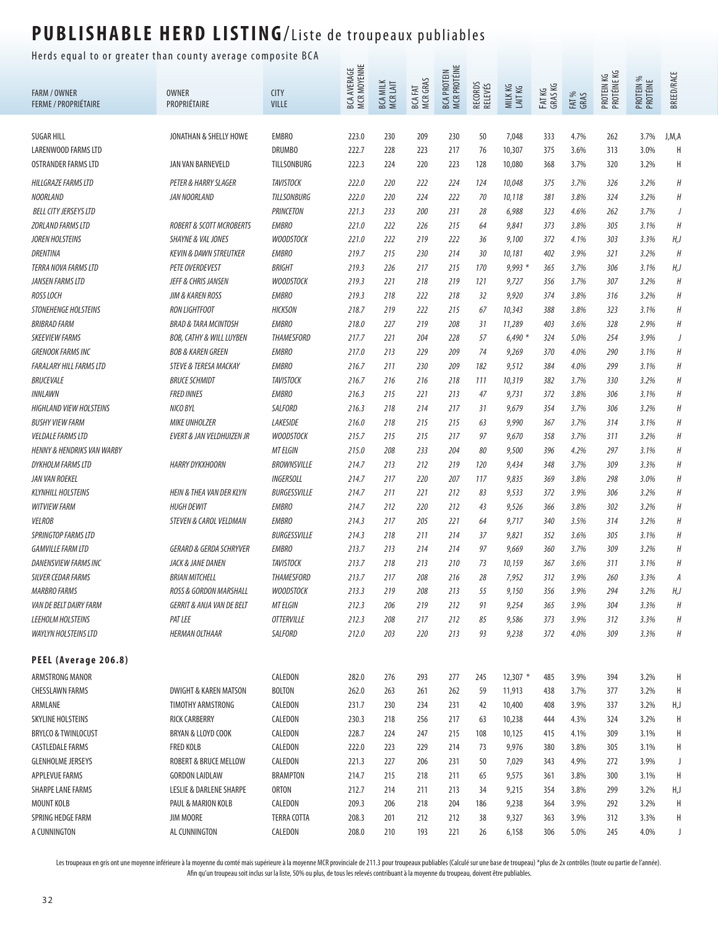Herds equal to or greater than county average composite BCA

| <b>FARM / OWNER</b><br><b>FERME / PROPRIÉTAIRE</b> | <b>OWNER</b><br>PROPRIÉTAIRE         | <b>CITY</b><br><b>VILLE</b> | MCR MOYENNE<br><b>BCA AVERAGE</b> | <b>BCA MILK</b><br>MCR LAIT | <b>MCR GRAS</b><br><b>BCAFAT</b> | MCR PROTÉINE<br><b>BCA PROTEIN</b> | RECORDS<br>RELEVÉS | MILK KG<br>LAIT KG | FAT KG<br>GRAS KG | FAT %<br>GRAS | PROTEIN KG<br>PROTÉINE KG | PROTEIN %<br>PROTÉINE | <b>BREED/RACE</b> |
|----------------------------------------------------|--------------------------------------|-----------------------------|-----------------------------------|-----------------------------|----------------------------------|------------------------------------|--------------------|--------------------|-------------------|---------------|---------------------------|-----------------------|-------------------|
|                                                    |                                      |                             |                                   |                             |                                  |                                    |                    |                    |                   |               |                           |                       |                   |
| <b>SUGAR HILL</b>                                  | JONATHAN & SHELLY HOWE               | <b>EMBRO</b>                | 223.0                             | 230                         | 209                              | 230                                | 50                 | 7,048              | 333               | 4.7%          | 262                       | 3.7%                  | J,M,A             |
| <b>LARENWOOD FARMS LTD</b>                         |                                      | <b>DRUMBO</b>               | 222.7                             | 228                         | 223                              | 217                                | 76                 | 10,307             | 375               | 3.6%          | 313                       | 3.0%                  | H                 |
| OSTRANDER FARMS LTD                                | JAN VAN BARNEVELD                    | TILLSONBURG                 | 222.3                             | 224                         | 220                              | 223                                | 128                | 10,080             | 368               | 3.7%          | 320                       | 3.2%                  | Н                 |
| <b>HILLGRAZE FARMS LTD</b>                         | PETER & HARRY SLAGER                 | <b>TAVISTOCK</b>            | 222.0                             | 220                         | 222                              | 224                                | 124                | 10,048             | 375               | 3.7%          | 326                       | 3.2%                  | Н                 |
| <b>NOORLAND</b>                                    | JAN NOORLAND                         | <b>TILLSONBURG</b>          | 222.0                             | 220                         | 224                              | 222                                | 70                 | 10,118             | 381               | 3.8%          | 324                       | 3.2%                  | Н                 |
| <b>BELL CITY JERSEYS LTD</b>                       |                                      | <b>PRINCETON</b>            | 221.3                             | 233                         | 200                              | 231                                | 28                 | 6,988              | 323               | 4.6%          | 262                       | 3.7%                  | J                 |
| ZORLAND FARMS LTD                                  | ROBERT & SCOTT MCROBERTS             | <b>EMBRO</b>                | 221.0                             | 222                         | 226                              | 215                                | 64                 | 9,841              | 373               | 3.8%          | 305                       | 3.1%                  | Н                 |
| <b>JOREN HOLSTEINS</b>                             | <b>SHAYNE &amp; VAL JONES</b>        | <b>WOODSTOCK</b>            | 221.0                             | 222                         | 219                              | 222                                | 36                 | 9,100              | 372               | 4.1%          | 303                       | 3.3%                  | H, J              |
| <b>DRENTINA</b>                                    | <b>KEVIN &amp; DAWN STREUTKER</b>    | <b>EMBRO</b>                | 219.7                             | 215                         | 230                              | 214                                | 30                 | 10,181             | 402               | 3.9%          | 321                       | 3.2%                  | $\boldsymbol{H}$  |
| TERRA NOVA FARMS LTD                               | <b>PETE OVERDEVEST</b>               | <b>BRIGHT</b>               | 219.3                             | 226                         | 217                              | 215                                | 170                | $9,993$ *          | 365               | 3.7%          | 306                       | 3.1%                  | H,J               |
| JANSEN FARMS LTD                                   | <b>JEFF &amp; CHRIS JANSEN</b>       | <b>WOODSTOCK</b>            | 219.3                             | 221                         | 218                              | 219                                | 121                | 9,727              | 356               | 3.7%          | 307                       | 3.2%                  | H                 |
| <b>ROSS LOCH</b>                                   | <b>JIM &amp; KAREN ROSS</b>          | <b>EMBRO</b>                | 219.3                             | 218                         | 222                              | 218                                | 32                 | 9,920              | 374               | 3.8%          | 316                       | 3.2%                  | Н                 |
| <b>STONEHENGE HOLSTEINS</b>                        | <b>RON LIGHTFOOT</b>                 | <b>HICKSON</b>              | 218.7                             | 219                         | 222                              | 215                                | 67                 | 10,343             | 388               | 3.8%          | 323                       | 3.1%                  | Н                 |
| <b>BRIBRAD FARM</b>                                | <b>BRAD &amp; TARA MCINTOSH</b>      | <b>EMBRO</b>                | 218.0                             | 227                         | 219                              | 208                                | 31                 | 11,289             | 403               | 3.6%          | 328                       | 2.9%                  | Н                 |
| <b>SKEEVIEW FARMS</b>                              | <b>BOB, CATHY &amp; WILL LUYBEN</b>  | <b>THAMESFORD</b>           | 217.7                             | 221                         | 204                              | 228                                | 57                 | $6,490*$           | 324               | 5.0%          | 254                       | 3.9%                  | J                 |
| <b>GRENOOK FARMS INC</b>                           | <b>BOB &amp; KAREN GREEN</b>         | <b>EMBRO</b>                | 217.0                             | 213                         | 229                              | 209                                | 74                 | 9,269              | 370               | 4.0%          | 290                       | 3.1%                  | Н                 |
| <b>FARALARY HILL FARMS LTD</b>                     | <b>STEVE &amp; TERESA MACKAY</b>     | <b>EMBRO</b>                | 216.7                             | 211                         | 230                              | 209                                | 182                | 9,512              | 384               | 4.0%          | 299                       | 3.1%                  | Н                 |
| <b>BRUCEVALE</b>                                   | <b>BRUCE SCHMIDT</b>                 | <b>TAVISTOCK</b>            | 216.7                             | 216                         | 216                              | 218                                | 111                | 10,319             | 382               | 3.7%          | 330                       | 3.2%                  | Н                 |
| INNLAWN                                            | <b>FRED INNES</b>                    | <b>EMBRO</b>                | 216.3                             | 215                         | 221                              | 213                                | 47                 | 9,731              | 372               | 3.8%          | 306                       | 3.1%                  | Н                 |
| <b>HIGHLAND VIEW HOLSTEINS</b>                     | NICO BYL                             | SALFORD                     | 216.3                             | 218                         | 214                              | 217                                | 31                 | 9,679              | 354               | 3.7%          | 306                       | 3.2%                  | Н                 |
| <b>BUSHY VIEW FARM</b>                             | <b>MIKE UNHOLZER</b>                 | <b>LAKESIDE</b>             | 216.0                             | 218                         | 215                              | 215                                | 63                 | 9,990              | 367               | 3.7%          | 314                       | 3.1%                  | Н                 |
| <b>VELDALE FARMS LTD</b>                           | EVERT & JAN VELDHUIZEN JR            | <b>WOODSTOCK</b>            | 215.7                             | 215                         | 215                              | 217                                | 97                 | 9,670              | 358               | 3.7%          | 311                       | 3.2%                  | Н                 |
| HENNY & HENDRIKS VAN WARBY                         |                                      | <b>MT ELGIN</b>             | 215.0                             | 208                         | 233                              | 204                                | 80                 | 9,500              | 396               | 4.2%          | 297                       | 3.1%                  | Н                 |
| <b>DYKHOLM FARMS LTD</b>                           | <b>HARRY DYKXHOORN</b>               | <b>BROWNSVILLE</b>          | 214.7                             | 213                         | 212                              | 219                                | 120                | 9,434              | 348               | 3.7%          | 309                       | 3.3%                  | Н                 |
| JAN VAN ROEKEL                                     |                                      | <b>INGERSOLL</b>            | 214.7                             | 217                         | 220                              | 207                                | 117                | 9,835              | 369               | 3.8%          | 298                       | 3.0%                  | Н                 |
| <b>KLYNHILL HOLSTEINS</b>                          | <b>HEIN &amp; THEA VAN DER KLYN</b>  | BURGESSVILLE                | 214.7                             | 211                         | 221                              | 212                                | 83                 | 9,533              | 372               | 3.9%          | 306                       | 3.2%                  | Н                 |
| <b>WITVIEW FARM</b>                                | <b>HUGH DEWIT</b>                    | <b>EMBRO</b>                | 214.7                             | 212                         | 220                              | 212                                | 43                 | 9,526              | 366               | 3.8%          | 302                       | 3.2%                  | Н                 |
| <b>VELROB</b>                                      | STEVEN & CAROL VELDMAN               | <b>EMBRO</b>                | 214.3                             | 217                         | 205                              | 221                                | 64                 | 9,717              | 340               | 3.5%          | 314                       | 3.2%                  | Н                 |
| <b>SPRINGTOP FARMS LTD</b>                         |                                      | BURGESSVILLE                | 214.3                             | 218                         | 211                              | 214                                | 37                 | 9,821              | 352               | 3.6%          | 305                       | 3.1%                  | Н                 |
| <b>GAMVILLE FARM LTD</b>                           | <b>GERARD &amp; GERDA SCHRYVER</b>   | <b>EMBRO</b>                | 213.7                             | 213                         | 214                              | 214                                | 97                 | 9,669              | 360               | 3.7%          | 309                       | 3.2%                  | Н                 |
| DANENSVIEW FARMS INC                               | JACK & JANE DANEN                    | <b>TAVISTOCK</b>            | 213.7                             | 218                         | 213                              | 210                                | 73                 | 10,159             | 367               | 3.6%          | 311                       | 3.1%                  | Н                 |
| <b>SILVER CEDAR FARMS</b>                          | <b>BRIAN MITCHELL</b>                | THAMESFORD                  | 213.7                             | 217                         | 208                              | 216                                | 28                 | 7,952              | 312               | 3.9%          | 260                       | 3.3%                  | А                 |
| MARBRO FARMS                                       | ROSS & GORDON MARSHALL               | <b>WOODSTOCK</b>            | 213.3                             | 219                         | 208                              | 213                                | 55                 | 9,150              | 356               | 3.9%          | 294                       | 3.2%                  | H, J              |
| VAN DE BELT DAIRY FARM                             | <b>GERRIT &amp; ANJA VAN DE BELT</b> | <b>MT ELGIN</b>             | 212.3                             | 206                         | 219                              | 212                                | 91                 | 9,254              | 365               | 3.9%          | 304                       | 3.3%                  | Н                 |
| <b>LEEHOLM HOLSTEINS</b>                           | <b>PAT LEE</b>                       | <b>OTTERVILLE</b>           | 212.3                             | 208                         | 217                              | 212                                | 85                 | 9,586              | 373               | 3.9%          | 312                       | 3.3%                  | $\boldsymbol{H}$  |
| <b>WAYLYN HOLSTEINS LTD</b>                        | <b>HERMAN OLTHAAR</b>                | SALFORD                     | 212.0                             | 203                         | 220                              | 213                                | 93                 | 9,238              | 372               | 4.0%          | 309                       | 3.3%                  | $\boldsymbol{H}$  |
| PEEL (Average 206.8)                               |                                      |                             |                                   |                             |                                  |                                    |                    |                    |                   |               |                           |                       |                   |
| ARMSTRONG MANOR                                    |                                      | CALEDON                     | 282.0                             | 276                         | 293                              | 277                                | 245                | $12,307$ *         | 485               | 3.9%          | 394                       | 3.2%                  | Η                 |
| <b>CHESSLAWN FARMS</b>                             | <b>DWIGHT &amp; KAREN MATSON</b>     | <b>BOLTON</b>               | 262.0                             | 263                         | 261                              | 262                                | 59                 | 11,913             | 438               | 3.7%          | 377                       | 3.2%                  | H                 |
| ARMLANE                                            | TIMOTHY ARMSTRONG                    | CALEDON                     | 231.7                             | 230                         | 234                              | 231                                | 42                 | 10,400             | 408               | 3.9%          | 337                       | 3.2%                  | H,J               |
| <b>SKYLINE HOLSTEINS</b>                           | <b>RICK CARBERRY</b>                 | CALEDON                     | 230.3                             | 218                         | 256                              | 217                                | 63                 | 10,238             | 444               | 4.3%          | 324                       | 3.2%                  | H                 |
| <b>BRYLCO &amp; TWINLOCUST</b>                     | BRYAN & LLOYD COOK                   | CALEDON                     | 228.7                             | 224                         | 247                              | 215                                | 108                | 10,125             | 415               | 4.1%          | 309                       | 3.1%                  | Н                 |
| <b>CASTLEDALE FARMS</b>                            | FRED KOLB                            | CALEDON                     | 222.0                             | 223                         | 229                              | 214                                | 73                 | 9,976              | 380               | 3.8%          | 305                       | 3.1%                  | Н                 |
| <b>GLENHOLME JERSEYS</b>                           | <b>ROBERT &amp; BRUCE MELLOW</b>     | CALEDON                     | 221.3                             | 227                         | 206                              | 231                                | 50                 | 7,029              | 343               | 4.9%          | 272                       | 3.9%                  | J                 |
| APPLEVUE FARMS                                     | <b>GORDON LAIDLAW</b>                | <b>BRAMPTON</b>             | 214.7                             | 215                         | 218                              | 211                                | 65                 | 9,575              | 361               | 3.8%          | 300                       | 3.1%                  | H                 |
| <b>SHARPE LANE FARMS</b>                           | LESLIE & DARLENE SHARPE              | ORTON                       | 212.7                             | 214                         | 211                              | 213                                | 34                 | 9,215              | 354               | 3.8%          | 299                       | 3.2%                  | H,J               |
| MOUNT KOLB                                         | PAUL & MARION KOLB                   | CALEDON                     | 209.3                             | 206                         | 218                              | 204                                | 186                | 9,238              | 364               | 3.9%          | 292                       | 3.2%                  | H                 |
| SPRING HEDGE FARM                                  | JIM MOORE                            | TERRA COTTA                 | 208.3                             | 201                         | 212                              | 212                                | 38                 | 9,327              | 363               | 3.9%          | 312                       | 3.3%                  | Н                 |
| A CUNNINGTON                                       | AL CUNNINGTON                        | CALEDON                     | 208.0                             | 210                         | 193                              | 221                                | 26                 | 6,158              | 306               | 5.0%          | 245                       | 4.0%                  | J                 |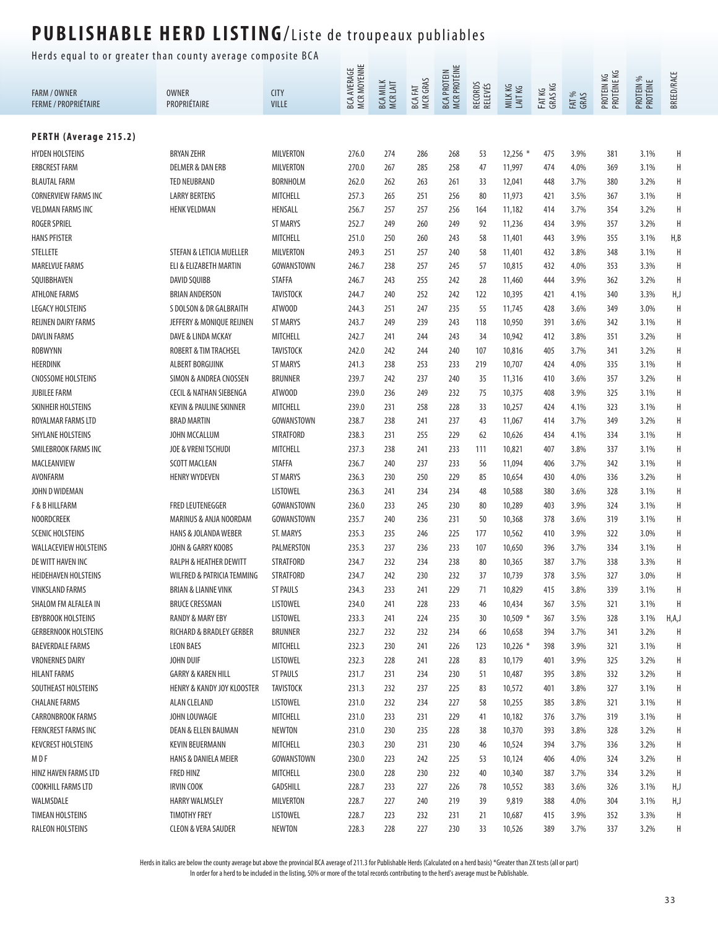Herds equal to or greater than county average composite BCA

| <b>FARM / OWNER</b><br><b>FERME / PROPRIÉTAIRE</b> | <b>OWNER</b><br>PROPRIÉTAIRE       | <b>CITY</b><br><b>VILLE</b> | MCR MOYENNE<br><b>BCA AVERAGE</b> | <b>MILK</b><br><b>BCA MILK</b><br>MCR LAIT | <b>MCR GRAS</b><br><b>BCA FAT</b> | BCA PROTEIN<br>MCR PROTÉINE | RECORDS<br>RELEVÉS | MILK KG<br>LAIT KG | FAT KG<br>GRAS KG | FAT %<br>GRAS | PROTEIN KG<br>PROTÉINE KG | PROTEIN %<br>PROTÉINE | <b>SREED/RACE</b> |
|----------------------------------------------------|------------------------------------|-----------------------------|-----------------------------------|--------------------------------------------|-----------------------------------|-----------------------------|--------------------|--------------------|-------------------|---------------|---------------------------|-----------------------|-------------------|
| PERTH (Average 215.2)                              |                                    |                             |                                   |                                            |                                   |                             |                    |                    |                   |               |                           |                       |                   |
| <b>HYDEN HOLSTEINS</b>                             | <b>BRYAN ZEHR</b>                  | MILVERTON                   | 276.0                             | 274                                        | 286                               | 268                         | 53                 | $12,256$ *         | 475               | 3.9%          | 381                       | 3.1%                  | H                 |
| <b>ERBCREST FARM</b>                               | <b>DELMER &amp; DAN ERB</b>        | MILVERTON                   | 270.0                             | 267                                        | 285                               | 258                         | 47                 | 11,997             | 474               | 4.0%          | 369                       | 3.1%                  | H                 |
| <b>BLAUTAL FARM</b>                                | <b>TED NEUBRAND</b>                | <b>BORNHOLM</b>             | 262.0                             | 262                                        | 263                               | 261                         | 33                 | 12,041             | 448               | 3.7%          | 380                       | 3.2%                  | H                 |
| <b>CORNERVIEW FARMS INC</b>                        | <b>LARRY BERTENS</b>               | <b>MITCHELL</b>             | 257.3                             | 265                                        | 251                               | 256                         | 80                 | 11,973             | 421               | 3.5%          | 367                       | 3.1%                  | H                 |
| <b>VELDMAN FARMS INC</b>                           | <b>HENK VELDMAN</b>                | HENSALL                     | 256.7                             | 257                                        | 257                               | 256                         | 164                | 11,182             | 414               | 3.7%          | 354                       | 3.2%                  | H                 |
| <b>ROGER SPRIEL</b>                                |                                    | <b>ST MARYS</b>             | 252.7                             | 249                                        | 260                               | 249                         | 92                 | 11,236             | 434               | 3.9%          | 357                       | 3.2%                  | H                 |
| <b>HANS PFISTER</b>                                |                                    | <b>MITCHELL</b>             | 251.0                             | 250                                        | 260                               | 243                         | 58                 | 11,401             | 443               | 3.9%          | 355                       | 3.1%                  | H, B              |
| STELLETE                                           | STEFAN & LETICIA MUELLER           | <b>MILVERTON</b>            | 249.3                             | 251                                        | 257                               | 240                         | 58                 | 11,401             | 432               | 3.8%          | 348                       | 3.1%                  | H                 |
| <b>MARELVUE FARMS</b>                              | ELI & ELIZABETH MARTIN             | GOWANSTOWN                  | 246.7                             | 238                                        | 257                               | 245                         | 57                 | 10,815             | 432               | 4.0%          | 353                       | 3.3%                  | H                 |
| SQUIBBHAVEN                                        | DAVID SQUIBB                       | <b>STAFFA</b>               | 246.7                             | 243                                        | 255                               | 242                         | 28                 | 11,460             | 444               | 3.9%          | 362                       | 3.2%                  | H                 |
| <b>ATHLONE FARMS</b>                               | <b>BRIAN ANDERSON</b>              | <b>TAVISTOCK</b>            | 244.7                             | 240                                        | 252                               | 242                         | 122                | 10,395             | 421               | 4.1%          | 340                       | 3.3%                  | H,J               |
| <b>LEGACY HOLSTEINS</b>                            | S DOLSON & DR GALBRAITH            | ATWOOD                      | 244.3                             | 251                                        | 247                               | 235                         | 55                 | 11,745             | 428               | 3.6%          | 349                       | 3.0%                  | H                 |
| <b>REIJNEN DAIRY FARMS</b>                         | JEFFERY & MONIQUE REIJNEN          | <b>ST MARYS</b>             | 243.7                             | 249                                        | 239                               | 243                         | 118                | 10,950             | 391               | 3.6%          | 342                       | 3.1%                  | H                 |
| <b>DAVLIN FARMS</b>                                | DAVE & LINDA MCKAY                 | <b>MITCHELL</b>             | 242.7                             | 241                                        | 244                               | 243                         | 34                 | 10,942             | 412               | 3.8%          | 351                       | 3.2%                  | H                 |
| <b>ROBWYNN</b>                                     | ROBERT & TIM TRACHSEL              | <b>TAVISTOCK</b>            | 242.0                             | 242                                        | 244                               | 240                         | 107                | 10,816             | 405               | 3.7%          | 341                       | 3.2%                  | H                 |
| <b>HEERDINK</b>                                    | <b>ALBERT BORGIJINK</b>            | <b>ST MARYS</b>             | 241.3                             | 238                                        | 253                               | 233                         | 219                | 10,707             | 424               | 4.0%          | 335                       | 3.1%                  | H                 |
| <b>CNOSSOME HOLSTEINS</b>                          | SIMON & ANDREA CNOSSEN             | <b>BRUNNER</b>              | 239.7                             | 242                                        | 237                               | 240                         | 35                 | 11,316             | 410               | 3.6%          | 357                       | 3.2%                  | H                 |
| <b>JUBILEE FARM</b>                                | <b>CECIL &amp; NATHAN SIEBENGA</b> | ATWOOD                      | 239.0                             | 236                                        | 249                               | 232                         | 75                 | 10,375             | 408               | 3.9%          | 325                       | 3.1%                  | H                 |
| SKINHEIR HOLSTEINS                                 | KEVIN & PAULINE SKINNER            | MITCHELL                    | 239.0                             | 231                                        | 258                               | 228                         | 33                 | 10,257             | 424               | 4.1%          | 323                       | 3.1%                  | H                 |
| ROYALMAR FARMS LTD                                 | <b>BRAD MARTIN</b>                 | GOWANSTOWN                  | 238.7                             | 238                                        | 241                               | 237                         | 43                 | 11,067             | 414               | 3.7%          | 349                       | 3.2%                  | H                 |
| SHYLANE HOLSTEINS                                  | JOHN MCCALLUM                      | <b>STRATFORD</b>            | 238.3                             | 231                                        | 255                               | 229                         | 62                 | 10,626             | 434               | 4.1%          | 334                       | 3.1%                  | H                 |
| SMILEBROOK FARMS INC                               | <b>JOE &amp; VRENI TSCHUDI</b>     | <b>MITCHELL</b>             | 237.3                             | 238                                        | 241                               | 233                         | 111                | 10,821             | 407               | 3.8%          | 337                       | 3.1%                  | H                 |
| MACLEANVIEW                                        | <b>SCOTT MACLEAN</b>               | <b>STAFFA</b>               | 236.7                             | 240                                        | 237                               | 233                         | 56                 | 11,094             | 406               | 3.7%          | 342                       | 3.1%                  | H                 |
| AVONFARM                                           | <b>HENRY WYDEVEN</b>               | <b>ST MARYS</b>             | 236.3                             | 230                                        | 250                               | 229                         | 85                 | 10,654             | 430               | 4.0%          | 336                       | 3.2%                  | H                 |
| JOHN D WIDEMAN                                     |                                    | <b>LISTOWEL</b>             | 236.3                             | 241                                        | 234                               | 234                         | 48                 | 10,588             | 380               | 3.6%          | 328                       | 3.1%                  | H                 |
| <b>F &amp; B HILLFARM</b>                          | <b>FRED LEUTENEGGER</b>            | GOWANSTOWN                  | 236.0                             | 233                                        | 245                               | 230                         | 80                 | 10,289             | 403               | 3.9%          | 324                       | 3.1%                  | H                 |
| <b>NOORDCREEK</b>                                  | MARINUS & ANJA NOORDAM             | GOWANSTOWN                  | 235.7                             | 240                                        | 236                               | 231                         | 50                 | 10,368             | 378               | 3.6%          | 319                       | 3.1%                  | H                 |
| <b>SCENIC HOLSTEINS</b>                            | <b>HANS &amp; JOLANDA WEBER</b>    | ST. MARYS                   | 235.3                             | 235                                        | 246                               | 225                         | 177                | 10,562             | 410               | 3.9%          | 322                       | 3.0%                  | H                 |
| <b>WALLACEVIEW HOLSTEINS</b>                       | <b>JOHN &amp; GARRY KOOBS</b>      | PALMERSTON                  | 235.3                             | 237                                        | 236                               | 233                         | 107                | 10,650             | 396               | 3.7%          | 334                       | 3.1%                  | H                 |
| DE WITT HAVEN INC                                  | RALPH & HEATHER DEWITT             | <b>STRATFORD</b>            | 234.7                             | 232                                        | 234                               | 238                         | 80                 | 10,365             | 387               | 3.7%          | 338                       | 3.3%                  | H                 |
| <b>HEIDEHAVEN HOLSTEINS</b>                        | WILFRED & PATRICIA TEMMING         | <b>STRATFORD</b>            | 234.7                             | 242                                        | 230                               | 232                         | 37                 | 10,739             | 378               | 3.5%          | 327                       | 3.0%                  | H                 |
| <b>VINKSLAND FARMS</b>                             | BRIAN & LIANNE VINK                | <b>ST PAULS</b>             | 234.3                             | 233                                        | 241                               | 229                         | 71                 | 10,829             | 415               | 3.8%          | 339                       | 3.1%                  | H                 |
| SHALOM FM ALFALEA IN                               | <b>BRUCE CRESSMAN</b>              | LISTOWEL                    | 234.0                             | 241                                        | 228                               | 233                         | 46                 | 10,434             | 367               | 3.5%          | 321                       | 3.1%                  | H                 |
| <b>EBYBROOK HOLSTEINS</b>                          | <b>RANDY &amp; MARY EBY</b>        | LISTOWEL                    | 233.3                             | 241                                        | 224                               | 235                         | 30                 | $10,509$ *         | 367               | 3.5%          | 328                       | 3.1%                  | H,A,J             |
| <b>GERBERNOOK HOLSTEINS</b>                        | RICHARD & BRADLEY GERBER           | <b>BRUNNER</b>              | 232.7                             | 232                                        | 232                               | 234                         | 66                 | 10,658             | 394               | 3.7%          | 341                       | 3.2%                  | H                 |
| <b>BAEVERDALE FARMS</b>                            | <b>LEON BAES</b>                   | MITCHELL                    | 232.3                             | 230                                        | 241                               | 226                         | 123                | $10,226$ *         | 398               | 3.9%          | 321                       | 3.1%                  | H                 |
| <b>VRONERNES DAIRY</b>                             | <b>JOHN DUIF</b>                   | <b>LISTOWEL</b>             | 232.3                             | 228                                        | 241                               | 228                         | 83                 | 10,179             | 401               | 3.9%          | 325                       | 3.2%                  | Н                 |
| <b>HILANT FARMS</b>                                | <b>GARRY &amp; KAREN HILL</b>      | <b>ST PAULS</b>             | 231.7                             | 231                                        | 234                               | 230                         | 51                 | 10,487             | 395               | 3.8%          | 332                       | 3.2%                  | Н                 |
| SOUTHEAST HOLSTEINS                                | HENRY & KANDY JOY KLOOSTER         | <b>TAVISTOCK</b>            | 231.3                             | 232                                        | 237                               | 225                         | 83                 | 10,572             | 401               | 3.8%          | 327                       | 3.1%                  | Н                 |
| <b>CHALANE FARMS</b>                               | ALAN CLELAND                       | LISTOWEL                    | 231.0                             | 232                                        | 234                               | 227                         | 58                 | 10,255             | 385               | 3.8%          | 321                       | 3.1%                  | Н                 |
| <b>CARRONBROOK FARMS</b>                           | JOHN LOUWAGIE                      | MITCHELL                    | 231.0                             | 233                                        | 231                               | 229                         | 41                 | 10,182             | 376               | 3.7%          | 319                       | 3.1%                  | Н                 |
| FERNCREST FARMS INC                                | <b>DEAN &amp; ELLEN BAUMAN</b>     | NEWTON                      | 231.0                             | 230                                        | 235                               | 228                         | 38                 | 10,370             | 393               | 3.8%          | 328                       | 3.2%                  | Н                 |
| <b>KEVCREST HOLSTEINS</b>                          | KEVIN BEUERMANN                    | MITCHELL                    | 230.3                             | 230                                        | 231                               | 230                         | 46                 | 10,524             | 394               | 3.7%          | 336                       | 3.2%                  | Н                 |
| M D F                                              | HANS & DANIELA MEIER               | GOWANSTOWN                  | 230.0                             | 223                                        | 242                               | 225                         | 53                 | 10,124             | 406               | 4.0%          | 324                       | 3.2%                  | H                 |
| HINZ HAVEN FARMS LTD                               | <b>FRED HINZ</b>                   | MITCHELL                    | 230.0                             | 228                                        | 230                               | 232                         | 40                 | 10,340             | 387               | 3.7%          | 334                       | 3.2%                  | H                 |
| COOKHILL FARMS LTD                                 | <b>IRVIN COOK</b>                  | GADSHILL                    | 228.7                             | 233                                        | 227                               | 226                         | 78                 | 10,552             | 383               | 3.6%          | 326                       | 3.1%                  | H,J               |
| WALMSDALE                                          | <b>HARRY WALMSLEY</b>              | MILVERTON                   | 228.7                             | 227                                        | 240                               | 219                         | 39                 | 9,819              | 388               | 4.0%          | 304                       | 3.1%                  | H,J               |
| <b>TIMEAN HOLSTEINS</b>                            | <b>TIMOTHY FREY</b>                | LISTOWEL                    | 228.7                             | 223                                        | 232                               | 231                         | 21                 | 10,687             | 415               | 3.9%          | 352                       | 3.3%                  | H                 |
| RALEON HOLSTEINS                                   | <b>CLEON &amp; VERA SAUDER</b>     | NEWTON                      | 228.3                             | 228                                        | 227                               | 230                         | 33                 | 10,526             | 389               | 3.7%          | 337                       | 3.2%                  | Н                 |
|                                                    |                                    |                             |                                   |                                            |                                   |                             |                    |                    |                   |               |                           |                       |                   |

Herds in italics are below the county average but above the provincial BCA average of 211.3 for Publishable Herds (Calculated on a herd basis) \*Greater than 2X tests (all or part) In order for a herd to be included in the listing, 50% or more of the total records contributing to the herd's average must be Publishable.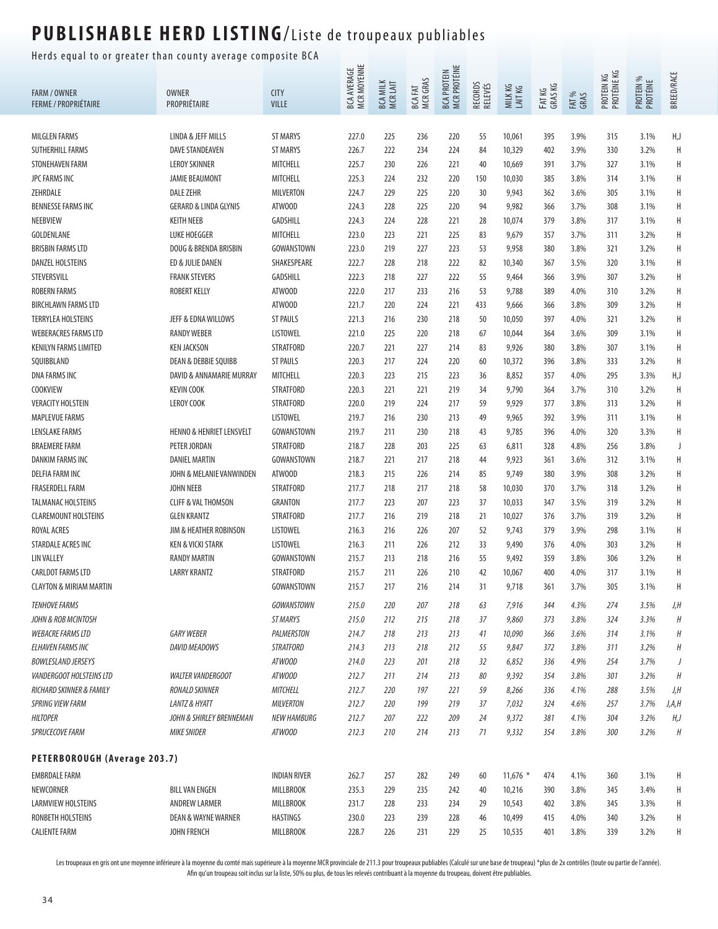Herds equal to or greater than county average composite BCA

| <b>FARM / OWNER</b><br><b>FERME / PROPRIÉTAIRE</b> | <b>OWNER</b><br>PROPRIÉTAIRE        | <b>CITY</b><br><b>VILLE</b> | MCR MOYENNE<br><b>BCA AVERAGE</b> | <b>MILK</b><br><b>BCA MILK</b><br>MCR LAIT | <b>MCR GRAS</b><br><b>BCA FAT</b> | <b>MCR PROTÉINE</b><br><b>BCA PROTEIN</b> | RECORDS<br>RELEVÉS | MILK KG<br>LAIT KG | FAT KG<br>GRAS KG | FAT %<br>GRAS | PROTEIN KG<br>PROTÉINE KG | PROTEIN %<br>PROTÉINE | <b>BREED/RACE</b> |
|----------------------------------------------------|-------------------------------------|-----------------------------|-----------------------------------|--------------------------------------------|-----------------------------------|-------------------------------------------|--------------------|--------------------|-------------------|---------------|---------------------------|-----------------------|-------------------|
| <b>MILGLEN FARMS</b>                               | LINDA & JEFF MILLS                  | <b>ST MARYS</b>             | 227.0                             | 225                                        | 236                               | 220                                       | 55                 | 10,061             | 395               | 3.9%          | 315                       | 3.1%                  | H,J               |
|                                                    |                                     |                             |                                   |                                            |                                   |                                           |                    |                    |                   |               |                           |                       | H                 |
| SUTHERHILL FARMS                                   | DAVE STANDEAVEN                     | <b>ST MARYS</b>             | 226.7                             | 222                                        | 234                               | 224                                       | 84                 | 10,329             | 402               | 3.9%          | 330                       | 3.2%                  |                   |
| STONEHAVEN FARM                                    | <b>LEROY SKINNER</b>                | MITCHELL                    | 225.7                             | 230                                        | 226                               | 221                                       | 40                 | 10,669             | 391               | 3.7%          | 327                       | 3.1%                  | H                 |
| <b>JPC FARMS INC</b>                               | <b>JAMIE BEAUMONT</b>               | MITCHELL                    | 225.3                             | 224                                        | 232                               | 220                                       | 150                | 10,030             | 385               | 3.8%          | 314                       | 3.1%                  | H                 |
| ZEHRDALE                                           | <b>DALE ZEHR</b>                    | MILVERTON                   | 224.7                             | 229                                        | 225                               | 220                                       | 30                 | 9,943              | 362               | 3.6%          | 305                       | 3.1%                  | H                 |
| <b>BENNESSE FARMS INC</b>                          | <b>GERARD &amp; LINDA GLYNIS</b>    | ATWOOD                      | 224.3                             | 228                                        | 225                               | 220                                       | 94                 | 9,982              | 366               | 3.7%          | 308                       | 3.1%                  | H                 |
| NEEBVIEW                                           | <b>KEITH NEEB</b>                   | <b>GADSHILL</b>             | 224.3                             | 224                                        | 228                               | 221                                       | 28                 | 10,074             | 379               | 3.8%          | 317                       | 3.1%                  | H                 |
| <b>GOLDENLANE</b>                                  | <b>LUKE HOEGGER</b>                 | MITCHELL                    | 223.0                             | 223                                        | 221                               | 225                                       | 83                 | 9,679              | 357               | 3.7%          | 311                       | 3.2%                  | H                 |
| <b>BRISBIN FARMS LTD</b>                           | DOUG & BRENDA BRISBIN               | GOWANSTOWN                  | 223.0                             | 219                                        | 227                               | 223                                       | 53                 | 9,958              | 380               | 3.8%          | 321                       | 3.2%                  | H                 |
| <b>DANZEL HOLSTEINS</b>                            | ED & JULIE DANEN                    | SHAKESPEARE                 | 222.7                             | 228                                        | 218                               | 222                                       | 82                 | 10,340             | 367               | 3.5%          | 320                       | 3.1%                  | H                 |
| STEVERSVILL                                        | <b>FRANK STEVERS</b>                | <b>GADSHILL</b>             | 222.3                             | 218                                        | 227                               | 222                                       | 55                 | 9,464              | 366               | 3.9%          | 307                       | 3.2%                  | H                 |
| <b>ROBERN FARMS</b>                                | <b>ROBERT KELLY</b>                 | ATWOOD                      | 222.0                             | 217                                        | 233                               | 216                                       | 53                 | 9,788              | 389               | 4.0%          | 310                       | 3.2%                  | H                 |
| <b>BIRCHLAWN FARMS LTD</b>                         |                                     | ATWOOD                      | 221.7                             | 220                                        | 224                               | 221                                       | 433                | 9,666              | 366               | 3.8%          | 309                       | 3.2%                  | H                 |
| <b>TERRYLEA HOLSTEINS</b>                          | JEFF & EDNA WILLOWS                 | <b>ST PAULS</b>             | 221.3                             | 216                                        | 230                               | 218                                       | 50                 | 10,050             | 397               | 4.0%          | 321                       | 3.2%                  | H                 |
| <b>WEBERACRES FARMS LTD</b>                        | <b>RANDY WEBER</b>                  | <b>LISTOWEL</b>             | 221.0                             | 225                                        | 220                               | 218                                       | 67                 | 10,044             | 364               | 3.6%          | 309                       | 3.1%                  | H                 |
| <b>KENILYN FARMS LIMITED</b>                       | <b>KEN JACKSON</b>                  | <b>STRATFORD</b>            | 220.7                             | 221                                        | 227                               | 214                                       | 83                 | 9,926              | 380               | 3.8%          | 307                       | 3.1%                  | H                 |
| SQUIBBLAND                                         | <b>DEAN &amp; DEBBIE SQUIBB</b>     | <b>ST PAULS</b>             | 220.3                             | 217                                        | 224                               | 220                                       | 60                 | 10,372             | 396               | 3.8%          | 333                       | 3.2%                  | H                 |
| <b>DNA FARMS INC</b>                               | DAVID & ANNAMARIE MURRAY            | MITCHELL                    | 220.3                             | 223                                        | 215                               | 223                                       | 36                 | 8,852              | 357               | 4.0%          | 295                       | 3.3%                  | H,J               |
| <b>COOKVIEW</b>                                    | <b>KEVIN COOK</b>                   | <b>STRATFORD</b>            | 220.3                             | 221                                        | 221                               | 219                                       | 34                 | 9,790              | 364               | 3.7%          | 310                       | 3.2%                  | H                 |
| <b>VERACITY HOLSTEIN</b>                           | <b>LEROY COOK</b>                   | <b>STRATFORD</b>            | 220.0                             | 219                                        | 224                               | 217                                       | 59                 | 9,929              | 377               | 3.8%          | 313                       | 3.2%                  | H                 |
| <b>MAPLEVUE FARMS</b>                              |                                     | <b>LISTOWEL</b>             | 219.7                             | 216                                        | 230                               | 213                                       | 49                 | 9,965              | 392               | 3.9%          | 311                       | 3.1%                  | H                 |
| <b>LENSLAKE FARMS</b>                              | <b>HENNO &amp; HENRIET LENSVELT</b> | GOWANSTOWN                  | 219.7                             | 211                                        | 230                               | 218                                       | 43                 | 9,785              | 396               | 4.0%          | 320                       | 3.3%                  | H                 |
| <b>BRAEMERE FARM</b>                               | PETER JORDAN                        | <b>STRATFORD</b>            | 218.7                             | 228                                        | 203                               | 225                                       | 63                 | 6,811              | 328               | 4.8%          | 256                       | 3.8%                  | J                 |
| <b>DANKIM FARMS INC</b>                            | <b>DANIEL MARTIN</b>                | GOWANSTOWN                  | 218.7                             | 221                                        | 217                               | 218                                       | 44                 | 9,923              | 361               | 3.6%          | 312                       | 3.1%                  | H                 |
| DELFIA FARM INC                                    | JOHN & MELANIE VANWINDEN            | ATWOOD                      | 218.3                             | 215                                        | 226                               | 214                                       | 85                 | 9,749              | 380               | 3.9%          | 308                       | 3.2%                  | H                 |
| <b>FRASERDELL FARM</b>                             | <b>JOHN NEEB</b>                    | <b>STRATFORD</b>            | 217.7                             | 218                                        | 217                               | 218                                       | 58                 | 10,030             | 370               | 3.7%          | 318                       | 3.2%                  | H                 |
| TALMANAC HOLSTEINS                                 | <b>CLIFF &amp; VAL THOMSON</b>      | <b>GRANTON</b>              | 217.7                             | 223                                        | 207                               | 223                                       | 37                 | 10,033             | 347               | 3.5%          | 319                       | 3.2%                  | H                 |
| <b>CLAREMOUNT HOLSTEINS</b>                        | <b>GLEN KRANTZ</b>                  | <b>STRATFORD</b>            | 217.7                             | 216                                        | 219                               | 218                                       | 21                 | 10,027             | 376               | 3.7%          | 319                       | 3.2%                  | H                 |
| ROYAL ACRES                                        | JIM & HEATHER ROBINSON              | <b>LISTOWEL</b>             | 216.3                             | 216                                        | 226                               | 207                                       | 52                 | 9,743              | 379               | 3.9%          | 298                       | 3.1%                  | H                 |
| STARDALE ACRES INC                                 | <b>KEN &amp; VICKI STARK</b>        | <b>LISTOWEL</b>             | 216.3                             | 211                                        | 226                               | 212                                       | 33                 | 9,490              | 376               | 4.0%          | 303                       | 3.2%                  | H                 |
| <b>LIN VALLEY</b>                                  | <b>RANDY MARTIN</b>                 | GOWANSTOWN                  | 215.7                             | 213                                        | 218                               | 216                                       | 55                 | 9,492              | 359               | 3.8%          | 306                       | 3.2%                  | H                 |
| <b>CARLDOT FARMS LTD</b>                           | <b>LARRY KRANTZ</b>                 | <b>STRATFORD</b>            | 215.7                             | 211                                        | 226                               | 210                                       | 42                 | 10,067             | 400               | 4.0%          | 317                       | 3.1%                  | H                 |
| <b>CLAYTON &amp; MIRIAM MARTIN</b>                 |                                     | GOWANSTOWN                  | 215.7                             | 217                                        | 216                               | 214                                       | 31                 | 9,718              | 361               | 3.7%          | 305                       | 3.1%                  | H                 |
| <b>TENHOVE FARMS</b>                               |                                     | GOWANSTOWN                  | 215.0                             | 220                                        | 207                               | 218                                       | 63                 | 7,916              | 344               | 4.3%          | 274                       | 3.5%                  | J,H               |
| JOHN & ROB MCINTOSH                                |                                     | <b>ST MARYS</b>             | 215.0                             | 212                                        | 215                               | 218                                       | 37                 | 9,860              | 373               | 3.8%          | 324                       | 3.3%                  | $\boldsymbol{H}$  |
| <b>WEBACRE FARMS LTD</b>                           | <b>GARY WEBER</b>                   | PALMERSTON                  | 214.7                             | 218                                        | 213                               | 213                                       | 41                 | 10,090             | 366               | 3.6%          | 314                       | 3.1%                  | Н                 |
| <b>ELHAVEN FARMS INC</b>                           | DAVID MEADOWS                       | <b>STRATFORD</b>            | 214.3                             | 213                                        | 218                               | 212                                       | 55                 | 9,847              | 372               | 3.8%          | 311                       | 3.2%                  | Н                 |
| <b>BOWLESLAND JERSEYS</b>                          |                                     | <i>ATWOOD</i>               | 214.0                             | 223                                        | 201                               | 218                                       | 32                 | 6,852              | 336               | 4.9%          | 254                       | 3.7%                  | J                 |
| <b>VANDERGOOT HOLSTEINS LTD</b>                    | <b>WALTER VANDERGOOT</b>            | ATWOOD                      | 212.7                             | 211                                        | 214                               | 213                                       | 80                 | 9,392              | 354               | 3.8%          | 301                       | 3.2%                  | $\boldsymbol{H}$  |
| RICHARD SKINNER & FAMILY                           | <b>RONALD SKINNER</b>               | <b>MITCHELL</b>             | 212.7                             | 220                                        | 197                               | 221                                       | 59                 | 8,266              | 336               | 4.1%          | 288                       | 3.5%                  | J,H               |
| <b>SPRING VIEW FARM</b>                            | <b>LANTZ &amp; HYATT</b>            | <b>MILVERTON</b>            | 212.7                             | 220                                        | 199                               | 219                                       | 37                 | 7,032              | 324               | 4.6%          | 257                       | 3.7%                  | J,A,H             |
| <b>HILTOPER</b>                                    | JOHN & SHIRLEY BRENNEMAN            | <b>NEW HAMBURG</b>          | 212.7                             | 207                                        | 222                               | 209                                       | 24                 | 9,372              | 381               | 4.1%          | 304                       | 3.2%                  | H, J              |
| <b>SPRUCECOVE FARM</b>                             | <b>MIKE SNIDER</b>                  | ATWOOD                      | 212.3                             | 210                                        | 214                               | 213                                       | 71                 | 9,332              | 354               | 3.8%          | 300                       | 3.2%                  | $\boldsymbol{H}$  |
| PETERBOROUGH (Average 203.7)                       |                                     |                             |                                   |                                            |                                   |                                           |                    |                    |                   |               |                           |                       |                   |
| <b>EMBRDALE FARM</b>                               |                                     | <b>INDIAN RIVER</b>         | 262.7                             | 257                                        | 282                               | 249                                       | 60                 | $11,676$ *         | 474               | 4.1%          | 360                       | 3.1%                  | H                 |
| NEWCORNER                                          | <b>BILL VAN ENGEN</b>               | <b>MILLBROOK</b>            | 235.3                             | 229                                        | 235                               | 242                                       | 40                 | 10,216             | 390               | 3.8%          | 345                       | 3.4%                  | H                 |
| <b>LARMVIEW HOLSTEINS</b>                          | ANDREW LARMER                       | MILLBROOK                   | 231.7                             | 228                                        | 233                               | 234                                       | 29                 | 10,543             | 402               | 3.8%          | 345                       | 3.3%                  | H                 |
| RONBETH HOLSTEINS                                  | <b>DEAN &amp; WAYNE WARNER</b>      | HASTINGS                    | 230.0                             | 223                                        | 239                               | 228                                       | 46                 | 10,499             | 415               | 4.0%          | 340                       | 3.2%                  | H                 |
| <b>CALIENTE FARM</b>                               | <b>JOHN FRENCH</b>                  | <b>MILLBROOK</b>            | 228.7                             | 226                                        | 231                               | 229                                       | 25                 | 10,535             | 401               | 3.8%          | 339                       | 3.2%                  | H                 |
|                                                    |                                     |                             |                                   |                                            |                                   |                                           |                    |                    |                   |               |                           |                       |                   |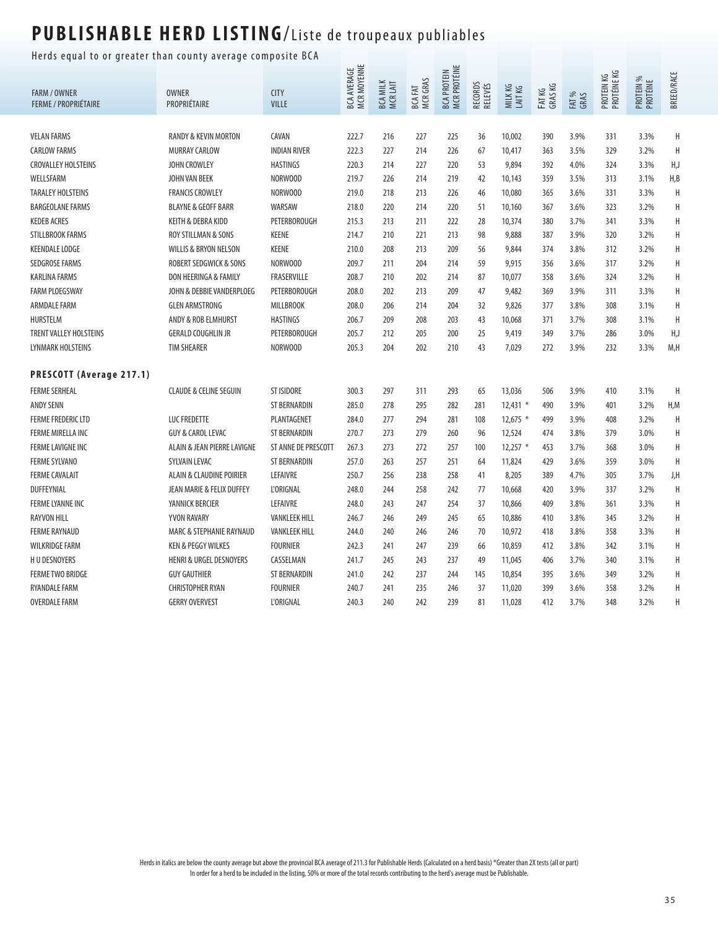Herds equal to or greater than county average composite BCA

| <b>FARM / OWNER</b><br><b>FERME / PROPRIÉTAIRE</b> | <b>OWNER</b><br>PROPRIÉTAIRE       | <b>CITY</b><br><b>VILLE</b> | MCR MOYENNE<br><b>BCA AVERAGE</b> | <b>BCA MILK</b><br>MCR LAIT | <b>MCR GRAS</b><br><b>BCAFAT</b> | BCA PROTEIN<br>MCR PROTÉINE | RECORDS<br>RELEVÉS | MILK KG<br>LAIT KG | FAT KG<br>GRAS KG | FAT %<br>GRAS | PROTEIN KG<br>PROTÉINE KG | PROTEIN %<br>PROTÉINE | <b>BREED/RACE</b> |
|----------------------------------------------------|------------------------------------|-----------------------------|-----------------------------------|-----------------------------|----------------------------------|-----------------------------|--------------------|--------------------|-------------------|---------------|---------------------------|-----------------------|-------------------|
|                                                    |                                    |                             |                                   |                             |                                  |                             |                    |                    |                   |               |                           |                       |                   |
| <b>VELAN FARMS</b>                                 | <b>RANDY &amp; KEVIN MORTON</b>    | CAVAN                       | 222.7                             | 216                         | 227                              | 225                         | 36                 | 10,002             | 390               | 3.9%          | 331                       | 3.3%                  | H                 |
| <b>CARLOW FARMS</b>                                | <b>MURRAY CARLOW</b>               | <b>INDIAN RIVER</b>         | 222.3                             | 227                         | 214                              | 226                         | 67                 | 10,417             | 363               | 3.5%          | 329                       | 3.2%                  | H                 |
| <b>CROVALLEY HOLSTEINS</b>                         | <b>JOHN CROWLEY</b>                | <b>HASTINGS</b>             | 220.3                             | 214                         | 227                              | 220                         | 53                 | 9,894              | 392               | 4.0%          | 324                       | 3.3%                  | H,J               |
| WELLSFARM                                          | JOHN VAN BEEK                      | NORWOOD                     | 219.7                             | 226                         | 214                              | 219                         | 42                 | 10,143             | 359               | 3.5%          | 313                       | 3.1%                  | H, B              |
| <b>TARALEY HOLSTEINS</b>                           | <b>FRANCIS CROWLEY</b>             | NORWOOD                     | 219.0                             | 218                         | 213                              | 226                         | 46                 | 10,080             | 365               | 3.6%          | 331                       | 3.3%                  | H                 |
| <b>BARGEOLANE FARMS</b>                            | <b>BLAYNE &amp; GEOFF BARR</b>     | WARSAW                      | 218.0                             | 220                         | 214                              | 220                         | 51                 | 10,160             | 367               | 3.6%          | 323                       | 3.2%                  | H                 |
| <b>KEDEB ACRES</b>                                 | KEITH & DEBRA KIDD                 | PETERBOROUGH                | 215.3                             | 213                         | 211                              | 222                         | 28                 | 10,374             | 380               | 3.7%          | 341                       | 3.3%                  | H                 |
| <b>STILLBROOK FARMS</b>                            | <b>ROY STILLMAN &amp; SONS</b>     | <b>KEENE</b>                | 214.7                             | 210                         | 221                              | 213                         | 98                 | 9,888              | 387               | 3.9%          | 320                       | 3.2%                  | H                 |
| <b>KEENDALE LODGE</b>                              | <b>WILLIS &amp; BRYON NELSON</b>   | <b>KEENE</b>                | 210.0                             | 208                         | 213                              | 209                         | 56                 | 9,844              | 374               | 3.8%          | 312                       | 3.2%                  | Н                 |
| <b>SEDGROSE FARMS</b>                              | ROBERT SEDGWICK & SONS             | NORWOOD                     | 209.7                             | 211                         | 204                              | 214                         | 59                 | 9,915              | 356               | 3.6%          | 317                       | 3.2%                  | Н                 |
| <b>KARLINA FARMS</b>                               | DON HEERINGA & FAMILY              | FRASERVILLE                 | 208.7                             | 210                         | 202                              | 214                         | 87                 | 10,077             | 358               | 3.6%          | 324                       | 3.2%                  | H                 |
| <b>FARM PLOEGSWAY</b>                              | JOHN & DEBBIE VANDERPLOEG          | PETERBOROUGH                | 208.0                             | 202                         | 213                              | 209                         | 47                 | 9,482              | 369               | 3.9%          | 311                       | 3.3%                  | H                 |
| ARMDALE FARM                                       | <b>GLEN ARMSTRONG</b>              | <b>MILLBROOK</b>            | 208.0                             | 206                         | 214                              | 204                         | 32                 | 9,826              | 377               | 3.8%          | 308                       | 3.1%                  | H                 |
| HURSTELM                                           | <b>ANDY &amp; ROB ELMHURST</b>     | <b>HASTINGS</b>             | 206.7                             | 209                         | 208                              | 203                         | 43                 | 10,068             | 371               | 3.7%          | 308                       | 3.1%                  | H                 |
| TRENT VALLEY HOLSTEINS                             | <b>GERALD COUGHLIN JR</b>          | PETERBOROUGH                | 205.7                             | 212                         | 205                              | 200                         | 25                 | 9,419              | 349               | 3.7%          | 286                       | 3.0%                  | H,J               |
| LYNMARK HOLSTEINS                                  | <b>TIM SHEARER</b>                 | NORWOOD                     | 205.3                             | 204                         | 202                              | 210                         | 43                 | 7,029              | 272               | 3.9%          | 232                       | 3.3%                  | M,H               |
| PRESCOTT (Average 217.1)                           |                                    |                             |                                   |                             |                                  |                             |                    |                    |                   |               |                           |                       |                   |
| <b>FERME SERHEAL</b>                               | <b>CLAUDE &amp; CELINE SEGUIN</b>  | <b>ST ISIDORE</b>           | 300.3                             | 297                         | 311                              | 293                         | 65                 | 13,036             | 506               | 3.9%          | 410                       | 3.1%                  | H                 |
| <b>ANDY SENN</b>                                   |                                    | <b>ST BERNARDIN</b>         | 285.0                             | 278                         | 295                              | 282                         | 281                | $12,431$ *         | 490               | 3.9%          | 401                       | 3.2%                  | H,M               |
| <b>FERME FREDERIC LTD</b>                          | <b>LUC FREDETTE</b>                | PLANTAGENET                 | 284.0                             | 277                         | 294                              | 281                         | 108                | $12,675$ *         | 499               | 3.9%          | 408                       | 3.2%                  | Н                 |
| FERME MIRELLA INC                                  | <b>GUY &amp; CAROL LEVAC</b>       | <b>ST BERNARDIN</b>         | 270.7                             | 273                         | 279                              | 260                         | 96                 | 12,524             | 474               | 3.8%          | 379                       | 3.0%                  | Н                 |
| <b>FERME LAVIGNE INC</b>                           | ALAIN & JEAN PIERRE LAVIGNE        | ST ANNE DE PRESCOTT         | 267.3                             | 273                         | 272                              | 257                         | 100                | $12,257$ *         | 453               | 3.7%          | 368                       | 3.0%                  | Н                 |
| <b>FERME SYLVANO</b>                               | SYLVAIN LEVAC                      | <b>ST BERNARDIN</b>         | 257.0                             | 263                         | 257                              | 251                         | 64                 | 11,824             | 429               | 3.6%          | 359                       | 3.0%                  | H                 |
| <b>FERME CAVALAIT</b>                              | ALAIN & CLAUDINE POIRIER           | LEFAIVRE                    | 250.7                             | 256                         | 238                              | 258                         | 41                 | 8,205              | 389               | 4.7%          | 305                       | 3.7%                  | J,H               |
| DUFFEYNIAL                                         | JEAN MARIE & FELIX DUFFEY          | L'ORIGNAL                   | 248.0                             | 244                         | 258                              | 242                         | 77                 | 10,668             | 420               | 3.9%          | 337                       | 3.2%                  | H                 |
| <b>FERME LYANNE INC</b>                            | YANNICK BERCIER                    | LEFAIVRE                    | 248.0                             | 243                         | 247                              | 254                         | 37                 | 10,866             | 409               | 3.8%          | 361                       | 3.3%                  | H                 |
| <b>RAYVON HILL</b>                                 | <b>YVON RAVARY</b>                 | <b>VANKLEEK HILL</b>        | 246.7                             | 246                         | 249                              | 245                         | 65                 | 10,886             | 410               | 3.8%          | 345                       | 3.2%                  | Н                 |
| <b>FERME RAYNAUD</b>                               | MARC & STEPHANIE RAYNAUD           | <b>VANKLEEK HILL</b>        | 244.0                             | 240                         | 246                              | 246                         | 70                 | 10,972             | 418               | 3.8%          | 358                       | 3.3%                  | Н                 |
| <b>WILKRIDGE FARM</b>                              | <b>KEN &amp; PEGGY WILKES</b>      | <b>FOURNIER</b>             | 242.3                             | 241                         | 247                              | 239                         | 66                 | 10,859             | 412               | 3.8%          | 342                       | 3.1%                  | H                 |
| <b>HU DESNOYERS</b>                                | <b>HENRI &amp; URGEL DESNOYERS</b> | CASSELMAN                   | 241.7                             | 245                         | 243                              | 237                         | 49                 | 11,045             | 406               | 3.7%          | 340                       | 3.1%                  | H                 |
| <b>FERME TWO BRIDGE</b>                            | <b>GUY GAUTHIER</b>                | <b>ST BERNARDIN</b>         | 241.0                             | 242                         | 237                              | 244                         | 145                | 10,854             | 395               | 3.6%          | 349                       | 3.2%                  | H                 |
| <b>RYANDALE FARM</b>                               | <b>CHRISTOPHER RYAN</b>            | <b>FOURNIER</b>             | 240.7                             | 241                         | 235                              | 246                         | 37                 | 11,020             | 399               | 3.6%          | 358                       | 3.2%                  | H                 |
| <b>OVERDALE FARM</b>                               | <b>GERRY OVERVEST</b>              | <b>L'ORIGNAL</b>            | 240.3                             | 240                         | 242                              | 239                         | 81                 | 11,028             | 412               | 3.7%          | 348                       | 3.2%                  | H                 |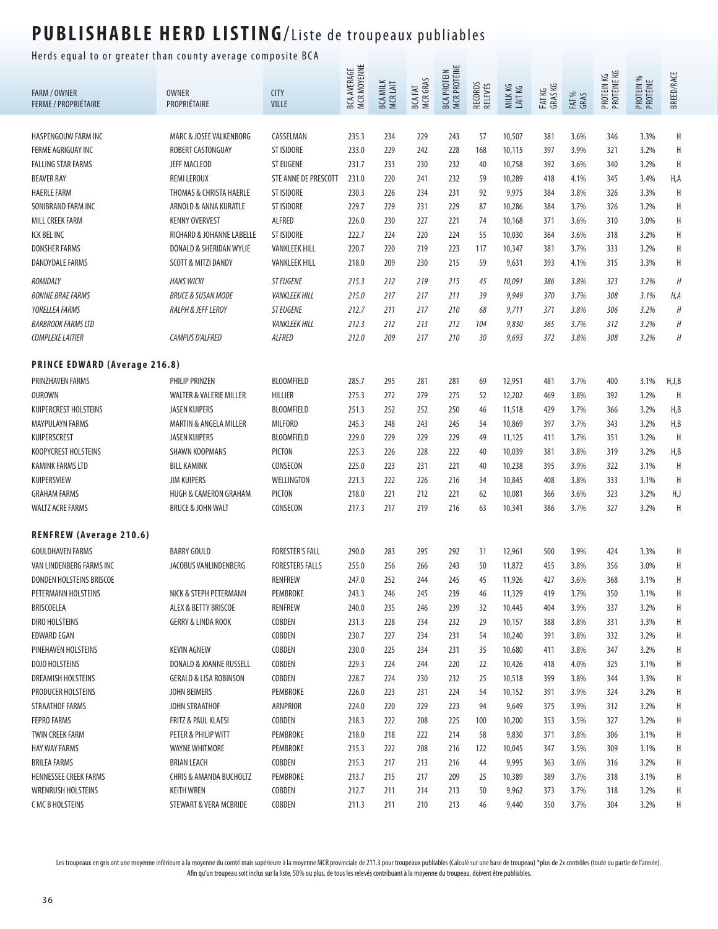Herds equal to or greater than county average composite BCA

| <b>FARM / OWNER</b><br><b>FERME / PROPRIÉTAIRE</b> | <b>OWNER</b><br>PROPRIÉTAIRE       | <b>CITY</b><br><b>VILLE</b> | MCR MOYENNE<br><b>BCA AVERAGE</b> | <b>MILK</b><br>BCA MILK<br>MCR LAIT | MCR GRAS<br><b>BCA FAT</b> | MCR PROTÉINE<br><b>BCA PROTEIN</b> | RECORDS<br>RELEVÉS | MILK KG<br>LAIT KG | FAT KG<br>GRAS KG | FAT %<br>GRAS | PROTEIN KG<br>PROTÉINE KG | PROTEIN %<br>PROTÉINE | <b>BREED/RACE</b> |
|----------------------------------------------------|------------------------------------|-----------------------------|-----------------------------------|-------------------------------------|----------------------------|------------------------------------|--------------------|--------------------|-------------------|---------------|---------------------------|-----------------------|-------------------|
| HASPENGOUW FARM INC                                | MARC & JOSEE VALKENBORG            | CASSELMAN                   | 235.3                             | 234                                 | 229                        | 243                                | 57                 | 10,507             | 381               | 3.6%          | 346                       | 3.3%                  | Η                 |
| FERME AGRIGUAY INC                                 | ROBERT CASTONGUAY                  | ST ISIDORE                  | 233.0                             | 229                                 | 242                        | 228                                | 168                | 10,115             | 397               | 3.9%          | 321                       | 3.2%                  | Η                 |
| <b>FALLING STAR FARMS</b>                          | <b>JEFF MACLEOD</b>                | <b>ST EUGENE</b>            | 231.7                             | 233                                 | 230                        | 232                                | 40                 | 10,758             | 392               | 3.6%          | 340                       | 3.2%                  | Η                 |
| <b>BEAVER RAY</b>                                  | REMI LEROUX                        | STE ANNE DE PRESCOTT        | 231.0                             | 220                                 | 241                        | 232                                | 59                 | 10,289             | 418               | 4.1%          | 345                       | 3.4%                  | H,A               |
| <b>HAERLE FARM</b>                                 | THOMAS & CHRISTA HAERLE            | ST ISIDORE                  | 230.3                             | 226                                 | 234                        | 231                                | 92                 | 9,975              | 384               | 3.8%          | 326                       | 3.3%                  | Η                 |
| SONIBRAND FARM INC                                 | ARNOLD & ANNA KURATLE              | ST ISIDORE                  | 229.7                             | 229                                 | 231                        | 229                                | 87                 | 10,286             | 384               | 3.7%          | 326                       | 3.2%                  | Н                 |
| MILL CREEK FARM                                    | <b>KENNY OVERVEST</b>              | ALFRED                      | 226.0                             | 230                                 | 227                        | 221                                | 74                 | 10,168             | 371               | 3.6%          | 310                       | 3.0%                  | Н                 |
| ICK BEL INC                                        | RICHARD & JOHANNE LABELLE          | ST ISIDORE                  | 222.7                             | 224                                 | 220                        | 224                                | 55                 | 10,030             | 364               | 3.6%          | 318                       | 3.2%                  | Н                 |
| <b>DONSHER FARMS</b>                               | DONALD & SHERIDAN WYLIE            | <b>VANKLEEK HILL</b>        | 220.7                             | 220                                 | 219                        | 223                                | 117                | 10,347             | 381               | 3.7%          | 333                       | 3.2%                  | Н                 |
| DANDYDALE FARMS                                    | <b>SCOTT &amp; MITZI DANDY</b>     | <b>VANKLEEK HILL</b>        | 218.0                             | 209                                 | 230                        | 215                                | 59                 | 9,631              | 393               | 4.1%          | 315                       | 3.3%                  | Н                 |
| ROMIDALY                                           | <b>HANS WICKI</b>                  | <b>ST EUGENE</b>            | 215.3                             | 212                                 | 219                        | 215                                | 45                 | 10,091             | 386               | 3.8%          | 323                       | 3.2%                  | $\boldsymbol{H}$  |
| <i>BONNIE BRAE FARMS</i>                           | <b>BRUCE &amp; SUSAN MODE</b>      | VANKLEEK HILL               | 215.0                             | 217                                 | 217                        | 211                                | 39                 | 9,949              | 370               | 3.7%          | 308                       | 3.1%                  | H,A               |
| YORELLEA FARMS                                     | <b>RALPH &amp; JEFF LEROY</b>      | <b>ST EUGENE</b>            | 212.7                             | 211                                 | 217                        | 210                                | 68                 | 9,711              | 371               | 3.8%          | 306                       | 3.2%                  | H                 |
| <b>BARBROOK FARMS LTD</b>                          |                                    | VANKLEEK HILL               | 212.3                             | 212                                 | 213                        | 212                                | 104                | 9,830              | 365               | 3.7%          | 312                       | 3.2%                  | Н                 |
| <b>COMPLEXE LAITIER</b>                            | <b>CAMPUS D'ALFRED</b>             | ALFRED                      | 212.0                             | 209                                 | 217                        | 210                                | 30                 | 9,693              | 372               | 3.8%          | 308                       | 3.2%                  | Н                 |
| <b>PRINCE EDWARD (Average 216.8)</b>               |                                    |                             |                                   |                                     |                            |                                    |                    |                    |                   |               |                           |                       |                   |
| <b>PRINZHAVEN FARMS</b>                            | <b>PHILIP PRINZEN</b>              | <b>BLOOMFIELD</b>           | 285.7                             | 295                                 | 281                        | 281                                | 69                 | 12,951             | 481               | 3.7%          | 400                       | 3.1%                  | H,J,B             |
| OUROWN                                             | <b>WALTER &amp; VALERIE MILLER</b> | HILLIER                     | 275.3                             | 272                                 | 279                        | 275                                | 52                 | 12,202             | 469               | 3.8%          | 392                       | 3.2%                  | $\mathsf{H}$      |
| KUIPERCREST HOLSTEINS                              | <b>JASEN KUIPERS</b>               | <b>BLOOMFIELD</b>           | 251.3                             | 252                                 | 252                        | 250                                | 46                 | 11,518             | 429               | 3.7%          | 366                       | 3.2%                  | H, B              |
| <b>MAYPULAYN FARMS</b>                             | <b>MARTIN &amp; ANGELA MILLER</b>  | MILFORD                     | 245.3                             | 248                                 | 243                        | 245                                | 54                 | 10,869             | 397               | 3.7%          | 343                       | 3.2%                  | H, B              |
| KUIPERSCREST                                       | <b>JASEN KUIPERS</b>               | <b>BLOOMFIELD</b>           | 229.0                             | 229                                 | 229                        | 229                                | 49                 | 11,125             | 411               | 3.7%          | 351                       | 3.2%                  | H                 |
| KOOPYCREST HOLSTEINS                               | <b>SHAWN KOOPMANS</b>              | <b>PICTON</b>               | 225.3                             | 226                                 | 228                        | 222                                | 40                 | 10,039             | 381               | 3.8%          | 319                       | 3.2%                  | H, B              |
| <b>KAMINK FARMS LTD</b>                            | <b>BILL KAMINK</b>                 | CONSECON                    | 225.0                             | 223                                 | 231                        | 221                                | 40                 | 10,238             | 395               | 3.9%          | 322                       | 3.1%                  | H                 |
| KUIPERSVIEW                                        | <b>JIM KUIPERS</b>                 | WELLINGTON                  | 221.3                             | 222                                 | 226                        | 216                                | 34                 | 10,845             | 408               | 3.8%          | 333                       | 3.1%                  | H                 |
| <b>GRAHAM FARMS</b>                                | <b>HUGH &amp; CAMERON GRAHAM</b>   | <b>PICTON</b>               | 218.0                             | 221                                 | 212                        | 221                                | 62                 | 10,081             | 366               | 3.6%          | 323                       | 3.2%                  | H,J               |
| <b>WALTZ ACRE FARMS</b>                            | <b>BRUCE &amp; JOHN WALT</b>       | CONSECON                    | 217.3                             | 217                                 | 219                        | 216                                | 63                 | 10,341             | 386               | 3.7%          | 327                       | 3.2%                  | Η                 |
| <b>RENFREW (Average 210.6)</b>                     |                                    |                             |                                   |                                     |                            |                                    |                    |                    |                   |               |                           |                       |                   |
| <b>GOULDHAVEN FARMS</b>                            | <b>BARRY GOULD</b>                 | <b>FORESTER'S FALL</b>      | 290.0                             | 283                                 | 295                        | 292                                | 31                 | 12,961             | 500               | 3.9%          | 424                       | 3.3%                  | Н                 |
| VAN LINDENBERG FARMS INC                           | JACOBUS VANLINDENBERG              | <b>FORESTERS FALLS</b>      | 255.0                             | 256                                 | 266                        | 243                                | 50                 | 11,872             | 455               | 3.8%          | 356                       | 3.0%                  | Η                 |
| DONDEN HOLSTEINS BRISCOE                           |                                    | RENFREW                     | 247.0                             | 252                                 | 244                        | 245                                | 45                 | 11,926             | 427               | 3.6%          | 368                       | 3.1%                  | Η                 |
| PETERMANN HOLSTEINS                                | NICK & STEPH PETERMANN             | PEMBROKE                    | 243.3                             | 246                                 | 245                        | 239                                | 46                 | 11,329             | 419               | 3.7%          | 350                       | 3.1%                  | Н                 |
| BRISCOELEA                                         | ALEX & BETTY BRISCOE               | RENFREW                     | 240.0                             | 235                                 | 246                        | 239                                | 32                 | 10,445             | 404               | 3.9%          | 337                       | 3.2%                  | Н                 |
| <b>DIRO HOLSTEINS</b>                              | <b>GERRY &amp; LINDA ROOK</b>      | COBDEN                      | 231.3                             | 228                                 | 234                        | 232                                | 29                 | 10,157             | 388               | 3.8%          | 331                       | 3.3%                  | Н                 |
| EDWARD EGAN                                        |                                    | COBDEN                      | 230.7                             | 227                                 | 234                        | 231                                | 54                 | 10,240             | 391               | 3.8%          | 332                       | 3.2%                  | Н                 |
| PINEHAVEN HOLSTEINS                                | <b>KEVIN AGNEW</b>                 | COBDEN                      | 230.0                             | 225                                 | 234                        | 231                                | 35                 | 10,680             | 411               | 3.8%          | 347                       | 3.2%                  | Н                 |
| DOJO HOLSTEINS                                     | DONALD & JOANNE RUSSELL            | COBDEN                      | 229.3                             | 224                                 | 244                        | 220                                | 22                 | 10,426             | 418               | 4.0%          | 325                       | 3.1%                  | Н                 |
| <b>DREAMISH HOLSTEINS</b>                          | <b>GERALD &amp; LISA ROBINSON</b>  | COBDEN                      | 228.7                             | 224                                 | 230                        | 232                                | 25                 | 10,518             | 399               | 3.8%          | 344                       | 3.3%                  | Н                 |
| PRODUCER HOLSTEINS                                 | JOHN BEIMERS                       | PEMBROKE                    | 226.0                             | 223                                 | 231                        | 224                                | 54                 | 10,152             | 391               | 3.9%          | 324                       | 3.2%                  | Н                 |
| <b>STRAATHOF FARMS</b>                             | JOHN STRAATHOF                     | ARNPRIOR                    | 224.0                             | 220                                 | 229                        | 223                                | 94                 | 9,649              | 375               | 3.9%          | 312                       | 3.2%                  | Н                 |
| <b>FEPRO FARMS</b>                                 | FRITZ & PAUL KLAESI                | COBDEN                      | 218.3                             | 222                                 | 208                        | 225                                | 100                | 10,200             | 353               | 3.5%          | 327                       | 3.2%                  | Н                 |
| <b>TWIN CREEK FARM</b>                             | PETER & PHILIP WITT                | PEMBROKE                    | 218.0                             | 218                                 | 222                        | 214                                | 58                 | 9,830              | 371               | 3.8%          | 306                       | 3.1%                  | Н                 |
| <b>HAY WAY FARMS</b>                               | <b>WAYNE WHITMORE</b>              | PEMBROKE                    | 215.3                             | 222                                 | 208                        | 216                                | 122                | 10,045             | 347               | 3.5%          | 309                       | 3.1%                  | Н                 |
| <b>BRILEA FARMS</b>                                | <b>BRIAN LEACH</b>                 | COBDEN                      | 215.3                             | 217                                 | 213                        | 216                                | 44                 | 9,995              | 363               | 3.6%          | 316                       | 3.2%                  | Н                 |
| <b>HENNESSEE CREEK FARMS</b>                       | CHRIS & AMANDA BUCHOLTZ            | PEMBROKE                    | 213.7                             | 215                                 | 217                        | 209                                | 25                 | 10,389             | 389               | 3.7%          | 318                       | 3.1%                  | Н                 |
| <b>WRENRUSH HOLSTEINS</b>                          | <b>KEITH WREN</b>                  | COBDEN                      | 212.7                             | 211                                 | 214                        | 213                                | 50                 | 9,962              | 373               | 3.7%          | 318                       | 3.2%                  | Н                 |
| <b>CMCBHOLSTEINS</b>                               | STEWART & VERA MCBRIDE             | COBDEN                      | 211.3                             | 211                                 | 210                        | 213                                | 46                 | 9,440              | 350               | 3.7%          | 304                       | 3.2%                  | Н                 |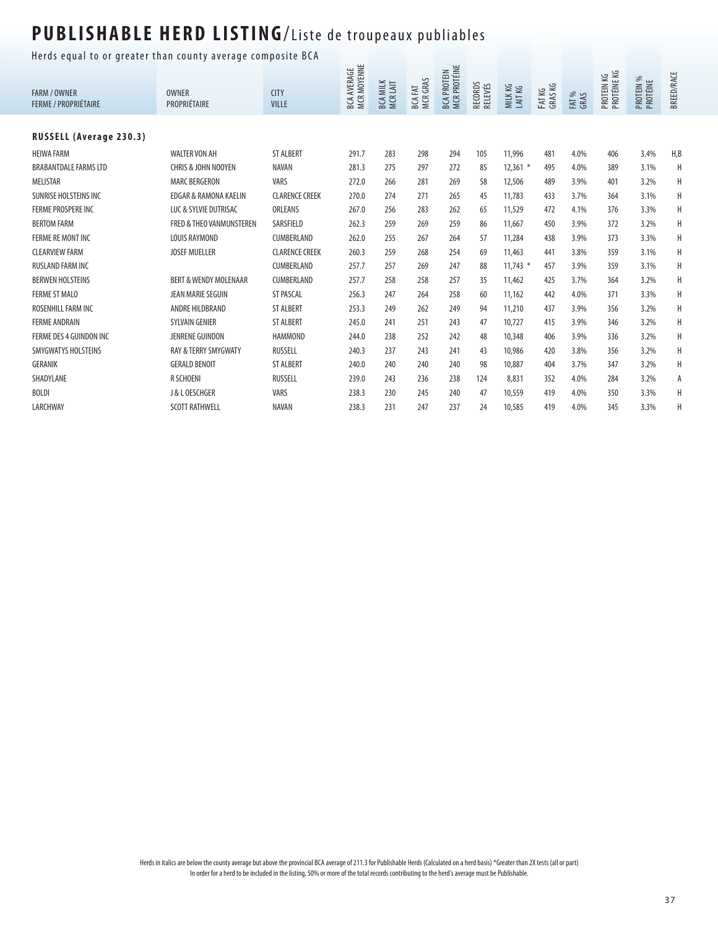Herds equal to or greater than county average composite BCA

| <b>FARM / OWNER</b><br><b>FERME / PROPRIÉTAIRE</b> | <b>OWNER</b><br>PROPRIÉTAIRE        | <b>CITY</b><br><b>VILLE</b> | MCR MOYENNE<br><b>BCA AVERAGE</b> | <b>BCA MILK</b><br>MCR LAIT | MCR GRAS<br>FAT<br><b>BCA</b> | BCA PROTEIN<br>MCR PROTÉINE | RECORDS<br>RELEVÉS | MILK KG<br>LAITKG | FAT KG<br>GRAS KG | FAT %<br>GRAS | PROTÉINE KG<br>PROTEIN KG | PROTEIN %<br>PROTÉINE | BREED/RACE |
|----------------------------------------------------|-------------------------------------|-----------------------------|-----------------------------------|-----------------------------|-------------------------------|-----------------------------|--------------------|-------------------|-------------------|---------------|---------------------------|-----------------------|------------|
| <b>RUSSELL (Average 230.3)</b>                     |                                     |                             |                                   |                             |                               |                             |                    |                   |                   |               |                           |                       |            |
| <b>HEIWA FARM</b>                                  | <b>WALTER VON AH</b>                | <b>ST ALBERT</b>            | 291.7                             | 283                         | 298                           | 294                         | 105                | 11,996            | 481               | 4.0%          | 406                       | 3.4%                  | H,B        |
| <b>BRABANTDALE FARMS LTD</b>                       | <b>CHRIS &amp; JOHN NOOYEN</b>      | <b>NAVAN</b>                | 281.3                             | 275                         | 297                           | 272                         | 85                 | $12,361$ *        | 495               | 4.0%          | 389                       | 3.1%                  | H          |
| <b>MELISTAR</b>                                    | <b>MARC BERGERON</b>                | VARS                        | 272.0                             | 266                         | 281                           | 269                         | 58                 | 12,506            | 489               | 3.9%          | 401                       | 3.2%                  | H          |
| <b>SUNRISE HOLSTEINS INC</b>                       | <b>EDGAR &amp; RAMONA KAELIN</b>    | <b>CLARENCE CREEK</b>       | 270.0                             | 274                         | 271                           | 265                         | 45                 | 11,783            | 433               | 3.7%          | 364                       | 3.1%                  | H          |
| <b>FERME PROSPERE INC</b>                          | LUC & SYLVIE DUTRISAC               | ORLEANS                     | 267.0                             | 256                         | 283                           | 262                         | 65                 | 11,529            | 472               | 4.1%          | 376                       | 3.3%                  | H          |
| <b>BERTOM FARM</b>                                 | <b>FRED &amp; THEO VANMUNSTEREN</b> | SARSFIELD                   | 262.3                             | 259                         | 269                           | 259                         | 86                 | 11,667            | 450               | 3.9%          | 372                       | 3.2%                  | H          |
| <b>FERME RE MONT INC</b>                           | <b>LOUIS RAYMOND</b>                | CUMBERLAND                  | 262.0                             | 255                         | 267                           | 264                         | 57                 | 11,284            | 438               | 3.9%          | 373                       | 3.3%                  | Н          |
| <b>CLEARVIEW FARM</b>                              | <b>JOSEF MUELLER</b>                | <b>CLARENCE CREEK</b>       | 260.3                             | 259                         | 268                           | 254                         | 69                 | 11,463            | 441               | 3.8%          | 359                       | 3.1%                  | H          |
| <b>RUSLAND FARM INC</b>                            |                                     | CUMBERLAND                  | 257.7                             | 257                         | 269                           | 247                         | 88                 | $11.743$ *        | 457               | 3.9%          | 359                       | 3.1%                  | H          |
| <b>BERWEN HOLSTEINS</b>                            | <b>BERT &amp; WENDY MOLENAAR</b>    | CUMBERLAND                  | 257.7                             | 258                         | 258                           | 257                         | 35                 | 11.462            | 425               | 3.7%          | 364                       | 3.2%                  | H          |
| <b>FERME ST MALO</b>                               | JEAN MARIE SEGUIN                   | <b>ST PASCAL</b>            | 256.3                             | 247                         | 264                           | 258                         | 60                 | 11.162            | 442               | 4.0%          | 371                       | 3.3%                  | H          |
| ROSENHILL FARM INC                                 | ANDRE HILDBRAND                     | <b>ST ALBERT</b>            | 253.3                             | 249                         | 262                           | 249                         | 94                 | 11,210            | 437               | 3.9%          | 356                       | 3.2%                  | Н          |
| <b>FERME ANDRAIN</b>                               | <b>SYLVAIN GENIER</b>               | <b>ST ALBERT</b>            | 245.0                             | 241                         | 251                           | 243                         | 47                 | 10.727            | 415               | 3.9%          | 346                       | 3.2%                  | Н          |
| FERME DES 4 GUINDON INC                            | JENRENE GUINDON                     | <b>HAMMOND</b>              | 244.0                             | 238                         | 252                           | 242                         | 48                 | 10,348            | 406               | 3.9%          | 336                       | 3.2%                  | Н          |
| <b>SMYGWATYS HOLSTEINS</b>                         | <b>RAY &amp; TERRY SMYGWATY</b>     | <b>RUSSELL</b>              | 240.3                             | 237                         | 243                           | 241                         | 43                 | 10,986            | 420               | 3.8%          | 356                       | 3.2%                  | Н          |
| <b>GERANIK</b>                                     | <b>GERALD BENOIT</b>                | <b>ST ALBERT</b>            | 240.0                             | 240                         | 240                           | 240                         | 98                 | 10,887            | 404               | 3.7%          | 347                       | 3.2%                  | H          |
| SHADYLANE                                          | <b>R SCHOENI</b>                    | <b>RUSSELL</b>              | 239.0                             | 243                         | 236                           | 238                         | 124                | 8,831             | 352               | 4.0%          | 284                       | 3.2%                  | Α          |
| <b>BOLDI</b>                                       | J & L OESCHGER                      | VARS                        | 238.3                             | 230                         | 245                           | 240                         | 47                 | 10,559            | 419               | 4.0%          | 350                       | 3.3%                  | Н          |
| LARCHWAY                                           | <b>SCOTT RATHWELL</b>               | <b>NAVAN</b>                | 238.3                             | 231                         | 247                           | 237                         | 24                 | 10,585            | 419               | 4.0%          | 345                       | 3.3%                  | H          |
|                                                    |                                     |                             |                                   |                             |                               |                             |                    |                   |                   |               |                           |                       |            |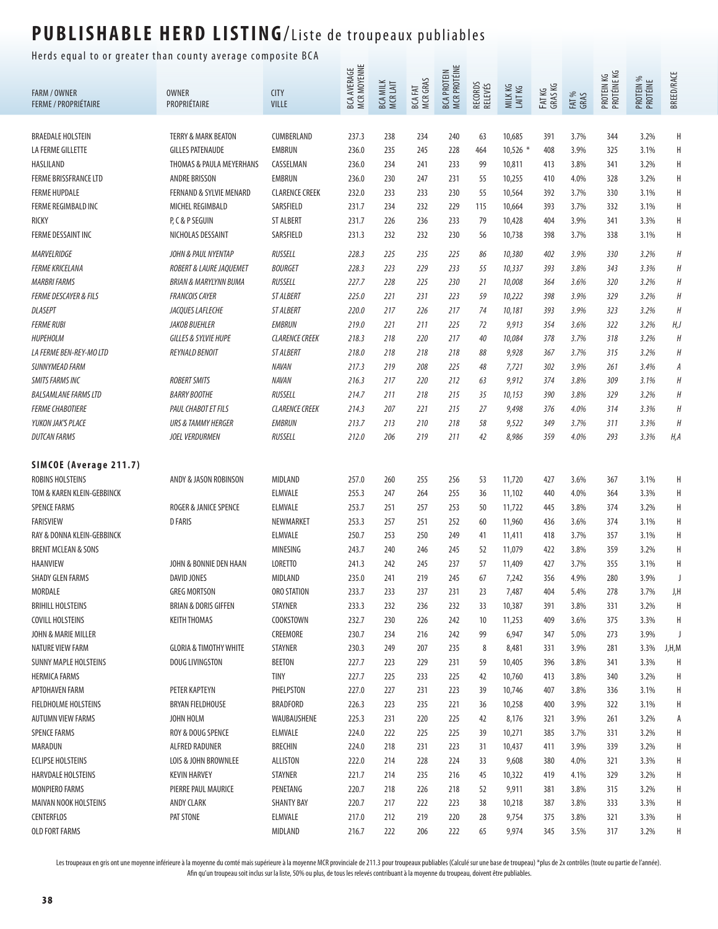Herds equal to or greater than county average composite BCA

| FARM / OWNER<br><b>FERME / PROPRIÉTAIRE</b> | <b>OWNER</b><br>PROPRIÉTAIRE       | <b>CITY</b><br><b>VILLE</b>  | BCA AVERAGE<br>MCR MOYENNE | <b>BCA MILK</b><br>MCR LAIT | BCA FAT<br>MCR GRAS | <b>MCR PROTÉINE</b><br><b>BCA PROTEIN</b> | RECORDS<br>RELEVÉS | MILK KG<br>LAIT KG | FAT KG<br>GRAS KG | FAT %<br>GRAS | PROTEIN KG<br>PROTÉINE KG | PROTEIN %<br>PROTÉINE | <b>BREED/RACE</b> |
|---------------------------------------------|------------------------------------|------------------------------|----------------------------|-----------------------------|---------------------|-------------------------------------------|--------------------|--------------------|-------------------|---------------|---------------------------|-----------------------|-------------------|
|                                             |                                    |                              |                            |                             |                     |                                           |                    |                    |                   |               |                           |                       |                   |
| <b>BRAEDALE HOLSTEIN</b>                    | <b>TERRY &amp; MARK BEATON</b>     | CUMBERLAND                   | 237.3                      | 238                         | 234                 | 240                                       | 63                 | 10,685             | 391               | 3.7%          | 344                       | 3.2%                  | Η                 |
| LA FERME GILLETTE                           | <b>GILLES PATENAUDE</b>            | <b>EMBRUN</b>                | 236.0                      | 235                         | 245                 | 228                                       | 464                | $10,526$ *         | 408               | 3.9%          | 325                       | 3.1%                  | H                 |
| HASLILAND                                   | THOMAS & PAULA MEYERHANS           | CASSELMAN                    | 236.0                      | 234                         | 241                 | 233                                       | 99                 | 10,811             | 413               | 3.8%          | 341                       | 3.2%                  | Н                 |
| <b>FERME BRISSFRANCE LTD</b>                | <b>ANDRE BRISSON</b>               | <b>EMBRUN</b>                | 236.0                      | 230                         | 247                 | 231                                       | 55                 | 10,255             | 410               | 4.0%          | 328                       | 3.2%                  | H                 |
| <b>FERME HUPDALE</b>                        | <b>FERNAND &amp; SYLVIE MENARD</b> | <b>CLARENCE CREEK</b>        | 232.0                      | 233                         | 233                 | 230                                       | 55                 | 10,564             | 392               | 3.7%          | 330                       | 3.1%                  | H                 |
| <b>FERME REGIMBALD INC</b>                  | MICHEL REGIMBALD                   | SARSFIELD                    | 231.7                      | 234                         | 232                 | 229                                       | 115                | 10,664             | 393               | 3.7%          | 332                       | 3.1%                  | H                 |
| RICKY                                       | P, C & P SEGUIN                    | <b>ST ALBERT</b>             | 231.7                      | 226                         | 236                 | 233                                       | 79                 | 10,428             | 404               | 3.9%          | 341                       | 3.3%                  | Н                 |
| FERME DESSAINT INC                          | NICHOLAS DESSAINT                  | SARSFIELD                    | 231.3                      | 232                         | 232                 | 230                                       | 56                 | 10,738             | 398               | 3.7%          | 338                       | 3.1%                  | H                 |
| MARVELRIDGE                                 | JOHN & PAUL NYENTAP                | <b>RUSSELL</b>               | 228.3                      | 225                         | 235                 | 225                                       | 86                 | 10,380             | 402               | 3.9%          | 330                       | 3.2%                  | Н                 |
| <b>FERME KRICELANA</b>                      | ROBERT & LAURE JAQUEMET            | <b>BOURGET</b>               | 228.3                      | 223                         | 229                 | 233                                       | 55                 | 10,337             | 393               | 3.8%          | 343                       | 3.3%                  | Н                 |
| <b>MARBRI FARMS</b>                         | <b>BRIAN &amp; MARYLYNN BUMA</b>   | RUSSELL                      | 227.7                      | 228                         | 225                 | 230                                       | 21                 | 10,008             | 364               | 3.6%          | 320                       | 3.2%                  | Н                 |
| <b>FERME DESCAYER &amp; FILS</b>            | <b>FRANCOIS CAYER</b>              | <b>ST ALBERT</b>             | 225.0                      | 221                         | 231                 | 223                                       | 59                 | 10,222             | 398               | 3.9%          | 329                       | 3.2%                  | Н                 |
| <b>DLASEPT</b>                              | JACQUES LAFLECHE                   | <b>ST ALBERT</b>             | 220.0                      | 217                         | 226                 | 217                                       | 74                 | 10,181             | 393               | 3.9%          | 323                       | 3.2%                  | H                 |
| <b>FERME RUBI</b>                           | <b>JAKOB BUEHLER</b>               | <b>EMBRUN</b>                | 219.0                      | 221                         | 211                 | 225                                       | 72                 | 9,913              | 354               | 3.6%          | 322                       | 3.2%                  | H, J              |
| <b>HUPEHOLM</b>                             | GILLES & SYLVIE HUPE               | <b>CLARENCE CREEK</b>        | 218.3                      | 218                         | 220                 | 217                                       | 40                 | 10,084             | 378               | 3.7%          | 318                       | 3.2%                  | H                 |
| <b>LA FERME BEN-REY-MO LTD</b>              | <b>REYNALD BENOIT</b>              | <b>ST ALBERT</b>             | 218.0                      | 218                         | 218                 | 218                                       | 88                 | 9,928              | 367               | 3.7%          | 315                       | 3.2%                  | Н                 |
| <b>SUNNYMEAD FARM</b>                       |                                    | NAVAN                        | 217.3                      | 219                         | 208                 | 225                                       | 48                 | 7,721              | 302               | 3.9%          | 261                       | 3.4%                  | А                 |
| <b>SMITS FARMS INC</b>                      | <b>ROBERT SMITS</b>                | NAVAN                        | 216.3                      | 217                         | 220                 | 212                                       | 63                 | 9,912              | 374               | 3.8%          | 309                       | 3.1%                  | Н                 |
| <b>BALSAMLANE FARMS LTD</b>                 | <b>BARRY BOOTHE</b>                | <b>RUSSELL</b>               | 214.7                      | 211                         | 218                 | 215                                       | 35                 | 10,153             | 390               | 3.8%          | 329                       | 3.2%                  | Н                 |
| <b>FERME CHABOTIERE</b>                     | PAUL CHABOT ET FILS                | <b>CLARENCE CREEK</b>        | 214.3                      | 207                         | 221                 | 215                                       | 27                 | 9,498              | 376               | 4.0%          | 314                       | 3.3%                  | Н                 |
| YUKON JAK'S PLACE                           | URS & TAMMY HERGER                 | <b>EMBRUN</b>                | 213.7                      | 213                         | 210                 | 218                                       | 58                 | 9,522              | 349               | 3.7%          | 311                       | 3.3%                  | $\boldsymbol{H}$  |
| <b>DUTCAN FARMS</b>                         | JOEL VERDURMEN                     | <b>RUSSELL</b>               | 212.0                      | 206                         | 219                 | 211                                       | 42                 | 8,986              | 359               | 4.0%          | 293                       | 3.3%                  | H,A               |
| SIMCOE (Average 211.7)                      |                                    |                              |                            |                             |                     |                                           |                    |                    |                   |               |                           |                       |                   |
| <b>ROBINS HOLSTEINS</b>                     | ANDY & JASON ROBINSON              | MIDLAND                      | 257.0                      | 260                         | 255                 | 256                                       | 53                 | 11,720             | 427               | 3.6%          | 367                       | 3.1%                  | Н                 |
| TOM & KAREN KLEIN-GEBBINCK                  |                                    | <b>ELMVALE</b>               | 255.3                      | 247                         | 264                 | 255                                       | 36                 | 11,102             | 440               | 4.0%          | 364                       | 3.3%                  | H                 |
| <b>SPENCE FARMS</b>                         | <b>ROGER &amp; JANICE SPENCE</b>   | ELMVALE                      | 253.7                      | 251                         | 257                 | 253                                       | 50                 | 11,722             | 445               | 3.8%          | 374                       | 3.2%                  | Н                 |
| <b>FARISVIEW</b>                            | <b>D FARIS</b>                     | NEWMARKET                    | 253.3                      | 257                         | 251                 | 252                                       | 60                 | 11,960             | 436               | 3.6%          | 374                       | 3.1%                  | Н                 |
| RAY & DONNA KLEIN-GEBBINCK                  |                                    | <b>ELMVALE</b>               | 250.7                      | 253                         | 250                 | 249                                       | 41                 | 11,411             | 418               | 3.7%          | 357                       | 3.1%                  | Н                 |
| <b>BRENT MCLEAN &amp; SONS</b>              |                                    | MINESING                     | 243.7                      | 240                         | 246                 | 245                                       | 52                 | 11,079             | 422               | 3.8%          | 359                       | 3.2%                  | Н                 |
| HAANVIEW                                    | JOHN & BONNIE DEN HAAN             | <b>LORETTO</b>               | 241.3                      | 242                         | 245                 | 237                                       | 57                 | 11,409             | 427               | 3.7%          | 355                       | 3.1%                  | Н                 |
| <b>SHADY GLEN FARMS</b>                     | DAVID JONES                        | MIDLAND                      | 235.0                      | 241                         | 219                 | 245                                       | 67                 | 7,242              | 356               | 4.9%          | 280                       | 3.9%                  | J                 |
| MORDALE                                     | <b>GREG MORTSON</b>                | ORO STATION                  | 233.7                      | 233                         | 237                 | 231                                       | 23                 | 7,487              | 404               | 5.4%          | 278                       | 3.7%                  | J,H               |
| <b>BRIHILL HOLSTEINS</b>                    | <b>BRIAN &amp; DORIS GIFFEN</b>    | STAYNER                      | 233.3                      | 232                         | 236                 | 232                                       | 33                 | 10,387             | 391               | 3.8%          | 331                       | 3.2%                  | H                 |
| COVILL HOLSTEINS                            | <b>KEITH THOMAS</b>                | <b>COOKSTOWN</b>             | 232.7                      | 230                         | 226                 | 242                                       | 10                 | 11,253             | 409               | 3.6%          | 375                       | 3.3%                  | H                 |
| JOHN & MARIE MILLER                         |                                    | CREEMORE                     | 230.7                      | 234                         | 216                 | 242                                       | 99                 | 6,947              | 347               | 5.0%          | 273                       | 3.9%                  | J                 |
| NATURE VIEW FARM                            | <b>GLORIA &amp; TIMOTHY WHITE</b>  | STAYNER                      | 230.3                      | 249                         | 207                 | 235                                       | 8                  | 8,481              | 331               | 3.9%          |                           | 3.3%                  |                   |
| SUNNY MAPLE HOLSTEINS                       | DOUG LIVINGSTON                    | <b>BEETON</b>                | 227.7                      | 223                         | 229                 | 231                                       |                    |                    |                   |               | 281                       | 3.3%                  | J,H,M<br>H        |
| <b>HERMICA FARMS</b>                        |                                    | <b>TINY</b>                  | 227.7                      | 225                         |                     | 225                                       | 59                 | 10,405             | 396<br>413        | 3.8%          | 341                       | 3.2%                  | H                 |
|                                             |                                    |                              |                            |                             | 233                 |                                           | 42                 | 10,760             |                   | 3.8%          | 340                       |                       |                   |
| APTOHAVEN FARM                              | PETER KAPTEYN                      | PHELPSTON<br><b>BRADFORD</b> | 227.0                      | 227                         | 231                 | 223                                       | 39                 | 10,746             | 407               | 3.8%          | 336                       | 3.1%                  | H                 |
| FIELDHOLME HOLSTEINS                        | <b>BRYAN FIELDHOUSE</b>            |                              | 226.3                      | 223                         | 235                 | 221                                       | 36                 | 10,258             | 400               | 3.9%          | 322                       | 3.1%                  | H                 |
| <b>AUTUMN VIEW FARMS</b>                    | JOHN HOLM                          | WAUBAUSHENE                  | 225.3                      | 231                         | 220                 | 225                                       | 42                 | 8,176              | 321               | 3.9%          | 261                       | 3.2%                  | Α                 |
| <b>SPENCE FARMS</b>                         | ROY & DOUG SPENCE                  | ELMVALE                      | 224.0                      | 222                         | 225                 | 225                                       | 39                 | 10,271             | 385               | 3.7%          | 331                       | 3.2%                  | H                 |
| MARADUN                                     | ALFRED RADUNER                     | <b>BRECHIN</b>               | 224.0                      | 218                         | 231                 | 223                                       | 31                 | 10,437             | 411               | 3.9%          | 339                       | 3.2%                  | H                 |
| <b>ECLIPSE HOLSTEINS</b>                    | LOIS & JOHN BROWNLEE               | ALLISTON                     | 222.0                      | 214                         | 228                 | 224                                       | 33                 | 9,608              | 380               | 4.0%          | 321                       | 3.3%                  | H                 |
| <b>HARVDALE HOLSTEINS</b>                   | <b>KEVIN HARVEY</b>                | STAYNER                      | 221.7                      | 214                         | 235                 | 216                                       | 45                 | 10,322             | 419               | 4.1%          | 329                       | 3.2%                  | H                 |
| <b>MONPIERO FARMS</b>                       | PIERRE PAUL MAURICE                | PENETANG                     | 220.7                      | 218                         | 226                 | 218                                       | 52                 | 9,911              | 381               | 3.8%          | 315                       | 3.2%                  | H                 |
| MAIVAN NOOK HOLSTEINS                       | ANDY CLARK                         | <b>SHANTY BAY</b>            | 220.7                      | 217                         | 222                 | 223                                       | 38                 | 10,218             | 387               | 3.8%          | 333                       | 3.3%                  | H                 |
| <b>CENTERFLOS</b>                           | PAT STONE                          | ELMVALE                      | 217.0                      | 212                         | 219                 | 220                                       | 28                 | 9,754              | 375               | 3.8%          | 321                       | 3.3%                  | H                 |
| OLD FORT FARMS                              |                                    | MIDLAND                      | 216.7                      | 222                         | 206                 | 222                                       | 65                 | 9,974              | 345               | 3.5%          | 317                       | 3.2%                  | Н                 |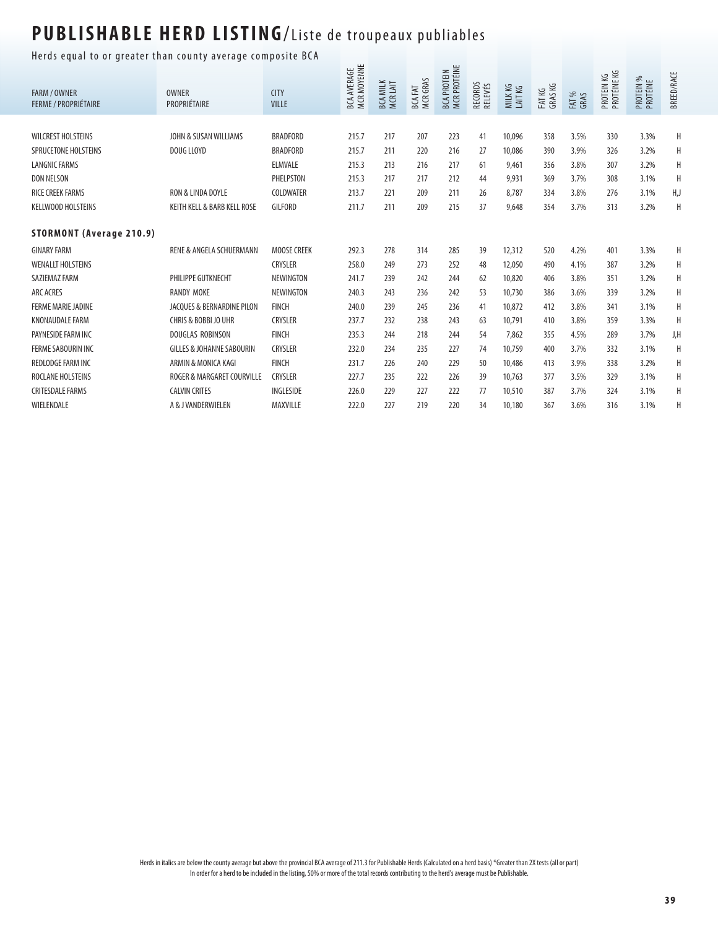Herds equal to or greater than county average composite BCA

| <b>FARM / OWNER</b><br><b>FERME / PROPRIÉTAIRE</b> | <b>OWNER</b><br>PROPRIÉTAIRE         | <b>CITY</b><br><b>VILLE</b> | MCR MOYENNE<br>AVERAGE<br>BCA | <b>BCA MILK</b><br>MCR LAIT | MCR GRAS<br><b>BCA FAT</b> | <b>MCR PROTÉINE</b><br><b>BCA PROTEIN</b> | <b>RECORDS</b><br><b>RELEVÉS</b> | MILK KG<br>LAIT KG | <b>GRASKG</b><br>FAT KG | FAT %<br>GRAS | PROTEIN KG<br>PROTÉINE KG | PROTEIN %<br>PROTÉINE | BREED/RACE |
|----------------------------------------------------|--------------------------------------|-----------------------------|-------------------------------|-----------------------------|----------------------------|-------------------------------------------|----------------------------------|--------------------|-------------------------|---------------|---------------------------|-----------------------|------------|
|                                                    |                                      |                             |                               |                             |                            |                                           |                                  |                    |                         |               |                           |                       |            |
| <b>WILCREST HOLSTEINS</b>                          | JOHN & SUSAN WILLIAMS                | <b>BRADFORD</b>             | 215.7                         | 217                         | 207                        | 223                                       | 41                               | 10,096             | 358                     | 3.5%          | 330                       | 3.3%                  | Н          |
| SPRUCETONE HOLSTEINS                               | DOUG LLOYD                           | <b>BRADFORD</b>             | 215.7                         | 211                         | 220                        | 216                                       | 27                               | 10,086             | 390                     | 3.9%          | 326                       | 3.2%                  | Н          |
| <b>LANGNIC FARMS</b>                               |                                      | <b>ELMVALE</b>              | 215.3                         | 213                         | 216                        | 217                                       | 61                               | 9,461              | 356                     | 3.8%          | 307                       | 3.2%                  | Н          |
| <b>DON NELSON</b>                                  |                                      | PHELPSTON                   | 215.3                         | 217                         | 217                        | 212                                       | 44                               | 9,931              | 369                     | 3.7%          | 308                       | 3.1%                  | Н          |
| <b>RICE CREEK FARMS</b>                            | RON & LINDA DOYLE                    | COLDWATER                   | 213.7                         | 221                         | 209                        | 211                                       | 26                               | 8,787              | 334                     | 3.8%          | 276                       | 3.1%                  | H,J        |
| <b>KELLWOOD HOLSTEINS</b>                          | KEITH KELL & BARB KELL ROSE          | GILFORD                     | 211.7                         | 211                         | 209                        | 215                                       | 37                               | 9,648              | 354                     | 3.7%          | 313                       | 3.2%                  | Н          |
| STORMONT (Average 210.9)                           |                                      |                             |                               |                             |                            |                                           |                                  |                    |                         |               |                           |                       |            |
| <b>GINARY FARM</b>                                 | RENE & ANGELA SCHUERMANN             | <b>MOOSE CREEK</b>          | 292.3                         | 278                         | 314                        | 285                                       | 39                               | 12,312             | 520                     | 4.2%          | 401                       | 3.3%                  | Н          |
| <b>WENALLT HOLSTEINS</b>                           |                                      | <b>CRYSLER</b>              | 258.0                         | 249                         | 273                        | 252                                       | 48                               | 12,050             | 490                     | 4.1%          | 387                       | 3.2%                  | Н          |
| <b>SAZIEMAZ FARM</b>                               | PHILIPPE GUTKNECHT                   | NEWINGTON                   | 241.7                         | 239                         | 242                        | 244                                       | 62                               | 10,820             | 406                     | 3.8%          | 351                       | 3.2%                  | Н          |
| <b>ARC ACRES</b>                                   | <b>RANDY MOKE</b>                    | NEWINGTON                   | 240.3                         | 243                         | 236                        | 242                                       | 53                               | 10,730             | 386                     | 3.6%          | 339                       | 3.2%                  | Н          |
| <b>FERME MARIE JADINE</b>                          | JACOUES & BERNARDINE PILON           | <b>FINCH</b>                | 240.0                         | 239                         | 245                        | 236                                       | 41                               | 10,872             | 412                     | 3.8%          | 341                       | 3.1%                  | Н          |
| <b>KNONAUDALE FARM</b>                             | CHRIS & BOBBI JO UHR                 | CRYSLER                     | 237.7                         | 232                         | 238                        | 243                                       | 63                               | 10,791             | 410                     | 3.8%          | 359                       | 3.3%                  | Н          |
| PAYNESIDE FARM INC                                 | DOUGLAS ROBINSON                     | <b>FINCH</b>                | 235.3                         | 244                         | 218                        | 244                                       | 54                               | 7,862              | 355                     | 4.5%          | 289                       | 3.7%                  | J,H        |
| <b>FERME SABOURIN INC</b>                          | <b>GILLES &amp; JOHANNE SABOURIN</b> | CRYSLER                     | 232.0                         | 234                         | 235                        | 227                                       | 74                               | 10,759             | 400                     | 3.7%          | 332                       | 3.1%                  | Н          |
| <b>REDLODGE FARM INC</b>                           | ARMIN & MONICA KAGI                  | <b>FINCH</b>                | 231.7                         | 226                         | 240                        | 229                                       | 50                               | 10,486             | 413                     | 3.9%          | 338                       | 3.2%                  | Н          |
| ROCLANE HOLSTEINS                                  | ROGER & MARGARET COURVILLE           | <b>CRYSLER</b>              | 227.7                         | 235                         | 222                        | 226                                       | 39                               | 10,763             | 377                     | 3.5%          | 329                       | 3.1%                  | Н          |
| <b>CRITESDALE FARMS</b>                            | <b>CALVIN CRITES</b>                 | INGLESIDE                   | 226.0                         | 229                         | 227                        | 222                                       | 77                               | 10,510             | 387                     | 3.7%          | 324                       | 3.1%                  | Н          |
| WIELENDALE                                         | A & J VANDERWIELEN                   | MAXVILLE                    | 222.0                         | 227                         | 219                        | 220                                       | 34                               | 10,180             | 367                     | 3.6%          | 316                       | 3.1%                  | Н          |
|                                                    |                                      |                             |                               |                             |                            |                                           |                                  |                    |                         |               |                           |                       |            |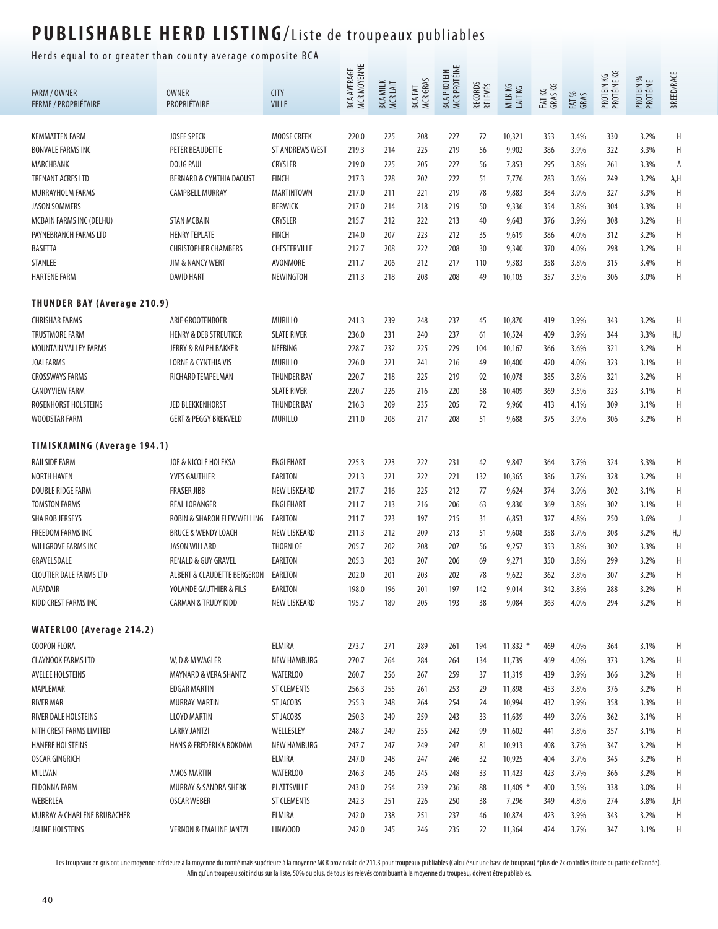Herds equal to or greater than county average composite BCA

| <b>FARM / OWNER</b><br><b>FERME / PROPRIÉTAIRE</b> | <b>OWNER</b><br>PROPRIÉTAIRE        | <b>CITY</b><br><b>VILLE</b> | BCA AVERAGE<br>MCR MOYENNE | <b>BCA MILK</b><br>MCR LAIT | BCA FAT<br>MCR GRAS | <b>MCR PROTÉINE</b><br><b>BCA PROTEIN</b> | RECORDS<br>RELEVÉS | MILK KG<br>LAIT KG | FAT KG<br>GRAS KG | FAT %<br>GRAS | PROTEIN KG<br>PROTÉINE KG | PROTEIN %<br>PROTÉINE | <b>BREED/RACE</b> |
|----------------------------------------------------|-------------------------------------|-----------------------------|----------------------------|-----------------------------|---------------------|-------------------------------------------|--------------------|--------------------|-------------------|---------------|---------------------------|-----------------------|-------------------|
|                                                    |                                     |                             |                            |                             |                     |                                           |                    |                    |                   |               |                           |                       |                   |
| <b>KEMMATTEN FARM</b>                              | <b>JOSEF SPECK</b>                  | <b>MOOSE CREEK</b>          | 220.0                      | 225                         | 208                 | 227                                       | 72                 | 10,321             | 353               | 3.4%          | 330                       | 3.2%                  | Η                 |
| <b>BONVALE FARMS INC</b>                           | PETER BEAUDETTE                     | <b>ST ANDREWS WEST</b>      | 219.3                      | 214                         | 225                 | 219                                       | 56                 | 9,902              | 386               | 3.9%          | 322                       | 3.3%                  | Η                 |
| MARCHBANK                                          | <b>DOUG PAUL</b>                    | <b>CRYSLER</b>              | 219.0                      | 225                         | 205                 | 227                                       | 56                 | 7,853              | 295               | 3.8%          | 261                       | 3.3%                  | А                 |
| <b>TRENANT ACRES LTD</b>                           | <b>BERNARD &amp; CYNTHIA DAOUST</b> | <b>FINCH</b>                | 217.3                      | 228                         | 202                 | 222                                       | 51                 | 7,776              | 283               | 3.6%          | 249                       | 3.2%                  | A,H               |
| MURRAYHOLM FARMS                                   | <b>CAMPBELL MURRAY</b>              | MARTINTOWN                  | 217.0                      | 211                         | 221                 | 219                                       | 78                 | 9,883              | 384               | 3.9%          | 327                       | 3.3%                  | H                 |
| <b>JASON SOMMERS</b>                               |                                     | <b>BERWICK</b>              | 217.0                      | 214                         | 218                 | 219                                       | 50                 | 9,336              | 354               | 3.8%          | 304                       | 3.3%                  | Η                 |
| MCBAIN FARMS INC (DELHU)                           | <b>STAN MCBAIN</b>                  | <b>CRYSLER</b>              | 215.7                      | 212                         | 222                 | 213                                       | 40                 | 9,643              | 376               | 3.9%          | 308                       | 3.2%                  | Н                 |
| PAYNEBRANCH FARMS LTD                              | <b>HENRY TEPLATE</b>                | <b>FINCH</b>                | 214.0                      | 207                         | 223                 | 212                                       | 35                 | 9,619              | 386               | 4.0%          | 312                       | 3.2%                  | Н                 |
| <b>BASETTA</b>                                     | <b>CHRISTOPHER CHAMBERS</b>         | <b>CHESTERVILLE</b>         | 212.7                      | 208                         | 222                 | 208                                       | 30                 | 9,340              | 370               | 4.0%          | 298                       | 3.2%                  | Н                 |
| STANLEE                                            | <b>JIM &amp; NANCY WERT</b>         | AVONMORE                    | 211.7                      | 206                         | 212                 | 217                                       | 110                | 9,383              | 358               | 3.8%          | 315                       | 3.4%                  | Н                 |
| <b>HARTENE FARM</b>                                | <b>DAVID HART</b>                   | NEWINGTON                   | 211.3                      | 218                         | 208                 | 208                                       | 49                 | 10,105             | 357               | 3.5%          | 306                       | 3.0%                  | Н                 |
|                                                    |                                     |                             |                            |                             |                     |                                           |                    |                    |                   |               |                           |                       |                   |
| THUNDER BAY (Average 210.9)                        |                                     |                             |                            |                             |                     |                                           |                    |                    |                   |               |                           |                       |                   |
| <b>CHRISHAR FARMS</b>                              | ARIE GROOTENBOER                    | MURILLO                     | 241.3                      | 239                         | 248                 | 237                                       | 45                 | 10,870             | 419               | 3.9%          | 343                       | 3.2%                  | Η                 |
| <b>TRUSTMORE FARM</b>                              | <b>HENRY &amp; DEB STREUTKER</b>    | <b>SLATE RIVER</b>          | 236.0                      | 231                         | 240                 | 237                                       | 61                 | 10,524             | 409               | 3.9%          | 344                       | 3.3%                  | H,J               |
| MOUNTAIN VALLEY FARMS                              | <b>JERRY &amp; RALPH BAKKER</b>     | NEEBING                     | 228.7                      | 232                         | 225                 | 229                                       | 104                | 10,167             | 366               | 3.6%          | 321                       | 3.2%                  | Н                 |
| <b>JOALFARMS</b>                                   | <b>LORNE &amp; CYNTHIA VIS</b>      | MURILLO                     | 226.0                      | 221                         | 241                 | 216                                       | 49                 | 10,400             | 420               | 4.0%          | 323                       | 3.1%                  | Н                 |
| <b>CROSSWAYS FARMS</b>                             | RICHARD TEMPELMAN                   | <b>THUNDER BAY</b>          | 220.7                      | 218                         | 225                 | 219                                       | 92                 | 10,078             | 385               | 3.8%          | 321                       | 3.2%                  | Н                 |
| <b>CANDYVIEW FARM</b>                              |                                     | <b>SLATE RIVER</b>          | 220.7                      | 226                         | 216                 | 220                                       | 58                 | 10,409             | 369               | 3.5%          | 323                       | 3.1%                  | Н                 |
| ROSENHORST HOLSTEINS                               | JED BLEKKENHORST                    | <b>THUNDER BAY</b>          | 216.3                      | 209                         | 235                 | 205                                       | 72                 | 9,960              | 413               | 4.1%          | 309                       | 3.1%                  | Н                 |
| WOODSTAR FARM                                      | <b>GERT &amp; PEGGY BREKVELD</b>    | MURILLO                     | 211.0                      | 208                         | 217                 | 208                                       | 51                 | 9,688              | 375               | 3.9%          | 306                       | 3.2%                  | Н                 |
|                                                    |                                     |                             |                            |                             |                     |                                           |                    |                    |                   |               |                           |                       |                   |
| TIMISKAMING (Average 194.1)                        |                                     |                             |                            |                             |                     |                                           |                    |                    |                   |               |                           |                       |                   |
| RAILSIDE FARM                                      | JOE & NICOLE HOLEKSA                | ENGLEHART                   | 225.3                      | 223                         | 222                 | 231                                       | 42                 | 9,847              | 364               | 3.7%          | 324                       | 3.3%                  | Н                 |
| <b>NORTH HAVEN</b>                                 | YVES GAUTHIER                       | EARLTON                     | 221.3                      | 221                         | 222                 | 221                                       | 132                | 10,365             | 386               | 3.7%          | 328                       | 3.2%                  | Н                 |
| <b>DOUBLE RIDGE FARM</b>                           | <b>FRASER JIBB</b>                  | <b>NEW LISKEARD</b>         | 217.7                      | 216                         | 225                 | 212                                       | 77                 | 9,624              | 374               | 3.9%          | 302                       | 3.1%                  | Н                 |
| <b>TOMSTON FARMS</b>                               | <b>REAL LORANGER</b>                | ENGLEHART                   | 211.7                      | 213                         | 216                 | 206                                       | 63                 | 9,830              | 369               | 3.8%          | 302                       | 3.1%                  | Н                 |
| SHA ROB JERSEYS                                    | ROBIN & SHARON FLEWWELLING          | EARLTON                     | 211.7                      | 223                         | 197                 | 215                                       | 31                 | 6,853              | 327               | 4.8%          | 250                       | 3.6%                  | J                 |
| <b>FREEDOM FARMS INC</b>                           | <b>BRUCE &amp; WENDY LOACH</b>      | NEW LISKEARD                | 211.3                      | 212                         | 209                 | 213                                       | 51                 | 9,608              | 358               | 3.7%          | 308                       | 3.2%                  | H,J               |
| WILLGROVE FARMS INC                                | <b>JASON WILLARD</b>                | THORNLOE                    | 205.7                      | 202                         | 208                 | 207                                       | 56                 | 9,257              | 353               | 3.8%          | 302                       | 3.3%                  | Н                 |
| GRAVELSDALE                                        | <b>RENALD &amp; GUY GRAVEL</b>      | EARLTON                     | 205.3                      | 203                         | 207                 | 206                                       | 69                 | 9,271              | 350               | 3.8%          | 299                       | 3.2%                  | Н                 |
| <b>CLOUTIER DALE FARMS LTD</b>                     | ALBERT & CLAUDETTE BERGERON         | EARLTON                     | 202.0                      | 201                         | 203                 | 202                                       | 78                 | 9,622              | 362               | 3.8%          | 307                       | 3.2%                  | Η                 |
| ALFADAIR                                           | YOLANDE GAUTHIER & FILS             | EARLTON                     | 198.0                      | 196                         | 201                 | 197                                       | 142                | 9,014              | 342               | 3.8%          | 288                       | 3.2%                  | Η                 |
| KIDD CREST FARMS INC                               | <b>CARMAN &amp; TRUDY KIDD</b>      | NEW LISKEARD                | 195.7                      | 189                         | 205                 | 193                                       | 38                 | 9,084              | 363               | 4.0%          | 294                       | 3.2%                  | Η                 |
| <b>WATERLOO (Average 214.2)</b>                    |                                     |                             |                            |                             |                     |                                           |                    |                    |                   |               |                           |                       |                   |
| COOPON FLORA                                       |                                     | <b>ELMIRA</b>               | 273.7                      | 271                         | 289                 | 261                                       | 194                | $11,832$ *         | 469               | 4.0%          | 364                       | 3.1%                  | Н                 |
| <b>CLAYNOOK FARMS LTD</b>                          | W, D & M WAGLER                     | <b>NEW HAMBURG</b>          | 270.7                      | 264                         | 284                 | 264                                       | 134                | 11,739             | 469               | 4.0%          | 373                       | 3.2%                  | Н                 |
| AVELEE HOLSTEINS                                   | <b>MAYNARD &amp; VERA SHANTZ</b>    | <b>WATERLOO</b>             | 260.7                      | 256                         | 267                 | 259                                       | 37                 | 11,319             | 439               | 3.9%          | 366                       | 3.2%                  | Н                 |
| MAPLEMAR                                           | <b>EDGAR MARTIN</b>                 | <b>ST CLEMENTS</b>          | 256.3                      | 255                         | 261                 | 253                                       | 29                 | 11,898             | 453               | 3.8%          | 376                       | 3.2%                  | Н                 |
| <b>RIVER MAR</b>                                   | MURRAY MARTIN                       | ST JACOBS                   | 255.3                      | 248                         | 264                 | 254                                       | 24                 | 10,994             | 432               | 3.9%          | 358                       | 3.3%                  | Н                 |
| RIVER DALE HOLSTEINS                               | <b>LLOYD MARTIN</b>                 | ST JACOBS                   | 250.3                      | 249                         | 259                 | 243                                       | 33                 | 11,639             | 449               | 3.9%          | 362                       | 3.1%                  | Н                 |
| NITH CREST FARMS LIMITED                           | <b>LARRY JANTZI</b>                 | WELLESLEY                   | 248.7                      | 249                         | 255                 | 242                                       | 99                 | 11,602             | 441               | 3.8%          | 357                       | 3.1%                  | Н                 |
| <b>HANFRE HOLSTEINS</b>                            | HANS & FREDERIKA BOKDAM             | <b>NEW HAMBURG</b>          | 247.7                      | 247                         | 249                 | 247                                       | 81                 | 10,913             | 408               | 3.7%          | 347                       | 3.2%                  | Н                 |
| <b>OSCAR GINGRICH</b>                              |                                     | <b>ELMIRA</b>               | 247.0                      | 248                         | 247                 | 246                                       | 32                 | 10,925             | 404               | 3.7%          | 345                       | 3.2%                  | Н                 |
| MILLVAN                                            | <b>AMOS MARTIN</b>                  | <b>WATERLOO</b>             | 246.3                      | 246                         | 245                 | 248                                       | 33                 | 11,423             | 423               | 3.7%          | 366                       | 3.2%                  | Н                 |
| ELDONNA FARM                                       | MURRAY & SANDRA SHERK               | PLATTSVILLE                 | 243.0                      | 254                         | 239                 | 236                                       | 88                 | $11,409$ *         | 400               | 3.5%          | 338                       | 3.0%                  | Н                 |
| WEBERLEA                                           | <b>OSCAR WEBER</b>                  | <b>ST CLEMENTS</b>          | 242.3                      | 251                         | 226                 | 250                                       | 38                 | 7,296              | 349               | 4.8%          | 274                       | 3.8%                  | J,H               |
| MURRAY & CHARLENE BRUBACHER                        |                                     | <b>ELMIRA</b>               | 242.0                      | 238                         | 251                 | 237                                       | 46                 | 10,874             | 423               | 3.9%          | 343                       | 3.2%                  | H                 |
| <b>JALINE HOLSTEINS</b>                            | <b>VERNON &amp; EMALINE JANTZI</b>  | LINWOOD                     | 242.0                      | 245                         | 246                 | 235                                       | 22                 | 11,364             | 424               | 3.7%          | 347                       | 3.1%                  | Н                 |
|                                                    |                                     |                             |                            |                             |                     |                                           |                    |                    |                   |               |                           |                       |                   |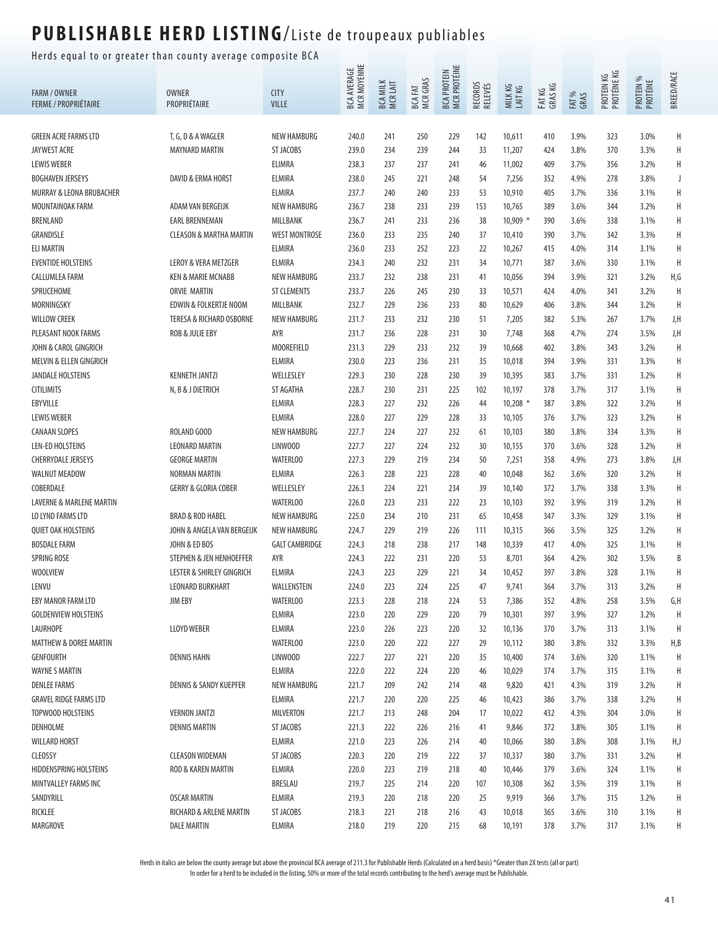Herds equal to or greater than county average composite BCA

| <b>FARM / OWNER</b><br><b>FERME / PROPRIÉTAIRE</b> | <b>OWNER</b><br>PROPRIÉTAIRE         | <b>CITY</b><br><b>VILLE</b> | MCR MOYENNE<br><b>BCA AVERAGE</b> | <b>MILK</b><br><b>BCA MILK</b><br>MCR LAIT | <b>MCRGRAS</b><br><b>BCA FAT</b> | <b>MCR PROTÉINE</b><br><b>BCA PROTEIN</b> | RECORDS<br>RELEVÉS | MILK KG<br>LAIT KG | FATKG<br>GRAS KG | FAT %<br>GRAS | PROTEIN KG<br>PROTÉINE KG | PROTEIN %<br>PROTÉINE | <b>BREED/RACE</b> |
|----------------------------------------------------|--------------------------------------|-----------------------------|-----------------------------------|--------------------------------------------|----------------------------------|-------------------------------------------|--------------------|--------------------|------------------|---------------|---------------------------|-----------------------|-------------------|
|                                                    |                                      |                             |                                   |                                            |                                  |                                           |                    |                    |                  |               |                           |                       |                   |
| <b>GREEN ACRE FARMS LTD</b>                        | T, G, D & A WAGLER                   | <b>NEW HAMBURG</b>          | 240.0                             | 241                                        | 250                              | 229                                       | 142                | 10,611             | 410              | 3.9%          | 323                       | 3.0%                  | H                 |
| JAYWEST ACRE                                       | MAYNARD MARTIN                       | ST JACOBS                   | 239.0                             | 234                                        | 239                              | 244                                       | 33                 | 11,207             | 424              | 3.8%          | 370                       | 3.3%                  | H                 |
| <b>LEWIS WEBER</b>                                 |                                      | ELIMRA                      | 238.3                             | 237                                        | 237                              | 241                                       | 46                 | 11,002             | 409              | 3.7%          | 356                       | 3.2%                  | H                 |
| <b>BOGHAVEN JERSEYS</b>                            | DAVID & ERMA HORST                   | ELMIRA                      | 238.0                             | 245                                        | 221                              | 248                                       | 54                 | 7,256              | 352              | 4.9%          | 278                       | 3.8%                  | J                 |
| MURRAY & LEONA BRUBACHER                           |                                      | ELMIRA                      | 237.7                             | 240                                        | 240                              | 233                                       | 53                 | 10,910             | 405              | 3.7%          | 336                       | 3.1%                  | H                 |
| MOUNTAINOAK FARM                                   | <b>ADAM VAN BERGEIJK</b>             | NEW HAMBURG                 | 236.7                             | 238                                        | 233                              | 239                                       | 153                | 10,765             | 389              | 3.6%          | 344                       | 3.2%                  | H                 |
| <b>BRENLAND</b>                                    | <b>EARL BRENNEMAN</b>                | MILLBANK                    | 236.7                             | 241                                        | 233                              | 236                                       | 38                 | $10,909$ *         | 390              | 3.6%          | 338                       | 3.1%                  | H                 |
| GRANDISLE                                          | <b>CLEASON &amp; MARTHA MARTIN</b>   | <b>WEST MONTROSE</b>        | 236.0                             | 233                                        | 235                              | 240                                       | 37                 | 10,410             | 390              | 3.7%          | 342                       | 3.3%                  | H                 |
| <b>ELI MARTIN</b>                                  |                                      | ELMIRA                      | 236.0                             | 233                                        | 252                              | 223                                       | 22                 | 10,267             | 415              | 4.0%          | 314                       | 3.1%                  | H                 |
| <b>EVENTIDE HOLSTEINS</b>                          | <b>LEROY &amp; VERA METZGER</b>      | ELMIRA                      | 234.3                             | 240                                        | 232                              | 231                                       | 34                 | 10,771             | 387              | 3.6%          | 330                       | 3.1%                  | H                 |
| <b>CALLUMLEA FARM</b>                              | <b>KEN &amp; MARIE MCNABB</b>        | <b>NEW HAMBURG</b>          | 233.7                             | 232                                        | 238                              | 231                                       | 41                 | 10,056             | 394              | 3.9%          | 321                       | 3.2%                  | H,G               |
| SPRUCEHOME                                         | <b>ORVIE MARTIN</b>                  | <b>ST CLEMENTS</b>          | 233.7                             | 226                                        | 245                              | 230                                       | 33                 | 10,571             | 424              | 4.0%          | 341                       | 3.2%                  | H                 |
| MORNINGSKY                                         | EDWIN & FOLKERTJE NOOM               | MILLBANK                    | 232.7                             | 229                                        | 236                              | 233                                       | 80                 | 10,629             | 406              | 3.8%          | 344                       | 3.2%                  | H                 |
| <b>WILLOW CREEK</b>                                | <b>TERESA &amp; RICHARD OSBORNE</b>  | <b>NEW HAMBURG</b>          | 231.7                             | 233                                        | 232                              | 230                                       | 51                 | 7,205              | 382              | 5.3%          | 267                       | 3.7%                  | J,H               |
| PLEASANT NOOK FARMS                                | <b>ROB &amp; JULIE EBY</b>           | AYR                         | 231.7                             | 236                                        | 228                              | 231                                       | 30                 | 7,748              | 368              | 4.7%          | 274                       | 3.5%                  | J,H               |
| JOHN & CAROL GINGRICH                              |                                      | <b>MOOREFIELD</b>           | 231.3                             | 229                                        | 233                              | 232                                       | 39                 | 10,668             | 402              | 3.8%          | 343                       | 3.2%                  | H                 |
| MELVIN & ELLEN GINGRICH                            |                                      | ELMIRA                      | 230.0                             | 223                                        | 236                              | 231                                       | 35                 | 10,018             | 394              | 3.9%          | 331                       | 3.3%                  | H                 |
| <b>JANDALE HOLSTEINS</b>                           | <b>KENNETH JANTZI</b>                | WELLESLEY                   | 229.3                             | 230                                        | 228                              | 230                                       | 39                 | 10,395             | 383              | 3.7%          | 331                       | 3.2%                  | H                 |
| <b>CITILIMITS</b>                                  | N, B & J DIETRICH                    | ST AGATHA                   | 228.7                             | 230                                        | 231                              | 225                                       | 102                | 10,197             | 378              | 3.7%          | 317                       | 3.1%                  | H                 |
| EBYVILLE                                           |                                      | ELMIRA                      | 228.3                             | 227                                        | 232                              | 226                                       | 44                 | $10,208$ *         | 387              | 3.8%          | 322                       | 3.2%                  | H                 |
| <b>LEWIS WEBER</b>                                 |                                      | ELMIRA                      | 228.0                             | 227                                        | 229                              | 228                                       | 33                 | 10,105             | 376              | 3.7%          | 323                       | 3.2%                  | H                 |
| <b>CANAAN SLOPES</b>                               | ROLAND GOOD                          | NEW HAMBURG                 | 227.7                             | 224                                        | 227                              | 232                                       | 61                 | 10,103             | 380              | 3.8%          | 334                       | 3.3%                  | H                 |
| <b>LEN-ED HOLSTEINS</b>                            | <b>LEONARD MARTIN</b>                | LINWOOD                     | 227.7                             | 227                                        | 224                              | 232                                       | 30                 | 10,155             | 370              | 3.6%          | 328                       | 3.2%                  | H                 |
| <b>CHERRYDALE JERSEYS</b>                          | <b>GEORGE MARTIN</b>                 | <b>WATERLOO</b>             | 227.3                             | 229                                        | 219                              | 234                                       | 50                 | 7,251              | 358              | 4.9%          | 273                       | 3.8%                  | J,H               |
| <b>WALNUT MEADOW</b>                               | NORMAN MARTIN                        | ELMIRA                      | 226.3                             | 228                                        | 223                              | 228                                       | 40                 | 10,048             | 362              | 3.6%          | 320                       | 3.2%                  | H                 |
| COBERDALE                                          | <b>GERRY &amp; GLORIA COBER</b>      | WELLESLEY                   | 226.3                             | 224                                        | 221                              | 234                                       | 39                 | 10,140             | 372              | 3.7%          | 338                       | 3.3%                  | H                 |
| LAVERNE & MARLENE MARTIN                           |                                      | <b>WATERLOO</b>             | 226.0                             | 223                                        | 233                              | 222                                       | 23                 | 10,103             | 392              | 3.9%          | 319                       | 3.2%                  | H                 |
| LO LYND FARMS LTD                                  | <b>BRAD &amp; ROD HABEL</b>          | NEW HAMBURG                 | 225.0                             | 234                                        | 210                              | 231                                       | 65                 | 10,458             | 347              | 3.3%          | 329                       | 3.1%                  | H                 |
| <b>OUIET OAK HOLSTEINS</b>                         | JOHN & ANGELA VAN BERGEIJK           | <b>NEW HAMBURG</b>          | 224.7                             | 229                                        | 219                              | 226                                       | 111                | 10,315             | 366              | 3.5%          | 325                       | 3.2%                  | H                 |
| <b>BOSDALE FARM</b>                                | JOHN & ED BOS                        | <b>GALT CAMBRIDGE</b>       | 224.3                             | 218                                        | 238                              | 217                                       | 148                | 10,339             | 417              | 4.0%          | 325                       | 3.1%                  | H                 |
| <b>SPRING ROSE</b>                                 | <b>STEPHEN &amp; JEN HENHOEFFER</b>  | AYR                         | 224.3                             | 222                                        | 231                              | 220                                       | 53                 | 8,701              | 364              | 4.2%          | 302                       | 3.5%                  | B                 |
| <b>WOOLVIEW</b>                                    | <b>LESTER &amp; SHIRLEY GINGRICH</b> | ELMIRA                      | 224.3                             | 223                                        | 229                              | 221                                       | 34                 | 10,452             | 397              | 3.8%          | 328                       | 3.1%                  | H                 |
| LENVU                                              | <b>LEONARD BURKHART</b>              | WALLENSTEIN                 | 224.0                             | 223                                        | 224                              | 225                                       | 47                 | 9,741              | 364              | 3.7%          | 313                       | 3.2%                  | H                 |
| EBY MANOR FARM LTD                                 | JIM EBY                              | <b>WATERLOO</b>             | 223.3                             | 228                                        | 218                              | 224                                       | 53                 | 7,386              | 352              | 4.8%          | 258                       | 3.5%                  | G,H               |
| <b>GOLDENVIEW HOLSTEINS</b>                        |                                      | <b>ELMIRA</b>               | 223.0                             | 220                                        | 229                              | 220                                       | 79                 | 10,301             | 397              | 3.9%          | 327                       | 3.2%                  | H                 |
| LAURHOPE                                           | <b>LLOYD WEBER</b>                   | ELMIRA                      | 223.0                             | 226                                        | 223                              | 220                                       | 32                 | 10,136             | 370              | 3.7%          | 313                       | 3.1%                  | H                 |
| <b>MATTHEW &amp; DOREE MARTIN</b>                  |                                      | <b>WATERLOO</b>             | 223.0                             | 220                                        | 222                              | 227                                       | 29                 | 10,112             | 380              | 3.8%          | 332                       | 3.3%                  | H, B              |
| <b>GENFOURTH</b>                                   | <b>DENNIS HAHN</b>                   | LINWOOD                     | 222.7                             | 227                                        | 221                              | 220                                       | 35                 | 10,400             | 374              | 3.6%          | 320                       | 3.1%                  | H                 |
| <b>WAYNE S MARTIN</b>                              |                                      | ELMIRA                      | 222.0                             | 222                                        | 224                              | 220                                       | 46                 | 10,029             | 374              | 3.7%          | 315                       | 3.1%                  | H                 |
| <b>DENLEE FARMS</b>                                | <b>DENNIS &amp; SANDY KUEPFER</b>    | NEW HAMBURG                 | 221.7                             | 209                                        | 242                              | 214                                       | 48                 | 9,820              | 421              | 4.3%          | 319                       | 3.2%                  | H                 |
| <b>GRAVEL RIDGE FARMS LTD</b>                      |                                      | ELMIRA                      | 221.7                             | 220                                        | 220                              | 225                                       | 46                 | 10,423             | 386              | 3.7%          | 338                       | 3.2%                  | H                 |
| TOPWOOD HOLSTEINS                                  | <b>VERNON JANTZI</b>                 | MILVERTON                   | 221.7                             | 213                                        | 248                              | 204                                       | 17                 | 10,022             | 432              | 4.3%          | 304                       | 3.0%                  | H                 |
| DENHOLME                                           | <b>DENNIS MARTIN</b>                 | ST JACOBS                   | 221.3                             | 222                                        | 226                              | 216                                       | 41                 | 9,846              | 372              | 3.8%          | 305                       | 3.1%                  | H                 |
| <b>WILLARD HORST</b>                               |                                      | ELMIRA                      | 221.0                             | 223                                        | 226                              | 214                                       | 40                 | 10,066             | 380              | 3.8%          | 308                       | 3.1%                  | H,J               |
| CLEOSSY                                            | <b>CLEASON WIDEMAN</b>               | ST JACOBS                   | 220.3                             | 220                                        | 219                              | 222                                       | 37                 | 10,337             | 380              | 3.7%          | 331                       | 3.2%                  | H                 |
| HIDDENSPRING HOLSTEINS                             | ROD & KAREN MARTIN                   | ELMIRA                      | 220.0                             | 223                                        | 219                              | 218                                       | 40                 | 10,446             | 379              | 3.6%          | 324                       | 3.1%                  | H                 |
| MINTVALLEY FARMS INC                               |                                      | BRESLAU                     | 219.7                             | 225                                        | 214                              | 220                                       | 107                | 10,308             | 362              | 3.5%          | 319                       | 3.1%                  | H                 |
| SANDYRILL                                          | <b>OSCAR MARTIN</b>                  | ELMIRA                      | 219.3                             | 220                                        | 218                              | 220                                       | 25                 | 9,919              | 366              | 3.7%          | 315                       | 3.2%                  | H                 |
| RICKLEE                                            | RICHARD & ARLENE MARTIN              | ST JACOBS                   | 218.3                             | 221                                        | 218                              | 216                                       | 43                 | 10,018             | 365              | 3.6%          | 310                       | 3.1%                  | H                 |
| MARGROVE                                           | <b>DALE MARTIN</b>                   | ELMIRA                      | 218.0                             | 219                                        | 220                              | 215                                       | 68                 | 10,191             | 378              | 3.7%          | 317                       | 3.1%                  | Н                 |
|                                                    |                                      |                             |                                   |                                            |                                  |                                           |                    |                    |                  |               |                           |                       |                   |

Herds in italics are below the county average but above the provincial BCA average of 211.3 for Publishable Herds (Calculated on a herd basis) \*Greater than 2X tests (all or part) In order for a herd to be included in the listing, 50% or more of the total records contributing to the herd's average must be Publishable.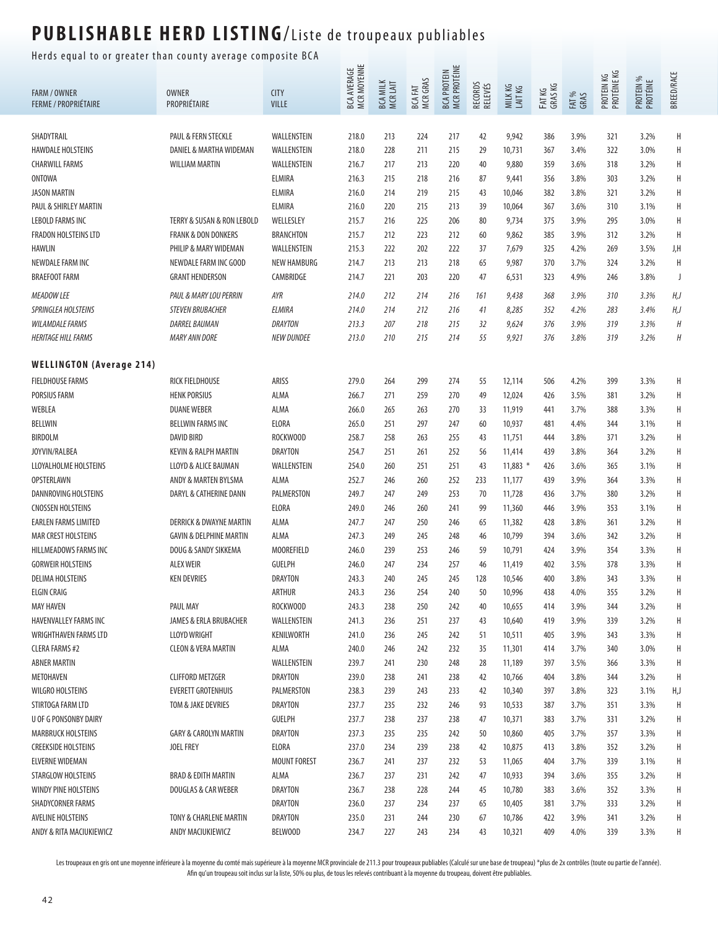Herds equal to or greater than county average composite BCA

| <b>FARM / OWNER</b><br><b>FERME / PROPRIÉTAIRE</b> | <b>OWNER</b><br>PROPRIÉTAIRE       | <b>CITY</b><br><b>VILLE</b> | MCR MOYENNE<br><b>BCA AVERAGE</b> | <b>BCA MILK</b><br>MCR LAIT | BCA FAT<br>MCR GRAS | <b>MCR PROTÉINE</b><br><b>BCA PROTEIN</b> | RECORDS<br>RELEVÉS | MILKKG<br>LAITKG | FAT KG<br>GRAS KG | FAT %<br>GRAS | PROTEIN KG<br>PROTÉINE KG | PROTEIN %<br>PROTÉINE | <b>BREED/RACE</b> |
|----------------------------------------------------|------------------------------------|-----------------------------|-----------------------------------|-----------------------------|---------------------|-------------------------------------------|--------------------|------------------|-------------------|---------------|---------------------------|-----------------------|-------------------|
| SHADYTRAIL                                         | PAUL & FERN STECKLE                | WALLENSTEIN                 | 218.0                             | 213                         | 224                 | 217                                       | 42                 | 9,942            | 386               | 3.9%          | 321                       | 3.2%                  | Η                 |
|                                                    |                                    |                             |                                   |                             |                     |                                           |                    |                  |                   |               |                           |                       |                   |
| <b>HAWDALE HOLSTEINS</b>                           | DANIEL & MARTHA WIDEMAN            | WALLENSTEIN                 | 218.0                             | 228                         | 211                 | 215                                       | 29                 | 10,731           | 367               | 3.4%          | 322                       | 3.0%                  | Н                 |
| <b>CHARWILL FARMS</b>                              | <b>WILLIAM MARTIN</b>              | WALLENSTEIN                 | 216.7                             | 217                         | 213                 | 220                                       | 40                 | 9,880            | 359               | 3.6%          | 318                       | 3.2%                  | Н                 |
| ONTOWA                                             |                                    | <b>ELMIRA</b>               | 216.3                             | 215                         | 218                 | 216                                       | 87                 | 9,441            | 356               | 3.8%          | 303                       | 3.2%                  | Н                 |
| <b>JASON MARTIN</b>                                |                                    | <b>ELMIRA</b>               | 216.0                             | 214                         | 219                 | 215                                       | 43                 | 10,046           | 382               | 3.8%          | 321                       | 3.2%                  | Н                 |
| PAUL & SHIRLEY MARTIN                              |                                    | <b>ELMIRA</b>               | 216.0                             | 220                         | 215                 | 213                                       | 39                 | 10,064           | 367               | 3.6%          | 310                       | 3.1%                  | Н                 |
| <b>LEBOLD FARMS INC</b>                            | TERRY & SUSAN & RON LEBOLD         | WELLESLEY                   | 215.7                             | 216                         | 225                 | 206                                       | 80                 | 9,734            | 375               | 3.9%          | 295                       | 3.0%                  | Η                 |
| <b>FRADON HOLSTEINS LTD</b>                        | <b>FRANK &amp; DON DONKERS</b>     | <b>BRANCHTON</b>            | 215.7                             | 212                         | 223                 | 212                                       | 60                 | 9,862            | 385               | 3.9%          | 312                       | 3.2%                  | Η                 |
| <b>HAWLIN</b>                                      | PHILIP & MARY WIDEMAN              | WALLENSTEIN                 | 215.3                             | 222                         | 202                 | 222                                       | 37                 | 7,679            | 325               | 4.2%          | 269                       | 3.5%                  | J,H               |
| NEWDALE FARM INC                                   | NEWDALE FARM INC GOOD              | <b>NEW HAMBURG</b>          | 214.7                             | 213                         | 213                 | 218                                       | 65                 | 9,987            | 370               | 3.7%          | 324                       | 3.2%                  | Η                 |
| <b>BRAEFOOT FARM</b>                               | <b>GRANT HENDERSON</b>             | CAMBRIDGE                   | 214.7                             | 221                         | 203                 | 220                                       | 47                 | 6,531            | 323               | 4.9%          | 246                       | 3.8%                  | J                 |
| <b>MEADOW LEE</b>                                  | PAUL & MARY LOU PERRIN             | AYR                         | 214.0                             | 212                         | 214                 | 216                                       | 161                | 9,438            | 368               | 3.9%          | 310                       | 3.3%                  | H, J              |
| SPRINGLEA HOLSTEINS                                | <b>STEVEN BRUBACHER</b>            | ELMIRA                      | 214.0                             | 214                         | 212                 | 216                                       | 41                 | 8,285            | 352               | 4.2%          | 283                       | 3.4%                  | H, J              |
| <b>WILAMDALE FARMS</b>                             | <b>DARREL BAUMAN</b>               | <i>DRAYTON</i>              | 213.3                             | 207                         | 218                 | 215                                       | 32                 | 9,624            | 376               | 3.9%          | 319                       | 3.3%                  | $\boldsymbol{H}$  |
| HERITAGE HILL FARMS                                | <b>MARY ANN DORE</b>               | <b>NEW DUNDEE</b>           | 213.0                             | 210                         | 215                 | 214                                       | 55                 | 9,921            | 376               | 3.8%          | 319                       | 3.2%                  | Н                 |
| <b>WELLINGTON (Average 214)</b>                    |                                    |                             |                                   |                             |                     |                                           |                    |                  |                   |               |                           |                       |                   |
| <b>FIELDHOUSE FARMS</b>                            | RICK FIELDHOUSE                    | ARISS                       | 279.0                             | 264                         | 299                 | 274                                       | 55                 | 12,114           | 506               | 4.2%          | 399                       | 3.3%                  | Η                 |
| PORSIUS FARM                                       | <b>HENK PORSIUS</b>                | ALMA                        | 266.7                             | 271                         | 259                 | 270                                       | 49                 | 12,024           | 426               | 3.5%          | 381                       | 3.2%                  | Н                 |
| WEBLEA                                             | <b>DUANE WEBER</b>                 | <b>ALMA</b>                 | 266.0                             | 265                         | 263                 | 270                                       | 33                 | 11,919           | 441               | 3.7%          | 388                       | 3.3%                  | Н                 |
| <b>BELLWIN</b>                                     | <b>BELLWIN FARMS INC</b>           | <b>ELORA</b>                | 265.0                             | 251                         | 297                 | 247                                       | 60                 | 10,937           | 481               | 4.4%          | 344                       | 3.1%                  | Н                 |
| <b>BIRDOLM</b>                                     | <b>DAVID BIRD</b>                  | ROCKWOOD                    | 258.7                             | 258                         | 263                 | 255                                       | 43                 | 11,751           | 444               | 3.8%          | 371                       | 3.2%                  | Н                 |
| JOYVIN/RALBEA                                      | <b>KEVIN &amp; RALPH MARTIN</b>    | <b>DRAYTON</b>              | 254.7                             | 251                         | 261                 | 252                                       | 56                 | 11,414           | 439               | 3.8%          | 364                       | 3.2%                  | Н                 |
| LLOYALHOLME HOLSTEINS                              | LLOYD & ALICE BAUMAN               | WALLENSTEIN                 | 254.0                             | 260                         | 251                 | 251                                       | 43                 | $11,883$ *       | 426               | 3.6%          | 365                       | 3.1%                  | Н                 |
| OPSTERLAWN                                         | ANDY & MARTEN BYLSMA               | ALMA                        | 252.7                             | 246                         | 260                 | 252                                       | 233                | 11,177           | 439               | 3.9%          | 364                       | 3.3%                  | Н                 |
| DANNROVING HOLSTEINS                               | DARYL & CATHERINE DANN             | PALMERSTON                  | 249.7                             | 247                         | 249                 | 253                                       | 70                 | 11,728           | 436               | 3.7%          | 380                       | 3.2%                  | Н                 |
| <b>CNOSSEN HOLSTEINS</b>                           |                                    | <b>ELORA</b>                | 249.0                             | 246                         | 260                 | 241                                       | 99                 | 11,360           | 446               | 3.9%          | 353                       | 3.1%                  | Н                 |
| <b>EARLEN FARMS LIMITED</b>                        | <b>DERRICK &amp; DWAYNE MARTIN</b> | ALMA                        | 247.7                             | 247                         | 250                 | 246                                       | 65                 | 11,382           | 428               | 3.8%          | 361                       | 3.2%                  | Н                 |
| <b>MAR CREST HOLSTEINS</b>                         | <b>GAVIN &amp; DELPHINE MARTIN</b> | ALMA                        | 247.3                             | 249                         | 245                 | 248                                       | 46                 | 10,799           | 394               | 3.6%          | 342                       | 3.2%                  | Н                 |
| HILLMEADOWS FARMS INC                              | DOUG & SANDY SIKKEMA               | <b>MOOREFIELD</b>           | 246.0                             | 239                         | 253                 | 246                                       | 59                 | 10,791           | 424               | 3.9%          | 354                       | 3.3%                  | Н                 |
| <b>GORWEIR HOLSTEINS</b>                           | <b>ALEX WEIR</b>                   | <b>GUELPH</b>               | 246.0                             | 247                         | 234                 | 257                                       | 46                 | 11,419           | 402               | 3.5%          | 378                       | 3.3%                  | Η                 |
| <b>DELIMA HOLSTEINS</b>                            | <b>KEN DEVRIES</b>                 | DRAYTON                     | 243.3                             | 240                         | 245                 | 245                                       | 128                | 10,546           | 400               | 3.8%          | 343                       | 3.3%                  | Η                 |
| ELGIN CRAIG                                        |                                    | ARTHUR                      | 243.3                             | 236                         | 254                 | 240                                       | 50                 | 10,996           | 438               | 4.0%          | 355                       | 3.2%                  | Н                 |
| <b>MAY HAVEN</b>                                   | PAUL MAY                           | ROCKWOOD                    | 243.3                             | 238                         | 250                 | 242                                       | 40                 | 10,655           | 414               | 3.9%          | 344                       | 3.2%                  | Η                 |
| HAVENVALLEY FARMS INC                              | JAMES & ERLA BRUBACHER             | WALLENSTEIN                 | 241.3                             | 236                         | 251                 | 237                                       | 43                 | 10,640           | 419               | 3.9%          | 339                       | 3.2%                  | Η                 |
| WRIGHTHAVEN FARMS LTD                              | <b>LLOYD WRIGHT</b>                | KENILWORTH                  | 241.0                             | 236                         | 245                 | 242                                       | 51                 | 10,511           | 405               | 3.9%          | 343                       | 3.3%                  | Н                 |
| <b>CLERA FARMS #2</b>                              | <b>CLEON &amp; VERA MARTIN</b>     | ALMA                        | 240.0                             | 246                         | 242                 | 232                                       | 35                 | 11,301           | 414               | 3.7%          | 340                       | 3.0%                  | Н                 |
| <b>ABNER MARTIN</b>                                |                                    | WALLENSTEIN                 | 239.7                             | 241                         | 230                 | 248                                       | 28                 | 11,189           | 397               | 3.5%          | 366                       | 3.3%                  | Η                 |
| METOHAVEN                                          | <b>CLIFFORD METZGER</b>            | DRAYTON                     | 239.0                             | 238                         | 241                 | 238                                       | 42                 | 10,766           | 404               | 3.8%          | 344                       | 3.2%                  | H                 |
| <b>WILGRO HOLSTEINS</b>                            | <b>EVERETT GROTENHUIS</b>          | PALMERSTON                  | 238.3                             | 239                         | 243                 | 233                                       | 42                 | 10,340           | 397               | 3.8%          | 323                       | 3.1%                  | H,J               |
| STIRTOGA FARM LTD                                  | TOM & JAKE DEVRIES                 | DRAYTON                     | 237.7                             | 235                         | 232                 | 246                                       | 93                 | 10,533           | 387               | 3.7%          | 351                       | 3.3%                  | H                 |
| <b>U OF G PONSONBY DAIRY</b>                       |                                    | <b>GUELPH</b>               | 237.7                             | 238                         | 237                 | 238                                       | 47                 | 10,371           | 383               | 3.7%          | 331                       | 3.2%                  | Η                 |
| <b>MARBRUCK HOLSTEINS</b>                          | <b>GARY &amp; CAROLYN MARTIN</b>   | <b>DRAYTON</b>              | 237.3                             | 235                         | 235                 | 242                                       | 50                 | 10,860           | 405               | 3.7%          | 357                       | 3.3%                  | Н                 |
| <b>CREEKSIDE HOLSTEINS</b>                         | <b>JOEL FREY</b>                   | ELORA                       | 237.0                             | 234                         | 239                 | 238                                       | 42                 | 10,875           | 413               | 3.8%          | 352                       | 3.2%                  | Н                 |
| <b>ELVERNE WIDEMAN</b>                             |                                    | <b>MOUNT FOREST</b>         | 236.7                             | 241                         | 237                 | 232                                       | 53                 | 11,065           | 404               | 3.7%          | 339                       | 3.1%                  | Н                 |
| STARGLOW HOLSTEINS                                 | <b>BRAD &amp; EDITH MARTIN</b>     | ALMA                        | 236.7                             | 237                         | 231                 | 242                                       | 47                 | 10,933           | 394               | 3.6%          | 355                       | 3.2%                  | Н                 |
| <b>WINDY PINE HOLSTEINS</b>                        | DOUGLAS & CAR WEBER                | <b>DRAYTON</b>              | 236.7                             | 238                         | 228                 | 244                                       | 45                 | 10,780           | 383               | 3.6%          | 352                       | 3.3%                  | Н                 |
| <b>SHADYCORNER FARMS</b>                           |                                    | DRAYTON                     | 236.0                             | 237                         | 234                 | 237                                       | 65                 | 10,405           | 381               | 3.7%          | 333                       | 3.2%                  | Н                 |
| <b>AVELINE HOLSTEINS</b>                           | TONY & CHARLENE MARTIN             | DRAYTON                     | 235.0                             | 231                         | 244                 | 230                                       | 67                 | 10,786           | 422               | 3.9%          | 341                       | 3.2%                  | Н                 |
| ANDY & RITA MACIUKIEWICZ                           | ANDY MACIUKIEWICZ                  | BELWOOD                     | 234.7                             | 227                         | 243                 | 234                                       | 43                 | 10,321           | 409               | 4.0%          | 339                       | 3.3%                  | Н                 |
|                                                    |                                    |                             |                                   |                             |                     |                                           |                    |                  |                   |               |                           |                       |                   |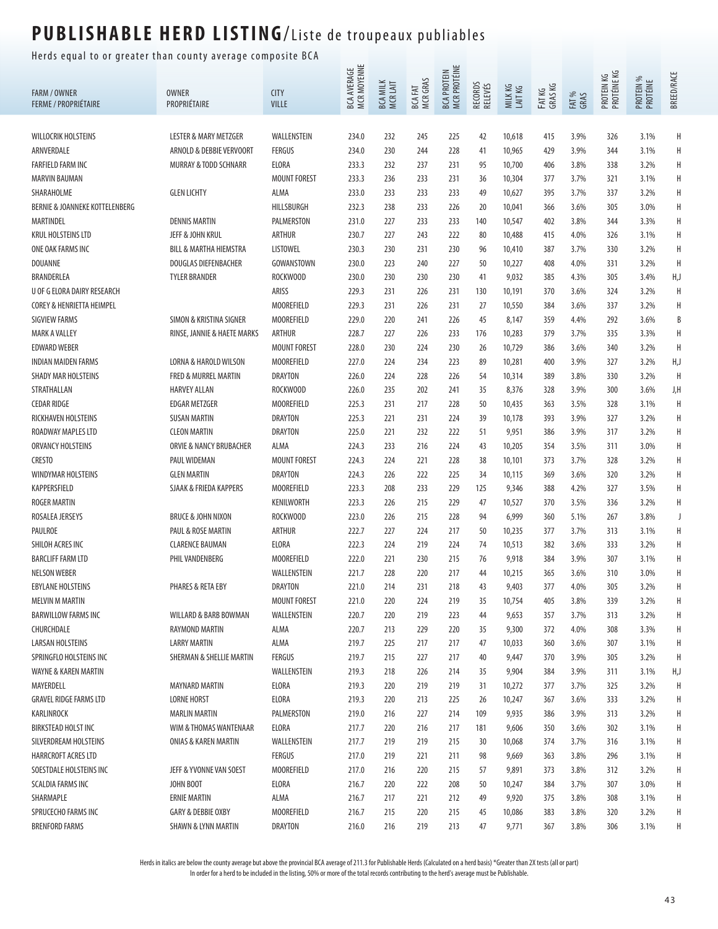Herds equal to or greater than county average composite BCA

| <b>FARM / OWNER</b><br><b>FERME / PROPRIÉTAIRE</b> | <b>OWNER</b><br>PROPRIÉTAIRE     | <b>CITY</b><br><b>VILLE</b> | BCA AVERAGE<br>MCR MOYENNE | <b>BCA MILK</b><br>MCR LAIT | BCA FAT<br>MCR GRAS | <b>MCR PROTÉINE</b><br><b>BCA PROTEIN</b> | RECORDS<br>RELEVÉS | MILK KG<br>LAIT KG | FAT KG<br>GRAS KG | FAT %<br>GRAS | PROTEIN KG<br>PROTÉINE KG | PROTEIN %<br>PROTÉINE | <b>BREED/RACE</b> |
|----------------------------------------------------|----------------------------------|-----------------------------|----------------------------|-----------------------------|---------------------|-------------------------------------------|--------------------|--------------------|-------------------|---------------|---------------------------|-----------------------|-------------------|
|                                                    |                                  |                             |                            |                             |                     |                                           |                    |                    |                   |               |                           |                       |                   |
| <b>WILLOCRIK HOLSTEINS</b>                         | <b>LESTER &amp; MARY METZGER</b> | WALLENSTEIN                 | 234.0                      | 232                         | 245                 | 225                                       | 42                 | 10,618             | 415               | 3.9%          | 326                       | 3.1%                  | Η                 |
| ARNVERDALE                                         | ARNOLD & DEBBIE VERVOORT         | <b>FERGUS</b>               | 234.0                      | 230                         | 244                 | 228                                       | 41                 | 10,965             | 429               | 3.9%          | 344                       | 3.1%                  | Н                 |
| <b>FARFIELD FARM INC</b>                           | <b>MURRAY &amp; TODD SCHNARR</b> | ELORA                       | 233.3                      | 232                         | 237                 | 231                                       | 95                 | 10,700             | 406               | 3.8%          | 338                       | 3.2%                  | Н                 |
| MARVIN BAUMAN                                      |                                  | <b>MOUNT FOREST</b>         | 233.3                      | 236                         | 233                 | 231                                       | 36                 | 10,304             | 377               | 3.7%          | 321                       | 3.1%                  | Н                 |
| SHARAHOLME                                         | <b>GLEN LICHTY</b>               | ALMA                        | 233.0                      | 233                         | 233                 | 233                                       | 49                 | 10,627             | 395               | 3.7%          | 337                       | 3.2%                  | Н                 |
| BERNIE & JOANNEKE KOTTELENBERG                     |                                  | HILLSBURGH                  | 232.3                      | 238                         | 233                 | 226                                       | 20                 | 10,041             | 366               | 3.6%          | 305                       | 3.0%                  | Н                 |
| MARTINDEL                                          | <b>DENNIS MARTIN</b>             | PALMERSTON                  | 231.0                      | 227                         | 233                 | 233                                       | 140                | 10,547             | 402               | 3.8%          | 344                       | 3.3%                  | Н                 |
| <b>KRUL HOLSTEINS LTD</b>                          | JEFF & JOHN KRUL                 | ARTHUR                      | 230.7                      | 227                         | 243                 | 222                                       | 80                 | 10,488             | 415               | 4.0%          | 326                       | 3.1%                  | Н                 |
| ONE OAK FARMS INC                                  | BILL & MARTHA HIEMSTRA           | LISTOWEL                    | 230.3                      | 230                         | 231                 | 230                                       | 96                 | 10,410             | 387               | 3.7%          | 330                       | 3.2%                  | Η                 |
| DOUANNE                                            | DOUGLAS DIEFENBACHER             | GOWANSTOWN                  | 230.0                      | 223                         | 240                 | 227                                       | 50                 | 10,227             | 408               | 4.0%          | 331                       | 3.2%                  | Η                 |
| BRANDERLEA                                         | <b>TYLER BRANDER</b>             | ROCKWOOD                    | 230.0                      | 230                         | 230                 | 230                                       | 41                 | 9,032              | 385               | 4.3%          | 305                       | 3.4%                  | H,J               |
| U OF G ELORA DAIRY RESEARCH                        |                                  | ARISS                       | 229.3                      | 231                         | 226                 | 231                                       | 130                | 10,191             | 370               | 3.6%          | 324                       | 3.2%                  | Η                 |
| <b>COREY &amp; HENRIETTA HEIMPEL</b>               |                                  | <b>MOOREFIELD</b>           | 229.3                      | 231                         | 226                 | 231                                       | 27                 | 10,550             | 384               | 3.6%          | 337                       | 3.2%                  | Н                 |
| <b>SIGVIEW FARMS</b>                               | SIMON & KRISTINA SIGNER          | <b>MOOREFIELD</b>           | 229.0                      | 220                         | 241                 | 226                                       | 45                 | 8,147              | 359               | 4.4%          | 292                       | 3.6%                  | B                 |
| <b>MARK A VALLEY</b>                               | RINSE, JANNIE & HAETE MARKS      | ARTHUR                      | 228.7                      | 227                         | 226                 | 233                                       | 176                | 10,283             | 379               | 3.7%          | 335                       | 3.3%                  | Н                 |
| <b>EDWARD WEBER</b>                                |                                  | <b>MOUNT FOREST</b>         | 228.0                      | 230                         | 224                 | 230                                       | 26                 | 10,729             | 386               | 3.6%          | 340                       | 3.2%                  | Η                 |
| INDIAN MAIDEN FARMS                                | LORNA & HAROLD WILSON            | <b>MOOREFIELD</b>           | 227.0                      | 224                         | 234                 | 223                                       | 89                 | 10,281             | 400               | 3.9%          | 327                       | 3.2%                  | H,J               |
| <b>SHADY MAR HOLSTEINS</b>                         | FRED & MURREL MARTIN             | DRAYTON                     | 226.0                      | 224                         | 228                 | 226                                       | 54                 | 10,314             | 389               | 3.8%          | 330                       | 3.2%                  | H                 |
| STRATHALLAN                                        | <b>HARVEY ALLAN</b>              | ROCKWOOD                    | 226.0                      | 235                         | 202                 | 241                                       | 35                 | 8,376              | 328               | 3.9%          | 300                       | 3.6%                  | J,H               |
| <b>CEDAR RIDGE</b>                                 | <b>EDGAR METZGER</b>             | MOOREFIELD                  | 225.3                      | 231                         | 217                 | 228                                       | 50                 | 10,435             | 363               | 3.5%          | 328                       | 3.1%                  | Η                 |
| RICKHAVEN HOLSTEINS                                | <b>SUSAN MARTIN</b>              | <b>DRAYTON</b>              | 225.3                      | 221                         | 231                 | 224                                       | 39                 | 10,178             | 393               | 3.9%          | 327                       | 3.2%                  | Н                 |
| ROADWAY MAPLES LTD                                 | <b>CLEON MARTIN</b>              | DRAYTON                     | 225.0                      | 221                         | 232                 | 222                                       | 51                 | 9,951              | 386               | 3.9%          | 317                       | 3.2%                  | Н                 |
| ORVANCY HOLSTEINS                                  | ORVIE & NANCY BRUBACHER          | ALMA                        | 224.3                      | 233                         | 216                 | 224                                       | 43                 | 10,205             | 354               | 3.5%          | 311                       | 3.0%                  | Н                 |
| <b>CRESTO</b>                                      | PAUL WIDEMAN                     | <b>MOUNT FOREST</b>         | 224.3                      | 224                         | 221                 | 228                                       | 38                 | 10,101             | 373               | 3.7%          | 328                       | 3.2%                  | Н                 |
| <b>WINDYMAR HOLSTEINS</b>                          | <b>GLEN MARTIN</b>               | <b>DRAYTON</b>              | 224.3                      | 226                         | 222                 | 225                                       | 34                 | 10,115             | 369               | 3.6%          | 320                       | 3.2%                  | Н                 |
| KAPPERSFIELD                                       | SJAAK & FRIEDA KAPPERS           | <b>MOOREFIELD</b>           | 223.3                      | 208                         | 233                 | 229                                       | 125                | 9,346              | 388               | 4.2%          | 327                       | 3.5%                  | Н                 |
| <b>ROGER MARTIN</b>                                |                                  | KENILWORTH                  | 223.3                      | 226                         | 215                 | 229                                       | 47                 | 10,527             | 370               | 3.5%          | 336                       | 3.2%                  | Н                 |
| ROSALEA JERSEYS                                    | <b>BRUCE &amp; JOHN NIXON</b>    | ROCKWOOD                    | 223.0                      | 226                         | 215                 | 228                                       | 94                 | 6,999              | 360               | 5.1%          | 267                       | 3.8%                  | J                 |
| PAULROE                                            | PAUL & ROSE MARTIN               | ARTHUR                      | 222.7                      | 227                         | 224                 | 217                                       | 50                 | 10,235             | 377               | 3.7%          | 313                       | 3.1%                  | Н                 |
| SHILOH ACRES INC                                   | <b>CLARENCE BAUMAN</b>           | ELORA                       | 222.3                      | 224                         | 219                 | 224                                       | 74                 | 10,513             | 382               | 3.6%          | 333                       | 3.2%                  | Н                 |
| <b>BARCLIFF FARM LTD</b>                           | PHIL VANDENBERG                  | <b>MOOREFIELD</b>           | 222.0                      | 221                         | 230                 | 215                                       | 76                 | 9,918              | 384               | 3.9%          | 307                       | 3.1%                  | Н                 |
| <b>NELSON WEBER</b>                                |                                  | WALLENSTEIN                 | 221.7                      | 228                         | 220                 | 217                                       | 44                 | 10,215             | 365               | 3.6%          | 310                       | 3.0%                  | Η                 |
| <b>EBYLANE HOLSTEINS</b>                           | PHARES & RETA EBY                | <b>DRAYTON</b>              | 221.0                      | 214                         | 231                 | 218                                       | 43                 | 9,403              | 377               | 4.0%          | 305                       | 3.2%                  | Η                 |
| <b>MELVIN M MARTIN</b>                             |                                  | MOUNT FOREST                | 221.0                      | 220                         | 224                 | 219                                       | 35                 | 10,754             | 405               | 3.8%          | 339                       | 3.2%                  | Η                 |
| <b>BARWILLOW FARMS INC</b>                         | <b>WILLARD &amp; BARB BOWMAN</b> | WALLENSTEIN                 | 220.7                      | 220                         | 219                 | 223                                       | 44                 | 9,653              | 357               | 3.7%          | 313                       | 3.2%                  | Н                 |
| CHURCHDALE                                         | RAYMOND MARTIN                   | ALMA                        | 220.7                      | 213                         | 229                 | 220                                       | 35                 | 9,300              | 372               | 4.0%          | 308                       | 3.3%                  | Н                 |
| LARSAN HOLSTEINS                                   | <b>LARRY MARTIN</b>              | ALMA                        | 219.7                      | 225                         | 217                 | 217                                       | 47                 | 10,033             | 360               | 3.6%          | 307                       | 3.1%                  | Н                 |
| SPRINGFLO HOLSTEINS INC                            | SHERMAN & SHELLIE MARTIN         | <b>FERGUS</b>               | 219.7                      | 215                         | 227                 | 217                                       | 40                 | 9,447              | 370               | 3.9%          | 305                       | 3.2%                  | Н                 |
| WAYNE & KAREN MARTIN                               |                                  | WALLENSTEIN                 | 219.3                      | 218                         | 226                 | 214                                       | 35                 | 9,904              | 384               | 3.9%          | 311                       | 3.1%                  | H,J               |
| MAYERDELL                                          | MAYNARD MARTIN                   | <b>ELORA</b>                | 219.3                      | 220                         | 219                 | 219                                       | 31                 | 10,272             | 377               | 3.7%          | 325                       | 3.2%                  | Н                 |
|                                                    | <b>LORNE HORST</b>               | <b>ELORA</b>                | 219.3                      |                             |                     | 225                                       |                    |                    |                   |               | 333                       |                       | Н                 |
| <b>GRAVEL RIDGE FARMS LTD</b>                      |                                  | PALMERSTON                  |                            | 220                         | 213<br>227          |                                           | 26                 | 10,247             | 367               | 3.6%          |                           | 3.2%<br>3.2%          |                   |
| KARLINROCK                                         | <b>MARLIN MARTIN</b>             |                             | 219.0                      | 216                         |                     | 214                                       | 109                | 9,935              | 386               | 3.9%          | 313                       |                       | Н                 |
| <b>BIRKSTEAD HOLST INC</b>                         | WIM & THOMAS WANTENAAR           | <b>ELORA</b>                | 217.7                      | 220                         | 216                 | 217                                       | 181                | 9,606              | 350               | 3.6%          | 302                       | 3.1%                  | Н                 |
| SILVERDREAM HOLSTEINS                              | ONIAS & KAREN MARTIN             | WALLENSTEIN                 | 217.7                      | 219                         | 219                 | 215                                       | 30                 | 10,068             | 374               | 3.7%          | 316                       | 3.1%                  | Н                 |
| HARRCROFT ACRES LTD                                |                                  | <b>FERGUS</b>               | 217.0                      | 219                         | 221                 | 211                                       | 98                 | 9,669              | 363               | 3.8%          | 296                       | 3.1%                  | Н                 |
| SOESTDALE HOLSTEINS INC                            | JEFF & YVONNE VAN SOEST          | <b>MOOREFIELD</b>           | 217.0                      | 216                         | 220                 | 215                                       | 57                 | 9,891              | 373               | 3.8%          | 312                       | 3.2%                  | Н                 |
| SCALDIA FARMS INC                                  | JOHN BOOT                        | <b>ELORA</b>                | 216.7                      | 220                         | 222                 | 208                                       | 50                 | 10,247             | 384               | 3.7%          | 307                       | 3.0%                  | Н                 |
| SHARMAPLE                                          | <b>ERNIE MARTIN</b>              | ALMA                        | 216.7                      | 217                         | 221                 | 212                                       | 49                 | 9,920              | 375               | 3.8%          | 308                       | 3.1%                  | Н                 |
| SPRUCECHO FARMS INC                                | <b>GARY &amp; DEBBIE OXBY</b>    | <b>MOOREFIELD</b>           | 216.7                      | 215                         | 220                 | 215                                       | 45                 | 10,086             | 383               | 3.8%          | 320                       | 3.2%                  | Н                 |
| <b>BRENFORD FARMS</b>                              | <b>SHAWN &amp; LYNN MARTIN</b>   | <b>DRAYTON</b>              | 216.0                      | 216                         | 219                 | 213                                       | 47                 | 9,771              | 367               | 3.8%          | 306                       | 3.1%                  | Н                 |

Herds in italics are below the county average but above the provincial BCA average of 211.3 for Publishable Herds (Calculated on a herd basis) \*Greater than 2X tests (all or part) In order for a herd to be included in the listing, 50% or more of the total records contributing to the herd's average must be Publishable.